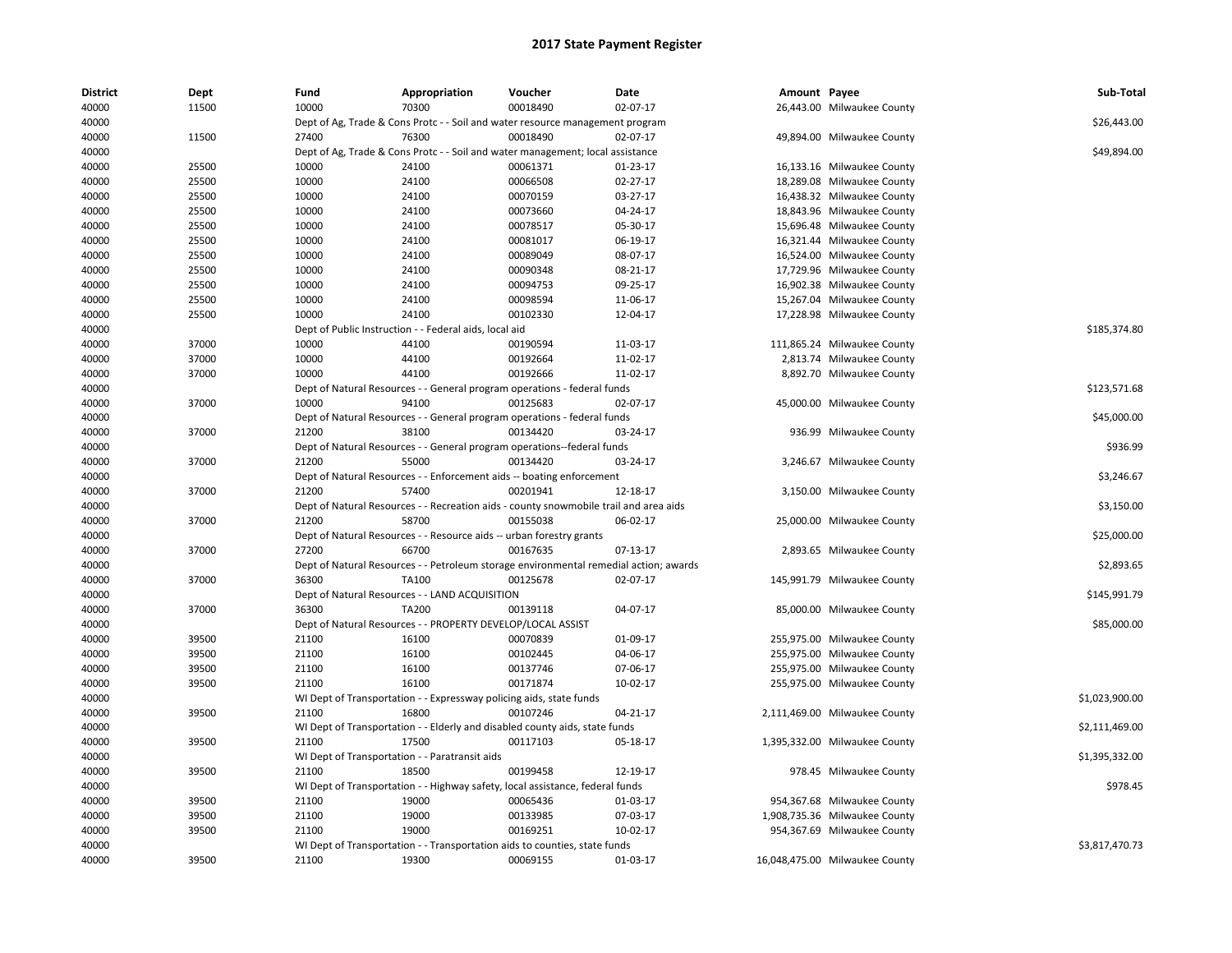| <b>District</b> | Dept  | Fund  | Appropriation                                                                         | Voucher  | Date       | Amount Payee |                                | Sub-Total      |
|-----------------|-------|-------|---------------------------------------------------------------------------------------|----------|------------|--------------|--------------------------------|----------------|
| 40000           | 11500 | 10000 | 70300                                                                                 | 00018490 | 02-07-17   |              | 26,443.00 Milwaukee County     |                |
| 40000           |       |       | Dept of Ag, Trade & Cons Protc - - Soil and water resource management program         |          |            |              |                                | \$26,443.00    |
| 40000           | 11500 | 27400 | 76300                                                                                 | 00018490 | 02-07-17   |              | 49,894.00 Milwaukee County     |                |
| 40000           |       |       | Dept of Ag, Trade & Cons Protc - - Soil and water management; local assistance        |          |            |              |                                | \$49,894.00    |
| 40000           | 25500 | 10000 | 24100                                                                                 | 00061371 | $01-23-17$ |              | 16,133.16 Milwaukee County     |                |
| 40000           | 25500 | 10000 | 24100                                                                                 | 00066508 | 02-27-17   |              | 18,289.08 Milwaukee County     |                |
| 40000           | 25500 | 10000 | 24100                                                                                 | 00070159 | 03-27-17   |              | 16,438.32 Milwaukee County     |                |
| 40000           | 25500 | 10000 | 24100                                                                                 | 00073660 | 04-24-17   |              | 18,843.96 Milwaukee County     |                |
| 40000           | 25500 | 10000 | 24100                                                                                 | 00078517 | 05-30-17   |              | 15,696.48 Milwaukee County     |                |
| 40000           | 25500 | 10000 | 24100                                                                                 | 00081017 | 06-19-17   |              | 16,321.44 Milwaukee County     |                |
| 40000           | 25500 | 10000 | 24100                                                                                 | 00089049 | 08-07-17   |              | 16,524.00 Milwaukee County     |                |
| 40000           | 25500 | 10000 | 24100                                                                                 | 00090348 | 08-21-17   |              | 17,729.96 Milwaukee County     |                |
| 40000           | 25500 | 10000 | 24100                                                                                 | 00094753 | 09-25-17   |              | 16,902.38 Milwaukee County     |                |
| 40000           | 25500 | 10000 | 24100                                                                                 | 00098594 | 11-06-17   |              | 15,267.04 Milwaukee County     |                |
| 40000           | 25500 | 10000 | 24100                                                                                 | 00102330 | 12-04-17   |              | 17,228.98 Milwaukee County     |                |
| 40000           |       |       | Dept of Public Instruction - - Federal aids, local aid                                |          |            |              |                                | \$185,374.80   |
| 40000           | 37000 | 10000 | 44100                                                                                 | 00190594 | 11-03-17   |              | 111,865.24 Milwaukee County    |                |
| 40000           | 37000 | 10000 | 44100                                                                                 | 00192664 | 11-02-17   |              | 2,813.74 Milwaukee County      |                |
| 40000           | 37000 | 10000 | 44100                                                                                 | 00192666 | 11-02-17   |              | 8,892.70 Milwaukee County      |                |
| 40000           |       |       | Dept of Natural Resources - - General program operations - federal funds              |          |            |              |                                | \$123,571.68   |
| 40000           | 37000 | 10000 | 94100                                                                                 | 00125683 | 02-07-17   |              | 45,000.00 Milwaukee County     |                |
| 40000           |       |       | Dept of Natural Resources - - General program operations - federal funds              |          |            |              |                                | \$45,000.00    |
| 40000           | 37000 | 21200 | 38100                                                                                 | 00134420 | 03-24-17   |              | 936.99 Milwaukee County        |                |
| 40000           |       |       | Dept of Natural Resources - - General program operations--federal funds               |          |            |              |                                | \$936.99       |
| 40000           | 37000 | 21200 | 55000                                                                                 | 00134420 | 03-24-17   |              | 3,246.67 Milwaukee County      |                |
| 40000           |       |       | Dept of Natural Resources - - Enforcement aids -- boating enforcement                 |          |            |              |                                | \$3,246.67     |
| 40000           | 37000 | 21200 | 57400                                                                                 | 00201941 | 12-18-17   |              | 3,150.00 Milwaukee County      |                |
| 40000           |       |       | Dept of Natural Resources - - Recreation aids - county snowmobile trail and area aids |          |            |              |                                | \$3,150.00     |
| 40000           | 37000 | 21200 | 58700                                                                                 | 00155038 | 06-02-17   |              | 25,000.00 Milwaukee County     |                |
| 40000           |       |       |                                                                                       |          |            |              |                                | \$25,000.00    |
|                 | 37000 | 27200 | Dept of Natural Resources - - Resource aids -- urban forestry grants<br>66700         | 00167635 | 07-13-17   |              |                                |                |
| 40000           |       |       |                                                                                       |          |            |              | 2,893.65 Milwaukee County      |                |
| 40000           |       |       | Dept of Natural Resources - - Petroleum storage environmental remedial action; awards |          |            |              |                                | \$2,893.65     |
| 40000           | 37000 | 36300 | TA100                                                                                 | 00125678 | 02-07-17   |              | 145,991.79 Milwaukee County    |                |
| 40000           |       |       | Dept of Natural Resources - - LAND ACQUISITION                                        |          |            |              |                                | \$145,991.79   |
| 40000           | 37000 | 36300 | TA200                                                                                 | 00139118 | 04-07-17   |              | 85,000.00 Milwaukee County     |                |
| 40000           |       |       | Dept of Natural Resources - - PROPERTY DEVELOP/LOCAL ASSIST                           |          |            |              |                                | \$85,000.00    |
| 40000           | 39500 | 21100 | 16100                                                                                 | 00070839 | 01-09-17   |              | 255,975.00 Milwaukee County    |                |
| 40000           | 39500 | 21100 | 16100                                                                                 | 00102445 | 04-06-17   |              | 255,975.00 Milwaukee County    |                |
| 40000           | 39500 | 21100 | 16100                                                                                 | 00137746 | 07-06-17   |              | 255,975.00 Milwaukee County    |                |
| 40000           | 39500 | 21100 | 16100                                                                                 | 00171874 | 10-02-17   |              | 255,975.00 Milwaukee County    |                |
| 40000           |       |       | WI Dept of Transportation - - Expressway policing aids, state funds                   |          |            |              |                                | \$1,023,900.00 |
| 40000           | 39500 | 21100 | 16800                                                                                 | 00107246 | 04-21-17   |              | 2,111,469.00 Milwaukee County  |                |
| 40000           |       |       | WI Dept of Transportation - - Elderly and disabled county aids, state funds           |          |            |              |                                | \$2,111,469.00 |
| 40000           | 39500 | 21100 | 17500                                                                                 | 00117103 | 05-18-17   |              | 1,395,332.00 Milwaukee County  |                |
| 40000           |       |       | WI Dept of Transportation - - Paratransit aids                                        |          |            |              |                                | \$1,395,332.00 |
| 40000           | 39500 | 21100 | 18500                                                                                 | 00199458 | 12-19-17   |              | 978.45 Milwaukee County        |                |
| 40000           |       |       | WI Dept of Transportation - - Highway safety, local assistance, federal funds         |          |            |              |                                | \$978.45       |
| 40000           | 39500 | 21100 | 19000                                                                                 | 00065436 | 01-03-17   |              | 954,367.68 Milwaukee County    |                |
| 40000           | 39500 | 21100 | 19000                                                                                 | 00133985 | 07-03-17   |              | 1,908,735.36 Milwaukee County  |                |
| 40000           | 39500 | 21100 | 19000                                                                                 | 00169251 | 10-02-17   |              | 954,367.69 Milwaukee County    |                |
| 40000           |       |       | WI Dept of Transportation - - Transportation aids to counties, state funds            |          |            |              |                                | \$3,817,470.73 |
| 40000           | 39500 | 21100 | 19300                                                                                 | 00069155 | 01-03-17   |              | 16,048,475.00 Milwaukee County |                |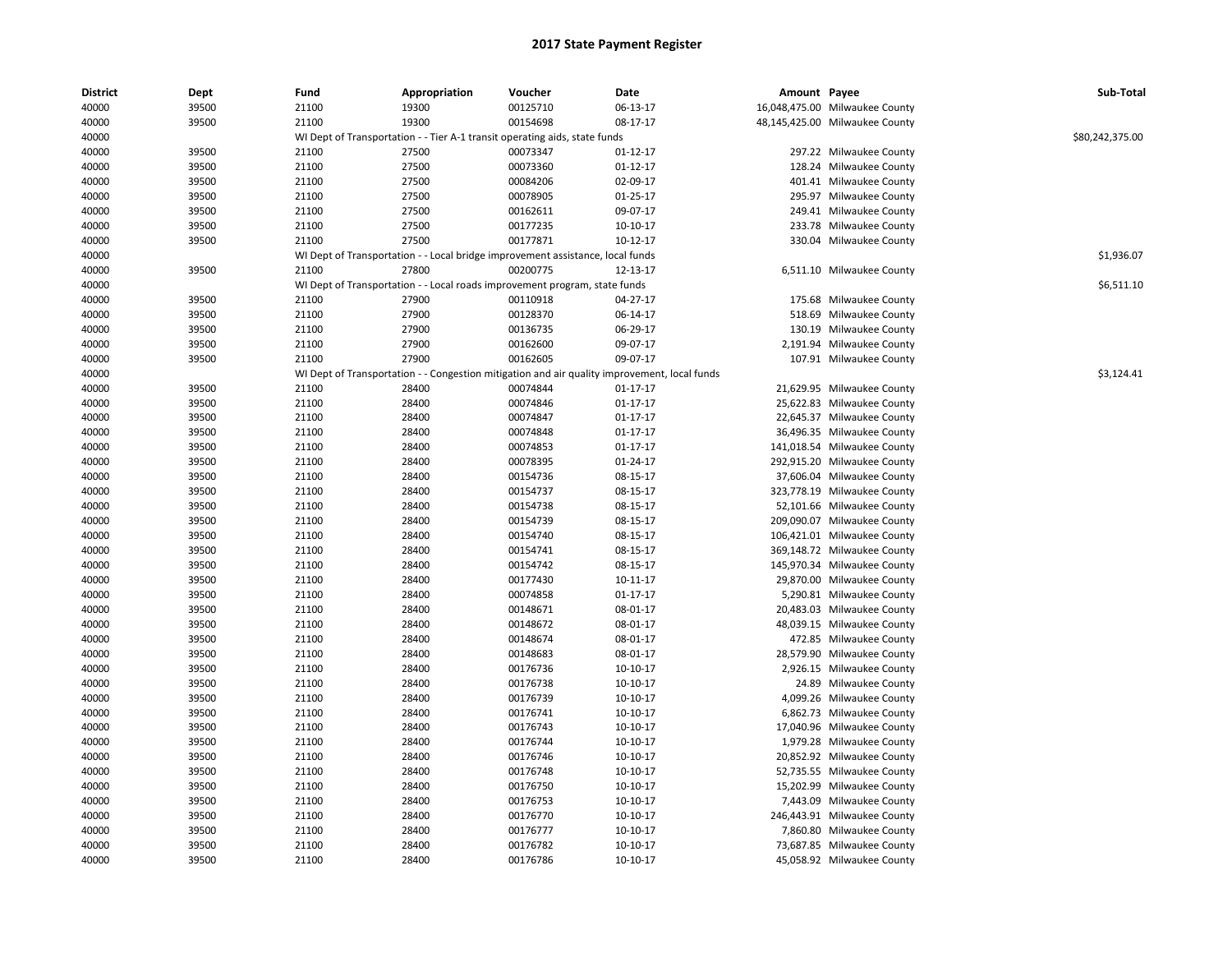| <b>District</b> | Dept  | Fund  | Appropriation                                                                                | Voucher  | Date           | Amount Payee |                                | Sub-Total       |
|-----------------|-------|-------|----------------------------------------------------------------------------------------------|----------|----------------|--------------|--------------------------------|-----------------|
| 40000           | 39500 | 21100 | 19300                                                                                        | 00125710 | 06-13-17       |              | 16,048,475.00 Milwaukee County |                 |
| 40000           | 39500 | 21100 | 19300                                                                                        | 00154698 | 08-17-17       |              | 48,145,425.00 Milwaukee County |                 |
| 40000           |       |       | WI Dept of Transportation - - Tier A-1 transit operating aids, state funds                   |          |                |              |                                | \$80,242,375.00 |
| 40000           | 39500 | 21100 | 27500                                                                                        | 00073347 | 01-12-17       |              | 297.22 Milwaukee County        |                 |
| 40000           | 39500 | 21100 | 27500                                                                                        | 00073360 | $01 - 12 - 17$ |              | 128.24 Milwaukee County        |                 |
| 40000           | 39500 | 21100 | 27500                                                                                        | 00084206 | 02-09-17       |              | 401.41 Milwaukee County        |                 |
| 40000           | 39500 | 21100 | 27500                                                                                        | 00078905 | $01 - 25 - 17$ |              | 295.97 Milwaukee County        |                 |
| 40000           | 39500 | 21100 | 27500                                                                                        | 00162611 | 09-07-17       |              | 249.41 Milwaukee County        |                 |
| 40000           | 39500 | 21100 | 27500                                                                                        | 00177235 | 10-10-17       |              | 233.78 Milwaukee County        |                 |
| 40000           | 39500 | 21100 | 27500                                                                                        | 00177871 | $10-12-17$     | 330.04       | Milwaukee County               |                 |
| 40000           |       |       | WI Dept of Transportation - - Local bridge improvement assistance, local funds               |          |                |              |                                | \$1,936.07      |
| 40000           | 39500 | 21100 | 27800                                                                                        | 00200775 | 12-13-17       |              | 6,511.10 Milwaukee County      |                 |
| 40000           |       |       | WI Dept of Transportation - - Local roads improvement program, state funds                   |          |                |              |                                | \$6,511.10      |
| 40000           | 39500 | 21100 | 27900                                                                                        | 00110918 | 04-27-17       |              | 175.68 Milwaukee County        |                 |
| 40000           | 39500 | 21100 | 27900                                                                                        | 00128370 | 06-14-17       | 518.69       | Milwaukee County               |                 |
| 40000           | 39500 | 21100 | 27900                                                                                        | 00136735 | 06-29-17       | 130.19       | Milwaukee County               |                 |
| 40000           | 39500 | 21100 | 27900                                                                                        | 00162600 | 09-07-17       |              | 2,191.94 Milwaukee County      |                 |
| 40000           | 39500 | 21100 | 27900                                                                                        | 00162605 | 09-07-17       |              | 107.91 Milwaukee County        |                 |
| 40000           |       |       | WI Dept of Transportation - - Congestion mitigation and air quality improvement, local funds |          |                |              |                                | \$3,124.41      |
|                 |       |       |                                                                                              | 00074844 |                |              |                                |                 |
| 40000           | 39500 | 21100 | 28400                                                                                        |          | $01 - 17 - 17$ |              | 21,629.95 Milwaukee County     |                 |
| 40000           | 39500 | 21100 | 28400                                                                                        | 00074846 | 01-17-17       |              | 25,622.83 Milwaukee County     |                 |
| 40000           | 39500 | 21100 | 28400                                                                                        | 00074847 | $01 - 17 - 17$ |              | 22,645.37 Milwaukee County     |                 |
| 40000           | 39500 | 21100 | 28400                                                                                        | 00074848 | $01 - 17 - 17$ |              | 36,496.35 Milwaukee County     |                 |
| 40000           | 39500 | 21100 | 28400                                                                                        | 00074853 | 01-17-17       |              | 141,018.54 Milwaukee County    |                 |
| 40000           | 39500 | 21100 | 28400                                                                                        | 00078395 | 01-24-17       |              | 292,915.20 Milwaukee County    |                 |
| 40000           | 39500 | 21100 | 28400                                                                                        | 00154736 | 08-15-17       |              | 37,606.04 Milwaukee County     |                 |
| 40000           | 39500 | 21100 | 28400                                                                                        | 00154737 | 08-15-17       |              | 323,778.19 Milwaukee County    |                 |
| 40000           | 39500 | 21100 | 28400                                                                                        | 00154738 | 08-15-17       |              | 52,101.66 Milwaukee County     |                 |
| 40000           | 39500 | 21100 | 28400                                                                                        | 00154739 | 08-15-17       |              | 209,090.07 Milwaukee County    |                 |
| 40000           | 39500 | 21100 | 28400                                                                                        | 00154740 | 08-15-17       |              | 106,421.01 Milwaukee County    |                 |
| 40000           | 39500 | 21100 | 28400                                                                                        | 00154741 | 08-15-17       |              | 369,148.72 Milwaukee County    |                 |
| 40000           | 39500 | 21100 | 28400                                                                                        | 00154742 | 08-15-17       |              | 145,970.34 Milwaukee County    |                 |
| 40000           | 39500 | 21100 | 28400                                                                                        | 00177430 | $10 - 11 - 17$ |              | 29,870.00 Milwaukee County     |                 |
| 40000           | 39500 | 21100 | 28400                                                                                        | 00074858 | $01 - 17 - 17$ |              | 5,290.81 Milwaukee County      |                 |
| 40000           | 39500 | 21100 | 28400                                                                                        | 00148671 | 08-01-17       |              | 20,483.03 Milwaukee County     |                 |
| 40000           | 39500 | 21100 | 28400                                                                                        | 00148672 | 08-01-17       |              | 48,039.15 Milwaukee County     |                 |
| 40000           | 39500 | 21100 | 28400                                                                                        | 00148674 | 08-01-17       |              | 472.85 Milwaukee County        |                 |
| 40000           | 39500 | 21100 | 28400                                                                                        | 00148683 | 08-01-17       |              | 28,579.90 Milwaukee County     |                 |
| 40000           | 39500 | 21100 | 28400                                                                                        | 00176736 | 10-10-17       |              | 2,926.15 Milwaukee County      |                 |
| 40000           | 39500 | 21100 | 28400                                                                                        | 00176738 | 10-10-17       |              | 24.89 Milwaukee County         |                 |
| 40000           | 39500 | 21100 | 28400                                                                                        | 00176739 | 10-10-17       |              | 4,099.26 Milwaukee County      |                 |
| 40000           | 39500 | 21100 | 28400                                                                                        | 00176741 | 10-10-17       |              | 6,862.73 Milwaukee County      |                 |
| 40000           | 39500 | 21100 | 28400                                                                                        | 00176743 | 10-10-17       |              | 17,040.96 Milwaukee County     |                 |
| 40000           | 39500 | 21100 | 28400                                                                                        | 00176744 | 10-10-17       |              | 1,979.28 Milwaukee County      |                 |
| 40000           | 39500 | 21100 | 28400                                                                                        | 00176746 | 10-10-17       |              | 20,852.92 Milwaukee County     |                 |
| 40000           | 39500 | 21100 | 28400                                                                                        | 00176748 | 10-10-17       |              | 52,735.55 Milwaukee County     |                 |
| 40000           | 39500 | 21100 | 28400                                                                                        | 00176750 | 10-10-17       |              | 15,202.99 Milwaukee County     |                 |
| 40000           | 39500 | 21100 | 28400                                                                                        | 00176753 | 10-10-17       |              | 7,443.09 Milwaukee County      |                 |
| 40000           | 39500 | 21100 | 28400                                                                                        | 00176770 | 10-10-17       |              | 246,443.91 Milwaukee County    |                 |
| 40000           | 39500 | 21100 | 28400                                                                                        | 00176777 | 10-10-17       |              | 7,860.80 Milwaukee County      |                 |
| 40000           | 39500 | 21100 | 28400                                                                                        | 00176782 | 10-10-17       |              | 73,687.85 Milwaukee County     |                 |
| 40000           | 39500 | 21100 | 28400                                                                                        | 00176786 | 10-10-17       |              | 45,058.92 Milwaukee County     |                 |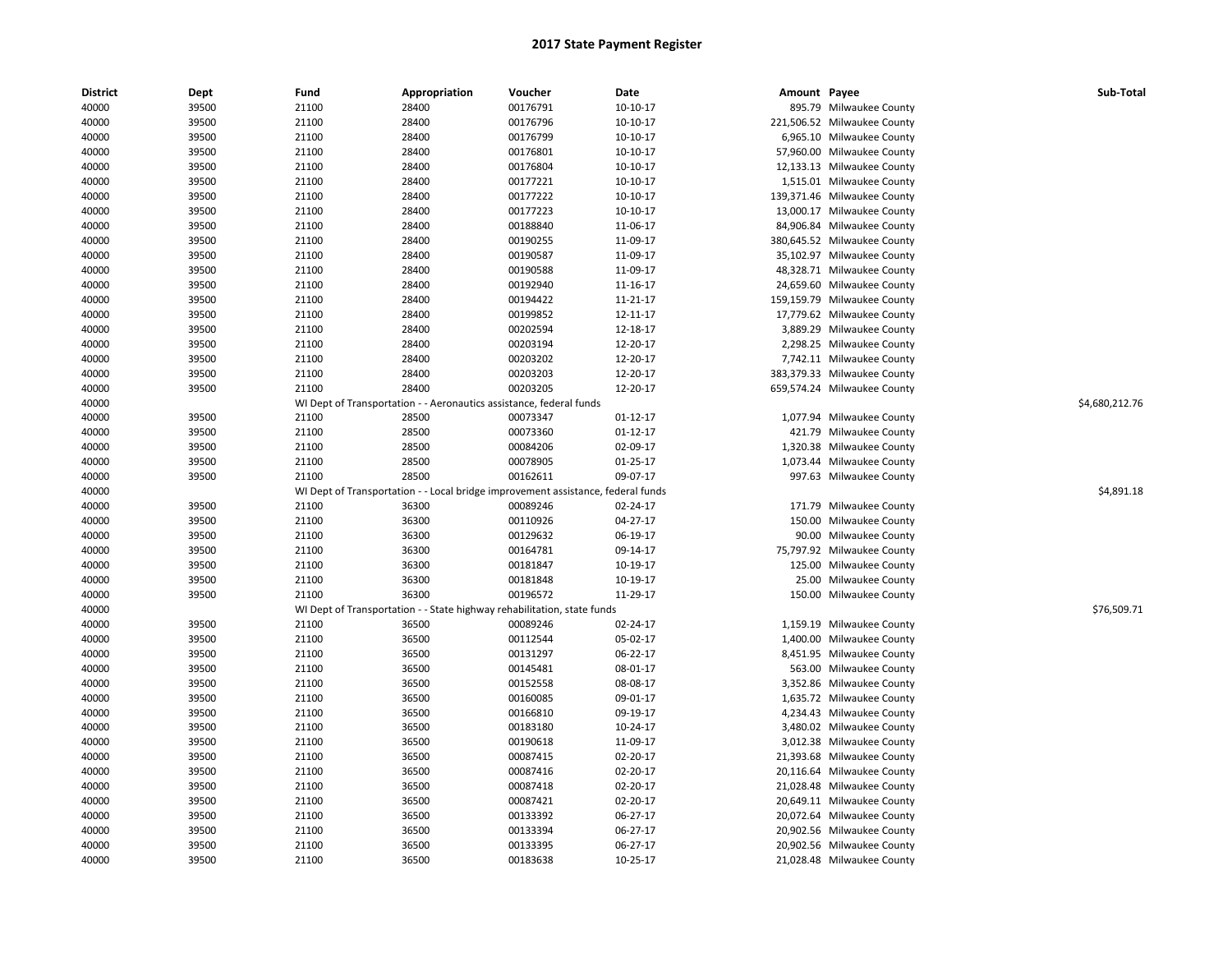| <b>District</b> | Dept  | Fund  | Appropriation                                                                    | Voucher  | Date           | Amount Payee |                             | Sub-Total      |
|-----------------|-------|-------|----------------------------------------------------------------------------------|----------|----------------|--------------|-----------------------------|----------------|
| 40000           | 39500 | 21100 | 28400                                                                            | 00176791 | 10-10-17       |              | 895.79 Milwaukee County     |                |
| 40000           | 39500 | 21100 | 28400                                                                            | 00176796 | 10-10-17       |              | 221,506.52 Milwaukee County |                |
| 40000           | 39500 | 21100 | 28400                                                                            | 00176799 | $10-10-17$     |              | 6,965.10 Milwaukee County   |                |
| 40000           | 39500 | 21100 | 28400                                                                            | 00176801 | 10-10-17       |              | 57,960.00 Milwaukee County  |                |
| 40000           | 39500 | 21100 | 28400                                                                            | 00176804 | 10-10-17       |              | 12,133.13 Milwaukee County  |                |
| 40000           | 39500 | 21100 | 28400                                                                            | 00177221 | 10-10-17       |              | 1,515.01 Milwaukee County   |                |
| 40000           | 39500 | 21100 | 28400                                                                            | 00177222 | 10-10-17       |              | 139,371.46 Milwaukee County |                |
| 40000           | 39500 | 21100 | 28400                                                                            | 00177223 | 10-10-17       |              | 13,000.17 Milwaukee County  |                |
| 40000           | 39500 | 21100 | 28400                                                                            | 00188840 | 11-06-17       |              | 84,906.84 Milwaukee County  |                |
| 40000           | 39500 | 21100 | 28400                                                                            | 00190255 | 11-09-17       |              | 380,645.52 Milwaukee County |                |
| 40000           | 39500 | 21100 | 28400                                                                            | 00190587 | 11-09-17       |              | 35,102.97 Milwaukee County  |                |
| 40000           | 39500 | 21100 | 28400                                                                            | 00190588 | 11-09-17       |              | 48,328.71 Milwaukee County  |                |
| 40000           | 39500 | 21100 | 28400                                                                            | 00192940 | 11-16-17       |              | 24,659.60 Milwaukee County  |                |
| 40000           | 39500 | 21100 | 28400                                                                            | 00194422 | 11-21-17       |              | 159,159.79 Milwaukee County |                |
| 40000           | 39500 | 21100 | 28400                                                                            | 00199852 | 12-11-17       |              | 17,779.62 Milwaukee County  |                |
| 40000           | 39500 | 21100 | 28400                                                                            | 00202594 | 12-18-17       |              | 3,889.29 Milwaukee County   |                |
| 40000           | 39500 | 21100 | 28400                                                                            | 00203194 | 12-20-17       |              | 2,298.25 Milwaukee County   |                |
| 40000           | 39500 | 21100 | 28400                                                                            | 00203202 | 12-20-17       |              | 7,742.11 Milwaukee County   |                |
| 40000           | 39500 | 21100 | 28400                                                                            | 00203203 | 12-20-17       |              | 383,379.33 Milwaukee County |                |
| 40000           | 39500 | 21100 | 28400                                                                            | 00203205 | 12-20-17       |              | 659,574.24 Milwaukee County |                |
| 40000           |       |       | WI Dept of Transportation - - Aeronautics assistance, federal funds              |          |                |              |                             | \$4,680,212.76 |
| 40000           | 39500 | 21100 | 28500                                                                            | 00073347 | $01 - 12 - 17$ | 1,077.94     | Milwaukee County            |                |
| 40000           | 39500 | 21100 | 28500                                                                            | 00073360 | $01 - 12 - 17$ |              | 421.79 Milwaukee County     |                |
| 40000           | 39500 | 21100 | 28500                                                                            | 00084206 | 02-09-17       |              | 1,320.38 Milwaukee County   |                |
| 40000           | 39500 | 21100 | 28500                                                                            | 00078905 | 01-25-17       |              | 1,073.44 Milwaukee County   |                |
| 40000           | 39500 | 21100 | 28500                                                                            | 00162611 | 09-07-17       |              | 997.63 Milwaukee County     |                |
| 40000           |       |       | WI Dept of Transportation - - Local bridge improvement assistance, federal funds |          |                |              |                             | \$4,891.18     |
| 40000           | 39500 | 21100 | 36300                                                                            | 00089246 | 02-24-17       |              | 171.79 Milwaukee County     |                |
| 40000           | 39500 | 21100 | 36300                                                                            | 00110926 | 04-27-17       | 150.00       | Milwaukee County            |                |
| 40000           | 39500 | 21100 | 36300                                                                            | 00129632 | 06-19-17       |              | 90.00 Milwaukee County      |                |
| 40000           | 39500 | 21100 | 36300                                                                            | 00164781 | 09-14-17       |              | 75,797.92 Milwaukee County  |                |
| 40000           | 39500 | 21100 | 36300                                                                            | 00181847 | 10-19-17       | 125.00       | Milwaukee County            |                |
| 40000           | 39500 | 21100 | 36300                                                                            | 00181848 | 10-19-17       | 25.00        | Milwaukee County            |                |
| 40000           | 39500 | 21100 | 36300                                                                            | 00196572 | 11-29-17       | 150.00       | Milwaukee County            |                |
| 40000           |       |       | WI Dept of Transportation - - State highway rehabilitation, state funds          |          |                |              |                             | \$76,509.71    |
| 40000           | 39500 | 21100 | 36500                                                                            | 00089246 | 02-24-17       |              | 1,159.19 Milwaukee County   |                |
| 40000           | 39500 | 21100 | 36500                                                                            | 00112544 | 05-02-17       |              | 1,400.00 Milwaukee County   |                |
| 40000           | 39500 | 21100 | 36500                                                                            | 00131297 | 06-22-17       |              | 8,451.95 Milwaukee County   |                |
| 40000           | 39500 | 21100 | 36500                                                                            | 00145481 | 08-01-17       | 563.00       | Milwaukee County            |                |
| 40000           | 39500 | 21100 | 36500                                                                            | 00152558 | 08-08-17       |              | 3,352.86 Milwaukee County   |                |
| 40000           | 39500 | 21100 | 36500                                                                            | 00160085 | 09-01-17       |              | 1,635.72 Milwaukee County   |                |
| 40000           | 39500 | 21100 | 36500                                                                            | 00166810 | 09-19-17       |              | 4,234.43 Milwaukee County   |                |
| 40000           | 39500 | 21100 | 36500                                                                            | 00183180 | 10-24-17       |              | 3,480.02 Milwaukee County   |                |
| 40000           | 39500 | 21100 | 36500                                                                            | 00190618 | 11-09-17       |              | 3,012.38 Milwaukee County   |                |
| 40000           | 39500 | 21100 | 36500                                                                            | 00087415 | 02-20-17       |              | 21,393.68 Milwaukee County  |                |
| 40000           | 39500 | 21100 | 36500                                                                            | 00087416 | 02-20-17       | 20,116.64    | Milwaukee County            |                |
| 40000           | 39500 | 21100 | 36500                                                                            | 00087418 | 02-20-17       |              | 21,028.48 Milwaukee County  |                |
| 40000           | 39500 | 21100 | 36500                                                                            | 00087421 | 02-20-17       |              | 20,649.11 Milwaukee County  |                |
| 40000           | 39500 | 21100 | 36500                                                                            | 00133392 | 06-27-17       |              | 20,072.64 Milwaukee County  |                |
| 40000           | 39500 | 21100 | 36500                                                                            | 00133394 | 06-27-17       |              | 20,902.56 Milwaukee County  |                |
| 40000           | 39500 | 21100 | 36500                                                                            | 00133395 | 06-27-17       |              | 20,902.56 Milwaukee County  |                |
| 40000           | 39500 | 21100 | 36500                                                                            | 00183638 | 10-25-17       |              | 21,028.48 Milwaukee County  |                |
|                 |       |       |                                                                                  |          |                |              |                             |                |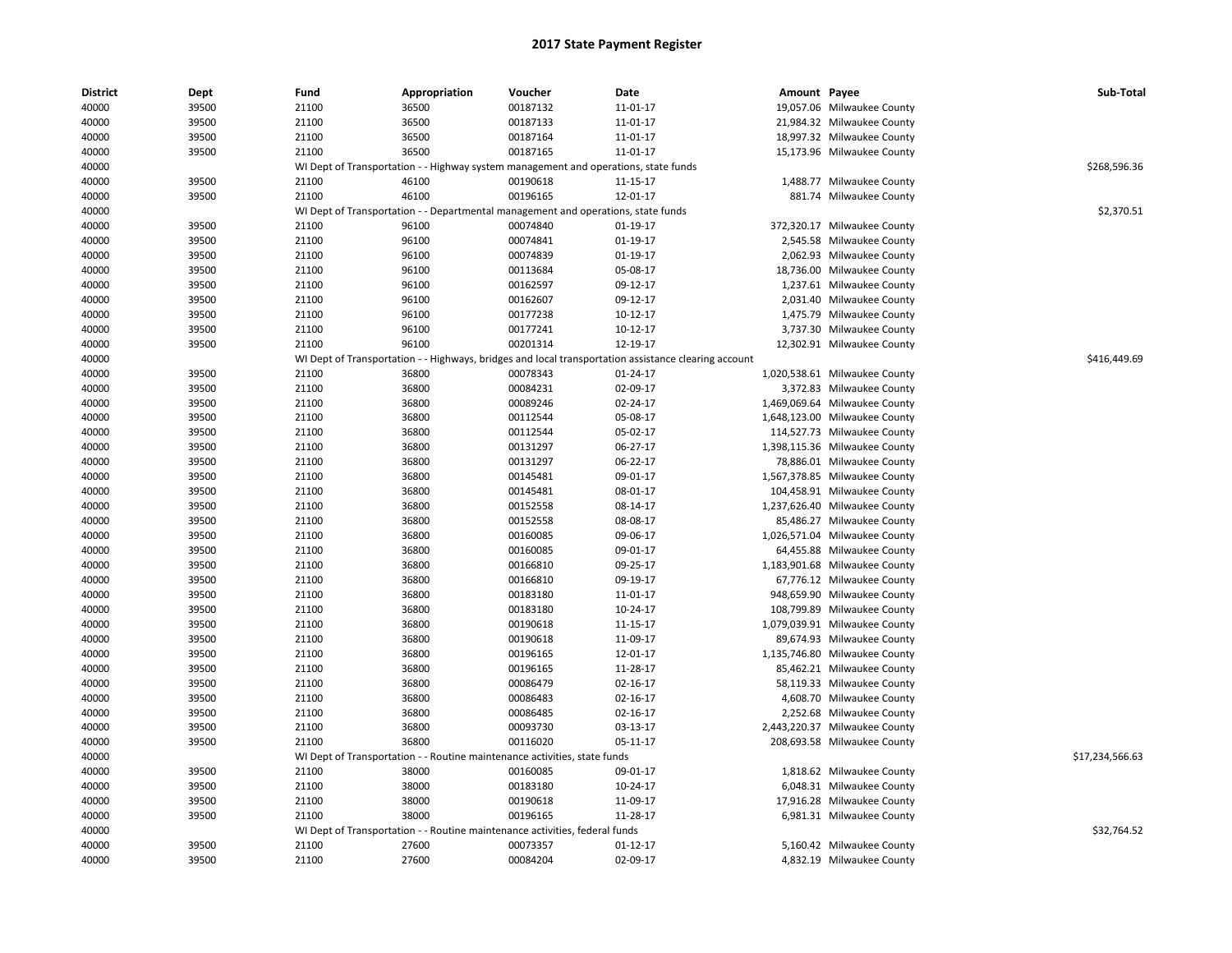| District | Dept  | Fund  | Appropriation                                                                     | Voucher  | Date                                                                                                 | Amount Payee |                               | Sub-Total       |
|----------|-------|-------|-----------------------------------------------------------------------------------|----------|------------------------------------------------------------------------------------------------------|--------------|-------------------------------|-----------------|
| 40000    | 39500 | 21100 | 36500                                                                             | 00187132 | 11-01-17                                                                                             |              | 19,057.06 Milwaukee County    |                 |
| 40000    | 39500 | 21100 | 36500                                                                             | 00187133 | 11-01-17                                                                                             |              | 21,984.32 Milwaukee County    |                 |
| 40000    | 39500 | 21100 | 36500                                                                             | 00187164 | 11-01-17                                                                                             |              | 18,997.32 Milwaukee County    |                 |
| 40000    | 39500 | 21100 | 36500                                                                             | 00187165 | 11-01-17                                                                                             |              | 15,173.96 Milwaukee County    |                 |
| 40000    |       |       |                                                                                   |          | WI Dept of Transportation - - Highway system management and operations, state funds                  |              |                               | \$268,596.36    |
| 40000    | 39500 | 21100 | 46100                                                                             | 00190618 | 11-15-17                                                                                             |              | 1,488.77 Milwaukee County     |                 |
| 40000    | 39500 | 21100 | 46100                                                                             | 00196165 | 12-01-17                                                                                             |              | 881.74 Milwaukee County       |                 |
| 40000    |       |       | WI Dept of Transportation - - Departmental management and operations, state funds |          |                                                                                                      |              |                               | \$2,370.51      |
| 40000    | 39500 | 21100 | 96100                                                                             | 00074840 | $01-19-17$                                                                                           |              | 372,320.17 Milwaukee County   |                 |
| 40000    | 39500 | 21100 | 96100                                                                             | 00074841 | 01-19-17                                                                                             | 2,545.58     | Milwaukee County              |                 |
| 40000    | 39500 | 21100 | 96100                                                                             | 00074839 | 01-19-17                                                                                             |              | 2,062.93 Milwaukee County     |                 |
| 40000    | 39500 | 21100 | 96100                                                                             | 00113684 | 05-08-17                                                                                             |              | 18,736.00 Milwaukee County    |                 |
| 40000    | 39500 | 21100 | 96100                                                                             | 00162597 | 09-12-17                                                                                             |              | 1,237.61 Milwaukee County     |                 |
| 40000    | 39500 | 21100 | 96100                                                                             | 00162607 | 09-12-17                                                                                             |              | 2,031.40 Milwaukee County     |                 |
| 40000    | 39500 | 21100 | 96100                                                                             | 00177238 | 10-12-17                                                                                             |              | 1,475.79 Milwaukee County     |                 |
| 40000    | 39500 | 21100 | 96100                                                                             | 00177241 | $10-12-17$                                                                                           |              | 3,737.30 Milwaukee County     |                 |
| 40000    | 39500 | 21100 | 96100                                                                             | 00201314 | 12-19-17                                                                                             |              | 12,302.91 Milwaukee County    |                 |
| 40000    |       |       |                                                                                   |          | WI Dept of Transportation - - Highways, bridges and local transportation assistance clearing account |              |                               | \$416,449.69    |
| 40000    | 39500 | 21100 | 36800                                                                             | 00078343 | 01-24-17                                                                                             |              | 1,020,538.61 Milwaukee County |                 |
| 40000    | 39500 | 21100 | 36800                                                                             | 00084231 | 02-09-17                                                                                             | 3,372.83     | Milwaukee County              |                 |
| 40000    | 39500 | 21100 | 36800                                                                             | 00089246 | 02-24-17                                                                                             |              | 1,469,069.64 Milwaukee County |                 |
| 40000    | 39500 | 21100 | 36800                                                                             | 00112544 | 05-08-17                                                                                             | 1,648,123.00 | Milwaukee County              |                 |
| 40000    | 39500 | 21100 | 36800                                                                             | 00112544 | 05-02-17                                                                                             |              | 114,527.73 Milwaukee County   |                 |
| 40000    | 39500 | 21100 | 36800                                                                             | 00131297 | 06-27-17                                                                                             |              | 1,398,115.36 Milwaukee County |                 |
| 40000    | 39500 | 21100 | 36800                                                                             | 00131297 | 06-22-17                                                                                             |              | 78,886.01 Milwaukee County    |                 |
| 40000    | 39500 | 21100 | 36800                                                                             | 00145481 | 09-01-17                                                                                             |              | 1,567,378.85 Milwaukee County |                 |
| 40000    | 39500 | 21100 | 36800                                                                             | 00145481 | 08-01-17                                                                                             |              | 104,458.91 Milwaukee County   |                 |
| 40000    | 39500 | 21100 | 36800                                                                             | 00152558 | 08-14-17                                                                                             |              | 1,237,626.40 Milwaukee County |                 |
| 40000    | 39500 | 21100 | 36800                                                                             | 00152558 | 08-08-17                                                                                             |              | 85,486.27 Milwaukee County    |                 |
| 40000    | 39500 | 21100 | 36800                                                                             | 00160085 | 09-06-17                                                                                             |              | 1,026,571.04 Milwaukee County |                 |
| 40000    | 39500 | 21100 | 36800                                                                             | 00160085 | 09-01-17                                                                                             |              | 64,455.88 Milwaukee County    |                 |
| 40000    | 39500 | 21100 | 36800                                                                             | 00166810 | 09-25-17                                                                                             | 1,183,901.68 | <b>Milwaukee County</b>       |                 |
| 40000    | 39500 | 21100 | 36800                                                                             | 00166810 | 09-19-17                                                                                             |              | 67,776.12 Milwaukee County    |                 |
| 40000    | 39500 | 21100 | 36800                                                                             | 00183180 | 11-01-17                                                                                             |              | 948,659.90 Milwaukee County   |                 |
| 40000    | 39500 | 21100 | 36800                                                                             | 00183180 | 10-24-17                                                                                             | 108,799.89   | <b>Milwaukee County</b>       |                 |
| 40000    | 39500 | 21100 | 36800                                                                             | 00190618 | 11-15-17                                                                                             |              | 1,079,039.91 Milwaukee County |                 |
| 40000    | 39500 | 21100 | 36800                                                                             | 00190618 | 11-09-17                                                                                             |              | 89,674.93 Milwaukee County    |                 |
| 40000    | 39500 | 21100 | 36800                                                                             | 00196165 | 12-01-17                                                                                             |              | 1,135,746.80 Milwaukee County |                 |
| 40000    | 39500 | 21100 | 36800                                                                             | 00196165 | 11-28-17                                                                                             |              | 85,462.21 Milwaukee County    |                 |
| 40000    | 39500 | 21100 | 36800                                                                             | 00086479 | 02-16-17                                                                                             |              | 58,119.33 Milwaukee County    |                 |
| 40000    | 39500 | 21100 | 36800                                                                             | 00086483 | 02-16-17                                                                                             |              | 4,608.70 Milwaukee County     |                 |
| 40000    | 39500 | 21100 | 36800                                                                             | 00086485 | 02-16-17                                                                                             | 2,252.68     | <b>Milwaukee County</b>       |                 |
| 40000    | 39500 | 21100 | 36800                                                                             | 00093730 | 03-13-17                                                                                             |              | 2,443,220.37 Milwaukee County |                 |
| 40000    | 39500 | 21100 | 36800                                                                             | 00116020 | $05-11-17$                                                                                           |              | 208,693.58 Milwaukee County   |                 |
| 40000    |       |       | WI Dept of Transportation - - Routine maintenance activities, state funds         |          |                                                                                                      |              |                               | \$17,234,566.63 |
| 40000    | 39500 | 21100 | 38000                                                                             | 00160085 | 09-01-17                                                                                             |              | 1,818.62 Milwaukee County     |                 |
| 40000    | 39500 | 21100 | 38000                                                                             | 00183180 | 10-24-17                                                                                             |              | 6,048.31 Milwaukee County     |                 |
| 40000    | 39500 | 21100 | 38000                                                                             | 00190618 | 11-09-17                                                                                             |              | 17,916.28 Milwaukee County    |                 |
| 40000    | 39500 | 21100 | 38000                                                                             | 00196165 | 11-28-17                                                                                             |              | 6,981.31 Milwaukee County     |                 |
| 40000    |       |       | WI Dept of Transportation - - Routine maintenance activities, federal funds       |          |                                                                                                      |              |                               | \$32,764.52     |
| 40000    | 39500 | 21100 | 27600                                                                             | 00073357 | $01 - 12 - 17$                                                                                       |              | 5,160.42 Milwaukee County     |                 |
| 40000    | 39500 | 21100 | 27600                                                                             | 00084204 | 02-09-17                                                                                             |              | 4,832.19 Milwaukee County     |                 |
|          |       |       |                                                                                   |          |                                                                                                      |              |                               |                 |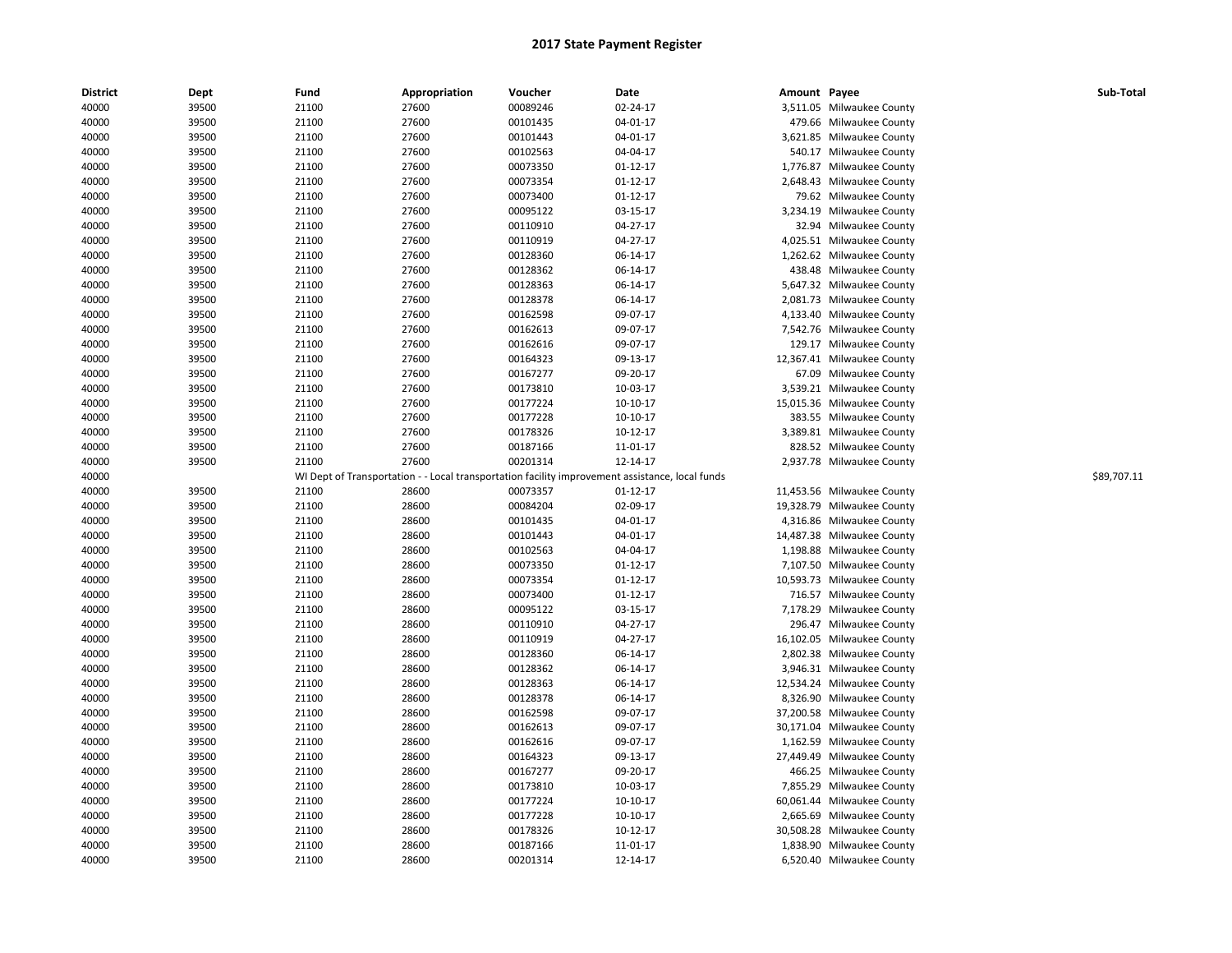| <b>District</b> | Dept  | Fund           | Appropriation | Voucher  | Date                                                                                            | Amount Payee |                            | Sub-Total   |
|-----------------|-------|----------------|---------------|----------|-------------------------------------------------------------------------------------------------|--------------|----------------------------|-------------|
| 40000           | 39500 | 21100          | 27600         | 00089246 | 02-24-17                                                                                        |              | 3,511.05 Milwaukee County  |             |
| 40000           | 39500 | 21100          | 27600         | 00101435 | 04-01-17                                                                                        |              | 479.66 Milwaukee County    |             |
| 40000           | 39500 | 21100          | 27600         | 00101443 | 04-01-17                                                                                        |              | 3,621.85 Milwaukee County  |             |
| 40000           | 39500 | 21100          | 27600         | 00102563 | 04-04-17                                                                                        |              | 540.17 Milwaukee County    |             |
| 40000           | 39500 | 21100          | 27600         | 00073350 | $01 - 12 - 17$                                                                                  | 1,776.87     | <b>Milwaukee County</b>    |             |
| 40000           | 39500 | 21100          | 27600         | 00073354 | $01 - 12 - 17$                                                                                  |              | 2,648.43 Milwaukee County  |             |
| 40000           | 39500 | 21100          | 27600         | 00073400 | $01 - 12 - 17$                                                                                  |              | 79.62 Milwaukee County     |             |
| 40000           | 39500 | 21100          | 27600         | 00095122 | 03-15-17                                                                                        |              | 3,234.19 Milwaukee County  |             |
| 40000           | 39500 | 21100          | 27600         | 00110910 | 04-27-17                                                                                        |              | 32.94 Milwaukee County     |             |
| 40000           | 39500 | 21100          | 27600         | 00110919 | 04-27-17                                                                                        |              | 4,025.51 Milwaukee County  |             |
| 40000           | 39500 | 21100          | 27600         | 00128360 | 06-14-17                                                                                        |              | 1,262.62 Milwaukee County  |             |
| 40000           | 39500 | 21100          | 27600         | 00128362 | 06-14-17                                                                                        |              | 438.48 Milwaukee County    |             |
| 40000           | 39500 | 21100          | 27600         | 00128363 | 06-14-17                                                                                        |              | 5,647.32 Milwaukee County  |             |
| 40000           | 39500 | 21100          | 27600         | 00128378 | 06-14-17                                                                                        |              | 2,081.73 Milwaukee County  |             |
| 40000           | 39500 | 21100          | 27600         | 00162598 | 09-07-17                                                                                        |              | 4,133.40 Milwaukee County  |             |
| 40000           | 39500 | 21100          | 27600         | 00162613 | 09-07-17                                                                                        |              | 7,542.76 Milwaukee County  |             |
| 40000           | 39500 | 21100          | 27600         | 00162616 | 09-07-17                                                                                        |              | 129.17 Milwaukee County    |             |
| 40000           | 39500 | 21100          | 27600         | 00164323 | 09-13-17                                                                                        |              | 12,367.41 Milwaukee County |             |
| 40000           | 39500 | 21100          | 27600         | 00167277 | 09-20-17                                                                                        |              | 67.09 Milwaukee County     |             |
| 40000           | 39500 | 21100          | 27600         | 00173810 | 10-03-17                                                                                        |              | 3,539.21 Milwaukee County  |             |
| 40000           | 39500 | 21100          | 27600         | 00177224 | 10-10-17                                                                                        |              | 15,015.36 Milwaukee County |             |
| 40000           | 39500 | 21100          | 27600         | 00177228 | 10-10-17                                                                                        |              | 383.55 Milwaukee County    |             |
| 40000           | 39500 | 21100          | 27600         | 00178326 | 10-12-17                                                                                        |              | 3,389.81 Milwaukee County  |             |
| 40000           | 39500 | 21100          | 27600         | 00187166 | 11-01-17                                                                                        |              | 828.52 Milwaukee County    |             |
| 40000           | 39500 | 21100          | 27600         | 00201314 | 12-14-17                                                                                        |              | 2,937.78 Milwaukee County  |             |
| 40000           |       |                |               |          | WI Dept of Transportation - - Local transportation facility improvement assistance, local funds |              |                            | \$89,707.11 |
| 40000           | 39500 | 21100          | 28600         | 00073357 | $01 - 12 - 17$                                                                                  |              | 11,453.56 Milwaukee County |             |
| 40000           | 39500 | 21100          | 28600         | 00084204 | 02-09-17                                                                                        | 19,328.79    | <b>Milwaukee County</b>    |             |
| 40000           | 39500 | 21100          | 28600         | 00101435 | 04-01-17                                                                                        |              | 4,316.86 Milwaukee County  |             |
| 40000           | 39500 | 21100          | 28600         | 00101443 | 04-01-17                                                                                        |              | 14,487.38 Milwaukee County |             |
| 40000           | 39500 | 21100          | 28600         | 00102563 | 04-04-17                                                                                        |              | 1,198.88 Milwaukee County  |             |
| 40000           | 39500 | 21100          | 28600         | 00073350 | $01 - 12 - 17$                                                                                  |              | 7,107.50 Milwaukee County  |             |
| 40000           | 39500 | 21100          | 28600         | 00073354 | 01-12-17                                                                                        |              | 10,593.73 Milwaukee County |             |
| 40000           | 39500 | 21100          | 28600         | 00073400 | $01 - 12 - 17$                                                                                  |              | 716.57 Milwaukee County    |             |
| 40000           | 39500 |                | 28600         | 00095122 | 03-15-17                                                                                        | 7,178.29     | <b>Milwaukee County</b>    |             |
| 40000           | 39500 | 21100<br>21100 | 28600         | 00110910 | 04-27-17                                                                                        |              | 296.47 Milwaukee County    |             |
| 40000           | 39500 | 21100          | 28600         | 00110919 | 04-27-17                                                                                        | 16,102.05    | <b>Milwaukee County</b>    |             |
|                 |       |                |               |          |                                                                                                 |              |                            |             |
| 40000           | 39500 | 21100          | 28600         | 00128360 | 06-14-17                                                                                        |              | 2,802.38 Milwaukee County  |             |
| 40000           | 39500 | 21100          | 28600         | 00128362 | 06-14-17                                                                                        |              | 3,946.31 Milwaukee County  |             |
| 40000           | 39500 | 21100          | 28600         | 00128363 | 06-14-17                                                                                        |              | 12,534.24 Milwaukee County |             |
| 40000           | 39500 | 21100          | 28600         | 00128378 | 06-14-17                                                                                        |              | 8,326.90 Milwaukee County  |             |
| 40000           | 39500 | 21100          | 28600         | 00162598 | 09-07-17                                                                                        |              | 37,200.58 Milwaukee County |             |
| 40000           | 39500 | 21100          | 28600         | 00162613 | 09-07-17                                                                                        |              | 30,171.04 Milwaukee County |             |
| 40000           | 39500 | 21100          | 28600         | 00162616 | 09-07-17                                                                                        |              | 1,162.59 Milwaukee County  |             |
| 40000           | 39500 | 21100          | 28600         | 00164323 | 09-13-17                                                                                        |              | 27,449.49 Milwaukee County |             |
| 40000           | 39500 | 21100          | 28600         | 00167277 | 09-20-17                                                                                        |              | 466.25 Milwaukee County    |             |
| 40000           | 39500 | 21100          | 28600         | 00173810 | 10-03-17                                                                                        |              | 7,855.29 Milwaukee County  |             |
| 40000           | 39500 | 21100          | 28600         | 00177224 | 10-10-17                                                                                        |              | 60,061.44 Milwaukee County |             |
| 40000           | 39500 | 21100          | 28600         | 00177228 | 10-10-17                                                                                        |              | 2,665.69 Milwaukee County  |             |
| 40000           | 39500 | 21100          | 28600         | 00178326 | 10-12-17                                                                                        |              | 30,508.28 Milwaukee County |             |
| 40000           | 39500 | 21100          | 28600         | 00187166 | 11-01-17                                                                                        |              | 1,838.90 Milwaukee County  |             |
| 40000           | 39500 | 21100          | 28600         | 00201314 | 12-14-17                                                                                        |              | 6,520.40 Milwaukee County  |             |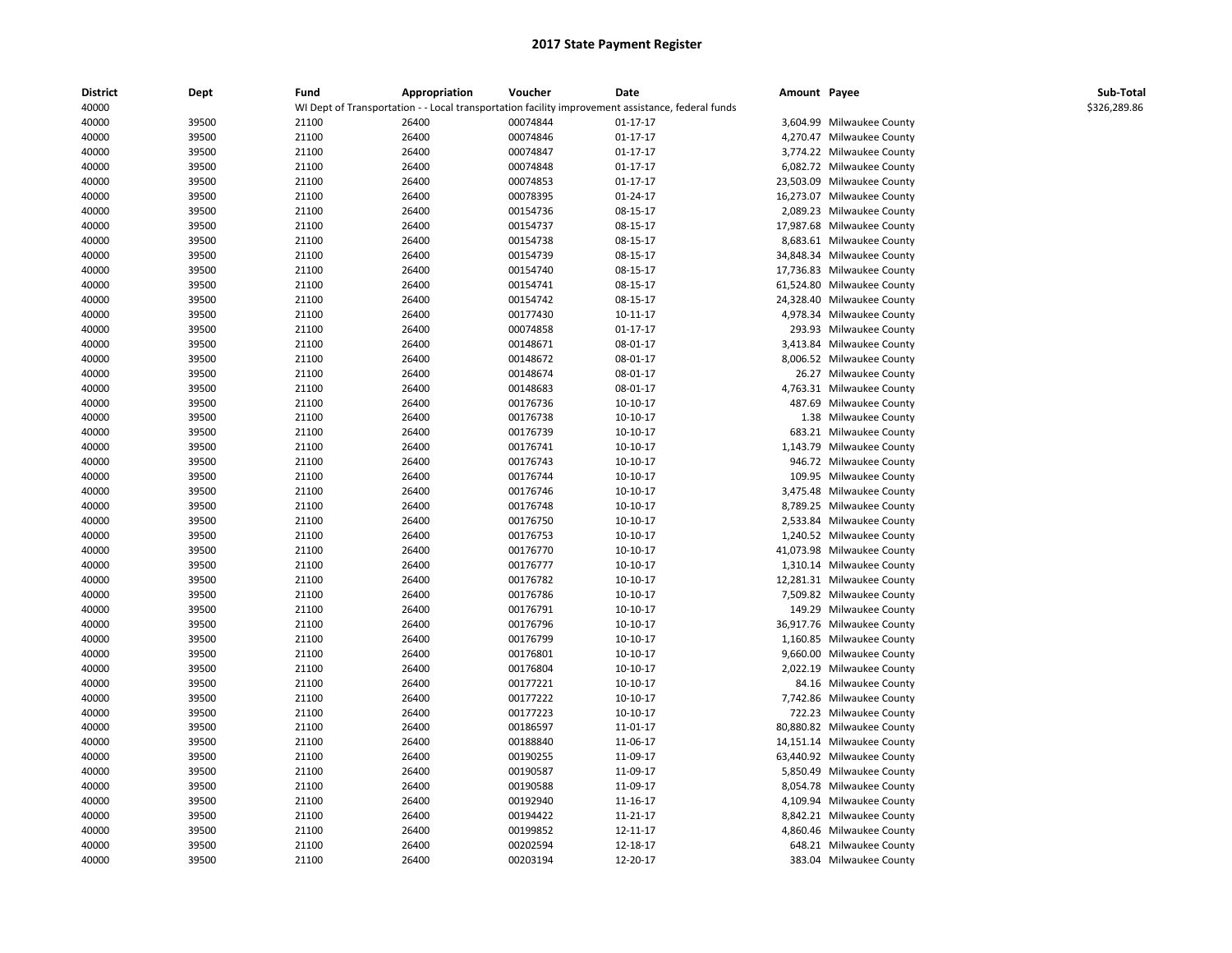| <b>District</b><br>40000 | Dept  | Fund  | Appropriation<br>WI Dept of Transportation - - Local transportation facility improvement assistance, federal funds | Voucher  | Date           | Amount Payee |                            | Sub-Total<br>\$326,289.86 |
|--------------------------|-------|-------|--------------------------------------------------------------------------------------------------------------------|----------|----------------|--------------|----------------------------|---------------------------|
| 40000                    | 39500 | 21100 | 26400                                                                                                              | 00074844 | $01 - 17 - 17$ |              | 3,604.99 Milwaukee County  |                           |
|                          | 39500 |       |                                                                                                                    |          |                |              |                            |                           |
| 40000                    |       | 21100 | 26400                                                                                                              | 00074846 | 01-17-17       |              | 4,270.47 Milwaukee County  |                           |
| 40000                    | 39500 | 21100 | 26400                                                                                                              | 00074847 | $01 - 17 - 17$ |              | 3,774.22 Milwaukee County  |                           |
| 40000                    | 39500 | 21100 | 26400                                                                                                              | 00074848 | $01 - 17 - 17$ |              | 6,082.72 Milwaukee County  |                           |
| 40000                    | 39500 | 21100 | 26400                                                                                                              | 00074853 | $01 - 17 - 17$ |              | 23,503.09 Milwaukee County |                           |
| 40000                    | 39500 | 21100 | 26400                                                                                                              | 00078395 | 01-24-17       |              | 16,273.07 Milwaukee County |                           |
| 40000                    | 39500 | 21100 | 26400                                                                                                              | 00154736 | 08-15-17       |              | 2,089.23 Milwaukee County  |                           |
| 40000                    | 39500 | 21100 | 26400                                                                                                              | 00154737 | 08-15-17       |              | 17,987.68 Milwaukee County |                           |
| 40000                    | 39500 | 21100 | 26400                                                                                                              | 00154738 | 08-15-17       |              | 8,683.61 Milwaukee County  |                           |
| 40000                    | 39500 | 21100 | 26400                                                                                                              | 00154739 | 08-15-17       |              | 34,848.34 Milwaukee County |                           |
| 40000                    | 39500 | 21100 | 26400                                                                                                              | 00154740 | 08-15-17       |              | 17,736.83 Milwaukee County |                           |
| 40000                    | 39500 | 21100 | 26400                                                                                                              | 00154741 | 08-15-17       |              | 61,524.80 Milwaukee County |                           |
| 40000                    | 39500 | 21100 | 26400                                                                                                              | 00154742 | 08-15-17       |              | 24,328.40 Milwaukee County |                           |
| 40000                    | 39500 | 21100 | 26400                                                                                                              | 00177430 | 10-11-17       |              | 4,978.34 Milwaukee County  |                           |
| 40000                    | 39500 | 21100 | 26400                                                                                                              | 00074858 | $01 - 17 - 17$ |              | 293.93 Milwaukee County    |                           |
| 40000                    | 39500 | 21100 | 26400                                                                                                              | 00148671 | 08-01-17       |              | 3,413.84 Milwaukee County  |                           |
| 40000                    | 39500 | 21100 | 26400                                                                                                              | 00148672 | 08-01-17       |              | 8,006.52 Milwaukee County  |                           |
| 40000                    | 39500 | 21100 | 26400                                                                                                              | 00148674 | 08-01-17       |              | 26.27 Milwaukee County     |                           |
| 40000                    | 39500 | 21100 | 26400                                                                                                              | 00148683 | 08-01-17       |              | 4,763.31 Milwaukee County  |                           |
| 40000                    | 39500 | 21100 | 26400                                                                                                              | 00176736 | $10-10-17$     |              | 487.69 Milwaukee County    |                           |
| 40000                    | 39500 | 21100 | 26400                                                                                                              | 00176738 | 10-10-17       |              | 1.38 Milwaukee County      |                           |
| 40000                    | 39500 | 21100 | 26400                                                                                                              | 00176739 | 10-10-17       |              | 683.21 Milwaukee County    |                           |
| 40000                    | 39500 | 21100 | 26400                                                                                                              | 00176741 | 10-10-17       |              | 1,143.79 Milwaukee County  |                           |
| 40000                    | 39500 | 21100 | 26400                                                                                                              | 00176743 | 10-10-17       |              | 946.72 Milwaukee County    |                           |
| 40000                    | 39500 | 21100 | 26400                                                                                                              | 00176744 | 10-10-17       |              | 109.95 Milwaukee County    |                           |
| 40000                    | 39500 | 21100 | 26400                                                                                                              | 00176746 | 10-10-17       |              | 3,475.48 Milwaukee County  |                           |
| 40000                    | 39500 | 21100 | 26400                                                                                                              | 00176748 | 10-10-17       |              | 8,789.25 Milwaukee County  |                           |
| 40000                    | 39500 | 21100 | 26400                                                                                                              | 00176750 | 10-10-17       |              | 2,533.84 Milwaukee County  |                           |
| 40000                    | 39500 | 21100 | 26400                                                                                                              | 00176753 | 10-10-17       |              | 1,240.52 Milwaukee County  |                           |
| 40000                    | 39500 | 21100 | 26400                                                                                                              | 00176770 | 10-10-17       |              | 41,073.98 Milwaukee County |                           |
| 40000                    | 39500 | 21100 | 26400                                                                                                              | 00176777 | 10-10-17       |              | 1,310.14 Milwaukee County  |                           |
| 40000                    | 39500 | 21100 | 26400                                                                                                              | 00176782 | 10-10-17       |              | 12,281.31 Milwaukee County |                           |
| 40000                    | 39500 | 21100 | 26400                                                                                                              | 00176786 | 10-10-17       |              | 7,509.82 Milwaukee County  |                           |
| 40000                    | 39500 | 21100 | 26400                                                                                                              | 00176791 | $10-10-17$     |              | 149.29 Milwaukee County    |                           |
| 40000                    | 39500 | 21100 | 26400                                                                                                              | 00176796 | 10-10-17       |              | 36,917.76 Milwaukee County |                           |
| 40000                    | 39500 | 21100 | 26400                                                                                                              | 00176799 | 10-10-17       |              | 1,160.85 Milwaukee County  |                           |
| 40000                    | 39500 | 21100 | 26400                                                                                                              | 00176801 | 10-10-17       |              | 9,660.00 Milwaukee County  |                           |
| 40000                    | 39500 | 21100 | 26400                                                                                                              | 00176804 | 10-10-17       |              | 2,022.19 Milwaukee County  |                           |
| 40000                    | 39500 | 21100 | 26400                                                                                                              | 00177221 | 10-10-17       |              | 84.16 Milwaukee County     |                           |
| 40000                    | 39500 | 21100 | 26400                                                                                                              | 00177222 | 10-10-17       |              | 7,742.86 Milwaukee County  |                           |
| 40000                    | 39500 | 21100 | 26400                                                                                                              | 00177223 | 10-10-17       |              | 722.23 Milwaukee County    |                           |
| 40000                    | 39500 | 21100 | 26400                                                                                                              | 00186597 | 11-01-17       |              | 80,880.82 Milwaukee County |                           |
| 40000                    | 39500 | 21100 | 26400                                                                                                              | 00188840 | 11-06-17       |              | 14,151.14 Milwaukee County |                           |
| 40000                    | 39500 | 21100 | 26400                                                                                                              | 00190255 | 11-09-17       |              | 63,440.92 Milwaukee County |                           |
| 40000                    | 39500 | 21100 | 26400                                                                                                              | 00190587 | 11-09-17       |              | 5,850.49 Milwaukee County  |                           |
| 40000                    | 39500 | 21100 | 26400                                                                                                              | 00190588 | 11-09-17       |              | 8,054.78 Milwaukee County  |                           |
| 40000                    | 39500 | 21100 | 26400                                                                                                              | 00192940 | 11-16-17       |              | 4,109.94 Milwaukee County  |                           |
| 40000                    | 39500 | 21100 | 26400                                                                                                              | 00194422 | 11-21-17       |              | 8,842.21 Milwaukee County  |                           |
| 40000                    | 39500 | 21100 | 26400                                                                                                              | 00199852 | 12-11-17       |              | 4,860.46 Milwaukee County  |                           |
| 40000                    | 39500 | 21100 | 26400                                                                                                              | 00202594 | 12-18-17       |              | 648.21 Milwaukee County    |                           |
| 40000                    | 39500 | 21100 | 26400                                                                                                              | 00203194 | 12-20-17       |              | 383.04 Milwaukee County    |                           |
|                          |       |       |                                                                                                                    |          |                |              |                            |                           |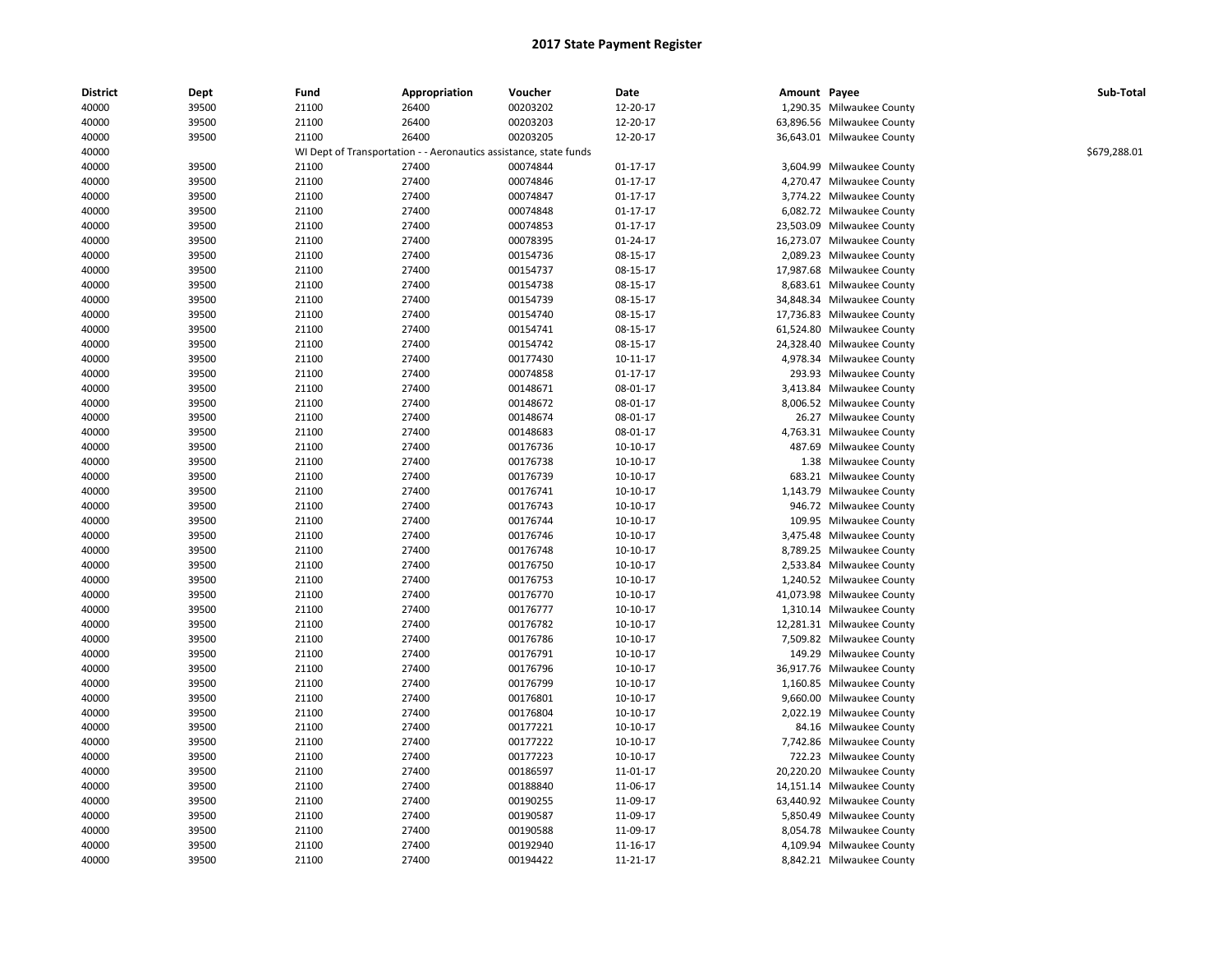| <b>District</b> | Dept  | Fund  | Appropriation                                                     | Voucher              | Date           | Amount Payee |                            | Sub-Total    |
|-----------------|-------|-------|-------------------------------------------------------------------|----------------------|----------------|--------------|----------------------------|--------------|
| 40000           | 39500 | 21100 | 26400                                                             | 00203202             | 12-20-17       |              | 1,290.35 Milwaukee County  |              |
| 40000           | 39500 | 21100 | 26400                                                             | 00203203             | 12-20-17       |              | 63,896.56 Milwaukee County |              |
| 40000           | 39500 | 21100 | 26400                                                             | 00203205             | 12-20-17       |              | 36,643.01 Milwaukee County |              |
| 40000           |       |       | WI Dept of Transportation - - Aeronautics assistance, state funds |                      |                |              |                            | \$679,288.01 |
| 40000           | 39500 | 21100 | 27400                                                             | 00074844             | 01-17-17       |              | 3,604.99 Milwaukee County  |              |
| 40000           | 39500 | 21100 | 27400                                                             | 00074846             | $01 - 17 - 17$ |              | 4,270.47 Milwaukee County  |              |
| 40000           | 39500 | 21100 | 27400                                                             | 00074847             | $01 - 17 - 17$ |              | 3,774.22 Milwaukee County  |              |
| 40000           | 39500 | 21100 | 27400                                                             | 00074848             | $01 - 17 - 17$ |              | 6,082.72 Milwaukee County  |              |
| 40000           | 39500 | 21100 | 27400                                                             | 00074853             | $01 - 17 - 17$ |              | 23,503.09 Milwaukee County |              |
| 40000           | 39500 | 21100 | 27400                                                             | 00078395             | 01-24-17       |              | 16,273.07 Milwaukee County |              |
| 40000           | 39500 | 21100 | 27400                                                             | 00154736             | 08-15-17       |              | 2,089.23 Milwaukee County  |              |
| 40000           | 39500 | 21100 | 27400                                                             | 00154737             | 08-15-17       |              | 17,987.68 Milwaukee County |              |
|                 |       |       |                                                                   |                      |                |              |                            |              |
| 40000           | 39500 | 21100 | 27400                                                             | 00154738             | 08-15-17       |              | 8,683.61 Milwaukee County  |              |
| 40000           | 39500 | 21100 | 27400                                                             | 00154739             | 08-15-17       |              | 34,848.34 Milwaukee County |              |
| 40000           | 39500 | 21100 | 27400                                                             | 00154740             | 08-15-17       |              | 17,736.83 Milwaukee County |              |
| 40000           | 39500 | 21100 | 27400                                                             | 00154741             | 08-15-17       |              | 61,524.80 Milwaukee County |              |
| 40000           | 39500 | 21100 | 27400                                                             | 00154742             | 08-15-17       |              | 24,328.40 Milwaukee County |              |
| 40000           | 39500 | 21100 | 27400                                                             | 00177430             | $10 - 11 - 17$ |              | 4,978.34 Milwaukee County  |              |
| 40000           | 39500 | 21100 | 27400                                                             | 00074858             | $01 - 17 - 17$ |              | 293.93 Milwaukee County    |              |
| 40000           | 39500 | 21100 | 27400                                                             | 00148671             | 08-01-17       |              | 3,413.84 Milwaukee County  |              |
| 40000           | 39500 | 21100 | 27400                                                             | 00148672             | 08-01-17       |              | 8,006.52 Milwaukee County  |              |
| 40000           | 39500 | 21100 | 27400                                                             | 00148674             | 08-01-17       |              | 26.27 Milwaukee County     |              |
| 40000           | 39500 | 21100 | 27400                                                             | 00148683             | 08-01-17       |              | 4,763.31 Milwaukee County  |              |
| 40000           | 39500 | 21100 | 27400                                                             | 00176736             | 10-10-17       |              | 487.69 Milwaukee County    |              |
| 40000           | 39500 | 21100 | 27400                                                             | 00176738             | 10-10-17       |              | 1.38 Milwaukee County      |              |
| 40000           | 39500 | 21100 | 27400                                                             | 00176739             | 10-10-17       |              | 683.21 Milwaukee County    |              |
| 40000           | 39500 | 21100 | 27400                                                             | 00176741             | 10-10-17       |              | 1,143.79 Milwaukee County  |              |
| 40000           | 39500 | 21100 | 27400                                                             | 00176743             | 10-10-17       |              | 946.72 Milwaukee County    |              |
| 40000           | 39500 | 21100 | 27400                                                             | 00176744             | 10-10-17       |              | 109.95 Milwaukee County    |              |
| 40000           | 39500 | 21100 | 27400                                                             | 00176746             | 10-10-17       |              | 3,475.48 Milwaukee County  |              |
| 40000           | 39500 | 21100 | 27400                                                             | 00176748             | 10-10-17       |              | 8,789.25 Milwaukee County  |              |
| 40000           | 39500 | 21100 | 27400                                                             | 00176750             | 10-10-17       |              | 2,533.84 Milwaukee County  |              |
| 40000           | 39500 | 21100 | 27400                                                             | 00176753             | 10-10-17       |              | 1,240.52 Milwaukee County  |              |
| 40000           | 39500 | 21100 | 27400                                                             | 00176770             | 10-10-17       |              | 41,073.98 Milwaukee County |              |
| 40000           | 39500 | 21100 | 27400                                                             | 00176777             | 10-10-17       |              | 1,310.14 Milwaukee County  |              |
| 40000           | 39500 | 21100 | 27400                                                             | 00176782             | 10-10-17       |              | 12,281.31 Milwaukee County |              |
| 40000           | 39500 | 21100 | 27400                                                             | 00176786             | 10-10-17       |              | 7,509.82 Milwaukee County  |              |
| 40000           | 39500 | 21100 | 27400                                                             | 00176791             | 10-10-17       |              | 149.29 Milwaukee County    |              |
| 40000           | 39500 | 21100 | 27400                                                             | 00176796             | 10-10-17       |              | 36,917.76 Milwaukee County |              |
| 40000           | 39500 | 21100 | 27400                                                             | 00176799             | 10-10-17       |              | 1,160.85 Milwaukee County  |              |
| 40000           | 39500 | 21100 | 27400                                                             | 00176801             | $10-10-17$     |              | 9,660.00 Milwaukee County  |              |
| 40000           | 39500 | 21100 | 27400                                                             | 00176804             | 10-10-17       |              | 2,022.19 Milwaukee County  |              |
| 40000           | 39500 | 21100 | 27400                                                             | 00177221             | 10-10-17       |              | 84.16 Milwaukee County     |              |
| 40000           | 39500 | 21100 | 27400                                                             | 00177222             | 10-10-17       |              | 7,742.86 Milwaukee County  |              |
| 40000           | 39500 | 21100 | 27400                                                             | 00177223             | 10-10-17       |              | 722.23 Milwaukee County    |              |
|                 |       |       |                                                                   |                      |                |              |                            |              |
| 40000           | 39500 | 21100 | 27400                                                             | 00186597<br>00188840 | 11-01-17       | 20,220.20    | <b>Milwaukee County</b>    |              |
| 40000           | 39500 | 21100 | 27400                                                             |                      | 11-06-17       |              | 14,151.14 Milwaukee County |              |
| 40000           | 39500 | 21100 | 27400                                                             | 00190255             | 11-09-17       |              | 63,440.92 Milwaukee County |              |
| 40000           | 39500 | 21100 | 27400                                                             | 00190587             | 11-09-17       |              | 5,850.49 Milwaukee County  |              |
| 40000           | 39500 | 21100 | 27400                                                             | 00190588             | 11-09-17       |              | 8,054.78 Milwaukee County  |              |
| 40000           | 39500 | 21100 | 27400                                                             | 00192940             | 11-16-17       |              | 4,109.94 Milwaukee County  |              |
| 40000           | 39500 | 21100 | 27400                                                             | 00194422             | $11 - 21 - 17$ |              | 8,842.21 Milwaukee County  |              |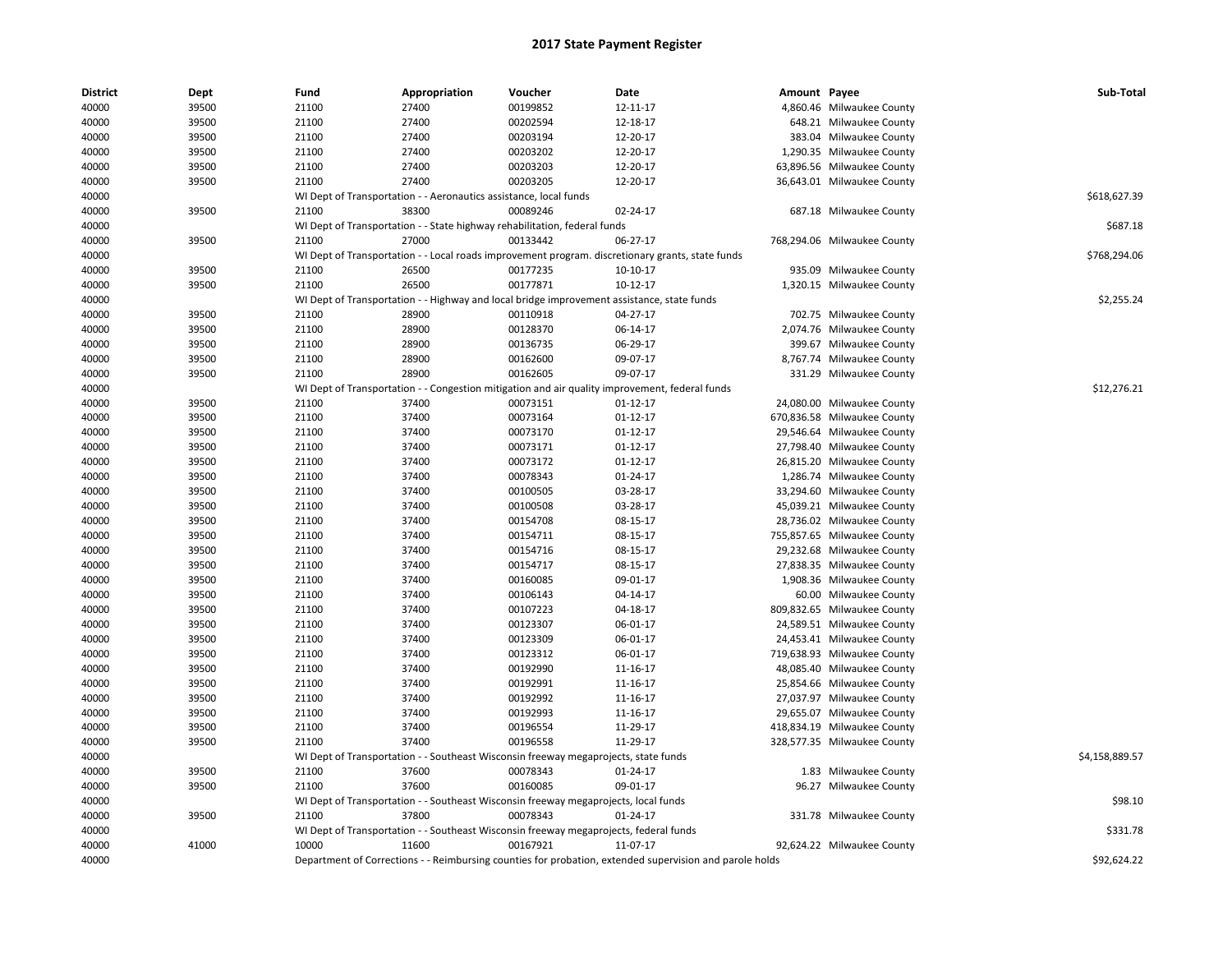| 40000<br>39500<br>21100<br>27400<br>00199852<br>12-11-17<br>4,860.46 Milwaukee County<br>40000<br>39500<br>27400<br>00202594<br>648.21 Milwaukee County<br>21100<br>12-18-17<br>40000<br>39500<br>21100<br>27400<br>00203194<br>12-20-17<br>383.04 Milwaukee County<br>40000<br>39500<br>21100<br>27400<br>00203202<br>12-20-17<br>1,290.35 Milwaukee County<br>21100<br>00203203<br>40000<br>39500<br>27400<br>12-20-17<br>63,896.56 Milwaukee County<br>27400<br>00203205<br>40000<br>39500<br>21100<br>12-20-17<br>36,643.01 Milwaukee County<br>\$618,627.39<br>40000<br>WI Dept of Transportation - - Aeronautics assistance, local funds<br>40000<br>39500<br>38300<br>00089246<br>02-24-17<br>687.18 Milwaukee County<br>21100<br>WI Dept of Transportation - - State highway rehabilitation, federal funds<br>\$687.18<br>40000<br>27000<br>40000<br>39500<br>21100<br>00133442<br>06-27-17<br>768,294.06 Milwaukee County<br>\$768,294.06<br>40000<br>WI Dept of Transportation - - Local roads improvement program. discretionary grants, state funds<br>935.09 Milwaukee County<br>40000<br>39500<br>21100<br>26500<br>00177235<br>10-10-17<br>00177871<br>40000<br>39500<br>21100<br>26500<br>10-12-17<br>1,320.15 Milwaukee County<br>\$2,255.24<br>40000<br>WI Dept of Transportation - - Highway and local bridge improvement assistance, state funds<br>40000<br>21100<br>28900<br>04-27-17<br>39500<br>00110918<br>702.75 Milwaukee County<br>39500<br>21100<br>00128370<br>40000<br>28900<br>06-14-17<br>2,074.76 Milwaukee County<br>40000<br>39500<br>21100<br>28900<br>00136735<br>06-29-17<br>399.67 Milwaukee County<br>40000<br>21100<br>28900<br>00162600<br>09-07-17<br>8,767.74 Milwaukee County<br>39500<br>40000<br>39500<br>21100<br>28900<br>00162605<br>09-07-17<br>331.29 Milwaukee County<br>40000<br>\$12,276.21<br>WI Dept of Transportation - - Congestion mitigation and air quality improvement, federal funds<br>40000<br>39500<br>21100<br>37400<br>00073151<br>$01 - 12 - 17$<br>24,080.00 Milwaukee County<br>40000<br>39500<br>21100<br>37400<br>00073164<br>$01 - 12 - 17$<br>670,836.58 Milwaukee County<br>40000<br>39500<br>21100<br>37400<br>00073170<br>$01 - 12 - 17$<br>29,546.64 Milwaukee County<br>00073171<br>40000<br>39500<br>21100<br>37400<br>01-12-17<br>27,798.40 Milwaukee County<br>40000<br>00073172<br>39500<br>21100<br>37400<br>$01 - 12 - 17$<br>26,815.20 Milwaukee County<br>40000<br>39500<br>21100<br>37400<br>00078343<br>01-24-17<br>1,286.74 Milwaukee County<br>40000<br>39500<br>21100<br>37400<br>00100505<br>03-28-17<br>33,294.60<br><b>Milwaukee County</b><br>40000<br>37400<br>00100508<br>03-28-17<br>39500<br>21100<br>45,039.21 Milwaukee County<br>40000<br>39500<br>21100<br>37400<br>00154708<br>08-15-17<br>28,736.02 Milwaukee County<br>40000<br>39500<br>21100<br>37400<br>00154711<br>08-15-17<br>755,857.65 Milwaukee County<br>40000<br>39500<br>21100<br>37400<br>00154716<br>08-15-17<br>29,232.68 Milwaukee County<br>40000<br>39500<br>21100<br>37400<br>00154717<br>08-15-17<br>27,838.35 Milwaukee County<br>40000<br>39500<br>21100<br>37400<br>00160085<br>09-01-17<br>1,908.36 Milwaukee County<br>40000<br>39500<br>21100<br>37400<br>00106143<br>04-14-17<br>60.00 Milwaukee County<br>00107223<br>40000<br>39500<br>21100<br>37400<br>04-18-17<br>809,832.65<br>Milwaukee County<br>40000<br>39500<br>21100<br>37400<br>00123307<br>06-01-17<br>24,589.51 Milwaukee County<br>40000<br>00123309<br>39500<br>21100<br>37400<br>06-01-17<br>24,453.41 Milwaukee County<br>00123312<br>40000<br>39500<br>21100<br>37400<br>06-01-17<br>719,638.93 Milwaukee County<br>40000<br>39500<br>21100<br>37400<br>00192990<br>11-16-17<br>48,085.40 Milwaukee County<br>21100<br>00192991<br>40000<br>39500<br>37400<br>11-16-17<br>25,854.66 Milwaukee County<br>40000<br>39500<br>21100<br>37400<br>00192992<br>11-16-17<br>27,037.97 Milwaukee County<br>40000<br>39500<br>21100<br>37400<br>00192993<br>11-16-17<br>29,655.07<br>Milwaukee County<br>40000<br>39500<br>21100<br>37400<br>00196554<br>11-29-17<br>418,834.19 Milwaukee County<br>40000<br>39500<br>21100<br>37400<br>00196558<br>11-29-17<br>328,577.35 Milwaukee County<br>\$4,158,889.57<br>40000<br>WI Dept of Transportation - - Southeast Wisconsin freeway megaprojects, state funds<br>21100<br>37600<br>00078343<br>01-24-17<br>1.83 Milwaukee County<br>40000<br>39500<br>37600<br>00160085<br>40000<br>39500<br>21100<br>09-01-17<br>96.27 Milwaukee County<br>WI Dept of Transportation - - Southeast Wisconsin freeway megaprojects, local funds<br>\$98.10<br>40000<br>40000<br>39500<br>21100<br>37800<br>00078343<br>01-24-17<br>331.78 Milwaukee County<br>\$331.78<br>40000<br>WI Dept of Transportation - - Southeast Wisconsin freeway megaprojects, federal funds<br>41000<br>11-07-17<br>40000<br>10000<br>11600<br>00167921<br>92,624.22 Milwaukee County<br>40000<br>\$92,624.22<br>Department of Corrections - - Reimbursing counties for probation, extended supervision and parole holds | <b>District</b> | Dept | Fund | Appropriation | Voucher | Date | Amount Payee | Sub-Total |
|-----------------------------------------------------------------------------------------------------------------------------------------------------------------------------------------------------------------------------------------------------------------------------------------------------------------------------------------------------------------------------------------------------------------------------------------------------------------------------------------------------------------------------------------------------------------------------------------------------------------------------------------------------------------------------------------------------------------------------------------------------------------------------------------------------------------------------------------------------------------------------------------------------------------------------------------------------------------------------------------------------------------------------------------------------------------------------------------------------------------------------------------------------------------------------------------------------------------------------------------------------------------------------------------------------------------------------------------------------------------------------------------------------------------------------------------------------------------------------------------------------------------------------------------------------------------------------------------------------------------------------------------------------------------------------------------------------------------------------------------------------------------------------------------------------------------------------------------------------------------------------------------------------------------------------------------------------------------------------------------------------------------------------------------------------------------------------------------------------------------------------------------------------------------------------------------------------------------------------------------------------------------------------------------------------------------------------------------------------------------------------------------------------------------------------------------------------------------------------------------------------------------------------------------------------------------------------------------------------------------------------------------------------------------------------------------------------------------------------------------------------------------------------------------------------------------------------------------------------------------------------------------------------------------------------------------------------------------------------------------------------------------------------------------------------------------------------------------------------------------------------------------------------------------------------------------------------------------------------------------------------------------------------------------------------------------------------------------------------------------------------------------------------------------------------------------------------------------------------------------------------------------------------------------------------------------------------------------------------------------------------------------------------------------------------------------------------------------------------------------------------------------------------------------------------------------------------------------------------------------------------------------------------------------------------------------------------------------------------------------------------------------------------------------------------------------------------------------------------------------------------------------------------------------------------------------------------------------------------------------------------------------------------------------------------------------------------------------------------------------------------------------------------------------------------------------------------------------------------------------------------------------------------------------------------------------------------------------------------------------------------------------------------------------------------------------------------------------------------------------------------------------------------------------------------------------------------------------------------------------------------------------------------------------------------------------------------------------------------------------------------------------------------------------------------------------------------------------|-----------------|------|------|---------------|---------|------|--------------|-----------|
|                                                                                                                                                                                                                                                                                                                                                                                                                                                                                                                                                                                                                                                                                                                                                                                                                                                                                                                                                                                                                                                                                                                                                                                                                                                                                                                                                                                                                                                                                                                                                                                                                                                                                                                                                                                                                                                                                                                                                                                                                                                                                                                                                                                                                                                                                                                                                                                                                                                                                                                                                                                                                                                                                                                                                                                                                                                                                                                                                                                                                                                                                                                                                                                                                                                                                                                                                                                                                                                                                                                                                                                                                                                                                                                                                                                                                                                                                                                                                                                                                                                                                                                                                                                                                                                                                                                                                                                                                                                                                                                                                                                                                                                                                                                                                                                                                                                                                                                                                                                                                                                                                         |                 |      |      |               |         |      |              |           |
|                                                                                                                                                                                                                                                                                                                                                                                                                                                                                                                                                                                                                                                                                                                                                                                                                                                                                                                                                                                                                                                                                                                                                                                                                                                                                                                                                                                                                                                                                                                                                                                                                                                                                                                                                                                                                                                                                                                                                                                                                                                                                                                                                                                                                                                                                                                                                                                                                                                                                                                                                                                                                                                                                                                                                                                                                                                                                                                                                                                                                                                                                                                                                                                                                                                                                                                                                                                                                                                                                                                                                                                                                                                                                                                                                                                                                                                                                                                                                                                                                                                                                                                                                                                                                                                                                                                                                                                                                                                                                                                                                                                                                                                                                                                                                                                                                                                                                                                                                                                                                                                                                         |                 |      |      |               |         |      |              |           |
|                                                                                                                                                                                                                                                                                                                                                                                                                                                                                                                                                                                                                                                                                                                                                                                                                                                                                                                                                                                                                                                                                                                                                                                                                                                                                                                                                                                                                                                                                                                                                                                                                                                                                                                                                                                                                                                                                                                                                                                                                                                                                                                                                                                                                                                                                                                                                                                                                                                                                                                                                                                                                                                                                                                                                                                                                                                                                                                                                                                                                                                                                                                                                                                                                                                                                                                                                                                                                                                                                                                                                                                                                                                                                                                                                                                                                                                                                                                                                                                                                                                                                                                                                                                                                                                                                                                                                                                                                                                                                                                                                                                                                                                                                                                                                                                                                                                                                                                                                                                                                                                                                         |                 |      |      |               |         |      |              |           |
|                                                                                                                                                                                                                                                                                                                                                                                                                                                                                                                                                                                                                                                                                                                                                                                                                                                                                                                                                                                                                                                                                                                                                                                                                                                                                                                                                                                                                                                                                                                                                                                                                                                                                                                                                                                                                                                                                                                                                                                                                                                                                                                                                                                                                                                                                                                                                                                                                                                                                                                                                                                                                                                                                                                                                                                                                                                                                                                                                                                                                                                                                                                                                                                                                                                                                                                                                                                                                                                                                                                                                                                                                                                                                                                                                                                                                                                                                                                                                                                                                                                                                                                                                                                                                                                                                                                                                                                                                                                                                                                                                                                                                                                                                                                                                                                                                                                                                                                                                                                                                                                                                         |                 |      |      |               |         |      |              |           |
|                                                                                                                                                                                                                                                                                                                                                                                                                                                                                                                                                                                                                                                                                                                                                                                                                                                                                                                                                                                                                                                                                                                                                                                                                                                                                                                                                                                                                                                                                                                                                                                                                                                                                                                                                                                                                                                                                                                                                                                                                                                                                                                                                                                                                                                                                                                                                                                                                                                                                                                                                                                                                                                                                                                                                                                                                                                                                                                                                                                                                                                                                                                                                                                                                                                                                                                                                                                                                                                                                                                                                                                                                                                                                                                                                                                                                                                                                                                                                                                                                                                                                                                                                                                                                                                                                                                                                                                                                                                                                                                                                                                                                                                                                                                                                                                                                                                                                                                                                                                                                                                                                         |                 |      |      |               |         |      |              |           |
|                                                                                                                                                                                                                                                                                                                                                                                                                                                                                                                                                                                                                                                                                                                                                                                                                                                                                                                                                                                                                                                                                                                                                                                                                                                                                                                                                                                                                                                                                                                                                                                                                                                                                                                                                                                                                                                                                                                                                                                                                                                                                                                                                                                                                                                                                                                                                                                                                                                                                                                                                                                                                                                                                                                                                                                                                                                                                                                                                                                                                                                                                                                                                                                                                                                                                                                                                                                                                                                                                                                                                                                                                                                                                                                                                                                                                                                                                                                                                                                                                                                                                                                                                                                                                                                                                                                                                                                                                                                                                                                                                                                                                                                                                                                                                                                                                                                                                                                                                                                                                                                                                         |                 |      |      |               |         |      |              |           |
|                                                                                                                                                                                                                                                                                                                                                                                                                                                                                                                                                                                                                                                                                                                                                                                                                                                                                                                                                                                                                                                                                                                                                                                                                                                                                                                                                                                                                                                                                                                                                                                                                                                                                                                                                                                                                                                                                                                                                                                                                                                                                                                                                                                                                                                                                                                                                                                                                                                                                                                                                                                                                                                                                                                                                                                                                                                                                                                                                                                                                                                                                                                                                                                                                                                                                                                                                                                                                                                                                                                                                                                                                                                                                                                                                                                                                                                                                                                                                                                                                                                                                                                                                                                                                                                                                                                                                                                                                                                                                                                                                                                                                                                                                                                                                                                                                                                                                                                                                                                                                                                                                         |                 |      |      |               |         |      |              |           |
|                                                                                                                                                                                                                                                                                                                                                                                                                                                                                                                                                                                                                                                                                                                                                                                                                                                                                                                                                                                                                                                                                                                                                                                                                                                                                                                                                                                                                                                                                                                                                                                                                                                                                                                                                                                                                                                                                                                                                                                                                                                                                                                                                                                                                                                                                                                                                                                                                                                                                                                                                                                                                                                                                                                                                                                                                                                                                                                                                                                                                                                                                                                                                                                                                                                                                                                                                                                                                                                                                                                                                                                                                                                                                                                                                                                                                                                                                                                                                                                                                                                                                                                                                                                                                                                                                                                                                                                                                                                                                                                                                                                                                                                                                                                                                                                                                                                                                                                                                                                                                                                                                         |                 |      |      |               |         |      |              |           |
|                                                                                                                                                                                                                                                                                                                                                                                                                                                                                                                                                                                                                                                                                                                                                                                                                                                                                                                                                                                                                                                                                                                                                                                                                                                                                                                                                                                                                                                                                                                                                                                                                                                                                                                                                                                                                                                                                                                                                                                                                                                                                                                                                                                                                                                                                                                                                                                                                                                                                                                                                                                                                                                                                                                                                                                                                                                                                                                                                                                                                                                                                                                                                                                                                                                                                                                                                                                                                                                                                                                                                                                                                                                                                                                                                                                                                                                                                                                                                                                                                                                                                                                                                                                                                                                                                                                                                                                                                                                                                                                                                                                                                                                                                                                                                                                                                                                                                                                                                                                                                                                                                         |                 |      |      |               |         |      |              |           |
|                                                                                                                                                                                                                                                                                                                                                                                                                                                                                                                                                                                                                                                                                                                                                                                                                                                                                                                                                                                                                                                                                                                                                                                                                                                                                                                                                                                                                                                                                                                                                                                                                                                                                                                                                                                                                                                                                                                                                                                                                                                                                                                                                                                                                                                                                                                                                                                                                                                                                                                                                                                                                                                                                                                                                                                                                                                                                                                                                                                                                                                                                                                                                                                                                                                                                                                                                                                                                                                                                                                                                                                                                                                                                                                                                                                                                                                                                                                                                                                                                                                                                                                                                                                                                                                                                                                                                                                                                                                                                                                                                                                                                                                                                                                                                                                                                                                                                                                                                                                                                                                                                         |                 |      |      |               |         |      |              |           |
|                                                                                                                                                                                                                                                                                                                                                                                                                                                                                                                                                                                                                                                                                                                                                                                                                                                                                                                                                                                                                                                                                                                                                                                                                                                                                                                                                                                                                                                                                                                                                                                                                                                                                                                                                                                                                                                                                                                                                                                                                                                                                                                                                                                                                                                                                                                                                                                                                                                                                                                                                                                                                                                                                                                                                                                                                                                                                                                                                                                                                                                                                                                                                                                                                                                                                                                                                                                                                                                                                                                                                                                                                                                                                                                                                                                                                                                                                                                                                                                                                                                                                                                                                                                                                                                                                                                                                                                                                                                                                                                                                                                                                                                                                                                                                                                                                                                                                                                                                                                                                                                                                         |                 |      |      |               |         |      |              |           |
|                                                                                                                                                                                                                                                                                                                                                                                                                                                                                                                                                                                                                                                                                                                                                                                                                                                                                                                                                                                                                                                                                                                                                                                                                                                                                                                                                                                                                                                                                                                                                                                                                                                                                                                                                                                                                                                                                                                                                                                                                                                                                                                                                                                                                                                                                                                                                                                                                                                                                                                                                                                                                                                                                                                                                                                                                                                                                                                                                                                                                                                                                                                                                                                                                                                                                                                                                                                                                                                                                                                                                                                                                                                                                                                                                                                                                                                                                                                                                                                                                                                                                                                                                                                                                                                                                                                                                                                                                                                                                                                                                                                                                                                                                                                                                                                                                                                                                                                                                                                                                                                                                         |                 |      |      |               |         |      |              |           |
|                                                                                                                                                                                                                                                                                                                                                                                                                                                                                                                                                                                                                                                                                                                                                                                                                                                                                                                                                                                                                                                                                                                                                                                                                                                                                                                                                                                                                                                                                                                                                                                                                                                                                                                                                                                                                                                                                                                                                                                                                                                                                                                                                                                                                                                                                                                                                                                                                                                                                                                                                                                                                                                                                                                                                                                                                                                                                                                                                                                                                                                                                                                                                                                                                                                                                                                                                                                                                                                                                                                                                                                                                                                                                                                                                                                                                                                                                                                                                                                                                                                                                                                                                                                                                                                                                                                                                                                                                                                                                                                                                                                                                                                                                                                                                                                                                                                                                                                                                                                                                                                                                         |                 |      |      |               |         |      |              |           |
|                                                                                                                                                                                                                                                                                                                                                                                                                                                                                                                                                                                                                                                                                                                                                                                                                                                                                                                                                                                                                                                                                                                                                                                                                                                                                                                                                                                                                                                                                                                                                                                                                                                                                                                                                                                                                                                                                                                                                                                                                                                                                                                                                                                                                                                                                                                                                                                                                                                                                                                                                                                                                                                                                                                                                                                                                                                                                                                                                                                                                                                                                                                                                                                                                                                                                                                                                                                                                                                                                                                                                                                                                                                                                                                                                                                                                                                                                                                                                                                                                                                                                                                                                                                                                                                                                                                                                                                                                                                                                                                                                                                                                                                                                                                                                                                                                                                                                                                                                                                                                                                                                         |                 |      |      |               |         |      |              |           |
|                                                                                                                                                                                                                                                                                                                                                                                                                                                                                                                                                                                                                                                                                                                                                                                                                                                                                                                                                                                                                                                                                                                                                                                                                                                                                                                                                                                                                                                                                                                                                                                                                                                                                                                                                                                                                                                                                                                                                                                                                                                                                                                                                                                                                                                                                                                                                                                                                                                                                                                                                                                                                                                                                                                                                                                                                                                                                                                                                                                                                                                                                                                                                                                                                                                                                                                                                                                                                                                                                                                                                                                                                                                                                                                                                                                                                                                                                                                                                                                                                                                                                                                                                                                                                                                                                                                                                                                                                                                                                                                                                                                                                                                                                                                                                                                                                                                                                                                                                                                                                                                                                         |                 |      |      |               |         |      |              |           |
|                                                                                                                                                                                                                                                                                                                                                                                                                                                                                                                                                                                                                                                                                                                                                                                                                                                                                                                                                                                                                                                                                                                                                                                                                                                                                                                                                                                                                                                                                                                                                                                                                                                                                                                                                                                                                                                                                                                                                                                                                                                                                                                                                                                                                                                                                                                                                                                                                                                                                                                                                                                                                                                                                                                                                                                                                                                                                                                                                                                                                                                                                                                                                                                                                                                                                                                                                                                                                                                                                                                                                                                                                                                                                                                                                                                                                                                                                                                                                                                                                                                                                                                                                                                                                                                                                                                                                                                                                                                                                                                                                                                                                                                                                                                                                                                                                                                                                                                                                                                                                                                                                         |                 |      |      |               |         |      |              |           |
|                                                                                                                                                                                                                                                                                                                                                                                                                                                                                                                                                                                                                                                                                                                                                                                                                                                                                                                                                                                                                                                                                                                                                                                                                                                                                                                                                                                                                                                                                                                                                                                                                                                                                                                                                                                                                                                                                                                                                                                                                                                                                                                                                                                                                                                                                                                                                                                                                                                                                                                                                                                                                                                                                                                                                                                                                                                                                                                                                                                                                                                                                                                                                                                                                                                                                                                                                                                                                                                                                                                                                                                                                                                                                                                                                                                                                                                                                                                                                                                                                                                                                                                                                                                                                                                                                                                                                                                                                                                                                                                                                                                                                                                                                                                                                                                                                                                                                                                                                                                                                                                                                         |                 |      |      |               |         |      |              |           |
|                                                                                                                                                                                                                                                                                                                                                                                                                                                                                                                                                                                                                                                                                                                                                                                                                                                                                                                                                                                                                                                                                                                                                                                                                                                                                                                                                                                                                                                                                                                                                                                                                                                                                                                                                                                                                                                                                                                                                                                                                                                                                                                                                                                                                                                                                                                                                                                                                                                                                                                                                                                                                                                                                                                                                                                                                                                                                                                                                                                                                                                                                                                                                                                                                                                                                                                                                                                                                                                                                                                                                                                                                                                                                                                                                                                                                                                                                                                                                                                                                                                                                                                                                                                                                                                                                                                                                                                                                                                                                                                                                                                                                                                                                                                                                                                                                                                                                                                                                                                                                                                                                         |                 |      |      |               |         |      |              |           |
|                                                                                                                                                                                                                                                                                                                                                                                                                                                                                                                                                                                                                                                                                                                                                                                                                                                                                                                                                                                                                                                                                                                                                                                                                                                                                                                                                                                                                                                                                                                                                                                                                                                                                                                                                                                                                                                                                                                                                                                                                                                                                                                                                                                                                                                                                                                                                                                                                                                                                                                                                                                                                                                                                                                                                                                                                                                                                                                                                                                                                                                                                                                                                                                                                                                                                                                                                                                                                                                                                                                                                                                                                                                                                                                                                                                                                                                                                                                                                                                                                                                                                                                                                                                                                                                                                                                                                                                                                                                                                                                                                                                                                                                                                                                                                                                                                                                                                                                                                                                                                                                                                         |                 |      |      |               |         |      |              |           |
|                                                                                                                                                                                                                                                                                                                                                                                                                                                                                                                                                                                                                                                                                                                                                                                                                                                                                                                                                                                                                                                                                                                                                                                                                                                                                                                                                                                                                                                                                                                                                                                                                                                                                                                                                                                                                                                                                                                                                                                                                                                                                                                                                                                                                                                                                                                                                                                                                                                                                                                                                                                                                                                                                                                                                                                                                                                                                                                                                                                                                                                                                                                                                                                                                                                                                                                                                                                                                                                                                                                                                                                                                                                                                                                                                                                                                                                                                                                                                                                                                                                                                                                                                                                                                                                                                                                                                                                                                                                                                                                                                                                                                                                                                                                                                                                                                                                                                                                                                                                                                                                                                         |                 |      |      |               |         |      |              |           |
|                                                                                                                                                                                                                                                                                                                                                                                                                                                                                                                                                                                                                                                                                                                                                                                                                                                                                                                                                                                                                                                                                                                                                                                                                                                                                                                                                                                                                                                                                                                                                                                                                                                                                                                                                                                                                                                                                                                                                                                                                                                                                                                                                                                                                                                                                                                                                                                                                                                                                                                                                                                                                                                                                                                                                                                                                                                                                                                                                                                                                                                                                                                                                                                                                                                                                                                                                                                                                                                                                                                                                                                                                                                                                                                                                                                                                                                                                                                                                                                                                                                                                                                                                                                                                                                                                                                                                                                                                                                                                                                                                                                                                                                                                                                                                                                                                                                                                                                                                                                                                                                                                         |                 |      |      |               |         |      |              |           |
|                                                                                                                                                                                                                                                                                                                                                                                                                                                                                                                                                                                                                                                                                                                                                                                                                                                                                                                                                                                                                                                                                                                                                                                                                                                                                                                                                                                                                                                                                                                                                                                                                                                                                                                                                                                                                                                                                                                                                                                                                                                                                                                                                                                                                                                                                                                                                                                                                                                                                                                                                                                                                                                                                                                                                                                                                                                                                                                                                                                                                                                                                                                                                                                                                                                                                                                                                                                                                                                                                                                                                                                                                                                                                                                                                                                                                                                                                                                                                                                                                                                                                                                                                                                                                                                                                                                                                                                                                                                                                                                                                                                                                                                                                                                                                                                                                                                                                                                                                                                                                                                                                         |                 |      |      |               |         |      |              |           |
|                                                                                                                                                                                                                                                                                                                                                                                                                                                                                                                                                                                                                                                                                                                                                                                                                                                                                                                                                                                                                                                                                                                                                                                                                                                                                                                                                                                                                                                                                                                                                                                                                                                                                                                                                                                                                                                                                                                                                                                                                                                                                                                                                                                                                                                                                                                                                                                                                                                                                                                                                                                                                                                                                                                                                                                                                                                                                                                                                                                                                                                                                                                                                                                                                                                                                                                                                                                                                                                                                                                                                                                                                                                                                                                                                                                                                                                                                                                                                                                                                                                                                                                                                                                                                                                                                                                                                                                                                                                                                                                                                                                                                                                                                                                                                                                                                                                                                                                                                                                                                                                                                         |                 |      |      |               |         |      |              |           |
|                                                                                                                                                                                                                                                                                                                                                                                                                                                                                                                                                                                                                                                                                                                                                                                                                                                                                                                                                                                                                                                                                                                                                                                                                                                                                                                                                                                                                                                                                                                                                                                                                                                                                                                                                                                                                                                                                                                                                                                                                                                                                                                                                                                                                                                                                                                                                                                                                                                                                                                                                                                                                                                                                                                                                                                                                                                                                                                                                                                                                                                                                                                                                                                                                                                                                                                                                                                                                                                                                                                                                                                                                                                                                                                                                                                                                                                                                                                                                                                                                                                                                                                                                                                                                                                                                                                                                                                                                                                                                                                                                                                                                                                                                                                                                                                                                                                                                                                                                                                                                                                                                         |                 |      |      |               |         |      |              |           |
|                                                                                                                                                                                                                                                                                                                                                                                                                                                                                                                                                                                                                                                                                                                                                                                                                                                                                                                                                                                                                                                                                                                                                                                                                                                                                                                                                                                                                                                                                                                                                                                                                                                                                                                                                                                                                                                                                                                                                                                                                                                                                                                                                                                                                                                                                                                                                                                                                                                                                                                                                                                                                                                                                                                                                                                                                                                                                                                                                                                                                                                                                                                                                                                                                                                                                                                                                                                                                                                                                                                                                                                                                                                                                                                                                                                                                                                                                                                                                                                                                                                                                                                                                                                                                                                                                                                                                                                                                                                                                                                                                                                                                                                                                                                                                                                                                                                                                                                                                                                                                                                                                         |                 |      |      |               |         |      |              |           |
|                                                                                                                                                                                                                                                                                                                                                                                                                                                                                                                                                                                                                                                                                                                                                                                                                                                                                                                                                                                                                                                                                                                                                                                                                                                                                                                                                                                                                                                                                                                                                                                                                                                                                                                                                                                                                                                                                                                                                                                                                                                                                                                                                                                                                                                                                                                                                                                                                                                                                                                                                                                                                                                                                                                                                                                                                                                                                                                                                                                                                                                                                                                                                                                                                                                                                                                                                                                                                                                                                                                                                                                                                                                                                                                                                                                                                                                                                                                                                                                                                                                                                                                                                                                                                                                                                                                                                                                                                                                                                                                                                                                                                                                                                                                                                                                                                                                                                                                                                                                                                                                                                         |                 |      |      |               |         |      |              |           |
|                                                                                                                                                                                                                                                                                                                                                                                                                                                                                                                                                                                                                                                                                                                                                                                                                                                                                                                                                                                                                                                                                                                                                                                                                                                                                                                                                                                                                                                                                                                                                                                                                                                                                                                                                                                                                                                                                                                                                                                                                                                                                                                                                                                                                                                                                                                                                                                                                                                                                                                                                                                                                                                                                                                                                                                                                                                                                                                                                                                                                                                                                                                                                                                                                                                                                                                                                                                                                                                                                                                                                                                                                                                                                                                                                                                                                                                                                                                                                                                                                                                                                                                                                                                                                                                                                                                                                                                                                                                                                                                                                                                                                                                                                                                                                                                                                                                                                                                                                                                                                                                                                         |                 |      |      |               |         |      |              |           |
|                                                                                                                                                                                                                                                                                                                                                                                                                                                                                                                                                                                                                                                                                                                                                                                                                                                                                                                                                                                                                                                                                                                                                                                                                                                                                                                                                                                                                                                                                                                                                                                                                                                                                                                                                                                                                                                                                                                                                                                                                                                                                                                                                                                                                                                                                                                                                                                                                                                                                                                                                                                                                                                                                                                                                                                                                                                                                                                                                                                                                                                                                                                                                                                                                                                                                                                                                                                                                                                                                                                                                                                                                                                                                                                                                                                                                                                                                                                                                                                                                                                                                                                                                                                                                                                                                                                                                                                                                                                                                                                                                                                                                                                                                                                                                                                                                                                                                                                                                                                                                                                                                         |                 |      |      |               |         |      |              |           |
|                                                                                                                                                                                                                                                                                                                                                                                                                                                                                                                                                                                                                                                                                                                                                                                                                                                                                                                                                                                                                                                                                                                                                                                                                                                                                                                                                                                                                                                                                                                                                                                                                                                                                                                                                                                                                                                                                                                                                                                                                                                                                                                                                                                                                                                                                                                                                                                                                                                                                                                                                                                                                                                                                                                                                                                                                                                                                                                                                                                                                                                                                                                                                                                                                                                                                                                                                                                                                                                                                                                                                                                                                                                                                                                                                                                                                                                                                                                                                                                                                                                                                                                                                                                                                                                                                                                                                                                                                                                                                                                                                                                                                                                                                                                                                                                                                                                                                                                                                                                                                                                                                         |                 |      |      |               |         |      |              |           |
|                                                                                                                                                                                                                                                                                                                                                                                                                                                                                                                                                                                                                                                                                                                                                                                                                                                                                                                                                                                                                                                                                                                                                                                                                                                                                                                                                                                                                                                                                                                                                                                                                                                                                                                                                                                                                                                                                                                                                                                                                                                                                                                                                                                                                                                                                                                                                                                                                                                                                                                                                                                                                                                                                                                                                                                                                                                                                                                                                                                                                                                                                                                                                                                                                                                                                                                                                                                                                                                                                                                                                                                                                                                                                                                                                                                                                                                                                                                                                                                                                                                                                                                                                                                                                                                                                                                                                                                                                                                                                                                                                                                                                                                                                                                                                                                                                                                                                                                                                                                                                                                                                         |                 |      |      |               |         |      |              |           |
|                                                                                                                                                                                                                                                                                                                                                                                                                                                                                                                                                                                                                                                                                                                                                                                                                                                                                                                                                                                                                                                                                                                                                                                                                                                                                                                                                                                                                                                                                                                                                                                                                                                                                                                                                                                                                                                                                                                                                                                                                                                                                                                                                                                                                                                                                                                                                                                                                                                                                                                                                                                                                                                                                                                                                                                                                                                                                                                                                                                                                                                                                                                                                                                                                                                                                                                                                                                                                                                                                                                                                                                                                                                                                                                                                                                                                                                                                                                                                                                                                                                                                                                                                                                                                                                                                                                                                                                                                                                                                                                                                                                                                                                                                                                                                                                                                                                                                                                                                                                                                                                                                         |                 |      |      |               |         |      |              |           |
|                                                                                                                                                                                                                                                                                                                                                                                                                                                                                                                                                                                                                                                                                                                                                                                                                                                                                                                                                                                                                                                                                                                                                                                                                                                                                                                                                                                                                                                                                                                                                                                                                                                                                                                                                                                                                                                                                                                                                                                                                                                                                                                                                                                                                                                                                                                                                                                                                                                                                                                                                                                                                                                                                                                                                                                                                                                                                                                                                                                                                                                                                                                                                                                                                                                                                                                                                                                                                                                                                                                                                                                                                                                                                                                                                                                                                                                                                                                                                                                                                                                                                                                                                                                                                                                                                                                                                                                                                                                                                                                                                                                                                                                                                                                                                                                                                                                                                                                                                                                                                                                                                         |                 |      |      |               |         |      |              |           |
|                                                                                                                                                                                                                                                                                                                                                                                                                                                                                                                                                                                                                                                                                                                                                                                                                                                                                                                                                                                                                                                                                                                                                                                                                                                                                                                                                                                                                                                                                                                                                                                                                                                                                                                                                                                                                                                                                                                                                                                                                                                                                                                                                                                                                                                                                                                                                                                                                                                                                                                                                                                                                                                                                                                                                                                                                                                                                                                                                                                                                                                                                                                                                                                                                                                                                                                                                                                                                                                                                                                                                                                                                                                                                                                                                                                                                                                                                                                                                                                                                                                                                                                                                                                                                                                                                                                                                                                                                                                                                                                                                                                                                                                                                                                                                                                                                                                                                                                                                                                                                                                                                         |                 |      |      |               |         |      |              |           |
|                                                                                                                                                                                                                                                                                                                                                                                                                                                                                                                                                                                                                                                                                                                                                                                                                                                                                                                                                                                                                                                                                                                                                                                                                                                                                                                                                                                                                                                                                                                                                                                                                                                                                                                                                                                                                                                                                                                                                                                                                                                                                                                                                                                                                                                                                                                                                                                                                                                                                                                                                                                                                                                                                                                                                                                                                                                                                                                                                                                                                                                                                                                                                                                                                                                                                                                                                                                                                                                                                                                                                                                                                                                                                                                                                                                                                                                                                                                                                                                                                                                                                                                                                                                                                                                                                                                                                                                                                                                                                                                                                                                                                                                                                                                                                                                                                                                                                                                                                                                                                                                                                         |                 |      |      |               |         |      |              |           |
|                                                                                                                                                                                                                                                                                                                                                                                                                                                                                                                                                                                                                                                                                                                                                                                                                                                                                                                                                                                                                                                                                                                                                                                                                                                                                                                                                                                                                                                                                                                                                                                                                                                                                                                                                                                                                                                                                                                                                                                                                                                                                                                                                                                                                                                                                                                                                                                                                                                                                                                                                                                                                                                                                                                                                                                                                                                                                                                                                                                                                                                                                                                                                                                                                                                                                                                                                                                                                                                                                                                                                                                                                                                                                                                                                                                                                                                                                                                                                                                                                                                                                                                                                                                                                                                                                                                                                                                                                                                                                                                                                                                                                                                                                                                                                                                                                                                                                                                                                                                                                                                                                         |                 |      |      |               |         |      |              |           |
|                                                                                                                                                                                                                                                                                                                                                                                                                                                                                                                                                                                                                                                                                                                                                                                                                                                                                                                                                                                                                                                                                                                                                                                                                                                                                                                                                                                                                                                                                                                                                                                                                                                                                                                                                                                                                                                                                                                                                                                                                                                                                                                                                                                                                                                                                                                                                                                                                                                                                                                                                                                                                                                                                                                                                                                                                                                                                                                                                                                                                                                                                                                                                                                                                                                                                                                                                                                                                                                                                                                                                                                                                                                                                                                                                                                                                                                                                                                                                                                                                                                                                                                                                                                                                                                                                                                                                                                                                                                                                                                                                                                                                                                                                                                                                                                                                                                                                                                                                                                                                                                                                         |                 |      |      |               |         |      |              |           |
|                                                                                                                                                                                                                                                                                                                                                                                                                                                                                                                                                                                                                                                                                                                                                                                                                                                                                                                                                                                                                                                                                                                                                                                                                                                                                                                                                                                                                                                                                                                                                                                                                                                                                                                                                                                                                                                                                                                                                                                                                                                                                                                                                                                                                                                                                                                                                                                                                                                                                                                                                                                                                                                                                                                                                                                                                                                                                                                                                                                                                                                                                                                                                                                                                                                                                                                                                                                                                                                                                                                                                                                                                                                                                                                                                                                                                                                                                                                                                                                                                                                                                                                                                                                                                                                                                                                                                                                                                                                                                                                                                                                                                                                                                                                                                                                                                                                                                                                                                                                                                                                                                         |                 |      |      |               |         |      |              |           |
|                                                                                                                                                                                                                                                                                                                                                                                                                                                                                                                                                                                                                                                                                                                                                                                                                                                                                                                                                                                                                                                                                                                                                                                                                                                                                                                                                                                                                                                                                                                                                                                                                                                                                                                                                                                                                                                                                                                                                                                                                                                                                                                                                                                                                                                                                                                                                                                                                                                                                                                                                                                                                                                                                                                                                                                                                                                                                                                                                                                                                                                                                                                                                                                                                                                                                                                                                                                                                                                                                                                                                                                                                                                                                                                                                                                                                                                                                                                                                                                                                                                                                                                                                                                                                                                                                                                                                                                                                                                                                                                                                                                                                                                                                                                                                                                                                                                                                                                                                                                                                                                                                         |                 |      |      |               |         |      |              |           |
|                                                                                                                                                                                                                                                                                                                                                                                                                                                                                                                                                                                                                                                                                                                                                                                                                                                                                                                                                                                                                                                                                                                                                                                                                                                                                                                                                                                                                                                                                                                                                                                                                                                                                                                                                                                                                                                                                                                                                                                                                                                                                                                                                                                                                                                                                                                                                                                                                                                                                                                                                                                                                                                                                                                                                                                                                                                                                                                                                                                                                                                                                                                                                                                                                                                                                                                                                                                                                                                                                                                                                                                                                                                                                                                                                                                                                                                                                                                                                                                                                                                                                                                                                                                                                                                                                                                                                                                                                                                                                                                                                                                                                                                                                                                                                                                                                                                                                                                                                                                                                                                                                         |                 |      |      |               |         |      |              |           |
|                                                                                                                                                                                                                                                                                                                                                                                                                                                                                                                                                                                                                                                                                                                                                                                                                                                                                                                                                                                                                                                                                                                                                                                                                                                                                                                                                                                                                                                                                                                                                                                                                                                                                                                                                                                                                                                                                                                                                                                                                                                                                                                                                                                                                                                                                                                                                                                                                                                                                                                                                                                                                                                                                                                                                                                                                                                                                                                                                                                                                                                                                                                                                                                                                                                                                                                                                                                                                                                                                                                                                                                                                                                                                                                                                                                                                                                                                                                                                                                                                                                                                                                                                                                                                                                                                                                                                                                                                                                                                                                                                                                                                                                                                                                                                                                                                                                                                                                                                                                                                                                                                         |                 |      |      |               |         |      |              |           |
|                                                                                                                                                                                                                                                                                                                                                                                                                                                                                                                                                                                                                                                                                                                                                                                                                                                                                                                                                                                                                                                                                                                                                                                                                                                                                                                                                                                                                                                                                                                                                                                                                                                                                                                                                                                                                                                                                                                                                                                                                                                                                                                                                                                                                                                                                                                                                                                                                                                                                                                                                                                                                                                                                                                                                                                                                                                                                                                                                                                                                                                                                                                                                                                                                                                                                                                                                                                                                                                                                                                                                                                                                                                                                                                                                                                                                                                                                                                                                                                                                                                                                                                                                                                                                                                                                                                                                                                                                                                                                                                                                                                                                                                                                                                                                                                                                                                                                                                                                                                                                                                                                         |                 |      |      |               |         |      |              |           |
|                                                                                                                                                                                                                                                                                                                                                                                                                                                                                                                                                                                                                                                                                                                                                                                                                                                                                                                                                                                                                                                                                                                                                                                                                                                                                                                                                                                                                                                                                                                                                                                                                                                                                                                                                                                                                                                                                                                                                                                                                                                                                                                                                                                                                                                                                                                                                                                                                                                                                                                                                                                                                                                                                                                                                                                                                                                                                                                                                                                                                                                                                                                                                                                                                                                                                                                                                                                                                                                                                                                                                                                                                                                                                                                                                                                                                                                                                                                                                                                                                                                                                                                                                                                                                                                                                                                                                                                                                                                                                                                                                                                                                                                                                                                                                                                                                                                                                                                                                                                                                                                                                         |                 |      |      |               |         |      |              |           |
|                                                                                                                                                                                                                                                                                                                                                                                                                                                                                                                                                                                                                                                                                                                                                                                                                                                                                                                                                                                                                                                                                                                                                                                                                                                                                                                                                                                                                                                                                                                                                                                                                                                                                                                                                                                                                                                                                                                                                                                                                                                                                                                                                                                                                                                                                                                                                                                                                                                                                                                                                                                                                                                                                                                                                                                                                                                                                                                                                                                                                                                                                                                                                                                                                                                                                                                                                                                                                                                                                                                                                                                                                                                                                                                                                                                                                                                                                                                                                                                                                                                                                                                                                                                                                                                                                                                                                                                                                                                                                                                                                                                                                                                                                                                                                                                                                                                                                                                                                                                                                                                                                         |                 |      |      |               |         |      |              |           |
|                                                                                                                                                                                                                                                                                                                                                                                                                                                                                                                                                                                                                                                                                                                                                                                                                                                                                                                                                                                                                                                                                                                                                                                                                                                                                                                                                                                                                                                                                                                                                                                                                                                                                                                                                                                                                                                                                                                                                                                                                                                                                                                                                                                                                                                                                                                                                                                                                                                                                                                                                                                                                                                                                                                                                                                                                                                                                                                                                                                                                                                                                                                                                                                                                                                                                                                                                                                                                                                                                                                                                                                                                                                                                                                                                                                                                                                                                                                                                                                                                                                                                                                                                                                                                                                                                                                                                                                                                                                                                                                                                                                                                                                                                                                                                                                                                                                                                                                                                                                                                                                                                         |                 |      |      |               |         |      |              |           |
|                                                                                                                                                                                                                                                                                                                                                                                                                                                                                                                                                                                                                                                                                                                                                                                                                                                                                                                                                                                                                                                                                                                                                                                                                                                                                                                                                                                                                                                                                                                                                                                                                                                                                                                                                                                                                                                                                                                                                                                                                                                                                                                                                                                                                                                                                                                                                                                                                                                                                                                                                                                                                                                                                                                                                                                                                                                                                                                                                                                                                                                                                                                                                                                                                                                                                                                                                                                                                                                                                                                                                                                                                                                                                                                                                                                                                                                                                                                                                                                                                                                                                                                                                                                                                                                                                                                                                                                                                                                                                                                                                                                                                                                                                                                                                                                                                                                                                                                                                                                                                                                                                         |                 |      |      |               |         |      |              |           |
|                                                                                                                                                                                                                                                                                                                                                                                                                                                                                                                                                                                                                                                                                                                                                                                                                                                                                                                                                                                                                                                                                                                                                                                                                                                                                                                                                                                                                                                                                                                                                                                                                                                                                                                                                                                                                                                                                                                                                                                                                                                                                                                                                                                                                                                                                                                                                                                                                                                                                                                                                                                                                                                                                                                                                                                                                                                                                                                                                                                                                                                                                                                                                                                                                                                                                                                                                                                                                                                                                                                                                                                                                                                                                                                                                                                                                                                                                                                                                                                                                                                                                                                                                                                                                                                                                                                                                                                                                                                                                                                                                                                                                                                                                                                                                                                                                                                                                                                                                                                                                                                                                         |                 |      |      |               |         |      |              |           |
|                                                                                                                                                                                                                                                                                                                                                                                                                                                                                                                                                                                                                                                                                                                                                                                                                                                                                                                                                                                                                                                                                                                                                                                                                                                                                                                                                                                                                                                                                                                                                                                                                                                                                                                                                                                                                                                                                                                                                                                                                                                                                                                                                                                                                                                                                                                                                                                                                                                                                                                                                                                                                                                                                                                                                                                                                                                                                                                                                                                                                                                                                                                                                                                                                                                                                                                                                                                                                                                                                                                                                                                                                                                                                                                                                                                                                                                                                                                                                                                                                                                                                                                                                                                                                                                                                                                                                                                                                                                                                                                                                                                                                                                                                                                                                                                                                                                                                                                                                                                                                                                                                         |                 |      |      |               |         |      |              |           |
|                                                                                                                                                                                                                                                                                                                                                                                                                                                                                                                                                                                                                                                                                                                                                                                                                                                                                                                                                                                                                                                                                                                                                                                                                                                                                                                                                                                                                                                                                                                                                                                                                                                                                                                                                                                                                                                                                                                                                                                                                                                                                                                                                                                                                                                                                                                                                                                                                                                                                                                                                                                                                                                                                                                                                                                                                                                                                                                                                                                                                                                                                                                                                                                                                                                                                                                                                                                                                                                                                                                                                                                                                                                                                                                                                                                                                                                                                                                                                                                                                                                                                                                                                                                                                                                                                                                                                                                                                                                                                                                                                                                                                                                                                                                                                                                                                                                                                                                                                                                                                                                                                         |                 |      |      |               |         |      |              |           |
|                                                                                                                                                                                                                                                                                                                                                                                                                                                                                                                                                                                                                                                                                                                                                                                                                                                                                                                                                                                                                                                                                                                                                                                                                                                                                                                                                                                                                                                                                                                                                                                                                                                                                                                                                                                                                                                                                                                                                                                                                                                                                                                                                                                                                                                                                                                                                                                                                                                                                                                                                                                                                                                                                                                                                                                                                                                                                                                                                                                                                                                                                                                                                                                                                                                                                                                                                                                                                                                                                                                                                                                                                                                                                                                                                                                                                                                                                                                                                                                                                                                                                                                                                                                                                                                                                                                                                                                                                                                                                                                                                                                                                                                                                                                                                                                                                                                                                                                                                                                                                                                                                         |                 |      |      |               |         |      |              |           |
|                                                                                                                                                                                                                                                                                                                                                                                                                                                                                                                                                                                                                                                                                                                                                                                                                                                                                                                                                                                                                                                                                                                                                                                                                                                                                                                                                                                                                                                                                                                                                                                                                                                                                                                                                                                                                                                                                                                                                                                                                                                                                                                                                                                                                                                                                                                                                                                                                                                                                                                                                                                                                                                                                                                                                                                                                                                                                                                                                                                                                                                                                                                                                                                                                                                                                                                                                                                                                                                                                                                                                                                                                                                                                                                                                                                                                                                                                                                                                                                                                                                                                                                                                                                                                                                                                                                                                                                                                                                                                                                                                                                                                                                                                                                                                                                                                                                                                                                                                                                                                                                                                         |                 |      |      |               |         |      |              |           |
|                                                                                                                                                                                                                                                                                                                                                                                                                                                                                                                                                                                                                                                                                                                                                                                                                                                                                                                                                                                                                                                                                                                                                                                                                                                                                                                                                                                                                                                                                                                                                                                                                                                                                                                                                                                                                                                                                                                                                                                                                                                                                                                                                                                                                                                                                                                                                                                                                                                                                                                                                                                                                                                                                                                                                                                                                                                                                                                                                                                                                                                                                                                                                                                                                                                                                                                                                                                                                                                                                                                                                                                                                                                                                                                                                                                                                                                                                                                                                                                                                                                                                                                                                                                                                                                                                                                                                                                                                                                                                                                                                                                                                                                                                                                                                                                                                                                                                                                                                                                                                                                                                         |                 |      |      |               |         |      |              |           |
|                                                                                                                                                                                                                                                                                                                                                                                                                                                                                                                                                                                                                                                                                                                                                                                                                                                                                                                                                                                                                                                                                                                                                                                                                                                                                                                                                                                                                                                                                                                                                                                                                                                                                                                                                                                                                                                                                                                                                                                                                                                                                                                                                                                                                                                                                                                                                                                                                                                                                                                                                                                                                                                                                                                                                                                                                                                                                                                                                                                                                                                                                                                                                                                                                                                                                                                                                                                                                                                                                                                                                                                                                                                                                                                                                                                                                                                                                                                                                                                                                                                                                                                                                                                                                                                                                                                                                                                                                                                                                                                                                                                                                                                                                                                                                                                                                                                                                                                                                                                                                                                                                         |                 |      |      |               |         |      |              |           |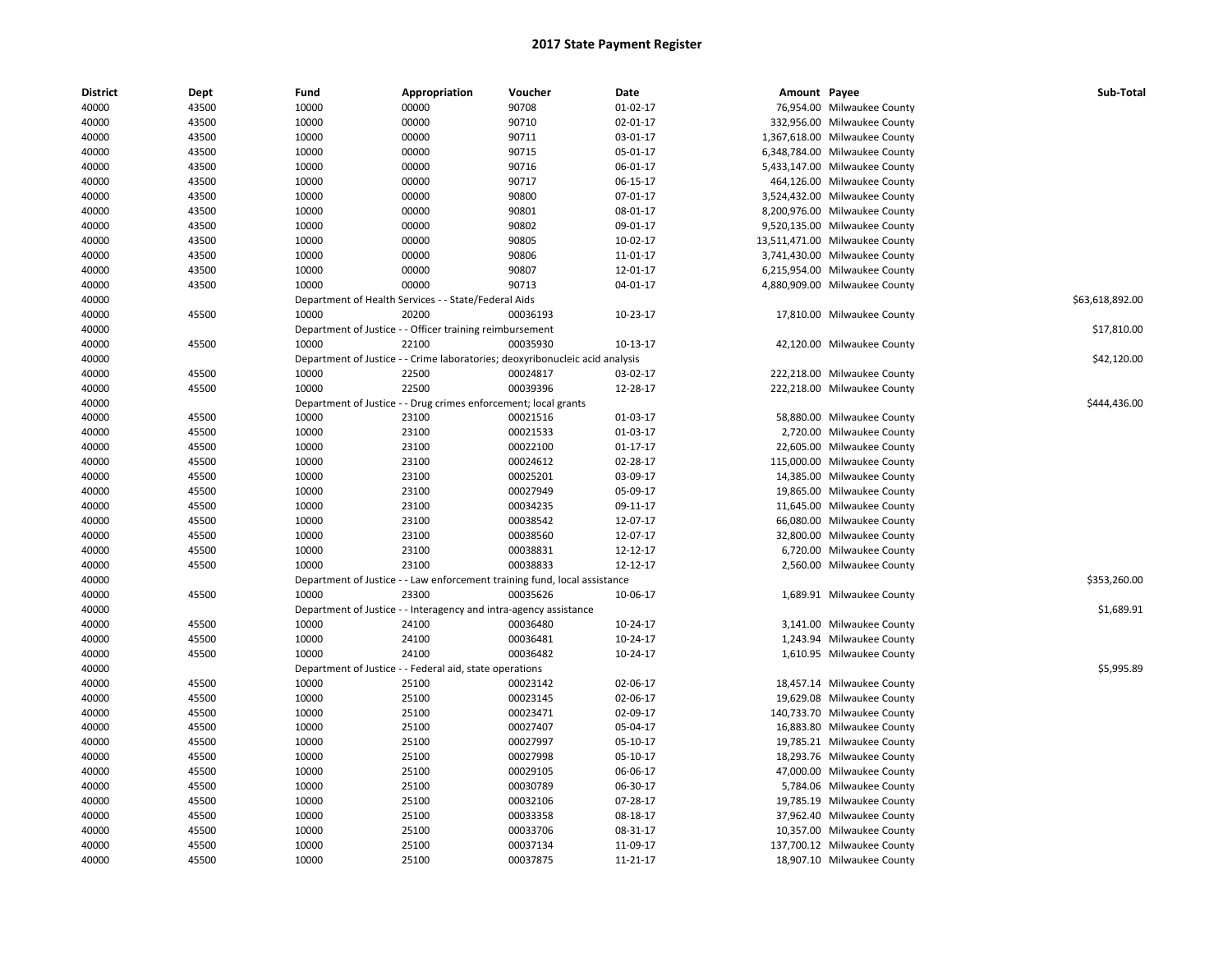| <b>District</b> | Dept  | Fund  | Appropriation                                                                | Voucher  | Date           | Amount Payee |                                | Sub-Total       |
|-----------------|-------|-------|------------------------------------------------------------------------------|----------|----------------|--------------|--------------------------------|-----------------|
| 40000           | 43500 | 10000 | 00000                                                                        | 90708    | 01-02-17       |              | 76,954.00 Milwaukee County     |                 |
| 40000           | 43500 | 10000 | 00000                                                                        | 90710    | 02-01-17       |              | 332,956.00 Milwaukee County    |                 |
| 40000           | 43500 | 10000 | 00000                                                                        | 90711    | 03-01-17       |              | 1,367,618.00 Milwaukee County  |                 |
| 40000           | 43500 | 10000 | 00000                                                                        | 90715    | 05-01-17       |              | 6,348,784.00 Milwaukee County  |                 |
| 40000           | 43500 | 10000 | 00000                                                                        | 90716    | 06-01-17       |              | 5,433,147.00 Milwaukee County  |                 |
| 40000           | 43500 | 10000 | 00000                                                                        | 90717    | 06-15-17       |              | 464,126.00 Milwaukee County    |                 |
| 40000           | 43500 | 10000 | 00000                                                                        | 90800    | 07-01-17       |              | 3,524,432.00 Milwaukee County  |                 |
| 40000           | 43500 | 10000 | 00000                                                                        | 90801    | 08-01-17       |              | 8,200,976.00 Milwaukee County  |                 |
| 40000           | 43500 | 10000 | 00000                                                                        | 90802    | 09-01-17       |              | 9,520,135.00 Milwaukee County  |                 |
| 40000           | 43500 | 10000 | 00000                                                                        | 90805    | 10-02-17       |              | 13,511,471.00 Milwaukee County |                 |
| 40000           | 43500 | 10000 | 00000                                                                        | 90806    | 11-01-17       |              | 3,741,430.00 Milwaukee County  |                 |
| 40000           | 43500 | 10000 | 00000                                                                        | 90807    | 12-01-17       |              | 6,215,954.00 Milwaukee County  |                 |
| 40000           | 43500 | 10000 | 00000                                                                        | 90713    | 04-01-17       |              | 4,880,909.00 Milwaukee County  |                 |
| 40000           |       |       | Department of Health Services - - State/Federal Aids                         |          |                |              |                                | \$63,618,892.00 |
| 40000           | 45500 | 10000 | 20200                                                                        | 00036193 | 10-23-17       |              | 17,810.00 Milwaukee County     |                 |
| 40000           |       |       | Department of Justice - - Officer training reimbursement                     |          |                |              |                                | \$17,810.00     |
| 40000           | 45500 | 10000 | 22100                                                                        | 00035930 | $10-13-17$     |              | 42,120.00 Milwaukee County     |                 |
| 40000           |       |       | Department of Justice - - Crime laboratories; deoxyribonucleic acid analysis |          |                |              |                                | \$42,120.00     |
| 40000           | 45500 | 10000 | 22500                                                                        | 00024817 | 03-02-17       |              | 222,218.00 Milwaukee County    |                 |
| 40000           | 45500 | 10000 | 22500                                                                        | 00039396 | 12-28-17       |              | 222,218.00 Milwaukee County    |                 |
| 40000           |       |       | Department of Justice - - Drug crimes enforcement; local grants              |          |                |              |                                | \$444,436.00    |
| 40000           | 45500 | 10000 | 23100                                                                        | 00021516 | 01-03-17       |              | 58,880.00 Milwaukee County     |                 |
| 40000           | 45500 | 10000 | 23100                                                                        | 00021533 | 01-03-17       |              | 2,720.00 Milwaukee County      |                 |
| 40000           | 45500 | 10000 | 23100                                                                        | 00022100 | $01 - 17 - 17$ |              | 22,605.00 Milwaukee County     |                 |
| 40000           | 45500 | 10000 | 23100                                                                        | 00024612 | 02-28-17       |              | 115,000.00 Milwaukee County    |                 |
| 40000           | 45500 | 10000 | 23100                                                                        | 00025201 | 03-09-17       |              | 14,385.00 Milwaukee County     |                 |
| 40000           | 45500 | 10000 | 23100                                                                        | 00027949 | 05-09-17       |              | 19,865.00 Milwaukee County     |                 |
| 40000           | 45500 | 10000 | 23100                                                                        | 00034235 | 09-11-17       |              | 11,645.00 Milwaukee County     |                 |
| 40000           | 45500 | 10000 | 23100                                                                        | 00038542 | 12-07-17       |              | 66,080.00 Milwaukee County     |                 |
| 40000           | 45500 | 10000 | 23100                                                                        | 00038560 | 12-07-17       |              | 32,800.00 Milwaukee County     |                 |
| 40000           | 45500 | 10000 | 23100                                                                        | 00038831 | 12-12-17       |              | 6,720.00 Milwaukee County      |                 |
| 40000           | 45500 | 10000 | 23100                                                                        | 00038833 | 12-12-17       |              | 2,560.00 Milwaukee County      |                 |
| 40000           |       |       | Department of Justice - - Law enforcement training fund, local assistance    |          |                |              |                                | \$353,260.00    |
| 40000           | 45500 | 10000 | 23300                                                                        | 00035626 | 10-06-17       |              | 1,689.91 Milwaukee County      |                 |
| 40000           |       |       | Department of Justice - - Interagency and intra-agency assistance            |          |                |              |                                | \$1,689.91      |
| 40000           | 45500 | 10000 | 24100                                                                        | 00036480 | 10-24-17       |              | 3,141.00 Milwaukee County      |                 |
| 40000           | 45500 | 10000 | 24100                                                                        | 00036481 | 10-24-17       |              | 1,243.94 Milwaukee County      |                 |
| 40000           | 45500 | 10000 | 24100                                                                        | 00036482 | 10-24-17       |              | 1,610.95 Milwaukee County      |                 |
| 40000           |       |       | Department of Justice - - Federal aid, state operations                      |          |                |              |                                | \$5,995.89      |
| 40000           | 45500 | 10000 | 25100                                                                        | 00023142 | 02-06-17       |              | 18,457.14 Milwaukee County     |                 |
| 40000           | 45500 | 10000 | 25100                                                                        | 00023145 | 02-06-17       |              | 19,629.08 Milwaukee County     |                 |
| 40000           | 45500 | 10000 | 25100                                                                        | 00023471 | 02-09-17       |              | 140,733.70 Milwaukee County    |                 |
| 40000           | 45500 | 10000 | 25100                                                                        | 00027407 | 05-04-17       |              | 16,883.80 Milwaukee County     |                 |
| 40000           | 45500 | 10000 | 25100                                                                        | 00027997 | 05-10-17       |              | 19,785.21 Milwaukee County     |                 |
|                 | 45500 | 10000 | 25100                                                                        | 00027998 | 05-10-17       |              | 18,293.76 Milwaukee County     |                 |
| 40000<br>40000  | 45500 | 10000 | 25100                                                                        | 00029105 | 06-06-17       |              | 47,000.00 Milwaukee County     |                 |
|                 |       |       |                                                                              |          |                |              |                                |                 |
| 40000           | 45500 | 10000 | 25100                                                                        | 00030789 | 06-30-17       |              | 5,784.06 Milwaukee County      |                 |
| 40000           | 45500 | 10000 | 25100                                                                        | 00032106 | 07-28-17       |              | 19,785.19 Milwaukee County     |                 |
| 40000           | 45500 | 10000 | 25100                                                                        | 00033358 | 08-18-17       |              | 37,962.40 Milwaukee County     |                 |
| 40000           | 45500 | 10000 | 25100                                                                        | 00033706 | 08-31-17       |              | 10,357.00 Milwaukee County     |                 |
| 40000           | 45500 | 10000 | 25100                                                                        | 00037134 | 11-09-17       |              | 137,700.12 Milwaukee County    |                 |
| 40000           | 45500 | 10000 | 25100                                                                        | 00037875 | 11-21-17       |              | 18,907.10 Milwaukee County     |                 |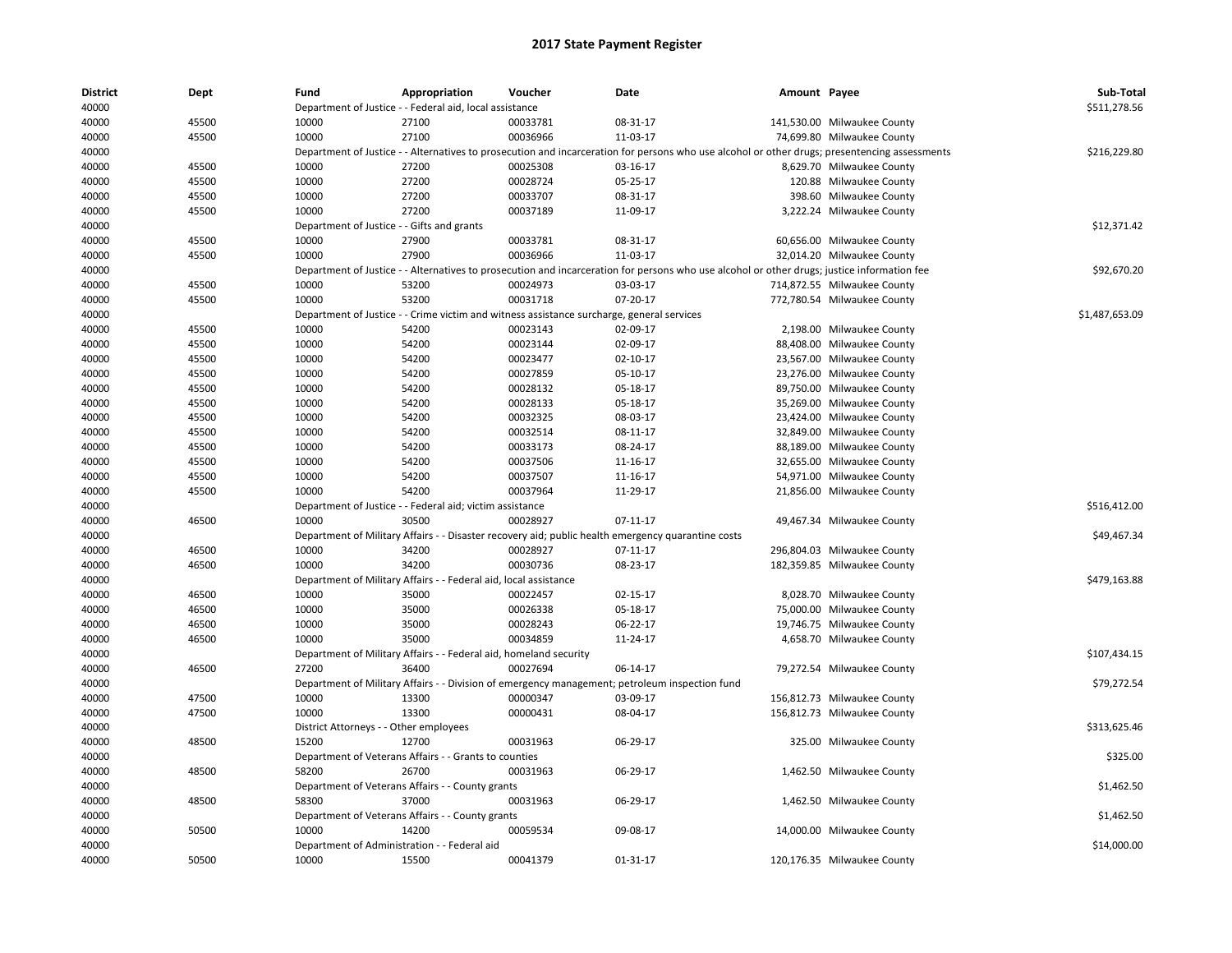| <b>District</b> | Dept           | Fund  | Appropriation                                                     | Voucher  | Date                                                                                               | Amount Payee                                                                                                                                |                                                                                                                                               | Sub-Total      |
|-----------------|----------------|-------|-------------------------------------------------------------------|----------|----------------------------------------------------------------------------------------------------|---------------------------------------------------------------------------------------------------------------------------------------------|-----------------------------------------------------------------------------------------------------------------------------------------------|----------------|
| 40000           |                |       | Department of Justice - - Federal aid, local assistance           |          |                                                                                                    |                                                                                                                                             |                                                                                                                                               | \$511,278.56   |
| 40000           | 45500          | 10000 | 27100                                                             | 00033781 | 08-31-17                                                                                           |                                                                                                                                             | 141,530.00 Milwaukee County                                                                                                                   |                |
| 40000           | 45500          | 10000 | 27100                                                             | 00036966 | 11-03-17                                                                                           |                                                                                                                                             | 74,699.80 Milwaukee County                                                                                                                    |                |
| 40000           |                |       |                                                                   |          |                                                                                                    |                                                                                                                                             | Department of Justice - - Alternatives to prosecution and incarceration for persons who use alcohol or other drugs; presentencing assessments | \$216,229.80   |
| 40000           | 45500          | 10000 | 27200                                                             | 00025308 | 03-16-17                                                                                           |                                                                                                                                             | 8,629.70 Milwaukee County                                                                                                                     |                |
| 40000           | 45500          | 10000 | 27200                                                             | 00028724 | 05-25-17                                                                                           |                                                                                                                                             | 120.88 Milwaukee County                                                                                                                       |                |
| 40000           | 45500          | 10000 | 27200                                                             | 00033707 | 08-31-17                                                                                           |                                                                                                                                             | 398.60 Milwaukee County                                                                                                                       |                |
| 40000           | 45500          | 10000 | 27200                                                             | 00037189 | 11-09-17                                                                                           |                                                                                                                                             | 3,222.24 Milwaukee County                                                                                                                     |                |
| 40000           |                |       | Department of Justice - - Gifts and grants                        |          |                                                                                                    |                                                                                                                                             |                                                                                                                                               | \$12,371.42    |
| 40000           | 45500          | 10000 | 27900                                                             | 00033781 | 08-31-17                                                                                           |                                                                                                                                             | 60,656.00 Milwaukee County                                                                                                                    |                |
| 40000           | 45500          | 10000 | 27900                                                             | 00036966 | 11-03-17                                                                                           |                                                                                                                                             | 32,014.20 Milwaukee County                                                                                                                    |                |
| 40000           |                |       |                                                                   |          |                                                                                                    | Department of Justice - - Alternatives to prosecution and incarceration for persons who use alcohol or other drugs; justice information fee |                                                                                                                                               | \$92,670.20    |
| 40000           | 45500          | 10000 | 53200                                                             | 00024973 | 03-03-17                                                                                           |                                                                                                                                             | 714,872.55 Milwaukee County                                                                                                                   |                |
| 40000           | 45500          | 10000 | 53200                                                             | 00031718 | 07-20-17                                                                                           |                                                                                                                                             | 772,780.54 Milwaukee County                                                                                                                   |                |
| 40000           |                |       |                                                                   |          | Department of Justice - - Crime victim and witness assistance surcharge, general services          |                                                                                                                                             |                                                                                                                                               | \$1,487,653.09 |
| 40000           | 45500          | 10000 | 54200                                                             | 00023143 | 02-09-17                                                                                           |                                                                                                                                             | 2,198.00 Milwaukee County                                                                                                                     |                |
| 40000           | 45500          | 10000 | 54200                                                             | 00023144 | 02-09-17                                                                                           |                                                                                                                                             | 88,408.00 Milwaukee County                                                                                                                    |                |
| 40000           | 45500          | 10000 | 54200                                                             | 00023477 | 02-10-17                                                                                           |                                                                                                                                             | 23,567.00 Milwaukee County                                                                                                                    |                |
| 40000           | 45500          | 10000 | 54200                                                             | 00027859 | 05-10-17                                                                                           |                                                                                                                                             | 23,276.00 Milwaukee County                                                                                                                    |                |
| 40000           | 45500          | 10000 | 54200                                                             | 00028132 | 05-18-17                                                                                           |                                                                                                                                             | 89,750.00 Milwaukee County                                                                                                                    |                |
| 40000           | 45500          | 10000 | 54200                                                             | 00028133 | 05-18-17                                                                                           |                                                                                                                                             | 35,269.00 Milwaukee County                                                                                                                    |                |
| 40000           | 45500          | 10000 | 54200                                                             | 00032325 | 08-03-17                                                                                           |                                                                                                                                             | 23,424.00 Milwaukee County                                                                                                                    |                |
| 40000           | 45500          | 10000 | 54200                                                             | 00032514 | 08-11-17                                                                                           |                                                                                                                                             | 32,849.00 Milwaukee County                                                                                                                    |                |
| 40000           | 45500          | 10000 | 54200                                                             | 00033173 | 08-24-17                                                                                           |                                                                                                                                             | 88,189.00 Milwaukee County                                                                                                                    |                |
| 40000           | 45500          | 10000 | 54200                                                             | 00037506 | 11-16-17                                                                                           |                                                                                                                                             | 32,655.00 Milwaukee County                                                                                                                    |                |
| 40000           | 45500          | 10000 | 54200                                                             | 00037507 | 11-16-17                                                                                           |                                                                                                                                             | 54,971.00 Milwaukee County                                                                                                                    |                |
| 40000           | 45500          | 10000 | 54200                                                             | 00037964 | 11-29-17                                                                                           |                                                                                                                                             | 21,856.00 Milwaukee County                                                                                                                    |                |
| 40000           |                |       | Department of Justice - - Federal aid; victim assistance          |          |                                                                                                    |                                                                                                                                             |                                                                                                                                               | \$516,412.00   |
| 40000           | 46500          | 10000 | 30500                                                             | 00028927 | 07-11-17                                                                                           |                                                                                                                                             | 49,467.34 Milwaukee County                                                                                                                    |                |
| 40000           |                |       |                                                                   |          | Department of Military Affairs - - Disaster recovery aid; public health emergency quarantine costs |                                                                                                                                             |                                                                                                                                               | \$49,467.34    |
| 40000           | 46500          | 10000 | 34200                                                             | 00028927 | 07-11-17                                                                                           |                                                                                                                                             | 296,804.03 Milwaukee County                                                                                                                   |                |
| 40000           | 46500          | 10000 | 34200                                                             | 00030736 | 08-23-17                                                                                           |                                                                                                                                             | 182,359.85 Milwaukee County                                                                                                                   |                |
| 40000           |                |       | Department of Military Affairs - - Federal aid, local assistance  |          |                                                                                                    |                                                                                                                                             |                                                                                                                                               | \$479,163.88   |
| 40000           | 46500          | 10000 | 35000                                                             | 00022457 | 02-15-17                                                                                           |                                                                                                                                             | 8,028.70 Milwaukee County                                                                                                                     |                |
| 40000           | 46500          | 10000 | 35000                                                             | 00026338 | 05-18-17                                                                                           |                                                                                                                                             | 75,000.00 Milwaukee County                                                                                                                    |                |
| 40000           | 46500          | 10000 | 35000                                                             | 00028243 | 06-22-17                                                                                           |                                                                                                                                             | 19,746.75 Milwaukee County                                                                                                                    |                |
| 40000           | 46500          | 10000 | 35000                                                             | 00034859 | 11-24-17                                                                                           |                                                                                                                                             | 4,658.70 Milwaukee County                                                                                                                     |                |
| 40000           |                |       | Department of Military Affairs - - Federal aid, homeland security |          |                                                                                                    |                                                                                                                                             |                                                                                                                                               | \$107,434.15   |
| 40000           | 46500          | 27200 | 36400                                                             | 00027694 | 06-14-17                                                                                           |                                                                                                                                             | 79,272.54 Milwaukee County                                                                                                                    |                |
| 40000           |                |       |                                                                   |          | Department of Military Affairs - - Division of emergency management; petroleum inspection fund     |                                                                                                                                             |                                                                                                                                               | \$79,272.54    |
|                 |                |       |                                                                   | 00000347 | 03-09-17                                                                                           |                                                                                                                                             |                                                                                                                                               |                |
| 40000           | 47500<br>47500 | 10000 | 13300<br>13300                                                    | 00000431 |                                                                                                    |                                                                                                                                             | 156,812.73 Milwaukee County                                                                                                                   |                |
| 40000           |                | 10000 |                                                                   |          | 08-04-17                                                                                           |                                                                                                                                             | 156,812.73 Milwaukee County                                                                                                                   | \$313,625.46   |
| 40000           |                |       | District Attorneys - - Other employees                            |          |                                                                                                    |                                                                                                                                             |                                                                                                                                               |                |
| 40000           | 48500          | 15200 | 12700                                                             | 00031963 | 06-29-17                                                                                           |                                                                                                                                             | 325.00 Milwaukee County                                                                                                                       |                |
| 40000           |                |       | Department of Veterans Affairs - - Grants to counties             |          |                                                                                                    |                                                                                                                                             |                                                                                                                                               | \$325.00       |
| 40000           | 48500          | 58200 | 26700                                                             | 00031963 | 06-29-17                                                                                           |                                                                                                                                             | 1,462.50 Milwaukee County                                                                                                                     |                |
| 40000           |                |       | Department of Veterans Affairs - - County grants                  |          |                                                                                                    |                                                                                                                                             |                                                                                                                                               | \$1,462.50     |
| 40000           | 48500          | 58300 | 37000                                                             | 00031963 | 06-29-17                                                                                           |                                                                                                                                             | 1,462.50 Milwaukee County                                                                                                                     |                |
| 40000           |                |       | Department of Veterans Affairs - - County grants                  |          |                                                                                                    |                                                                                                                                             |                                                                                                                                               | \$1,462.50     |
| 40000           | 50500          | 10000 | 14200                                                             | 00059534 | 09-08-17                                                                                           |                                                                                                                                             | 14,000.00 Milwaukee County                                                                                                                    |                |
| 40000           |                |       | Department of Administration - - Federal aid                      |          |                                                                                                    |                                                                                                                                             |                                                                                                                                               | \$14,000.00    |
| 40000           | 50500          | 10000 | 15500                                                             | 00041379 | 01-31-17                                                                                           |                                                                                                                                             | 120,176.35 Milwaukee County                                                                                                                   |                |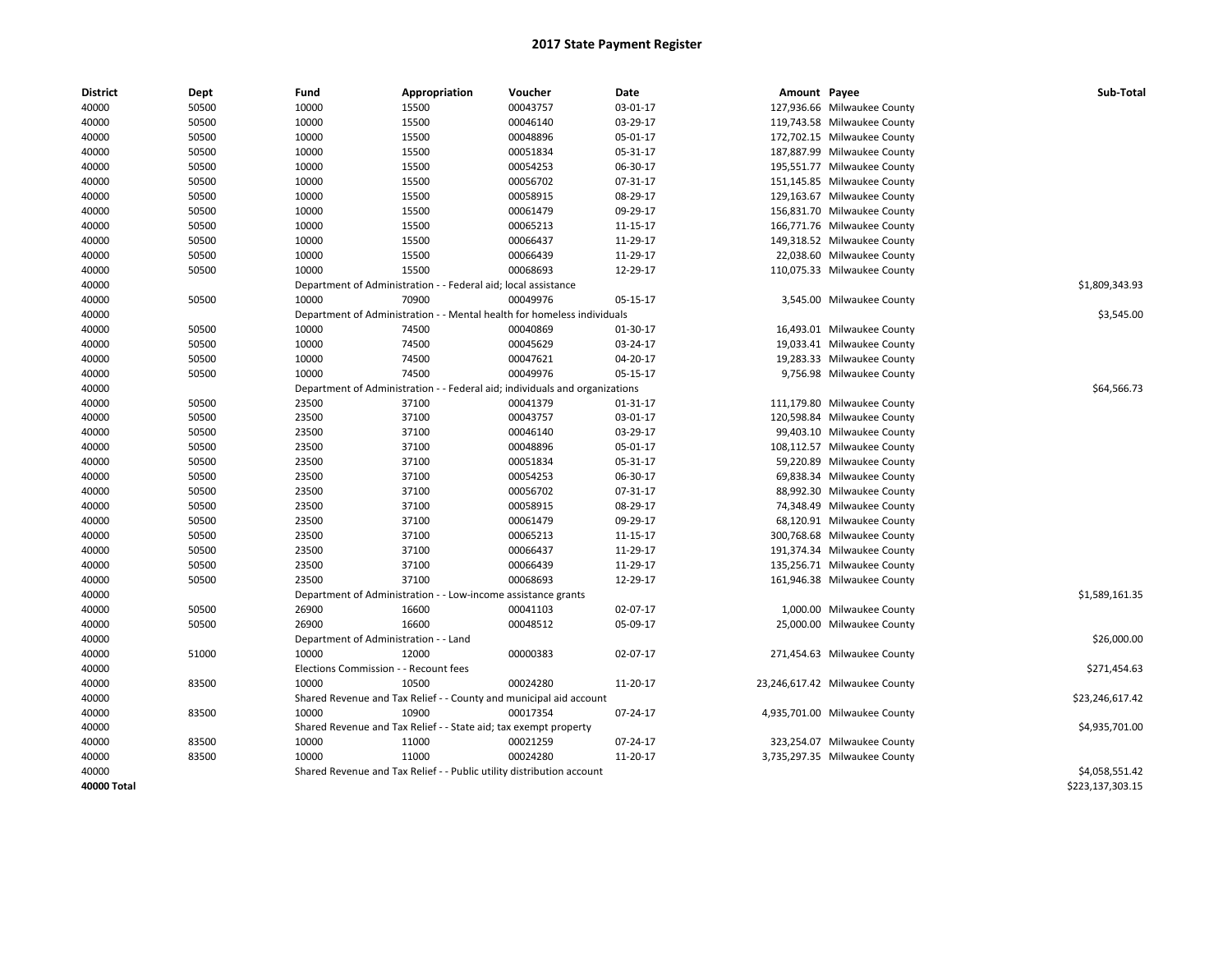| <b>District</b> | Dept  | Fund  | Appropriation                                                               | Voucher  | Date     | Amount Payee |                                | Sub-Total        |
|-----------------|-------|-------|-----------------------------------------------------------------------------|----------|----------|--------------|--------------------------------|------------------|
| 40000           | 50500 | 10000 | 15500                                                                       | 00043757 | 03-01-17 |              | 127,936.66 Milwaukee County    |                  |
| 40000           | 50500 | 10000 | 15500                                                                       | 00046140 | 03-29-17 |              | 119,743.58 Milwaukee County    |                  |
| 40000           | 50500 | 10000 | 15500                                                                       | 00048896 | 05-01-17 |              | 172,702.15 Milwaukee County    |                  |
| 40000           | 50500 | 10000 | 15500                                                                       | 00051834 | 05-31-17 |              | 187,887.99 Milwaukee County    |                  |
| 40000           | 50500 | 10000 | 15500                                                                       | 00054253 | 06-30-17 |              | 195,551.77 Milwaukee County    |                  |
| 40000           | 50500 | 10000 | 15500                                                                       | 00056702 | 07-31-17 |              | 151,145.85 Milwaukee County    |                  |
| 40000           | 50500 | 10000 | 15500                                                                       | 00058915 | 08-29-17 |              | 129,163.67 Milwaukee County    |                  |
| 40000           | 50500 | 10000 | 15500                                                                       | 00061479 | 09-29-17 |              | 156,831.70 Milwaukee County    |                  |
| 40000           | 50500 | 10000 | 15500                                                                       | 00065213 | 11-15-17 |              | 166,771.76 Milwaukee County    |                  |
| 40000           | 50500 | 10000 | 15500                                                                       | 00066437 | 11-29-17 |              | 149,318.52 Milwaukee County    |                  |
| 40000           | 50500 | 10000 | 15500                                                                       | 00066439 | 11-29-17 |              | 22,038.60 Milwaukee County     |                  |
| 40000           | 50500 | 10000 | 15500                                                                       | 00068693 | 12-29-17 |              | 110,075.33 Milwaukee County    |                  |
| 40000           |       |       | Department of Administration - - Federal aid; local assistance              |          |          |              |                                | \$1,809,343.93   |
| 40000           | 50500 | 10000 | 70900                                                                       | 00049976 | 05-15-17 |              | 3,545.00 Milwaukee County      |                  |
|                 |       |       |                                                                             |          |          |              |                                | \$3,545.00       |
| 40000           |       |       | Department of Administration - - Mental health for homeless individuals     |          |          |              |                                |                  |
| 40000           | 50500 | 10000 | 74500                                                                       | 00040869 | 01-30-17 |              | 16,493.01 Milwaukee County     |                  |
| 40000           | 50500 | 10000 | 74500                                                                       | 00045629 | 03-24-17 |              | 19,033.41 Milwaukee County     |                  |
| 40000           | 50500 | 10000 | 74500                                                                       | 00047621 | 04-20-17 |              | 19,283.33 Milwaukee County     |                  |
| 40000           | 50500 | 10000 | 74500                                                                       | 00049976 | 05-15-17 |              | 9,756.98 Milwaukee County      |                  |
| 40000           |       |       | Department of Administration - - Federal aid; individuals and organizations |          |          |              |                                | \$64,566.73      |
| 40000           | 50500 | 23500 | 37100                                                                       | 00041379 | 01-31-17 |              | 111,179.80 Milwaukee County    |                  |
| 40000           | 50500 | 23500 | 37100                                                                       | 00043757 | 03-01-17 |              | 120,598.84 Milwaukee County    |                  |
| 40000           | 50500 | 23500 | 37100                                                                       | 00046140 | 03-29-17 |              | 99,403.10 Milwaukee County     |                  |
| 40000           | 50500 | 23500 | 37100                                                                       | 00048896 | 05-01-17 |              | 108,112.57 Milwaukee County    |                  |
| 40000           | 50500 | 23500 | 37100                                                                       | 00051834 | 05-31-17 |              | 59,220.89 Milwaukee County     |                  |
| 40000           | 50500 | 23500 | 37100                                                                       | 00054253 | 06-30-17 |              | 69,838.34 Milwaukee County     |                  |
| 40000           | 50500 | 23500 | 37100                                                                       | 00056702 | 07-31-17 |              | 88,992.30 Milwaukee County     |                  |
| 40000           | 50500 | 23500 | 37100                                                                       | 00058915 | 08-29-17 |              | 74,348.49 Milwaukee County     |                  |
| 40000           | 50500 | 23500 | 37100                                                                       | 00061479 | 09-29-17 |              | 68,120.91 Milwaukee County     |                  |
| 40000           | 50500 | 23500 | 37100                                                                       | 00065213 | 11-15-17 |              | 300,768.68 Milwaukee County    |                  |
| 40000           | 50500 | 23500 | 37100                                                                       | 00066437 | 11-29-17 |              | 191,374.34 Milwaukee County    |                  |
| 40000           | 50500 | 23500 | 37100                                                                       | 00066439 | 11-29-17 |              | 135,256.71 Milwaukee County    |                  |
| 40000           | 50500 | 23500 | 37100                                                                       | 00068693 | 12-29-17 |              | 161,946.38 Milwaukee County    |                  |
| 40000           |       |       | Department of Administration - - Low-income assistance grants               |          |          |              |                                | \$1,589,161.35   |
| 40000           | 50500 | 26900 | 16600                                                                       | 00041103 | 02-07-17 |              | 1,000.00 Milwaukee County      |                  |
| 40000           | 50500 | 26900 | 16600                                                                       | 00048512 | 05-09-17 |              | 25,000.00 Milwaukee County     |                  |
| 40000           |       |       | Department of Administration - - Land                                       |          |          |              |                                | \$26,000.00      |
| 40000           | 51000 | 10000 | 12000                                                                       | 00000383 | 02-07-17 |              | 271,454.63 Milwaukee County    |                  |
| 40000           |       |       | Elections Commission - - Recount fees                                       |          |          |              |                                | \$271,454.63     |
| 40000           | 83500 | 10000 | 10500                                                                       | 00024280 | 11-20-17 |              | 23,246,617.42 Milwaukee County |                  |
| 40000           |       |       | Shared Revenue and Tax Relief - - County and municipal aid account          |          |          |              |                                | \$23,246,617.42  |
|                 | 83500 | 10000 |                                                                             |          |          |              |                                |                  |
| 40000           |       |       | 10900                                                                       | 00017354 | 07-24-17 |              | 4,935,701.00 Milwaukee County  |                  |
| 40000           |       |       | Shared Revenue and Tax Relief - - State aid; tax exempt property            |          |          |              |                                | \$4,935,701.00   |
| 40000           | 83500 | 10000 | 11000                                                                       | 00021259 | 07-24-17 |              | 323,254.07 Milwaukee County    |                  |
| 40000           | 83500 | 10000 | 11000                                                                       | 00024280 | 11-20-17 |              | 3,735,297.35 Milwaukee County  |                  |
| 40000           |       |       | Shared Revenue and Tax Relief - - Public utility distribution account       |          |          |              |                                | \$4,058,551.42   |
| 40000 Total     |       |       |                                                                             |          |          |              |                                | \$223,137,303.15 |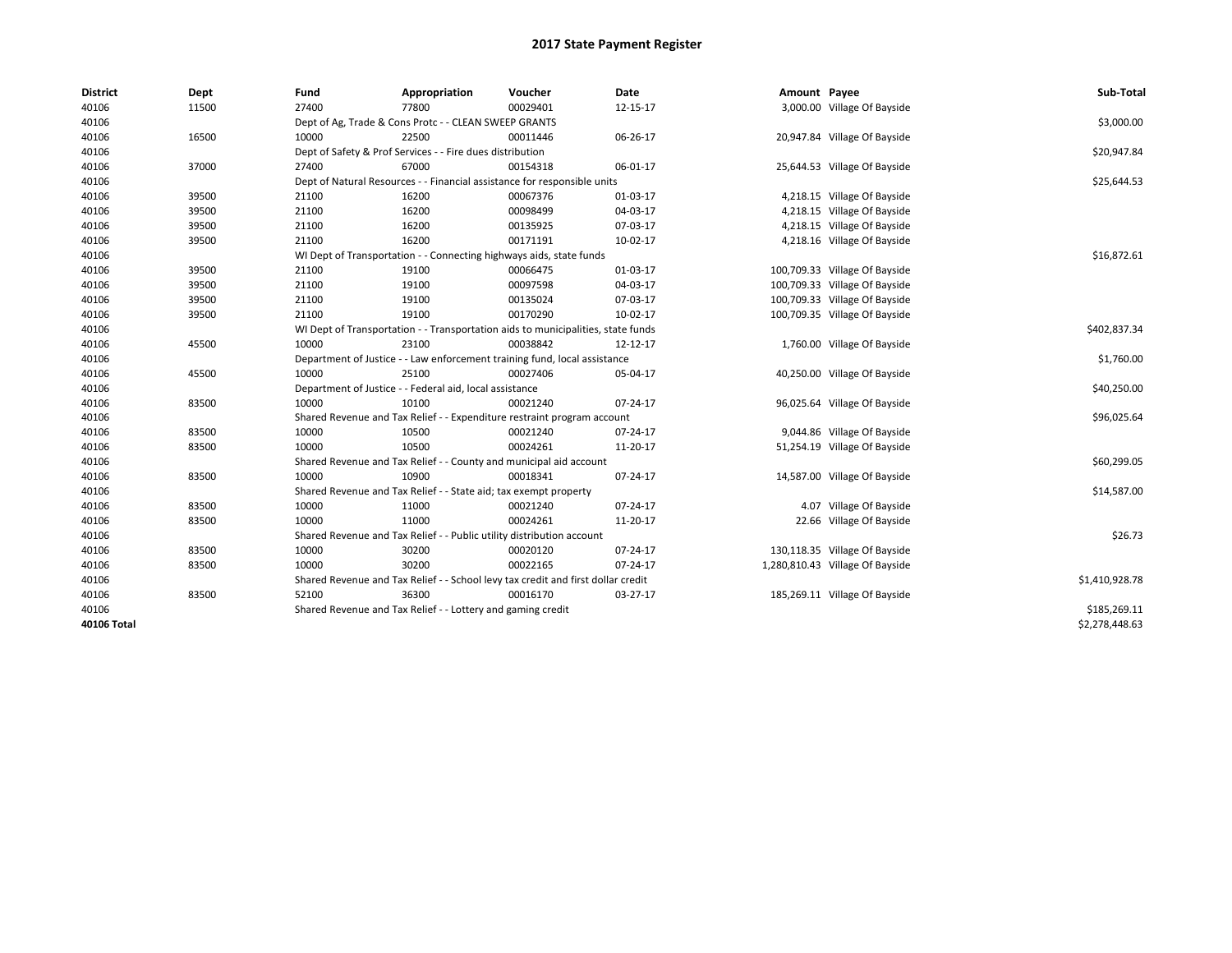| <b>District</b> | Dept  | Fund  | Appropriation                                                                    | Voucher  | Date     | Amount Payee |                                 | Sub-Total      |  |  |
|-----------------|-------|-------|----------------------------------------------------------------------------------|----------|----------|--------------|---------------------------------|----------------|--|--|
| 40106           | 11500 | 27400 | 77800                                                                            | 00029401 | 12-15-17 |              | 3,000.00 Village Of Bayside     |                |  |  |
| 40106           |       |       | Dept of Ag, Trade & Cons Protc - - CLEAN SWEEP GRANTS                            |          |          |              |                                 | \$3,000.00     |  |  |
| 40106           | 16500 | 10000 | 22500                                                                            | 00011446 | 06-26-17 |              | 20,947.84 Village Of Bayside    |                |  |  |
| 40106           |       |       | Dept of Safety & Prof Services - - Fire dues distribution                        |          |          |              |                                 | \$20,947.84    |  |  |
| 40106           | 37000 | 27400 | 67000                                                                            | 00154318 | 06-01-17 |              | 25,644.53 Village Of Bayside    |                |  |  |
| 40106           |       |       | Dept of Natural Resources - - Financial assistance for responsible units         |          |          |              |                                 |                |  |  |
| 40106           | 39500 | 21100 | 16200                                                                            | 00067376 | 01-03-17 |              | 4,218.15 Village Of Bayside     |                |  |  |
| 40106           | 39500 | 21100 | 16200                                                                            | 00098499 | 04-03-17 |              | 4,218.15 Village Of Bayside     |                |  |  |
| 40106           | 39500 | 21100 | 16200                                                                            | 00135925 | 07-03-17 |              | 4,218.15 Village Of Bayside     |                |  |  |
| 40106           | 39500 | 21100 | 16200                                                                            | 00171191 | 10-02-17 |              | 4,218.16 Village Of Bayside     |                |  |  |
| 40106           |       |       | WI Dept of Transportation - - Connecting highways aids, state funds              |          |          |              |                                 |                |  |  |
| 40106           | 39500 | 21100 | 19100                                                                            | 00066475 | 01-03-17 |              | 100,709.33 Village Of Bayside   |                |  |  |
| 40106           | 39500 | 21100 | 19100                                                                            | 00097598 | 04-03-17 |              | 100,709.33 Village Of Bayside   |                |  |  |
| 40106           | 39500 | 21100 | 19100                                                                            | 00135024 | 07-03-17 |              | 100,709.33 Village Of Bayside   |                |  |  |
| 40106           | 39500 | 21100 | 19100                                                                            | 00170290 | 10-02-17 |              | 100,709.35 Village Of Bayside   |                |  |  |
| 40106           |       |       | WI Dept of Transportation - - Transportation aids to municipalities, state funds |          |          |              |                                 |                |  |  |
| 40106           | 45500 | 10000 | 23100                                                                            | 00038842 | 12-12-17 |              | 1,760.00 Village Of Bayside     |                |  |  |
| 40106           |       |       | Department of Justice - - Law enforcement training fund, local assistance        |          |          |              |                                 |                |  |  |
| 40106           | 45500 | 10000 | 25100                                                                            | 00027406 | 05-04-17 |              | 40,250.00 Village Of Bayside    |                |  |  |
| 40106           |       |       | Department of Justice - - Federal aid, local assistance                          |          |          |              |                                 | \$40,250.00    |  |  |
| 40106           | 83500 | 10000 | 10100                                                                            | 00021240 | 07-24-17 |              | 96,025.64 Village Of Bayside    |                |  |  |
| 40106           |       |       | Shared Revenue and Tax Relief - - Expenditure restraint program account          |          |          |              |                                 | \$96,025.64    |  |  |
| 40106           | 83500 | 10000 | 10500                                                                            | 00021240 | 07-24-17 |              | 9,044.86 Village Of Bayside     |                |  |  |
| 40106           | 83500 | 10000 | 10500                                                                            | 00024261 | 11-20-17 |              | 51,254.19 Village Of Bayside    |                |  |  |
| 40106           |       |       | Shared Revenue and Tax Relief - - County and municipal aid account               |          |          |              |                                 | \$60,299.05    |  |  |
| 40106           | 83500 | 10000 | 10900                                                                            | 00018341 | 07-24-17 |              | 14,587.00 Village Of Bayside    |                |  |  |
| 40106           |       |       | Shared Revenue and Tax Relief - - State aid; tax exempt property                 |          |          |              |                                 | \$14,587.00    |  |  |
| 40106           | 83500 | 10000 | 11000                                                                            | 00021240 | 07-24-17 |              | 4.07 Village Of Bayside         |                |  |  |
| 40106           | 83500 | 10000 | 11000                                                                            | 00024261 | 11-20-17 |              | 22.66 Village Of Bayside        |                |  |  |
| 40106           |       |       | Shared Revenue and Tax Relief - - Public utility distribution account            |          |          |              |                                 | \$26.73        |  |  |
| 40106           | 83500 | 10000 | 30200                                                                            | 00020120 | 07-24-17 |              | 130,118.35 Village Of Bayside   |                |  |  |
| 40106           | 83500 | 10000 | 30200                                                                            | 00022165 | 07-24-17 |              | 1,280,810.43 Village Of Bayside |                |  |  |
| 40106           |       |       | Shared Revenue and Tax Relief - - School levy tax credit and first dollar credit |          |          |              |                                 | \$1,410,928.78 |  |  |
| 40106           | 83500 | 52100 | 36300                                                                            | 00016170 | 03-27-17 |              | 185,269.11 Village Of Bayside   |                |  |  |
| 40106           |       |       | Shared Revenue and Tax Relief - - Lottery and gaming credit                      |          |          |              |                                 | \$185,269.11   |  |  |
| 40106 Total     |       |       |                                                                                  |          |          |              |                                 | \$2,278,448.63 |  |  |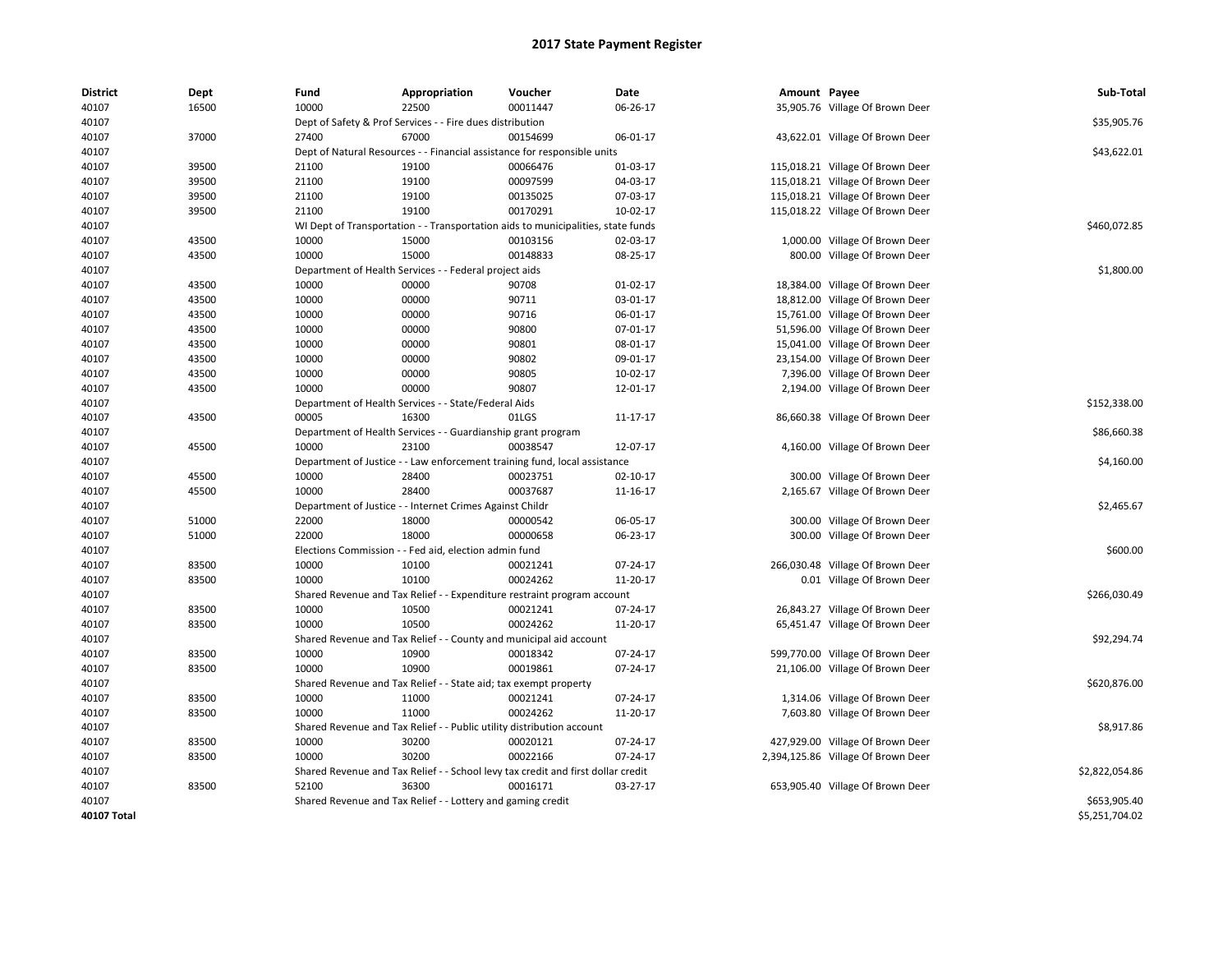| <b>District</b> | Dept  | Fund  | Appropriation                                                                    | Voucher  | Date     | Amount Payee |                                    | Sub-Total      |
|-----------------|-------|-------|----------------------------------------------------------------------------------|----------|----------|--------------|------------------------------------|----------------|
| 40107           | 16500 | 10000 | 22500                                                                            | 00011447 | 06-26-17 |              | 35,905.76 Village Of Brown Deer    |                |
| 40107           |       |       | Dept of Safety & Prof Services - - Fire dues distribution                        |          |          |              |                                    | \$35,905.76    |
| 40107           | 37000 | 27400 | 67000                                                                            | 00154699 | 06-01-17 |              | 43,622.01 Village Of Brown Deer    |                |
| 40107           |       |       | Dept of Natural Resources - - Financial assistance for responsible units         |          |          |              |                                    | \$43,622.01    |
| 40107           | 39500 | 21100 | 19100                                                                            | 00066476 | 01-03-17 |              | 115,018.21 Village Of Brown Deer   |                |
| 40107           | 39500 | 21100 | 19100                                                                            | 00097599 | 04-03-17 |              | 115,018.21 Village Of Brown Deer   |                |
| 40107           | 39500 | 21100 | 19100                                                                            | 00135025 | 07-03-17 |              | 115,018.21 Village Of Brown Deer   |                |
| 40107           | 39500 | 21100 | 19100                                                                            | 00170291 | 10-02-17 |              | 115,018.22 Village Of Brown Deer   |                |
| 40107           |       |       | WI Dept of Transportation - - Transportation aids to municipalities, state funds |          |          |              |                                    | \$460,072.85   |
| 40107           | 43500 | 10000 | 15000                                                                            | 00103156 | 02-03-17 |              | 1,000.00 Village Of Brown Deer     |                |
| 40107           | 43500 | 10000 | 15000                                                                            | 00148833 | 08-25-17 |              | 800.00 Village Of Brown Deer       |                |
| 40107           |       |       | Department of Health Services - - Federal project aids                           |          |          |              |                                    | \$1,800.00     |
| 40107           | 43500 | 10000 | 00000                                                                            | 90708    | 01-02-17 |              | 18,384.00 Village Of Brown Deer    |                |
| 40107           | 43500 | 10000 | 00000                                                                            | 90711    | 03-01-17 |              | 18,812.00 Village Of Brown Deer    |                |
| 40107           | 43500 | 10000 | 00000                                                                            | 90716    | 06-01-17 |              | 15,761.00 Village Of Brown Deer    |                |
| 40107           | 43500 | 10000 | 00000                                                                            | 90800    | 07-01-17 |              | 51,596.00 Village Of Brown Deer    |                |
| 40107           | 43500 | 10000 | 00000                                                                            | 90801    | 08-01-17 |              | 15,041.00 Village Of Brown Deer    |                |
| 40107           | 43500 | 10000 | 00000                                                                            | 90802    | 09-01-17 |              | 23,154.00 Village Of Brown Deer    |                |
| 40107           | 43500 | 10000 | 00000                                                                            | 90805    | 10-02-17 |              | 7,396.00 Village Of Brown Deer     |                |
| 40107           | 43500 | 10000 | 00000                                                                            | 90807    | 12-01-17 |              | 2,194.00 Village Of Brown Deer     |                |
| 40107           |       |       | Department of Health Services - - State/Federal Aids                             |          |          |              |                                    | \$152,338.00   |
| 40107           | 43500 | 00005 | 16300                                                                            | 01LGS    | 11-17-17 |              | 86,660.38 Village Of Brown Deer    |                |
| 40107           |       |       | Department of Health Services - - Guardianship grant program                     |          |          |              |                                    | \$86,660.38    |
| 40107           | 45500 | 10000 | 23100                                                                            | 00038547 | 12-07-17 |              | 4,160.00 Village Of Brown Deer     |                |
| 40107           |       |       | Department of Justice - - Law enforcement training fund, local assistance        |          |          |              |                                    | \$4,160.00     |
| 40107           | 45500 | 10000 | 28400                                                                            | 00023751 | 02-10-17 |              | 300.00 Village Of Brown Deer       |                |
| 40107           | 45500 | 10000 | 28400                                                                            | 00037687 | 11-16-17 |              | 2,165.67 Village Of Brown Deer     |                |
| 40107           |       |       | Department of Justice - - Internet Crimes Against Childr                         |          |          |              |                                    | \$2,465.67     |
| 40107           | 51000 | 22000 | 18000                                                                            | 00000542 | 06-05-17 |              | 300.00 Village Of Brown Deer       |                |
| 40107           | 51000 | 22000 | 18000                                                                            | 00000658 | 06-23-17 |              | 300.00 Village Of Brown Deer       |                |
| 40107           |       |       | Elections Commission - - Fed aid, election admin fund                            |          |          |              |                                    | \$600.00       |
| 40107           | 83500 | 10000 | 10100                                                                            | 00021241 | 07-24-17 |              | 266,030.48 Village Of Brown Deer   |                |
| 40107           | 83500 | 10000 | 10100                                                                            | 00024262 | 11-20-17 |              | 0.01 Village Of Brown Deer         |                |
| 40107           |       |       | Shared Revenue and Tax Relief - - Expenditure restraint program account          |          |          |              |                                    | \$266,030.49   |
| 40107           | 83500 | 10000 | 10500                                                                            | 00021241 | 07-24-17 |              | 26,843.27 Village Of Brown Deer    |                |
| 40107           | 83500 | 10000 | 10500                                                                            | 00024262 | 11-20-17 |              |                                    |                |
|                 |       |       |                                                                                  |          |          |              | 65,451.47 Village Of Brown Deer    |                |
| 40107           |       |       | Shared Revenue and Tax Relief - - County and municipal aid account               |          |          |              |                                    | \$92,294.74    |
| 40107           | 83500 | 10000 | 10900                                                                            | 00018342 | 07-24-17 |              | 599,770.00 Village Of Brown Deer   |                |
| 40107           | 83500 | 10000 | 10900                                                                            | 00019861 | 07-24-17 |              | 21,106.00 Village Of Brown Deer    |                |
| 40107           |       |       | Shared Revenue and Tax Relief - - State aid; tax exempt property                 |          |          |              |                                    | \$620,876.00   |
| 40107           | 83500 | 10000 | 11000                                                                            | 00021241 | 07-24-17 |              | 1,314.06 Village Of Brown Deer     |                |
| 40107           | 83500 | 10000 | 11000                                                                            | 00024262 | 11-20-17 |              | 7,603.80 Village Of Brown Deer     |                |
| 40107           |       |       | Shared Revenue and Tax Relief - - Public utility distribution account            |          |          |              |                                    | \$8,917.86     |
| 40107           | 83500 | 10000 | 30200                                                                            | 00020121 | 07-24-17 |              | 427,929.00 Village Of Brown Deer   |                |
| 40107           | 83500 | 10000 | 30200                                                                            | 00022166 | 07-24-17 |              | 2,394,125.86 Village Of Brown Deer |                |
| 40107           |       |       | Shared Revenue and Tax Relief - - School levy tax credit and first dollar credit |          |          |              |                                    | \$2,822,054.86 |
| 40107           | 83500 | 52100 | 36300                                                                            | 00016171 | 03-27-17 |              | 653,905.40 Village Of Brown Deer   |                |
| 40107           |       |       | Shared Revenue and Tax Relief - - Lottery and gaming credit                      |          |          |              |                                    | \$653,905.40   |
| 40107 Total     |       |       |                                                                                  |          |          |              |                                    | \$5,251,704.02 |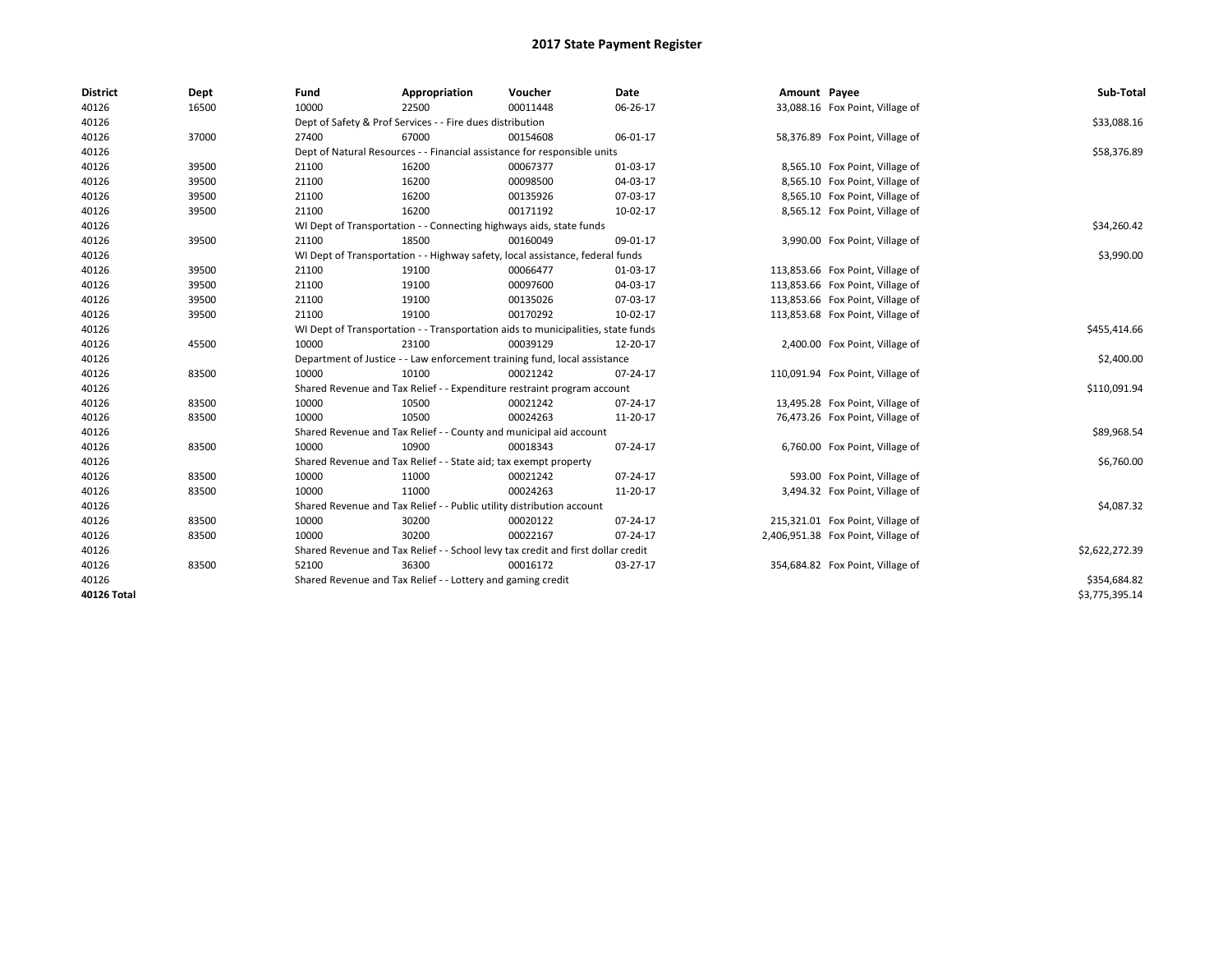| <b>District</b> | Dept  | Fund  | Appropriation                                                                    | Voucher  | Date     | Amount Payee |                                    | Sub-Total      |
|-----------------|-------|-------|----------------------------------------------------------------------------------|----------|----------|--------------|------------------------------------|----------------|
| 40126           | 16500 | 10000 | 22500                                                                            | 00011448 | 06-26-17 |              | 33,088.16 Fox Point, Village of    |                |
| 40126           |       |       | Dept of Safety & Prof Services - - Fire dues distribution                        |          |          |              |                                    | \$33,088.16    |
| 40126           | 37000 | 27400 | 67000                                                                            | 00154608 | 06-01-17 |              | 58,376.89 Fox Point, Village of    |                |
| 40126           |       |       | Dept of Natural Resources - - Financial assistance for responsible units         |          |          |              |                                    | \$58,376.89    |
| 40126           | 39500 | 21100 | 16200                                                                            | 00067377 | 01-03-17 |              | 8,565.10 Fox Point, Village of     |                |
| 40126           | 39500 | 21100 | 16200                                                                            | 00098500 | 04-03-17 |              | 8,565.10 Fox Point, Village of     |                |
| 40126           | 39500 | 21100 | 16200                                                                            | 00135926 | 07-03-17 |              | 8,565.10 Fox Point, Village of     |                |
| 40126           | 39500 | 21100 | 16200                                                                            | 00171192 | 10-02-17 |              | 8,565.12 Fox Point, Village of     |                |
| 40126           |       |       | WI Dept of Transportation - - Connecting highways aids, state funds              |          |          |              |                                    | \$34,260.42    |
| 40126           | 39500 | 21100 | 18500                                                                            | 00160049 | 09-01-17 |              | 3,990.00 Fox Point, Village of     |                |
| 40126           |       |       | WI Dept of Transportation - - Highway safety, local assistance, federal funds    |          |          |              |                                    | \$3,990.00     |
| 40126           | 39500 | 21100 | 19100                                                                            | 00066477 | 01-03-17 |              | 113,853.66 Fox Point, Village of   |                |
| 40126           | 39500 | 21100 | 19100                                                                            | 00097600 | 04-03-17 |              | 113,853.66 Fox Point, Village of   |                |
| 40126           | 39500 | 21100 | 19100                                                                            | 00135026 | 07-03-17 |              | 113,853.66 Fox Point, Village of   |                |
| 40126           | 39500 | 21100 | 19100                                                                            | 00170292 | 10-02-17 |              | 113,853.68 Fox Point, Village of   |                |
| 40126           |       |       | WI Dept of Transportation - - Transportation aids to municipalities, state funds |          |          |              |                                    | \$455,414.66   |
| 40126           | 45500 | 10000 | 23100                                                                            | 00039129 | 12-20-17 |              | 2,400.00 Fox Point, Village of     |                |
| 40126           |       |       | Department of Justice - - Law enforcement training fund, local assistance        |          |          |              |                                    | \$2,400.00     |
| 40126           | 83500 | 10000 | 10100                                                                            | 00021242 | 07-24-17 |              | 110,091.94 Fox Point, Village of   |                |
| 40126           |       |       | Shared Revenue and Tax Relief - - Expenditure restraint program account          |          |          |              |                                    | \$110,091.94   |
| 40126           | 83500 | 10000 | 10500                                                                            | 00021242 | 07-24-17 |              | 13,495.28 Fox Point, Village of    |                |
| 40126           | 83500 | 10000 | 10500                                                                            | 00024263 | 11-20-17 |              | 76,473.26 Fox Point, Village of    |                |
| 40126           |       |       | Shared Revenue and Tax Relief - - County and municipal aid account               |          |          |              |                                    | \$89,968.54    |
| 40126           | 83500 | 10000 | 10900                                                                            | 00018343 | 07-24-17 |              | 6,760.00 Fox Point, Village of     |                |
| 40126           |       |       | Shared Revenue and Tax Relief - - State aid; tax exempt property                 |          |          |              |                                    | \$6,760.00     |
| 40126           | 83500 | 10000 | 11000                                                                            | 00021242 | 07-24-17 |              | 593.00 Fox Point, Village of       |                |
| 40126           | 83500 | 10000 | 11000                                                                            | 00024263 | 11-20-17 |              | 3,494.32 Fox Point, Village of     |                |
| 40126           |       |       | Shared Revenue and Tax Relief - - Public utility distribution account            |          |          |              |                                    | \$4,087.32     |
| 40126           | 83500 | 10000 | 30200                                                                            | 00020122 | 07-24-17 |              | 215,321.01 Fox Point, Village of   |                |
| 40126           | 83500 | 10000 | 30200                                                                            | 00022167 | 07-24-17 |              | 2,406,951.38 Fox Point, Village of |                |
| 40126           |       |       | Shared Revenue and Tax Relief - - School levy tax credit and first dollar credit |          |          |              |                                    | \$2,622,272.39 |
| 40126           | 83500 | 52100 | 36300                                                                            | 00016172 | 03-27-17 |              | 354,684.82 Fox Point, Village of   |                |
| 40126           |       |       | Shared Revenue and Tax Relief - - Lottery and gaming credit                      |          |          |              |                                    | \$354,684.82   |
| 40126 Total     |       |       |                                                                                  |          |          |              |                                    | \$3,775,395.14 |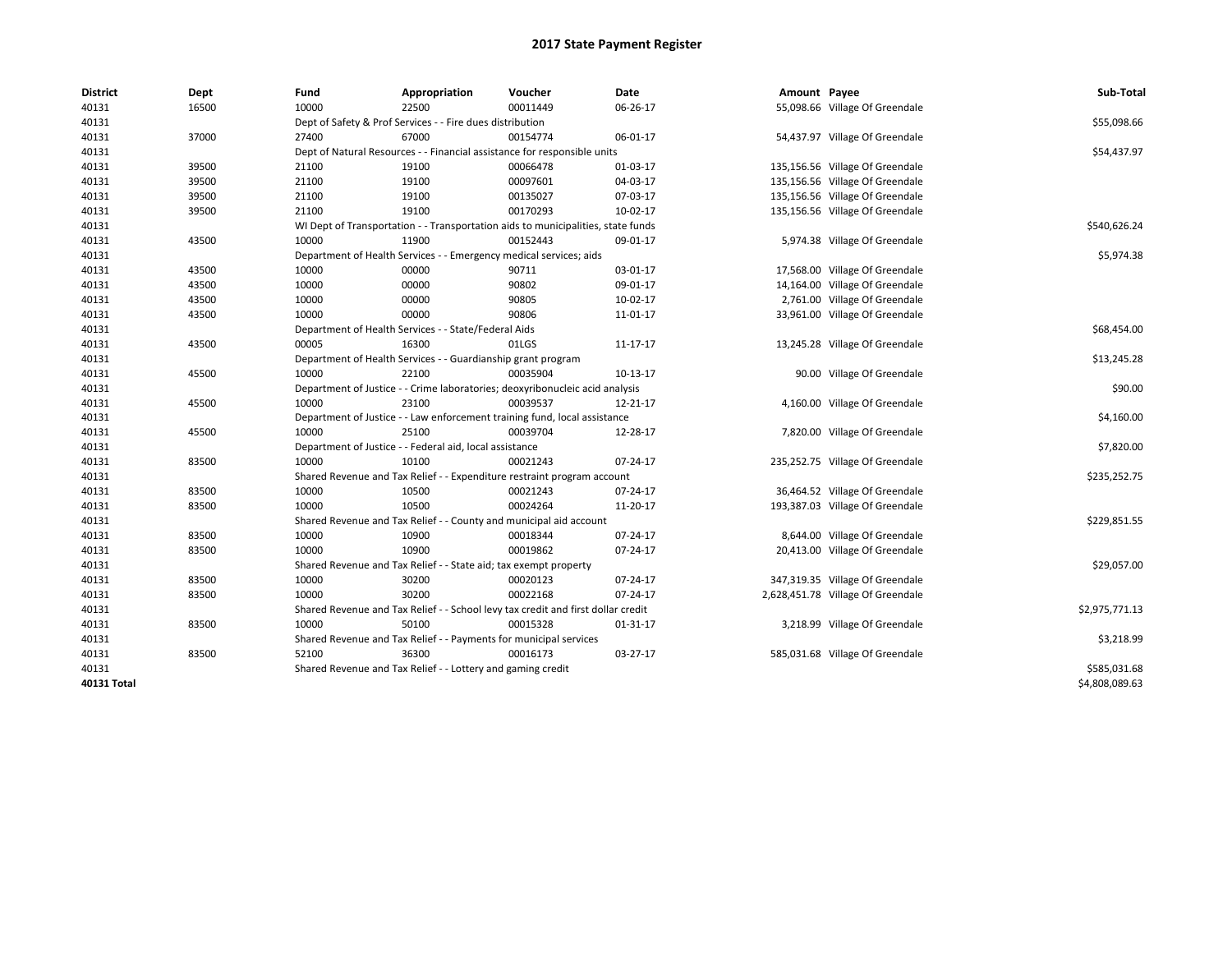| <b>District</b> | Dept  | Fund  | Appropriation                                                                    | Voucher  | <b>Date</b> | Amount Payee |                                   | Sub-Total      |
|-----------------|-------|-------|----------------------------------------------------------------------------------|----------|-------------|--------------|-----------------------------------|----------------|
| 40131           | 16500 | 10000 | 22500                                                                            | 00011449 | 06-26-17    |              | 55,098.66 Village Of Greendale    |                |
| 40131           |       |       | Dept of Safety & Prof Services - - Fire dues distribution                        |          |             |              |                                   | \$55,098.66    |
| 40131           | 37000 | 27400 | 67000                                                                            | 00154774 | 06-01-17    |              | 54,437.97 Village Of Greendale    |                |
| 40131           |       |       | Dept of Natural Resources - - Financial assistance for responsible units         |          |             |              |                                   | \$54,437.97    |
| 40131           | 39500 | 21100 | 19100                                                                            | 00066478 | 01-03-17    |              | 135,156.56 Village Of Greendale   |                |
| 40131           | 39500 | 21100 | 19100                                                                            | 00097601 | 04-03-17    |              | 135,156.56 Village Of Greendale   |                |
| 40131           | 39500 | 21100 | 19100                                                                            | 00135027 | 07-03-17    |              | 135,156.56 Village Of Greendale   |                |
| 40131           | 39500 | 21100 | 19100                                                                            | 00170293 | 10-02-17    |              | 135,156.56 Village Of Greendale   |                |
| 40131           |       |       | WI Dept of Transportation - - Transportation aids to municipalities, state funds |          |             |              |                                   | \$540,626.24   |
| 40131           | 43500 | 10000 | 11900                                                                            | 00152443 | 09-01-17    |              | 5,974.38 Village Of Greendale     |                |
| 40131           |       |       | Department of Health Services - - Emergency medical services; aids               |          |             |              |                                   | \$5,974.38     |
| 40131           | 43500 | 10000 | 00000                                                                            | 90711    | 03-01-17    |              | 17,568.00 Village Of Greendale    |                |
| 40131           | 43500 | 10000 | 00000                                                                            | 90802    | 09-01-17    |              | 14,164.00 Village Of Greendale    |                |
| 40131           | 43500 | 10000 | 00000                                                                            | 90805    | 10-02-17    |              | 2,761.00 Village Of Greendale     |                |
| 40131           | 43500 | 10000 | 00000                                                                            | 90806    | 11-01-17    |              | 33,961.00 Village Of Greendale    |                |
| 40131           |       |       | Department of Health Services - - State/Federal Aids                             |          |             |              |                                   | \$68,454.00    |
| 40131           | 43500 | 00005 | 16300                                                                            | 01LGS    | 11-17-17    |              | 13,245.28 Village Of Greendale    |                |
| 40131           |       |       | Department of Health Services - - Guardianship grant program                     |          |             |              |                                   | \$13,245.28    |
| 40131           | 45500 | 10000 | 22100                                                                            | 00035904 | 10-13-17    |              | 90.00 Village Of Greendale        |                |
| 40131           |       |       | Department of Justice - - Crime laboratories; deoxyribonucleic acid analysis     |          |             |              |                                   | \$90.00        |
| 40131           | 45500 | 10000 | 23100                                                                            | 00039537 | 12-21-17    |              | 4,160.00 Village Of Greendale     |                |
| 40131           |       |       | Department of Justice - - Law enforcement training fund, local assistance        |          |             |              |                                   | \$4,160.00     |
| 40131           | 45500 | 10000 | 25100                                                                            | 00039704 | 12-28-17    |              | 7,820.00 Village Of Greendale     |                |
| 40131           |       |       | Department of Justice - - Federal aid, local assistance                          |          |             |              |                                   | \$7,820.00     |
| 40131           | 83500 | 10000 | 10100                                                                            | 00021243 | 07-24-17    |              | 235,252.75 Village Of Greendale   |                |
| 40131           |       |       | Shared Revenue and Tax Relief - - Expenditure restraint program account          |          |             |              |                                   | \$235,252.75   |
| 40131           | 83500 | 10000 | 10500                                                                            | 00021243 | 07-24-17    |              | 36,464.52 Village Of Greendale    |                |
| 40131           | 83500 | 10000 | 10500                                                                            | 00024264 | 11-20-17    |              | 193,387.03 Village Of Greendale   |                |
| 40131           |       |       | Shared Revenue and Tax Relief - - County and municipal aid account               |          |             |              |                                   | \$229,851.55   |
| 40131           | 83500 | 10000 | 10900                                                                            | 00018344 | 07-24-17    |              | 8,644.00 Village Of Greendale     |                |
| 40131           | 83500 | 10000 | 10900                                                                            | 00019862 | 07-24-17    |              | 20,413.00 Village Of Greendale    |                |
| 40131           |       |       | Shared Revenue and Tax Relief - - State aid; tax exempt property                 |          |             |              |                                   | \$29,057.00    |
| 40131           | 83500 | 10000 | 30200                                                                            | 00020123 | 07-24-17    |              | 347,319.35 Village Of Greendale   |                |
| 40131           | 83500 | 10000 | 30200                                                                            | 00022168 | 07-24-17    |              | 2,628,451.78 Village Of Greendale |                |
| 40131           |       |       | Shared Revenue and Tax Relief - - School levy tax credit and first dollar credit |          |             |              |                                   | \$2,975,771.13 |
| 40131           | 83500 | 10000 | 50100                                                                            | 00015328 | 01-31-17    |              | 3,218.99 Village Of Greendale     |                |
| 40131           |       |       | Shared Revenue and Tax Relief - - Payments for municipal services                |          |             |              |                                   | \$3,218.99     |
| 40131           | 83500 | 52100 | 36300                                                                            | 00016173 | 03-27-17    |              | 585,031.68 Village Of Greendale   |                |
| 40131           |       |       | Shared Revenue and Tax Relief - - Lottery and gaming credit                      |          |             |              |                                   | \$585,031.68   |
| 40131 Total     |       |       |                                                                                  |          |             |              |                                   | \$4,808,089.63 |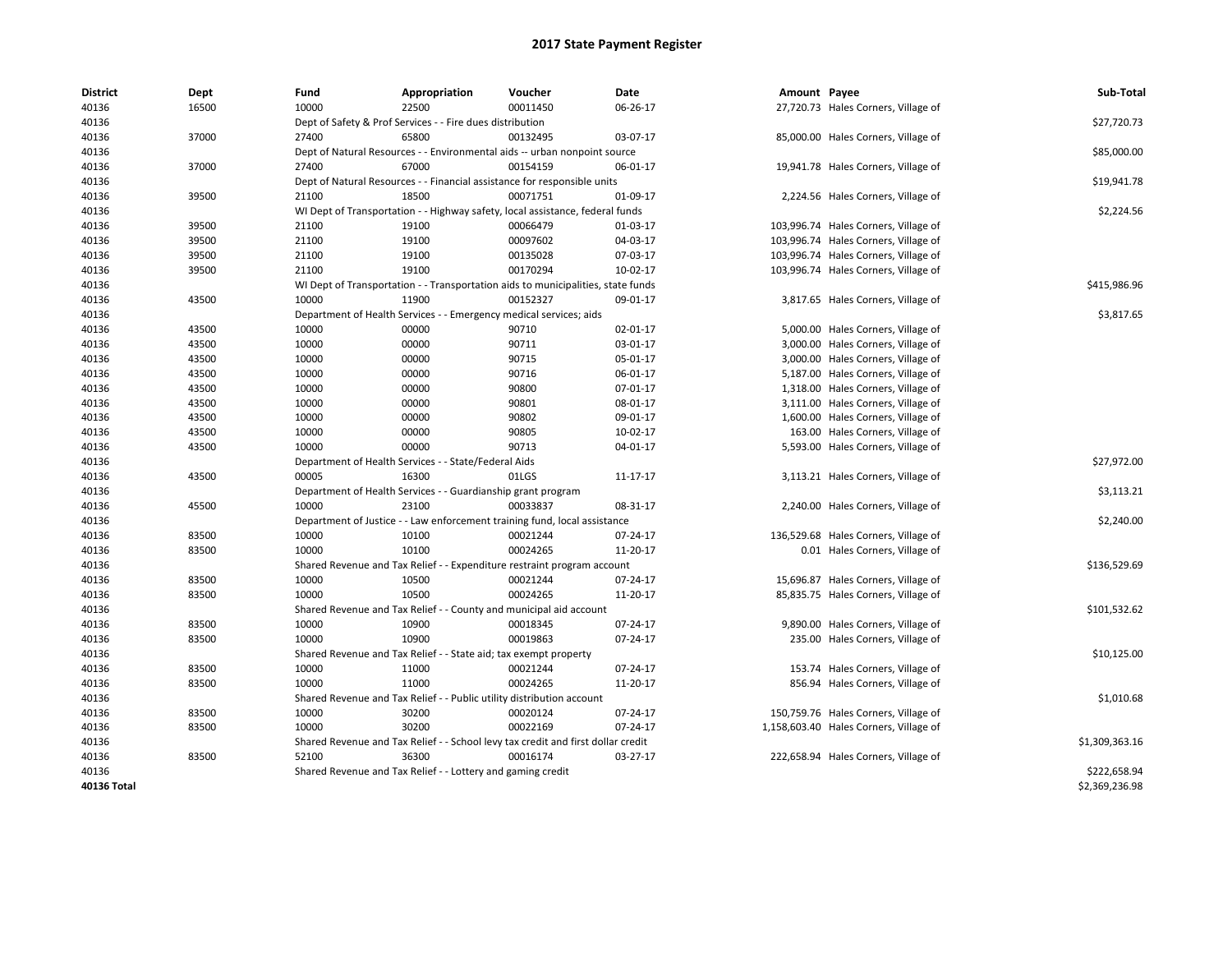| <b>District</b> | Dept  | Fund  | Appropriation                                                                    | Voucher  | Date     | Amount Payee |                                        | Sub-Total      |
|-----------------|-------|-------|----------------------------------------------------------------------------------|----------|----------|--------------|----------------------------------------|----------------|
| 40136           | 16500 | 10000 | 22500                                                                            | 00011450 | 06-26-17 |              | 27,720.73 Hales Corners, Village of    |                |
| 40136           |       |       | Dept of Safety & Prof Services - - Fire dues distribution                        |          |          |              |                                        | \$27,720.73    |
| 40136           | 37000 | 27400 | 65800                                                                            | 00132495 | 03-07-17 |              | 85,000.00 Hales Corners, Village of    |                |
| 40136           |       |       | Dept of Natural Resources - - Environmental aids -- urban nonpoint source        |          |          |              |                                        | \$85,000.00    |
| 40136           | 37000 | 27400 | 67000                                                                            | 00154159 | 06-01-17 |              | 19,941.78 Hales Corners, Village of    |                |
| 40136           |       |       | Dept of Natural Resources - - Financial assistance for responsible units         |          |          |              |                                        | \$19,941.78    |
| 40136           | 39500 | 21100 | 18500                                                                            | 00071751 | 01-09-17 |              | 2,224.56 Hales Corners, Village of     |                |
| 40136           |       |       | WI Dept of Transportation - - Highway safety, local assistance, federal funds    |          |          |              |                                        | \$2,224.56     |
| 40136           | 39500 | 21100 | 19100                                                                            | 00066479 | 01-03-17 |              | 103,996.74 Hales Corners, Village of   |                |
| 40136           | 39500 | 21100 | 19100                                                                            | 00097602 | 04-03-17 |              | 103,996.74 Hales Corners, Village of   |                |
| 40136           | 39500 | 21100 | 19100                                                                            | 00135028 | 07-03-17 |              | 103,996.74 Hales Corners, Village of   |                |
| 40136           | 39500 | 21100 | 19100                                                                            | 00170294 | 10-02-17 |              | 103,996.74 Hales Corners, Village of   |                |
| 40136           |       |       | WI Dept of Transportation - - Transportation aids to municipalities, state funds |          |          |              |                                        | \$415,986.96   |
| 40136           | 43500 | 10000 | 11900                                                                            | 00152327 | 09-01-17 |              | 3,817.65 Hales Corners, Village of     |                |
| 40136           |       |       | Department of Health Services - - Emergency medical services; aids               |          |          |              |                                        | \$3,817.65     |
| 40136           | 43500 | 10000 | 00000                                                                            | 90710    | 02-01-17 |              | 5,000.00 Hales Corners, Village of     |                |
| 40136           | 43500 | 10000 | 00000                                                                            | 90711    | 03-01-17 |              | 3,000.00 Hales Corners, Village of     |                |
| 40136           | 43500 | 10000 | 00000                                                                            | 90715    | 05-01-17 |              | 3,000.00 Hales Corners, Village of     |                |
| 40136           | 43500 | 10000 | 00000                                                                            | 90716    | 06-01-17 |              | 5,187.00 Hales Corners, Village of     |                |
| 40136           | 43500 | 10000 | 00000                                                                            | 90800    | 07-01-17 |              | 1,318.00 Hales Corners, Village of     |                |
|                 |       |       |                                                                                  |          |          |              |                                        |                |
| 40136           | 43500 | 10000 | 00000                                                                            | 90801    | 08-01-17 |              | 3,111.00 Hales Corners, Village of     |                |
| 40136           | 43500 | 10000 | 00000                                                                            | 90802    | 09-01-17 |              | 1,600.00 Hales Corners, Village of     |                |
| 40136           | 43500 | 10000 | 00000                                                                            | 90805    | 10-02-17 |              | 163.00 Hales Corners, Village of       |                |
| 40136           | 43500 | 10000 | 00000                                                                            | 90713    | 04-01-17 |              | 5,593.00 Hales Corners, Village of     |                |
| 40136           |       |       | Department of Health Services - - State/Federal Aids                             |          |          |              |                                        | \$27,972.00    |
| 40136           | 43500 | 00005 | 16300                                                                            | 01LGS    | 11-17-17 |              | 3,113.21 Hales Corners, Village of     |                |
| 40136           |       |       | Department of Health Services - - Guardianship grant program                     |          |          |              |                                        | \$3,113.21     |
| 40136           | 45500 | 10000 | 23100                                                                            | 00033837 | 08-31-17 |              | 2,240.00 Hales Corners, Village of     |                |
| 40136           |       |       | Department of Justice - - Law enforcement training fund, local assistance        |          |          |              |                                        | \$2,240.00     |
| 40136           | 83500 | 10000 | 10100                                                                            | 00021244 | 07-24-17 |              | 136,529.68 Hales Corners, Village of   |                |
| 40136           | 83500 | 10000 | 10100                                                                            | 00024265 | 11-20-17 |              | 0.01 Hales Corners, Village of         |                |
| 40136           |       |       | Shared Revenue and Tax Relief - - Expenditure restraint program account          |          |          |              |                                        | \$136,529.69   |
| 40136           | 83500 | 10000 | 10500                                                                            | 00021244 | 07-24-17 |              | 15,696.87 Hales Corners, Village of    |                |
| 40136           | 83500 | 10000 | 10500                                                                            | 00024265 | 11-20-17 |              | 85,835.75 Hales Corners, Village of    |                |
| 40136           |       |       | Shared Revenue and Tax Relief - - County and municipal aid account               |          |          |              |                                        | \$101,532.62   |
| 40136           | 83500 | 10000 | 10900                                                                            | 00018345 | 07-24-17 |              | 9,890.00 Hales Corners, Village of     |                |
| 40136           | 83500 | 10000 | 10900                                                                            | 00019863 | 07-24-17 |              | 235.00 Hales Corners, Village of       |                |
| 40136           |       |       | Shared Revenue and Tax Relief - - State aid; tax exempt property                 |          |          |              |                                        | \$10,125.00    |
| 40136           | 83500 | 10000 | 11000                                                                            | 00021244 | 07-24-17 |              | 153.74 Hales Corners, Village of       |                |
| 40136           | 83500 | 10000 | 11000                                                                            | 00024265 | 11-20-17 |              | 856.94 Hales Corners, Village of       |                |
| 40136           |       |       | Shared Revenue and Tax Relief - - Public utility distribution account            |          |          |              |                                        | \$1,010.68     |
| 40136           | 83500 | 10000 | 30200                                                                            | 00020124 | 07-24-17 |              | 150,759.76 Hales Corners, Village of   |                |
| 40136           | 83500 | 10000 | 30200                                                                            | 00022169 | 07-24-17 |              | 1,158,603.40 Hales Corners, Village of |                |
| 40136           |       |       | Shared Revenue and Tax Relief - - School levy tax credit and first dollar credit |          |          |              |                                        | \$1,309,363.16 |
| 40136           | 83500 | 52100 | 36300                                                                            | 00016174 | 03-27-17 |              | 222,658.94 Hales Corners, Village of   |                |
| 40136           |       |       | Shared Revenue and Tax Relief - - Lottery and gaming credit                      |          |          |              |                                        | \$222,658.94   |
| 40136 Total     |       |       |                                                                                  |          |          |              |                                        | \$2,369,236.98 |
|                 |       |       |                                                                                  |          |          |              |                                        |                |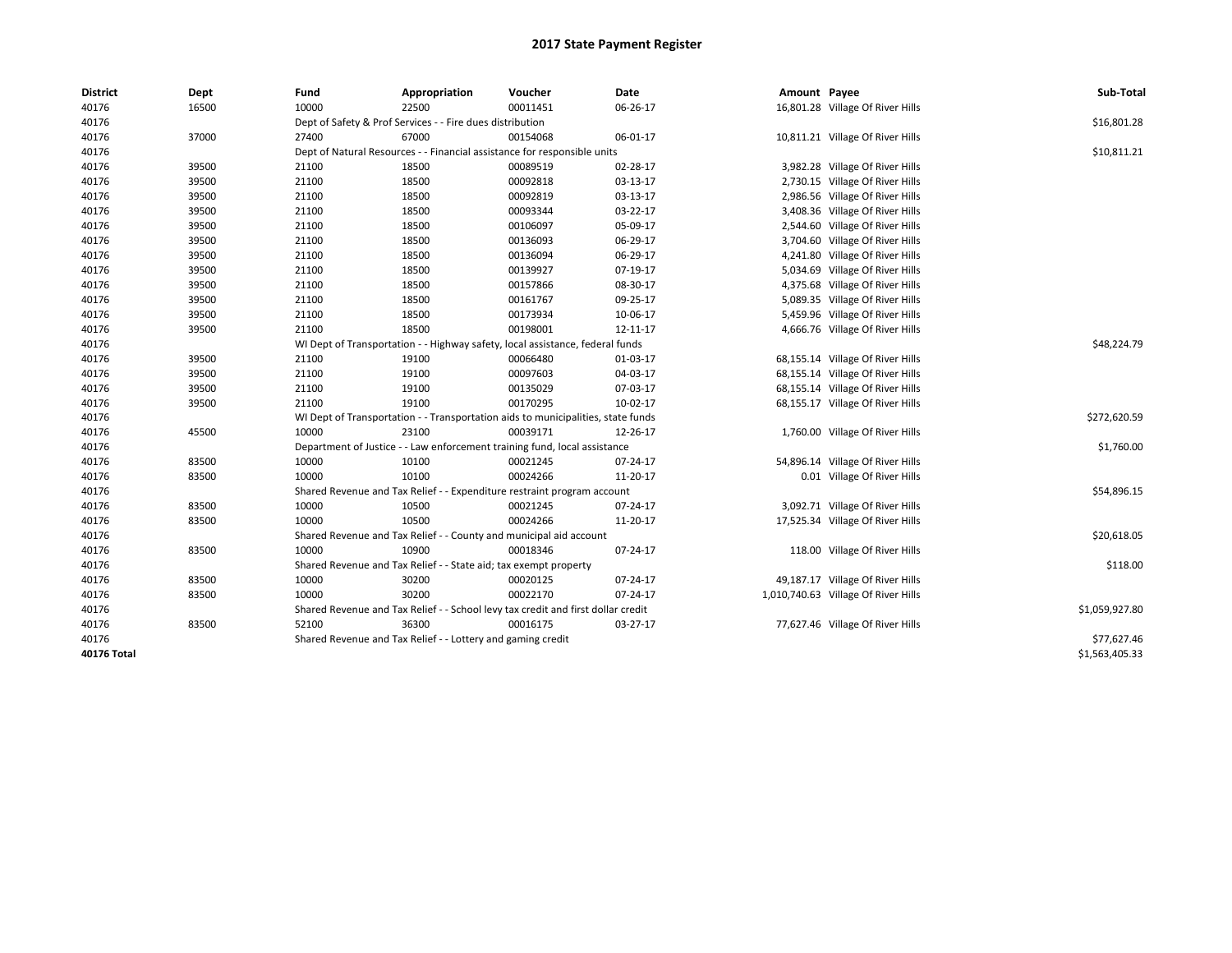| <b>District</b> | Dept  | Fund  | Appropriation                                                                    | Voucher  | Date       | Amount Payee |                                     | Sub-Total      |  |  |
|-----------------|-------|-------|----------------------------------------------------------------------------------|----------|------------|--------------|-------------------------------------|----------------|--|--|
| 40176           | 16500 | 10000 | 22500                                                                            | 00011451 | 06-26-17   |              | 16,801.28 Village Of River Hills    |                |  |  |
| 40176           |       |       | Dept of Safety & Prof Services - - Fire dues distribution                        |          |            |              |                                     | \$16,801.28    |  |  |
| 40176           | 37000 | 27400 | 67000                                                                            | 00154068 | 06-01-17   |              | 10,811.21 Village Of River Hills    |                |  |  |
| 40176           |       |       | Dept of Natural Resources - - Financial assistance for responsible units         |          |            |              |                                     | \$10,811.21    |  |  |
| 40176           | 39500 | 21100 | 18500                                                                            | 00089519 | 02-28-17   |              | 3,982.28 Village Of River Hills     |                |  |  |
| 40176           | 39500 | 21100 | 18500                                                                            | 00092818 | 03-13-17   |              | 2,730.15 Village Of River Hills     |                |  |  |
| 40176           | 39500 | 21100 | 18500                                                                            | 00092819 | 03-13-17   |              | 2,986.56 Village Of River Hills     |                |  |  |
| 40176           | 39500 | 21100 | 18500                                                                            | 00093344 | 03-22-17   |              | 3,408.36 Village Of River Hills     |                |  |  |
| 40176           | 39500 | 21100 | 18500                                                                            | 00106097 | 05-09-17   |              | 2,544.60 Village Of River Hills     |                |  |  |
| 40176           | 39500 | 21100 | 18500                                                                            | 00136093 | 06-29-17   |              | 3,704.60 Village Of River Hills     |                |  |  |
| 40176           | 39500 | 21100 | 18500                                                                            | 00136094 | 06-29-17   |              | 4,241.80 Village Of River Hills     |                |  |  |
| 40176           | 39500 | 21100 | 18500                                                                            | 00139927 | 07-19-17   |              | 5,034.69 Village Of River Hills     |                |  |  |
| 40176           | 39500 | 21100 | 18500                                                                            | 00157866 | 08-30-17   |              | 4,375.68 Village Of River Hills     |                |  |  |
| 40176           | 39500 | 21100 | 18500                                                                            | 00161767 | 09-25-17   |              | 5,089.35 Village Of River Hills     |                |  |  |
| 40176           | 39500 | 21100 | 18500                                                                            | 00173934 | 10-06-17   |              | 5,459.96 Village Of River Hills     |                |  |  |
| 40176           | 39500 | 21100 | 18500                                                                            | 00198001 | 12-11-17   |              | 4,666.76 Village Of River Hills     |                |  |  |
| 40176           |       |       | WI Dept of Transportation - - Highway safety, local assistance, federal funds    |          |            |              |                                     |                |  |  |
| 40176           | 39500 | 21100 | 19100                                                                            | 00066480 | 01-03-17   |              | 68,155.14 Village Of River Hills    |                |  |  |
| 40176           | 39500 | 21100 | 19100                                                                            | 00097603 | 04-03-17   |              | 68,155.14 Village Of River Hills    |                |  |  |
| 40176           | 39500 | 21100 | 19100                                                                            | 00135029 | 07-03-17   |              | 68,155.14 Village Of River Hills    |                |  |  |
| 40176           | 39500 | 21100 | 19100                                                                            | 00170295 | $10-02-17$ |              | 68,155.17 Village Of River Hills    |                |  |  |
| 40176           |       |       | WI Dept of Transportation - - Transportation aids to municipalities, state funds |          |            |              |                                     | \$272,620.59   |  |  |
| 40176           | 45500 | 10000 | 23100                                                                            | 00039171 | 12-26-17   |              | 1,760.00 Village Of River Hills     |                |  |  |
| 40176           |       |       | Department of Justice - - Law enforcement training fund, local assistance        |          |            |              |                                     | \$1,760.00     |  |  |
| 40176           | 83500 | 10000 | 10100                                                                            | 00021245 | 07-24-17   |              | 54,896.14 Village Of River Hills    |                |  |  |
| 40176           | 83500 | 10000 | 10100                                                                            | 00024266 | 11-20-17   |              | 0.01 Village Of River Hills         |                |  |  |
| 40176           |       |       | Shared Revenue and Tax Relief - - Expenditure restraint program account          |          |            |              |                                     | \$54,896.15    |  |  |
| 40176           | 83500 | 10000 | 10500                                                                            | 00021245 | 07-24-17   |              | 3,092.71 Village Of River Hills     |                |  |  |
| 40176           | 83500 | 10000 | 10500                                                                            | 00024266 | 11-20-17   |              | 17,525.34 Village Of River Hills    |                |  |  |
| 40176           |       |       | Shared Revenue and Tax Relief - - County and municipal aid account               |          |            |              |                                     | \$20,618.05    |  |  |
| 40176           | 83500 | 10000 | 10900                                                                            | 00018346 | 07-24-17   |              | 118.00 Village Of River Hills       |                |  |  |
| 40176           |       |       | Shared Revenue and Tax Relief - - State aid; tax exempt property                 |          |            |              |                                     | \$118.00       |  |  |
| 40176           | 83500 | 10000 | 30200                                                                            | 00020125 | 07-24-17   |              | 49,187.17 Village Of River Hills    |                |  |  |
| 40176           | 83500 | 10000 | 30200                                                                            | 00022170 | 07-24-17   |              | 1,010,740.63 Village Of River Hills |                |  |  |
| 40176           |       |       | Shared Revenue and Tax Relief - - School levy tax credit and first dollar credit |          |            |              |                                     | \$1,059,927.80 |  |  |
| 40176           | 83500 | 52100 | 36300                                                                            | 00016175 | 03-27-17   |              | 77,627.46 Village Of River Hills    |                |  |  |
| 40176           |       |       | Shared Revenue and Tax Relief - - Lottery and gaming credit                      |          |            |              |                                     | \$77,627.46    |  |  |
| 40176 Total     |       |       |                                                                                  |          |            |              |                                     | \$1,563,405.33 |  |  |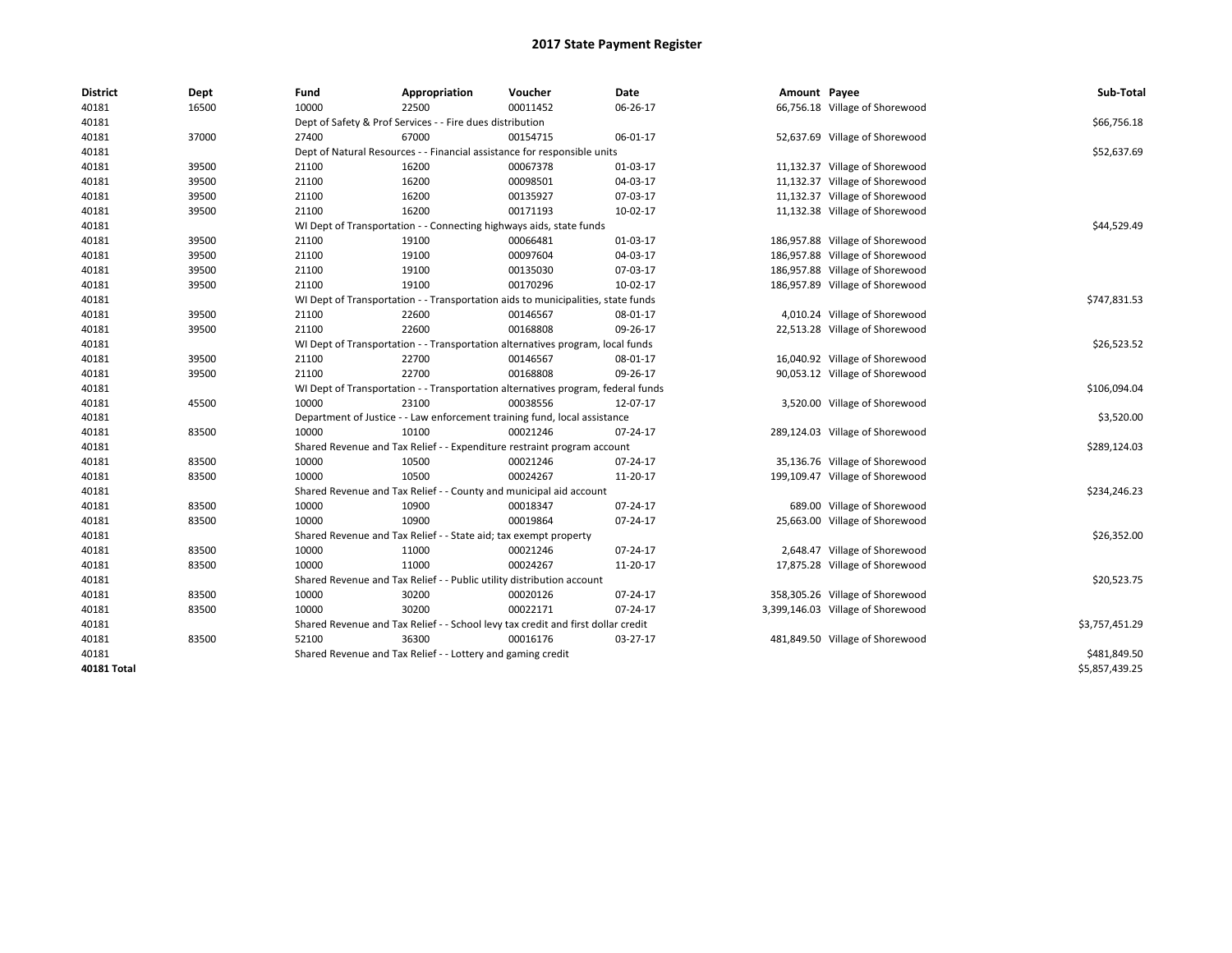| <b>District</b>    | Dept  | Fund  | Appropriation                                                                    | Voucher  | Date     | Amount Payee |                                   | Sub-Total      |
|--------------------|-------|-------|----------------------------------------------------------------------------------|----------|----------|--------------|-----------------------------------|----------------|
| 40181              | 16500 | 10000 | 22500                                                                            | 00011452 | 06-26-17 |              | 66,756.18 Village of Shorewood    |                |
| 40181              |       |       | Dept of Safety & Prof Services - - Fire dues distribution                        |          |          |              |                                   | \$66,756.18    |
| 40181              | 37000 | 27400 | 67000                                                                            | 00154715 | 06-01-17 |              | 52,637.69 Village of Shorewood    |                |
| 40181              |       |       | Dept of Natural Resources - - Financial assistance for responsible units         |          |          |              |                                   | \$52,637.69    |
| 40181              | 39500 | 21100 | 16200                                                                            | 00067378 | 01-03-17 |              | 11,132.37 Village of Shorewood    |                |
| 40181              | 39500 | 21100 | 16200                                                                            | 00098501 | 04-03-17 |              | 11,132.37 Village of Shorewood    |                |
| 40181              | 39500 | 21100 | 16200                                                                            | 00135927 | 07-03-17 |              | 11,132.37 Village of Shorewood    |                |
| 40181              | 39500 | 21100 | 16200                                                                            | 00171193 | 10-02-17 |              | 11,132.38 Village of Shorewood    |                |
| 40181              |       |       | WI Dept of Transportation - - Connecting highways aids, state funds              |          |          |              |                                   | \$44,529.49    |
| 40181              | 39500 | 21100 | 19100                                                                            | 00066481 | 01-03-17 |              | 186,957.88 Village of Shorewood   |                |
| 40181              | 39500 | 21100 | 19100                                                                            | 00097604 | 04-03-17 |              | 186,957.88 Village of Shorewood   |                |
| 40181              | 39500 | 21100 | 19100                                                                            | 00135030 | 07-03-17 |              | 186,957.88 Village of Shorewood   |                |
| 40181              | 39500 | 21100 | 19100                                                                            | 00170296 | 10-02-17 |              | 186,957.89 Village of Shorewood   |                |
| 40181              |       |       | WI Dept of Transportation - - Transportation aids to municipalities, state funds |          |          |              |                                   | \$747,831.53   |
| 40181              | 39500 | 21100 | 22600                                                                            | 00146567 | 08-01-17 |              | 4,010.24 Village of Shorewood     |                |
| 40181              | 39500 | 21100 | 22600                                                                            | 00168808 | 09-26-17 |              | 22,513.28 Village of Shorewood    |                |
| 40181              |       |       | WI Dept of Transportation - - Transportation alternatives program, local funds   |          |          |              |                                   | \$26,523.52    |
| 40181              | 39500 | 21100 | 22700                                                                            | 00146567 | 08-01-17 |              | 16,040.92 Village of Shorewood    |                |
| 40181              | 39500 | 21100 | 22700                                                                            | 00168808 | 09-26-17 |              | 90,053.12 Village of Shorewood    |                |
| 40181              |       |       | WI Dept of Transportation - - Transportation alternatives program, federal funds |          |          |              |                                   | \$106,094.04   |
| 40181              | 45500 | 10000 | 23100                                                                            | 00038556 | 12-07-17 |              | 3,520.00 Village of Shorewood     |                |
| 40181              |       |       | Department of Justice - - Law enforcement training fund, local assistance        |          |          |              |                                   | \$3,520.00     |
| 40181              | 83500 | 10000 | 10100                                                                            | 00021246 | 07-24-17 |              | 289,124.03 Village of Shorewood   |                |
| 40181              |       |       | Shared Revenue and Tax Relief - - Expenditure restraint program account          |          |          |              |                                   | \$289,124.03   |
| 40181              | 83500 | 10000 | 10500                                                                            | 00021246 | 07-24-17 |              | 35,136.76 Village of Shorewood    |                |
| 40181              | 83500 | 10000 | 10500                                                                            | 00024267 | 11-20-17 |              | 199,109.47 Village of Shorewood   |                |
| 40181              |       |       | Shared Revenue and Tax Relief - - County and municipal aid account               |          |          |              |                                   | \$234,246.23   |
| 40181              | 83500 | 10000 | 10900                                                                            | 00018347 | 07-24-17 |              | 689.00 Village of Shorewood       |                |
| 40181              | 83500 | 10000 | 10900                                                                            | 00019864 | 07-24-17 |              | 25,663.00 Village of Shorewood    |                |
| 40181              |       |       | Shared Revenue and Tax Relief - - State aid; tax exempt property                 |          |          |              |                                   | \$26,352.00    |
| 40181              | 83500 | 10000 | 11000                                                                            | 00021246 | 07-24-17 |              | 2,648.47 Village of Shorewood     |                |
| 40181              | 83500 | 10000 | 11000                                                                            | 00024267 | 11-20-17 |              | 17,875.28 Village of Shorewood    |                |
| 40181              |       |       | Shared Revenue and Tax Relief - - Public utility distribution account            |          |          |              |                                   | \$20,523.75    |
| 40181              | 83500 | 10000 | 30200                                                                            | 00020126 | 07-24-17 |              | 358,305.26 Village of Shorewood   |                |
| 40181              | 83500 | 10000 | 30200                                                                            | 00022171 | 07-24-17 |              | 3,399,146.03 Village of Shorewood |                |
| 40181              |       |       | Shared Revenue and Tax Relief - - School levy tax credit and first dollar credit |          |          |              |                                   | \$3,757,451.29 |
| 40181              | 83500 | 52100 | 36300                                                                            | 00016176 | 03-27-17 |              | 481,849.50 Village of Shorewood   |                |
| 40181              |       |       | Shared Revenue and Tax Relief - - Lottery and gaming credit                      |          |          |              |                                   | \$481,849.50   |
| <b>40181 Total</b> |       |       |                                                                                  |          |          |              |                                   | \$5,857,439.25 |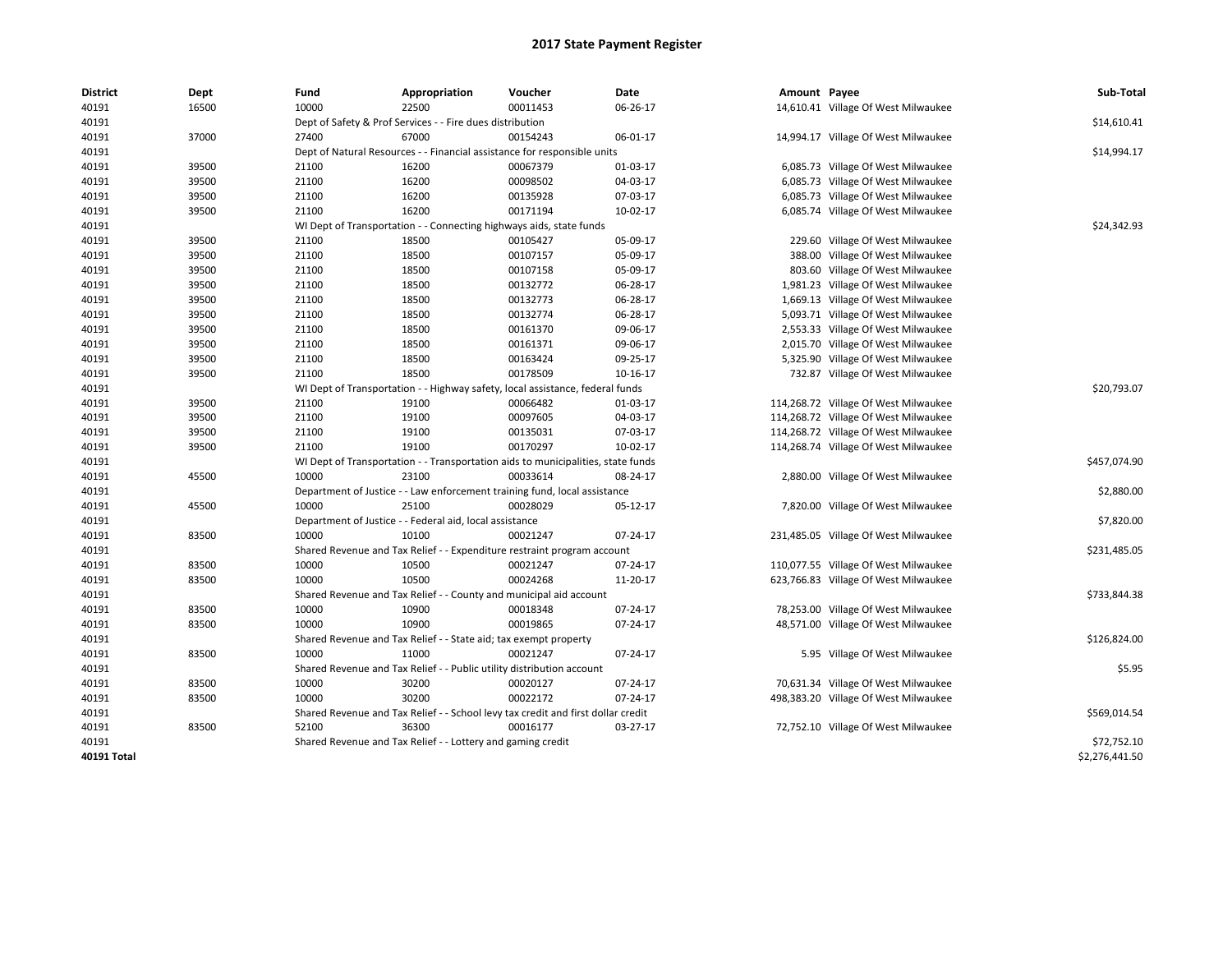| <b>District</b> | Dept  | Fund  | Appropriation                                                                    | Voucher  | Date     | Amount Payee |                                      | Sub-Total      |
|-----------------|-------|-------|----------------------------------------------------------------------------------|----------|----------|--------------|--------------------------------------|----------------|
| 40191           | 16500 | 10000 | 22500                                                                            | 00011453 | 06-26-17 |              | 14,610.41 Village Of West Milwaukee  |                |
| 40191           |       |       | Dept of Safety & Prof Services - - Fire dues distribution                        |          |          |              |                                      | \$14,610.41    |
| 40191           | 37000 | 27400 | 67000                                                                            | 00154243 | 06-01-17 |              | 14,994.17 Village Of West Milwaukee  |                |
| 40191           |       |       | Dept of Natural Resources - - Financial assistance for responsible units         |          |          |              |                                      | \$14,994.17    |
| 40191           | 39500 | 21100 | 16200                                                                            | 00067379 | 01-03-17 |              | 6,085.73 Village Of West Milwaukee   |                |
| 40191           | 39500 | 21100 | 16200                                                                            | 00098502 | 04-03-17 |              | 6,085.73 Village Of West Milwaukee   |                |
| 40191           | 39500 | 21100 | 16200                                                                            | 00135928 | 07-03-17 |              | 6,085.73 Village Of West Milwaukee   |                |
| 40191           | 39500 | 21100 | 16200                                                                            | 00171194 | 10-02-17 |              | 6,085.74 Village Of West Milwaukee   |                |
| 40191           |       |       | WI Dept of Transportation - - Connecting highways aids, state funds              |          |          |              |                                      | \$24,342.93    |
| 40191           | 39500 | 21100 | 18500                                                                            | 00105427 | 05-09-17 |              | 229.60 Village Of West Milwaukee     |                |
| 40191           | 39500 | 21100 | 18500                                                                            | 00107157 | 05-09-17 |              | 388.00 Village Of West Milwaukee     |                |
| 40191           | 39500 | 21100 | 18500                                                                            | 00107158 | 05-09-17 |              | 803.60 Village Of West Milwaukee     |                |
| 40191           | 39500 | 21100 | 18500                                                                            | 00132772 | 06-28-17 |              | 1,981.23 Village Of West Milwaukee   |                |
| 40191           | 39500 | 21100 | 18500                                                                            | 00132773 | 06-28-17 |              | 1,669.13 Village Of West Milwaukee   |                |
| 40191           | 39500 | 21100 | 18500                                                                            | 00132774 | 06-28-17 |              | 5,093.71 Village Of West Milwaukee   |                |
| 40191           | 39500 | 21100 | 18500                                                                            | 00161370 | 09-06-17 |              | 2,553.33 Village Of West Milwaukee   |                |
| 40191           | 39500 | 21100 | 18500                                                                            | 00161371 | 09-06-17 |              | 2,015.70 Village Of West Milwaukee   |                |
| 40191           | 39500 | 21100 | 18500                                                                            | 00163424 | 09-25-17 |              | 5,325.90 Village Of West Milwaukee   |                |
| 40191           | 39500 | 21100 | 18500                                                                            | 00178509 | 10-16-17 |              | 732.87 Village Of West Milwaukee     |                |
| 40191           |       |       | WI Dept of Transportation - - Highway safety, local assistance, federal funds    |          |          |              |                                      | \$20,793.07    |
| 40191           | 39500 | 21100 | 19100                                                                            | 00066482 | 01-03-17 |              | 114,268.72 Village Of West Milwaukee |                |
| 40191           | 39500 | 21100 | 19100                                                                            | 00097605 | 04-03-17 |              | 114,268.72 Village Of West Milwaukee |                |
| 40191           | 39500 | 21100 | 19100                                                                            | 00135031 | 07-03-17 |              | 114,268.72 Village Of West Milwaukee |                |
| 40191           | 39500 | 21100 | 19100                                                                            | 00170297 | 10-02-17 |              | 114,268.74 Village Of West Milwaukee |                |
| 40191           |       |       | WI Dept of Transportation - - Transportation aids to municipalities, state funds |          |          |              |                                      | \$457,074.90   |
| 40191           | 45500 | 10000 | 23100                                                                            | 00033614 | 08-24-17 |              | 2,880.00 Village Of West Milwaukee   |                |
| 40191           |       |       | Department of Justice - - Law enforcement training fund, local assistance        |          |          |              |                                      | \$2,880.00     |
| 40191           | 45500 | 10000 | 25100                                                                            | 00028029 | 05-12-17 |              | 7,820.00 Village Of West Milwaukee   |                |
| 40191           |       |       | Department of Justice - - Federal aid, local assistance                          |          |          |              |                                      | \$7,820.00     |
| 40191           | 83500 | 10000 | 10100                                                                            | 00021247 | 07-24-17 |              | 231,485.05 Village Of West Milwaukee |                |
| 40191           |       |       | Shared Revenue and Tax Relief - - Expenditure restraint program account          |          |          |              |                                      | \$231,485.05   |
| 40191           | 83500 | 10000 | 10500                                                                            | 00021247 | 07-24-17 |              | 110,077.55 Village Of West Milwaukee |                |
| 40191           | 83500 | 10000 | 10500                                                                            | 00024268 | 11-20-17 |              | 623,766.83 Village Of West Milwaukee |                |
| 40191           |       |       | Shared Revenue and Tax Relief - - County and municipal aid account               |          |          |              |                                      | \$733,844.38   |
| 40191           | 83500 | 10000 | 10900                                                                            | 00018348 | 07-24-17 |              | 78,253.00 Village Of West Milwaukee  |                |
| 40191           | 83500 | 10000 | 10900                                                                            | 00019865 | 07-24-17 |              | 48,571.00 Village Of West Milwaukee  |                |
| 40191           |       |       | Shared Revenue and Tax Relief - - State aid; tax exempt property                 |          |          |              |                                      | \$126,824.00   |
| 40191           | 83500 | 10000 | 11000                                                                            | 00021247 | 07-24-17 |              | 5.95 Village Of West Milwaukee       |                |
| 40191           |       |       | Shared Revenue and Tax Relief - - Public utility distribution account            |          |          |              |                                      | \$5.95         |
| 40191           | 83500 | 10000 | 30200                                                                            | 00020127 | 07-24-17 |              | 70,631.34 Village Of West Milwaukee  |                |
| 40191           | 83500 | 10000 | 30200                                                                            | 00022172 | 07-24-17 |              | 498,383.20 Village Of West Milwaukee |                |
| 40191           |       |       | Shared Revenue and Tax Relief - - School levy tax credit and first dollar credit |          |          |              |                                      | \$569,014.54   |
| 40191           | 83500 | 52100 | 36300                                                                            | 00016177 | 03-27-17 |              | 72,752.10 Village Of West Milwaukee  |                |
| 40191           |       |       | Shared Revenue and Tax Relief - - Lottery and gaming credit                      |          |          |              |                                      | \$72,752.10    |
| 40191 Total     |       |       |                                                                                  |          |          |              |                                      | \$2,276,441.50 |
|                 |       |       |                                                                                  |          |          |              |                                      |                |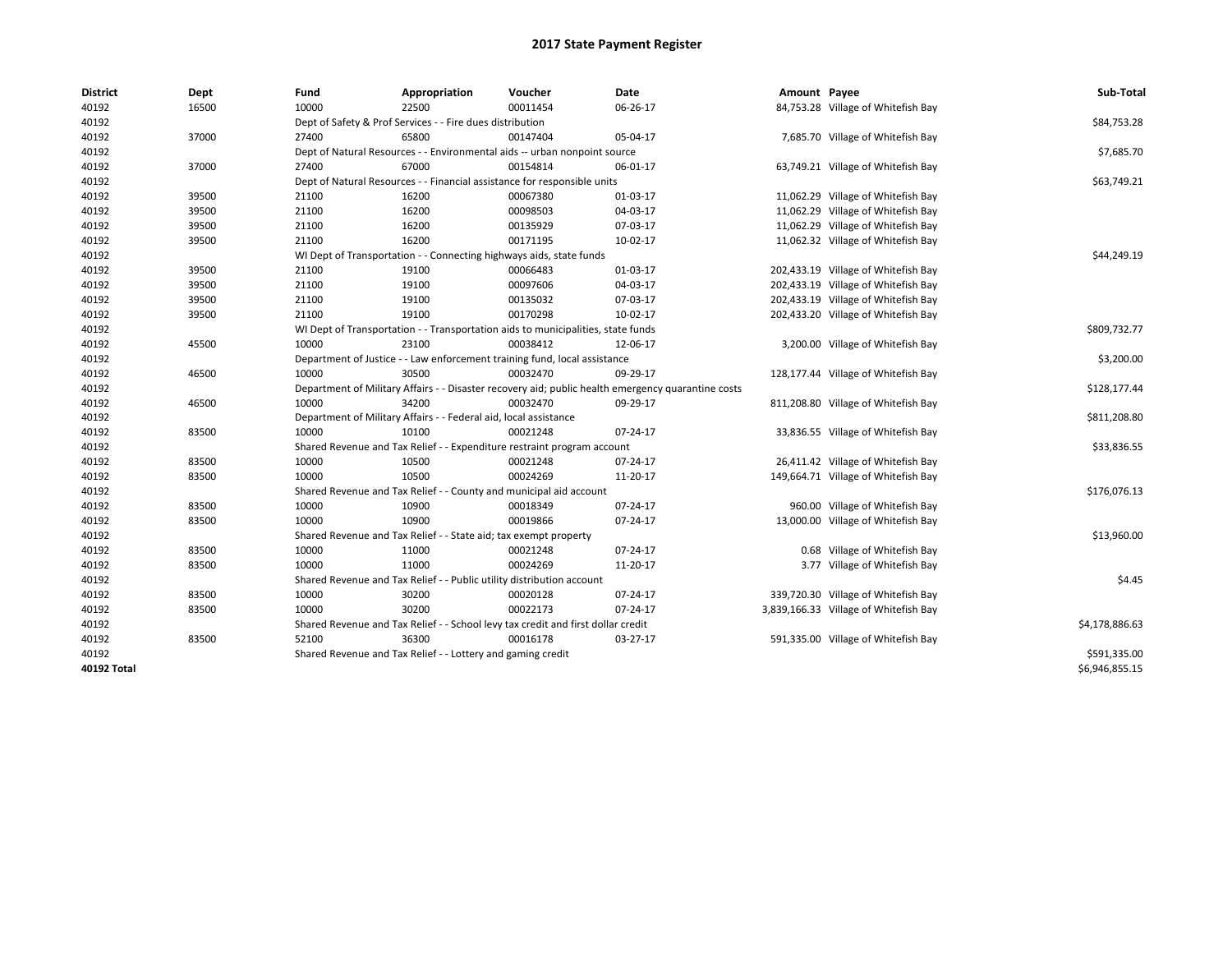| <b>District</b> | Dept  | Fund  | Appropriation                                                                    | Voucher  | Date                                                                                               | Amount Payee |                                       | Sub-Total      |
|-----------------|-------|-------|----------------------------------------------------------------------------------|----------|----------------------------------------------------------------------------------------------------|--------------|---------------------------------------|----------------|
| 40192           | 16500 | 10000 | 22500                                                                            | 00011454 | 06-26-17                                                                                           |              | 84,753.28 Village of Whitefish Bay    |                |
| 40192           |       |       | Dept of Safety & Prof Services - - Fire dues distribution                        |          |                                                                                                    |              |                                       | \$84,753.28    |
| 40192           | 37000 | 27400 | 65800                                                                            | 00147404 | 05-04-17                                                                                           |              | 7,685.70 Village of Whitefish Bay     |                |
| 40192           |       |       | Dept of Natural Resources - - Environmental aids -- urban nonpoint source        |          |                                                                                                    |              |                                       | \$7,685.70     |
| 40192           | 37000 | 27400 | 67000                                                                            | 00154814 | 06-01-17                                                                                           |              | 63,749.21 Village of Whitefish Bay    |                |
| 40192           |       |       | Dept of Natural Resources - - Financial assistance for responsible units         |          |                                                                                                    |              |                                       | \$63,749.21    |
| 40192           | 39500 | 21100 | 16200                                                                            | 00067380 | 01-03-17                                                                                           |              | 11,062.29 Village of Whitefish Bay    |                |
| 40192           | 39500 | 21100 | 16200                                                                            | 00098503 | 04-03-17                                                                                           |              | 11,062.29 Village of Whitefish Bay    |                |
| 40192           | 39500 | 21100 | 16200                                                                            | 00135929 | 07-03-17                                                                                           |              | 11,062.29 Village of Whitefish Bay    |                |
| 40192           | 39500 | 21100 | 16200                                                                            | 00171195 | 10-02-17                                                                                           |              | 11,062.32 Village of Whitefish Bay    |                |
| 40192           |       |       | WI Dept of Transportation - - Connecting highways aids, state funds              |          |                                                                                                    |              |                                       | \$44,249.19    |
| 40192           | 39500 | 21100 | 19100                                                                            | 00066483 | 01-03-17                                                                                           |              | 202,433.19 Village of Whitefish Bay   |                |
| 40192           | 39500 | 21100 | 19100                                                                            | 00097606 | 04-03-17                                                                                           |              | 202,433.19 Village of Whitefish Bay   |                |
| 40192           | 39500 | 21100 | 19100                                                                            | 00135032 | 07-03-17                                                                                           |              | 202,433.19 Village of Whitefish Bay   |                |
| 40192           | 39500 | 21100 | 19100                                                                            | 00170298 | 10-02-17                                                                                           |              | 202,433.20 Village of Whitefish Bay   |                |
| 40192           |       |       | WI Dept of Transportation - - Transportation aids to municipalities, state funds |          |                                                                                                    |              |                                       | \$809,732.77   |
| 40192           | 45500 | 10000 | 23100                                                                            | 00038412 | 12-06-17                                                                                           |              | 3,200.00 Village of Whitefish Bay     |                |
| 40192           |       |       | Department of Justice - - Law enforcement training fund, local assistance        |          |                                                                                                    |              |                                       | \$3,200.00     |
| 40192           | 46500 | 10000 | 30500                                                                            | 00032470 | 09-29-17                                                                                           |              | 128,177.44 Village of Whitefish Bay   |                |
| 40192           |       |       |                                                                                  |          | Department of Military Affairs - - Disaster recovery aid; public health emergency quarantine costs |              |                                       | \$128,177.44   |
| 40192           | 46500 | 10000 | 34200                                                                            | 00032470 | 09-29-17                                                                                           |              | 811,208.80 Village of Whitefish Bay   |                |
| 40192           |       |       | Department of Military Affairs - - Federal aid, local assistance                 |          |                                                                                                    |              |                                       | \$811,208.80   |
| 40192           | 83500 | 10000 | 10100                                                                            | 00021248 | 07-24-17                                                                                           |              | 33,836.55 Village of Whitefish Bay    |                |
| 40192           |       |       | Shared Revenue and Tax Relief - - Expenditure restraint program account          |          |                                                                                                    |              |                                       | \$33,836.55    |
| 40192           | 83500 | 10000 | 10500                                                                            | 00021248 | 07-24-17                                                                                           |              | 26,411.42 Village of Whitefish Bay    |                |
| 40192           | 83500 | 10000 | 10500                                                                            | 00024269 | 11-20-17                                                                                           |              | 149,664.71 Village of Whitefish Bay   |                |
| 40192           |       |       | Shared Revenue and Tax Relief - - County and municipal aid account               |          |                                                                                                    |              |                                       | \$176,076.13   |
| 40192           | 83500 | 10000 | 10900                                                                            | 00018349 | 07-24-17                                                                                           |              | 960.00 Village of Whitefish Bay       |                |
| 40192           | 83500 | 10000 | 10900                                                                            | 00019866 | 07-24-17                                                                                           |              | 13,000.00 Village of Whitefish Bay    |                |
| 40192           |       |       | Shared Revenue and Tax Relief - - State aid; tax exempt property                 |          |                                                                                                    |              |                                       | \$13,960.00    |
| 40192           | 83500 | 10000 | 11000                                                                            | 00021248 | 07-24-17                                                                                           |              | 0.68 Village of Whitefish Bay         |                |
| 40192           | 83500 | 10000 | 11000                                                                            | 00024269 | 11-20-17                                                                                           |              | 3.77 Village of Whitefish Bay         |                |
| 40192           |       |       | Shared Revenue and Tax Relief - - Public utility distribution account            |          |                                                                                                    |              |                                       | \$4.45         |
| 40192           | 83500 | 10000 | 30200                                                                            | 00020128 | 07-24-17                                                                                           |              | 339,720.30 Village of Whitefish Bay   |                |
| 40192           | 83500 | 10000 | 30200                                                                            | 00022173 | 07-24-17                                                                                           |              | 3,839,166.33 Village of Whitefish Bay |                |
| 40192           |       |       | Shared Revenue and Tax Relief - - School levy tax credit and first dollar credit |          |                                                                                                    |              |                                       | \$4,178,886.63 |
| 40192           | 83500 | 52100 | 36300                                                                            | 00016178 | 03-27-17                                                                                           |              | 591,335.00 Village of Whitefish Bay   |                |
| 40192           |       |       | Shared Revenue and Tax Relief - - Lottery and gaming credit                      |          |                                                                                                    |              |                                       | \$591,335.00   |
| 40192 Total     |       |       |                                                                                  |          |                                                                                                    |              |                                       | \$6,946,855.15 |
|                 |       |       |                                                                                  |          |                                                                                                    |              |                                       |                |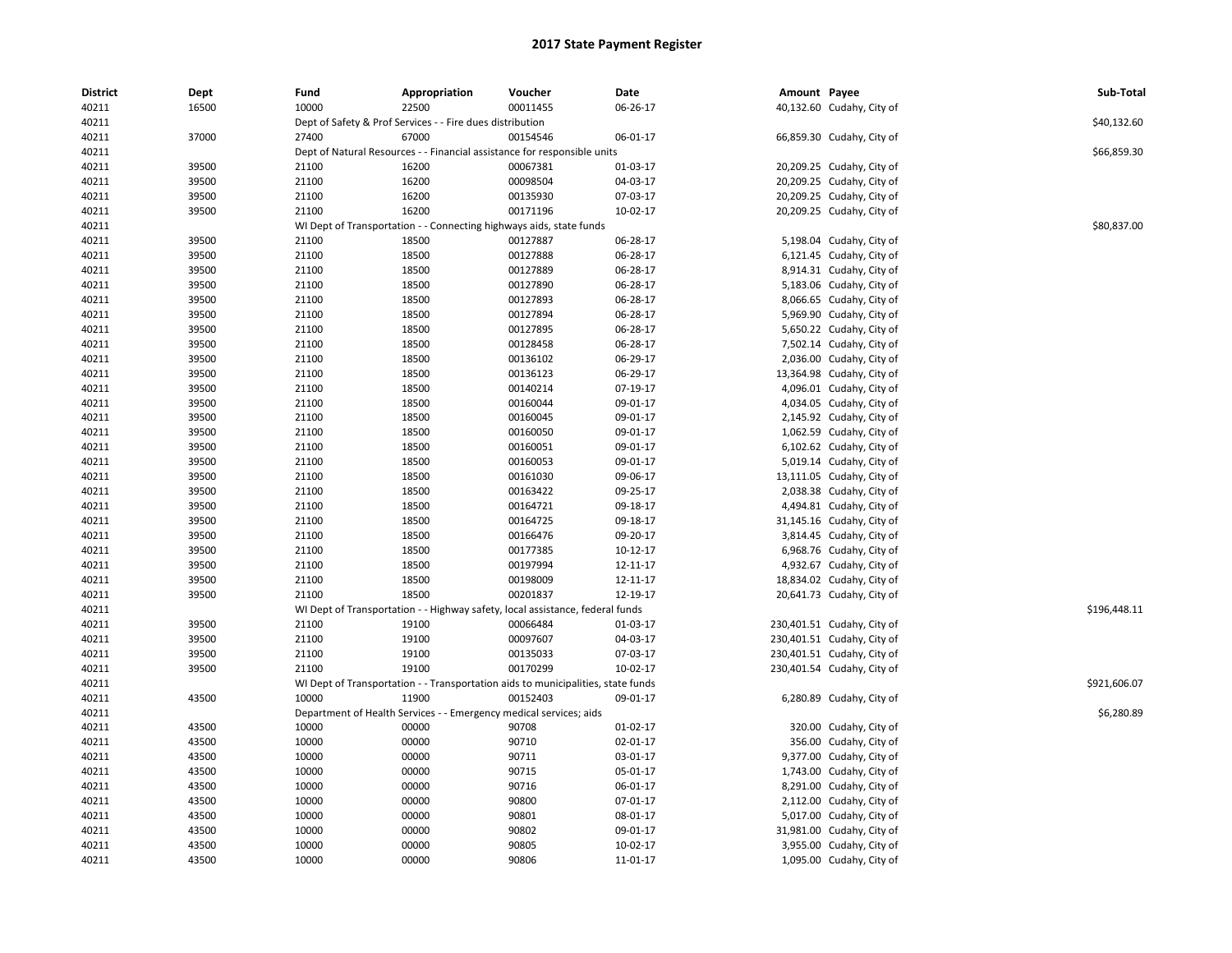| <b>District</b> | Dept  | Fund  | Appropriation                                                                    | Voucher  | Date           | Amount Payee |                            | Sub-Total    |
|-----------------|-------|-------|----------------------------------------------------------------------------------|----------|----------------|--------------|----------------------------|--------------|
| 40211           | 16500 | 10000 | 22500                                                                            | 00011455 | 06-26-17       |              | 40,132.60 Cudahy, City of  |              |
| 40211           |       |       | Dept of Safety & Prof Services - - Fire dues distribution                        |          |                |              |                            | \$40,132.60  |
| 40211           | 37000 | 27400 | 67000                                                                            | 00154546 | 06-01-17       |              | 66,859.30 Cudahy, City of  |              |
| 40211           |       |       | Dept of Natural Resources - - Financial assistance for responsible units         |          |                |              |                            | \$66,859.30  |
| 40211           | 39500 | 21100 | 16200                                                                            | 00067381 | 01-03-17       |              | 20,209.25 Cudahy, City of  |              |
| 40211           | 39500 | 21100 | 16200                                                                            | 00098504 | 04-03-17       |              | 20,209.25 Cudahy, City of  |              |
| 40211           | 39500 | 21100 | 16200                                                                            | 00135930 | 07-03-17       |              | 20,209.25 Cudahy, City of  |              |
| 40211           | 39500 | 21100 | 16200                                                                            | 00171196 | $10-02-17$     |              | 20,209.25 Cudahy, City of  |              |
| 40211           |       |       | WI Dept of Transportation - - Connecting highways aids, state funds              |          |                |              |                            | \$80,837.00  |
| 40211           | 39500 | 21100 | 18500                                                                            | 00127887 | 06-28-17       |              | 5,198.04 Cudahy, City of   |              |
| 40211           | 39500 | 21100 | 18500                                                                            | 00127888 | 06-28-17       |              | 6,121.45 Cudahy, City of   |              |
| 40211           | 39500 | 21100 | 18500                                                                            | 00127889 | 06-28-17       |              | 8,914.31 Cudahy, City of   |              |
| 40211           | 39500 | 21100 | 18500                                                                            | 00127890 | 06-28-17       |              | 5,183.06 Cudahy, City of   |              |
| 40211           | 39500 | 21100 | 18500                                                                            | 00127893 | 06-28-17       |              | 8,066.65 Cudahy, City of   |              |
| 40211           | 39500 | 21100 | 18500                                                                            | 00127894 | 06-28-17       |              | 5,969.90 Cudahy, City of   |              |
| 40211           | 39500 | 21100 | 18500                                                                            | 00127895 | 06-28-17       |              | 5,650.22 Cudahy, City of   |              |
| 40211           | 39500 | 21100 | 18500                                                                            | 00128458 | 06-28-17       |              | 7,502.14 Cudahy, City of   |              |
| 40211           | 39500 | 21100 | 18500                                                                            | 00136102 | 06-29-17       |              | 2,036.00 Cudahy, City of   |              |
| 40211           | 39500 | 21100 | 18500                                                                            | 00136123 | 06-29-17       |              | 13,364.98 Cudahy, City of  |              |
| 40211           | 39500 | 21100 | 18500                                                                            | 00140214 | 07-19-17       |              | 4,096.01 Cudahy, City of   |              |
| 40211           | 39500 | 21100 | 18500                                                                            | 00160044 | 09-01-17       |              | 4,034.05 Cudahy, City of   |              |
| 40211           | 39500 | 21100 | 18500                                                                            | 00160045 | 09-01-17       |              | 2,145.92 Cudahy, City of   |              |
| 40211           | 39500 | 21100 | 18500                                                                            | 00160050 | 09-01-17       |              | 1,062.59 Cudahy, City of   |              |
| 40211           | 39500 | 21100 | 18500                                                                            | 00160051 | 09-01-17       |              | 6,102.62 Cudahy, City of   |              |
| 40211           | 39500 | 21100 | 18500                                                                            | 00160053 | 09-01-17       |              | 5,019.14 Cudahy, City of   |              |
| 40211           | 39500 | 21100 | 18500                                                                            | 00161030 | 09-06-17       |              | 13,111.05 Cudahy, City of  |              |
| 40211           | 39500 | 21100 | 18500                                                                            | 00163422 | 09-25-17       |              | 2,038.38 Cudahy, City of   |              |
| 40211           | 39500 | 21100 | 18500                                                                            | 00164721 | 09-18-17       |              | 4,494.81 Cudahy, City of   |              |
| 40211           | 39500 | 21100 | 18500                                                                            | 00164725 | 09-18-17       |              | 31,145.16 Cudahy, City of  |              |
| 40211           | 39500 | 21100 | 18500                                                                            | 00166476 | 09-20-17       |              | 3,814.45 Cudahy, City of   |              |
| 40211           | 39500 | 21100 | 18500                                                                            | 00177385 | $10-12-17$     |              | 6,968.76 Cudahy, City of   |              |
| 40211           | 39500 | 21100 | 18500                                                                            | 00197994 | 12-11-17       |              | 4,932.67 Cudahy, City of   |              |
| 40211           | 39500 | 21100 | 18500                                                                            | 00198009 | 12-11-17       |              | 18,834.02 Cudahy, City of  |              |
| 40211           | 39500 | 21100 | 18500                                                                            | 00201837 | 12-19-17       |              | 20,641.73 Cudahy, City of  |              |
| 40211           |       |       | WI Dept of Transportation - - Highway safety, local assistance, federal funds    |          |                |              |                            | \$196,448.11 |
| 40211           | 39500 | 21100 | 19100                                                                            | 00066484 | 01-03-17       |              | 230,401.51 Cudahy, City of |              |
| 40211           | 39500 | 21100 | 19100                                                                            | 00097607 | 04-03-17       |              | 230,401.51 Cudahy, City of |              |
| 40211           | 39500 | 21100 | 19100                                                                            | 00135033 | 07-03-17       |              | 230,401.51 Cudahy, City of |              |
| 40211           | 39500 | 21100 | 19100                                                                            | 00170299 | 10-02-17       |              | 230,401.54 Cudahy, City of |              |
| 40211           |       |       | WI Dept of Transportation - - Transportation aids to municipalities, state funds |          |                |              |                            | \$921,606.07 |
| 40211           | 43500 | 10000 | 11900                                                                            | 00152403 | 09-01-17       |              | 6,280.89 Cudahy, City of   |              |
| 40211           |       |       | Department of Health Services - - Emergency medical services; aids               |          |                |              |                            | \$6,280.89   |
| 40211           | 43500 | 10000 | 00000                                                                            | 90708    | 01-02-17       |              | 320.00 Cudahy, City of     |              |
| 40211           | 43500 | 10000 | 00000                                                                            | 90710    | $02 - 01 - 17$ |              | 356.00 Cudahy, City of     |              |
| 40211           | 43500 | 10000 | 00000                                                                            | 90711    | 03-01-17       |              | 9,377.00 Cudahy, City of   |              |
| 40211           | 43500 | 10000 | 00000                                                                            | 90715    | 05-01-17       |              | 1,743.00 Cudahy, City of   |              |
| 40211           | 43500 | 10000 | 00000                                                                            | 90716    | 06-01-17       |              | 8,291.00 Cudahy, City of   |              |
| 40211           | 43500 | 10000 | 00000                                                                            | 90800    | $07 - 01 - 17$ |              | 2,112.00 Cudahy, City of   |              |
| 40211           | 43500 | 10000 | 00000                                                                            | 90801    | 08-01-17       |              | 5,017.00 Cudahy, City of   |              |
| 40211           | 43500 | 10000 | 00000                                                                            | 90802    | 09-01-17       |              | 31,981.00 Cudahy, City of  |              |
| 40211           | 43500 | 10000 | 00000                                                                            | 90805    | 10-02-17       |              | 3,955.00 Cudahy, City of   |              |
| 40211           | 43500 | 10000 | 00000                                                                            | 90806    | 11-01-17       |              | 1,095.00 Cudahy, City of   |              |
|                 |       |       |                                                                                  |          |                |              |                            |              |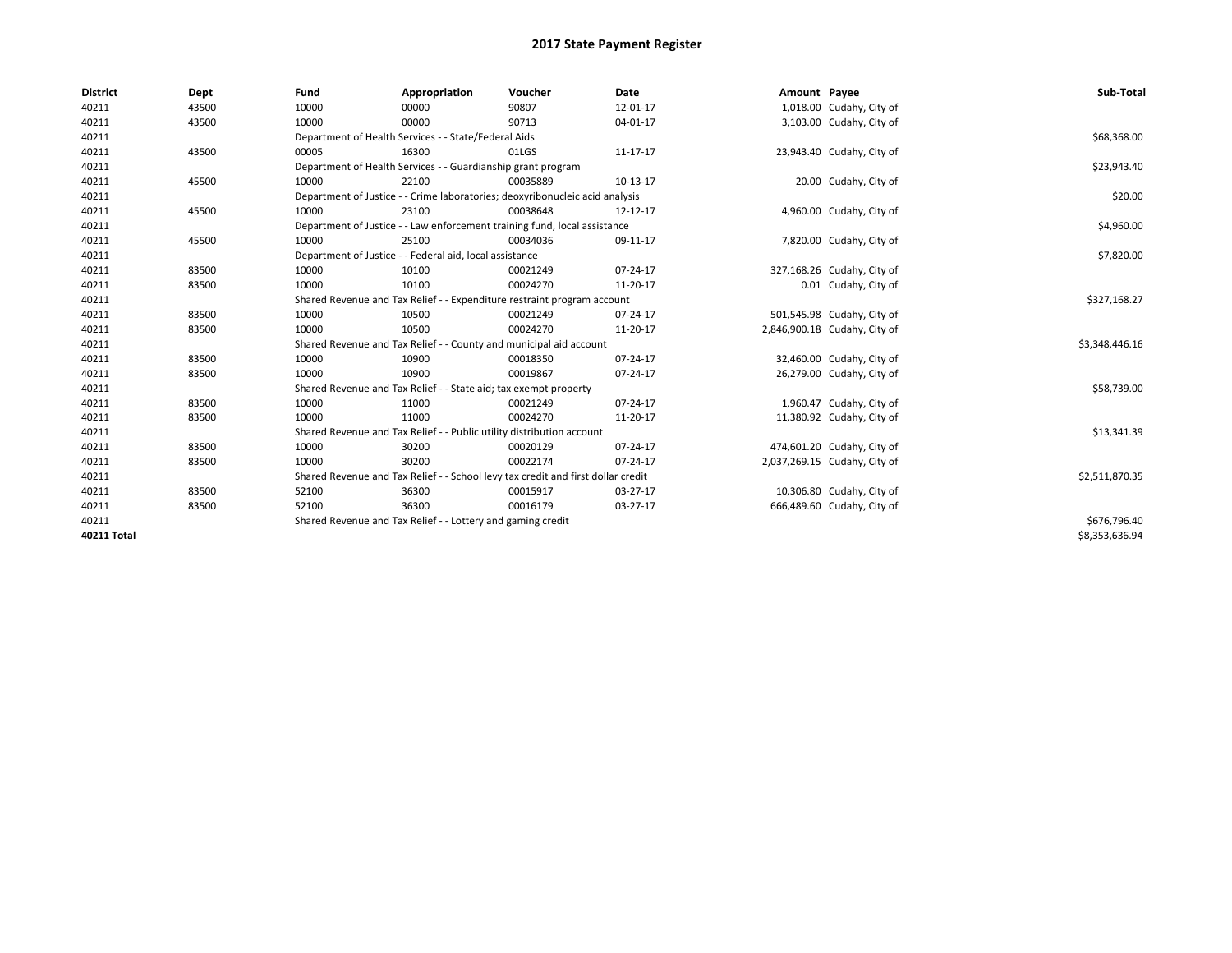| <b>District</b>    | Dept  | Fund  | Appropriation                                                                    | Voucher  | Date     | Amount Payee |                              | Sub-Total      |
|--------------------|-------|-------|----------------------------------------------------------------------------------|----------|----------|--------------|------------------------------|----------------|
| 40211              | 43500 | 10000 | 00000                                                                            | 90807    | 12-01-17 |              | 1,018.00 Cudahy, City of     |                |
| 40211              | 43500 | 10000 | 00000                                                                            | 90713    | 04-01-17 |              | 3,103.00 Cudahy, City of     |                |
| 40211              |       |       | Department of Health Services - - State/Federal Aids                             |          |          |              |                              | \$68,368.00    |
| 40211              | 43500 | 00005 | 16300                                                                            | 01LGS    | 11-17-17 |              | 23,943.40 Cudahy, City of    |                |
| 40211              |       |       | Department of Health Services - - Guardianship grant program                     |          |          |              |                              | \$23,943.40    |
| 40211              | 45500 | 10000 | 22100                                                                            | 00035889 | 10-13-17 |              | 20.00 Cudahy, City of        |                |
| 40211              |       |       | Department of Justice - - Crime laboratories; deoxyribonucleic acid analysis     |          |          |              |                              | \$20.00        |
| 40211              | 45500 | 10000 | 23100                                                                            | 00038648 | 12-12-17 |              | 4,960.00 Cudahy, City of     |                |
| 40211              |       |       | Department of Justice - - Law enforcement training fund, local assistance        |          |          |              |                              | \$4,960.00     |
| 40211              | 45500 | 10000 | 25100                                                                            | 00034036 | 09-11-17 |              | 7,820.00 Cudahy, City of     |                |
| 40211              |       |       | Department of Justice - - Federal aid, local assistance                          |          |          |              |                              | \$7,820.00     |
| 40211              | 83500 | 10000 | 10100                                                                            | 00021249 | 07-24-17 |              | 327,168.26 Cudahy, City of   |                |
| 40211              | 83500 | 10000 | 10100                                                                            | 00024270 | 11-20-17 |              | 0.01 Cudahy, City of         |                |
| 40211              |       |       | Shared Revenue and Tax Relief - - Expenditure restraint program account          |          |          |              |                              | \$327,168.27   |
| 40211              | 83500 | 10000 | 10500                                                                            | 00021249 | 07-24-17 |              | 501,545.98 Cudahy, City of   |                |
| 40211              | 83500 | 10000 | 10500                                                                            | 00024270 | 11-20-17 |              | 2,846,900.18 Cudahy, City of |                |
| 40211              |       |       | Shared Revenue and Tax Relief - - County and municipal aid account               |          |          |              |                              | \$3,348,446.16 |
| 40211              | 83500 | 10000 | 10900                                                                            | 00018350 | 07-24-17 |              | 32,460.00 Cudahy, City of    |                |
| 40211              | 83500 | 10000 | 10900                                                                            | 00019867 | 07-24-17 |              | 26,279.00 Cudahy, City of    |                |
| 40211              |       |       | Shared Revenue and Tax Relief - - State aid; tax exempt property                 |          |          |              |                              | \$58,739.00    |
| 40211              | 83500 | 10000 | 11000                                                                            | 00021249 | 07-24-17 |              | 1,960.47 Cudahy, City of     |                |
| 40211              | 83500 | 10000 | 11000                                                                            | 00024270 | 11-20-17 |              | 11,380.92 Cudahy, City of    |                |
| 40211              |       |       | Shared Revenue and Tax Relief - - Public utility distribution account            |          |          |              |                              | \$13,341.39    |
| 40211              | 83500 | 10000 | 30200                                                                            | 00020129 | 07-24-17 |              | 474,601.20 Cudahy, City of   |                |
| 40211              | 83500 | 10000 | 30200                                                                            | 00022174 | 07-24-17 |              | 2,037,269.15 Cudahy, City of |                |
| 40211              |       |       | Shared Revenue and Tax Relief - - School levy tax credit and first dollar credit |          |          |              |                              | \$2,511,870.35 |
| 40211              | 83500 | 52100 | 36300                                                                            | 00015917 | 03-27-17 |              | 10,306.80 Cudahy, City of    |                |
| 40211              | 83500 | 52100 | 36300                                                                            | 00016179 | 03-27-17 |              | 666,489.60 Cudahy, City of   |                |
| 40211              |       |       | Shared Revenue and Tax Relief - - Lottery and gaming credit                      |          |          |              |                              | \$676,796.40   |
| <b>40211 Total</b> |       |       |                                                                                  |          |          |              |                              | \$8,353,636.94 |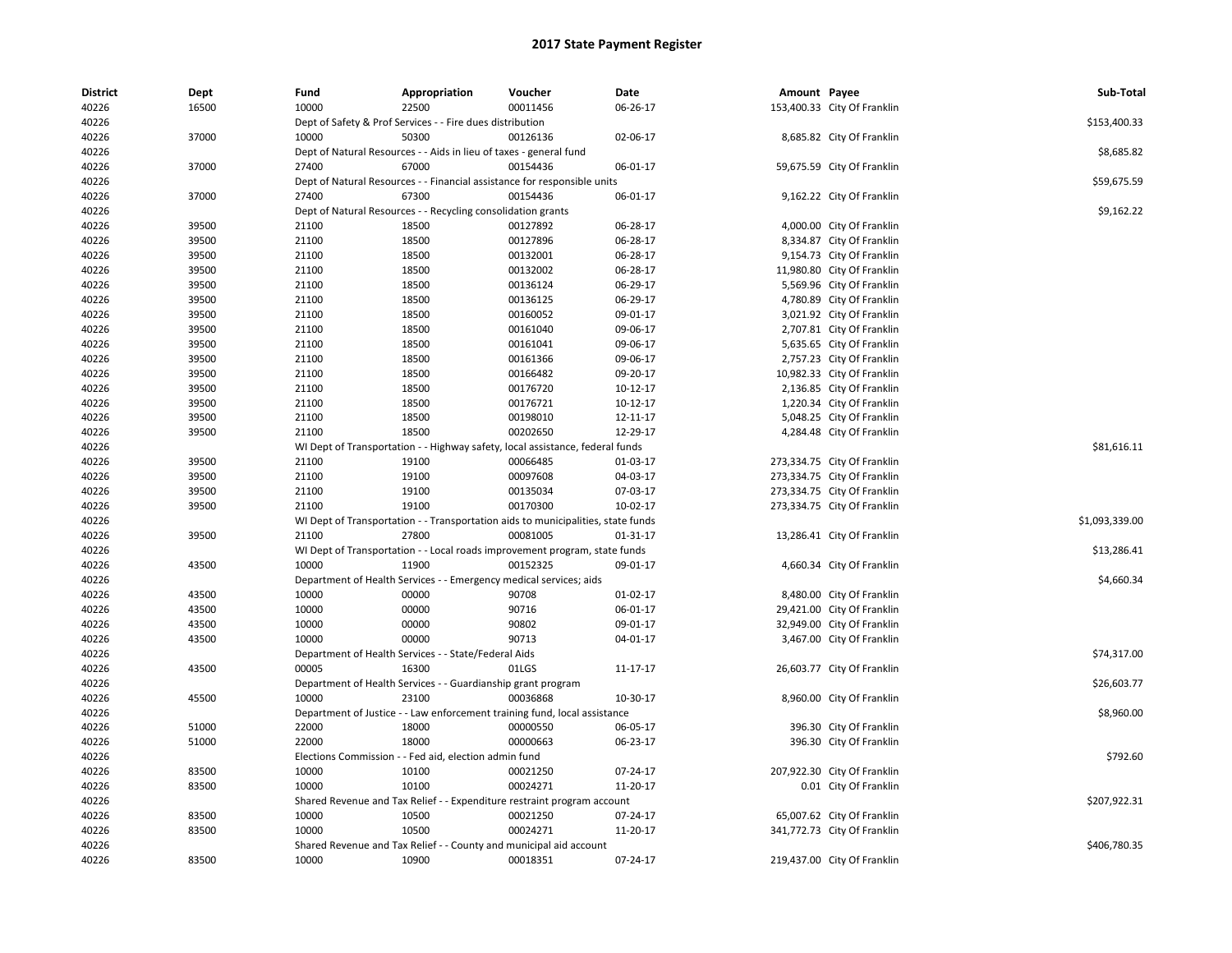| <b>District</b><br>40226 | Dept<br>16500 | Fund<br>10000  | Appropriation<br>22500                                                           | Voucher<br>00011456 | Date<br>06-26-17 | Amount Payee | 153,400.33 City Of Franklin | Sub-Total      |
|--------------------------|---------------|----------------|----------------------------------------------------------------------------------|---------------------|------------------|--------------|-----------------------------|----------------|
| 40226                    |               |                | Dept of Safety & Prof Services - - Fire dues distribution                        |                     |                  |              |                             | \$153,400.33   |
| 40226                    | 37000         | 10000          | 50300                                                                            | 00126136            | 02-06-17         |              | 8,685.82 City Of Franklin   |                |
| 40226                    |               |                | Dept of Natural Resources - - Aids in lieu of taxes - general fund               |                     |                  |              |                             | \$8,685.82     |
| 40226                    | 37000         | 27400          | 67000                                                                            | 00154436            | 06-01-17         |              | 59,675.59 City Of Franklin  |                |
| 40226                    |               |                | Dept of Natural Resources - - Financial assistance for responsible units         |                     |                  |              |                             | \$59,675.59    |
| 40226                    | 37000         | 27400          | 67300                                                                            | 00154436            | 06-01-17         |              | 9,162.22 City Of Franklin   |                |
| 40226                    |               |                | Dept of Natural Resources - - Recycling consolidation grants                     |                     |                  |              |                             | \$9,162.22     |
| 40226                    | 39500         | 21100          | 18500                                                                            | 00127892            | 06-28-17         |              | 4,000.00 City Of Franklin   |                |
| 40226                    | 39500         | 21100          | 18500                                                                            | 00127896            | 06-28-17         |              | 8,334.87 City Of Franklin   |                |
| 40226                    | 39500         | 21100          | 18500                                                                            | 00132001            | 06-28-17         |              | 9,154.73 City Of Franklin   |                |
| 40226                    | 39500         | 21100          | 18500                                                                            | 00132002            | 06-28-17         |              | 11,980.80 City Of Franklin  |                |
| 40226                    | 39500         |                | 18500                                                                            | 00136124            | 06-29-17         |              | 5,569.96 City Of Franklin   |                |
| 40226                    | 39500         | 21100<br>21100 | 18500                                                                            | 00136125            | 06-29-17         |              | 4,780.89 City Of Franklin   |                |
| 40226                    | 39500         | 21100          | 18500                                                                            | 00160052            | 09-01-17         |              |                             |                |
|                          |               |                |                                                                                  |                     |                  |              | 3,021.92 City Of Franklin   |                |
| 40226                    | 39500         | 21100          | 18500                                                                            | 00161040            | 09-06-17         |              | 2,707.81 City Of Franklin   |                |
| 40226                    | 39500         | 21100          | 18500                                                                            | 00161041            | 09-06-17         |              | 5,635.65 City Of Franklin   |                |
| 40226                    | 39500         | 21100          | 18500                                                                            | 00161366            | 09-06-17         |              | 2,757.23 City Of Franklin   |                |
| 40226                    | 39500         | 21100          | 18500                                                                            | 00166482            | 09-20-17         |              | 10,982.33 City Of Franklin  |                |
| 40226                    | 39500         | 21100          | 18500                                                                            | 00176720            | 10-12-17         |              | 2,136.85 City Of Franklin   |                |
| 40226                    | 39500         | 21100          | 18500                                                                            | 00176721            | 10-12-17         |              | 1,220.34 City Of Franklin   |                |
| 40226                    | 39500         | 21100          | 18500                                                                            | 00198010            | 12-11-17         |              | 5,048.25 City Of Franklin   |                |
| 40226                    | 39500         | 21100          | 18500                                                                            | 00202650            | 12-29-17         |              | 4,284.48 City Of Franklin   |                |
| 40226                    |               |                | WI Dept of Transportation - - Highway safety, local assistance, federal funds    |                     |                  |              |                             | \$81,616.11    |
| 40226                    | 39500         | 21100          | 19100                                                                            | 00066485            | 01-03-17         |              | 273,334.75 City Of Franklin |                |
| 40226                    | 39500         | 21100          | 19100                                                                            | 00097608            | 04-03-17         |              | 273,334.75 City Of Franklin |                |
| 40226                    | 39500         | 21100          | 19100                                                                            | 00135034            | 07-03-17         |              | 273,334.75 City Of Franklin |                |
| 40226                    | 39500         | 21100          | 19100                                                                            | 00170300            | $10-02-17$       |              | 273,334.75 City Of Franklin |                |
| 40226                    |               |                | WI Dept of Transportation - - Transportation aids to municipalities, state funds |                     |                  |              |                             | \$1,093,339.00 |
| 40226                    | 39500         | 21100          | 27800                                                                            | 00081005            | 01-31-17         |              | 13,286.41 City Of Franklin  |                |
| 40226                    |               |                | WI Dept of Transportation - - Local roads improvement program, state funds       |                     |                  |              |                             | \$13,286.41    |
| 40226                    | 43500         | 10000          | 11900                                                                            | 00152325            | 09-01-17         |              | 4,660.34 City Of Franklin   |                |
| 40226                    |               |                | Department of Health Services - - Emergency medical services; aids               |                     |                  |              |                             | \$4,660.34     |
| 40226                    | 43500         | 10000          | 00000                                                                            | 90708               | $01-02-17$       |              | 8,480.00 City Of Franklin   |                |
| 40226                    | 43500         | 10000          | 00000                                                                            | 90716               | 06-01-17         |              | 29,421.00 City Of Franklin  |                |
| 40226                    | 43500         | 10000          | 00000                                                                            | 90802               | 09-01-17         |              | 32,949.00 City Of Franklin  |                |
| 40226                    | 43500         | 10000          | 00000                                                                            | 90713               | 04-01-17         |              | 3,467.00 City Of Franklin   |                |
| 40226                    |               |                | Department of Health Services - - State/Federal Aids                             |                     |                  |              |                             | \$74,317.00    |
| 40226                    | 43500         | 00005          | 16300                                                                            | 01LGS               | 11-17-17         |              | 26,603.77 City Of Franklin  |                |
| 40226                    |               |                | Department of Health Services - - Guardianship grant program                     |                     |                  |              |                             | \$26,603.77    |
| 40226                    | 45500         | 10000          | 23100                                                                            | 00036868            | 10-30-17         |              | 8,960.00 City Of Franklin   |                |
| 40226                    |               |                | Department of Justice - - Law enforcement training fund, local assistance        |                     |                  |              |                             | \$8,960.00     |
| 40226                    | 51000         | 22000          | 18000                                                                            | 00000550            | 06-05-17         |              | 396.30 City Of Franklin     |                |
| 40226                    | 51000         | 22000          | 18000                                                                            | 00000663            | 06-23-17         |              | 396.30 City Of Franklin     |                |
| 40226                    |               |                | Elections Commission - - Fed aid, election admin fund                            |                     |                  |              |                             | \$792.60       |
| 40226                    | 83500         | 10000          | 10100                                                                            | 00021250            | 07-24-17         |              | 207,922.30 City Of Franklin |                |
| 40226                    | 83500         | 10000          | 10100                                                                            | 00024271            | 11-20-17         |              | 0.01 City Of Franklin       |                |
| 40226                    |               |                | Shared Revenue and Tax Relief - - Expenditure restraint program account          |                     |                  |              |                             | \$207,922.31   |
| 40226                    | 83500         | 10000          | 10500                                                                            | 00021250            | 07-24-17         |              | 65,007.62 City Of Franklin  |                |
| 40226                    | 83500         | 10000          | 10500                                                                            | 00024271            | 11-20-17         |              | 341,772.73 City Of Franklin |                |
| 40226                    |               |                | Shared Revenue and Tax Relief - - County and municipal aid account               |                     |                  |              |                             | \$406,780.35   |
| 40226                    | 83500         | 10000          | 10900                                                                            | 00018351            | 07-24-17         |              | 219,437.00 City Of Franklin |                |
|                          |               |                |                                                                                  |                     |                  |              |                             |                |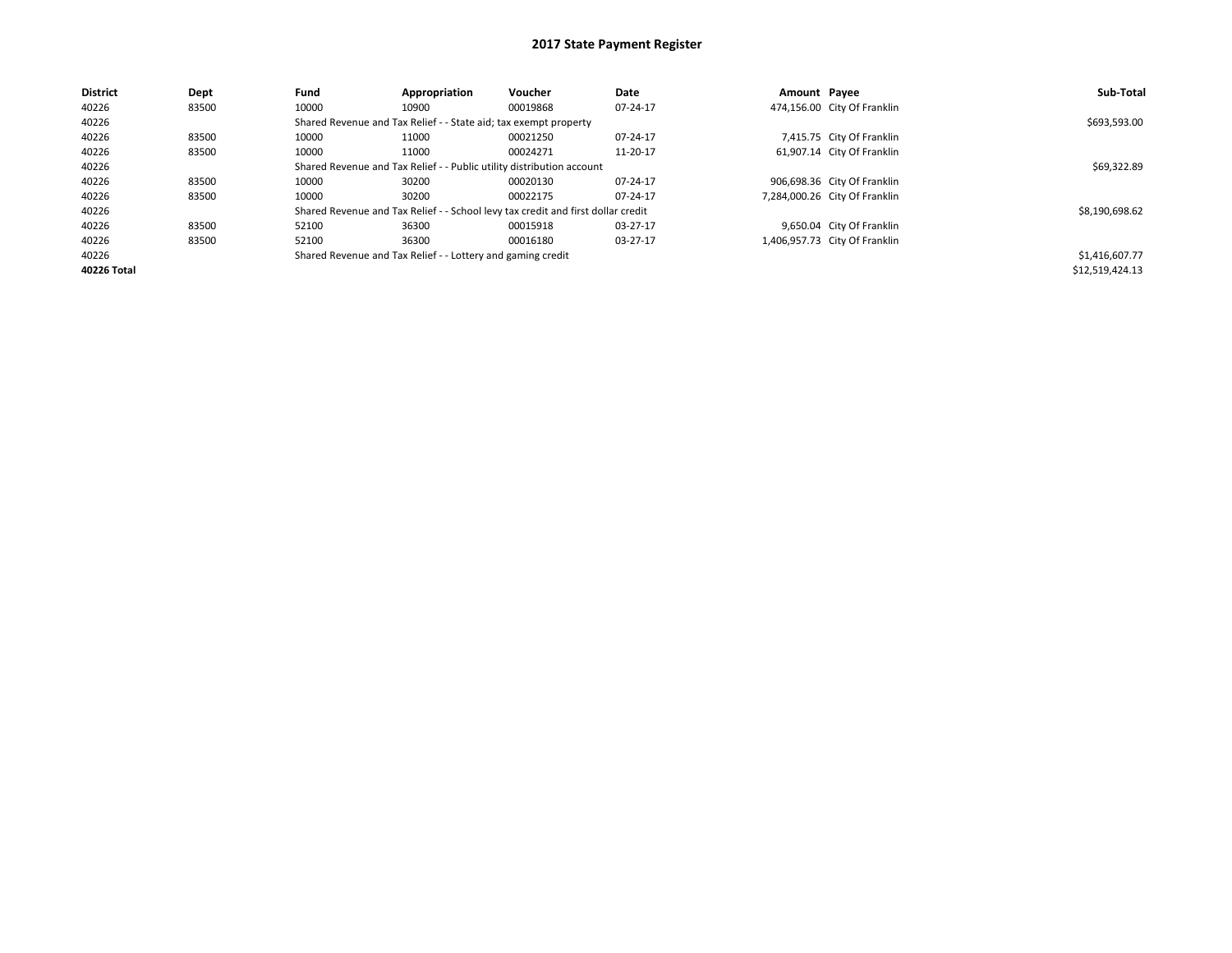| <b>District</b> | Dept  | Fund  | Appropriation                                                         | <b>Voucher</b>                                                                   | Date     | Amount Pavee |                               | Sub-Total       |
|-----------------|-------|-------|-----------------------------------------------------------------------|----------------------------------------------------------------------------------|----------|--------------|-------------------------------|-----------------|
| 40226           | 83500 | 10000 | 10900                                                                 | 00019868                                                                         | 07-24-17 |              | 474,156.00 City Of Franklin   |                 |
| 40226           |       |       | Shared Revenue and Tax Relief - - State aid; tax exempt property      |                                                                                  |          |              |                               | \$693,593.00    |
| 40226           | 83500 | 10000 | 11000                                                                 | 00021250                                                                         | 07-24-17 |              | 7,415.75 City Of Franklin     |                 |
| 40226           | 83500 | 10000 | 11000                                                                 | 00024271                                                                         | 11-20-17 |              | 61,907.14 City Of Franklin    |                 |
| 40226           |       |       | Shared Revenue and Tax Relief - - Public utility distribution account |                                                                                  |          |              |                               | \$69,322.89     |
| 40226           | 83500 | 10000 | 30200                                                                 | 00020130                                                                         | 07-24-17 |              | 906,698.36 City Of Franklin   |                 |
| 40226           | 83500 | 10000 | 30200                                                                 | 00022175                                                                         | 07-24-17 |              | 7,284,000.26 City Of Franklin |                 |
| 40226           |       |       |                                                                       | Shared Revenue and Tax Relief - - School levy tax credit and first dollar credit |          |              |                               | \$8,190,698.62  |
| 40226           | 83500 | 52100 | 36300                                                                 | 00015918                                                                         | 03-27-17 |              | 9,650.04 City Of Franklin     |                 |
| 40226           | 83500 | 52100 | 36300                                                                 | 00016180                                                                         | 03-27-17 |              | 1,406,957.73 City Of Franklin |                 |
| 40226           |       |       | Shared Revenue and Tax Relief - - Lottery and gaming credit           |                                                                                  |          |              |                               | \$1,416,607.77  |
| 40226 Total     |       |       |                                                                       |                                                                                  |          |              |                               | \$12,519,424.13 |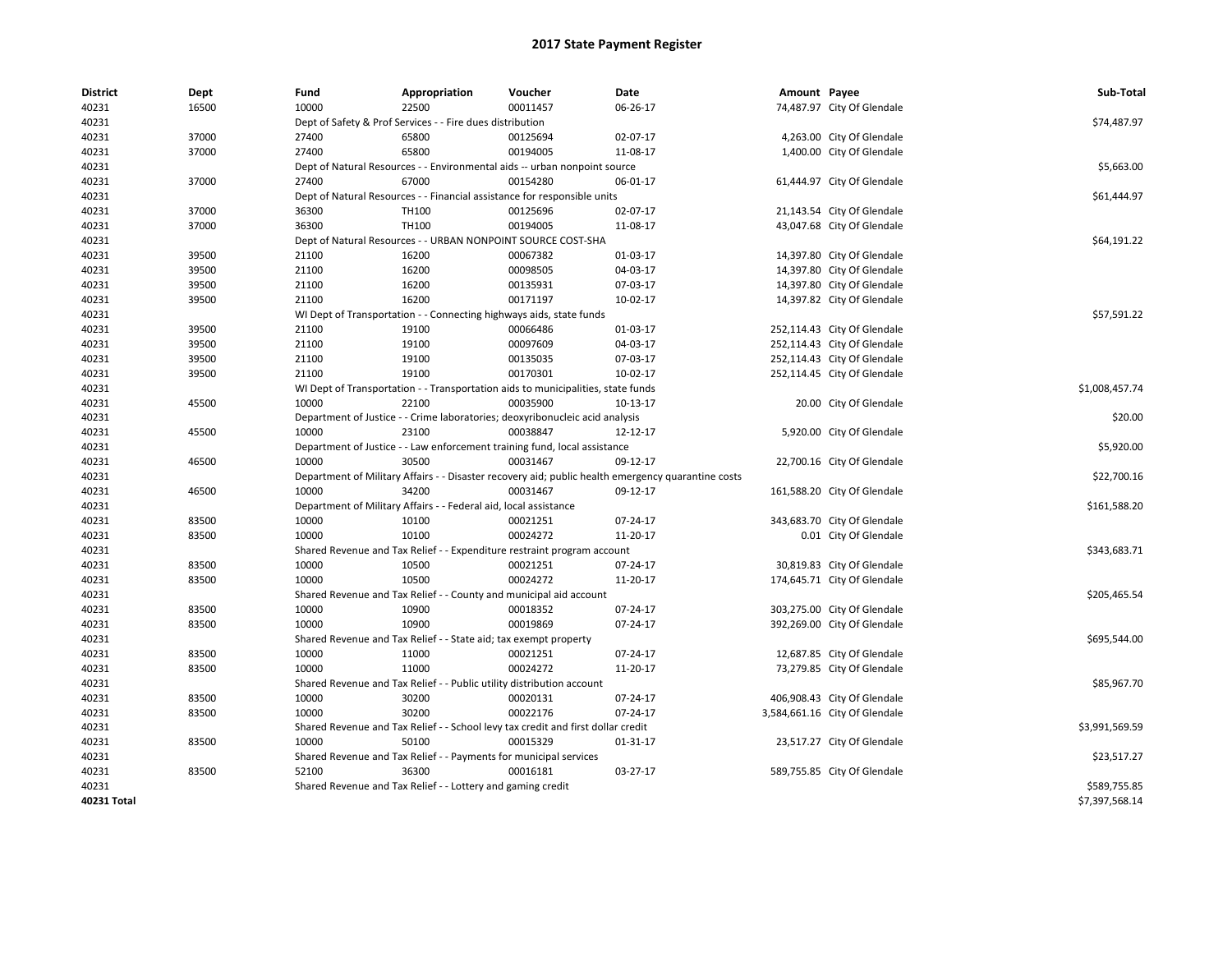| <b>District</b> | Dept  | Fund  | Appropriation                                                         | Voucher                                                                          | Date                                                                                               | Amount Payee |                               | Sub-Total      |
|-----------------|-------|-------|-----------------------------------------------------------------------|----------------------------------------------------------------------------------|----------------------------------------------------------------------------------------------------|--------------|-------------------------------|----------------|
| 40231           | 16500 | 10000 | 22500                                                                 | 00011457                                                                         | 06-26-17                                                                                           |              | 74,487.97 City Of Glendale    |                |
| 40231           |       |       | Dept of Safety & Prof Services - - Fire dues distribution             |                                                                                  |                                                                                                    |              |                               | \$74,487.97    |
| 40231           | 37000 | 27400 | 65800                                                                 | 00125694                                                                         | 02-07-17                                                                                           |              | 4,263.00 City Of Glendale     |                |
| 40231           | 37000 | 27400 | 65800                                                                 | 00194005                                                                         | 11-08-17                                                                                           |              | 1,400.00 City Of Glendale     |                |
| 40231           |       |       |                                                                       | Dept of Natural Resources - - Environmental aids -- urban nonpoint source        |                                                                                                    |              |                               | \$5,663.00     |
| 40231           | 37000 | 27400 | 67000                                                                 | 00154280                                                                         | 06-01-17                                                                                           |              | 61,444.97 City Of Glendale    |                |
| 40231           |       |       |                                                                       | Dept of Natural Resources - - Financial assistance for responsible units         |                                                                                                    |              |                               | \$61,444.97    |
| 40231           | 37000 | 36300 | TH100                                                                 | 00125696                                                                         | 02-07-17                                                                                           |              | 21,143.54 City Of Glendale    |                |
| 40231           | 37000 | 36300 | TH100                                                                 | 00194005                                                                         | 11-08-17                                                                                           |              | 43,047.68 City Of Glendale    |                |
| 40231           |       |       |                                                                       | Dept of Natural Resources - - URBAN NONPOINT SOURCE COST-SHA                     |                                                                                                    |              |                               | \$64,191.22    |
| 40231           | 39500 | 21100 | 16200                                                                 | 00067382                                                                         | 01-03-17                                                                                           |              | 14,397.80 City Of Glendale    |                |
| 40231           | 39500 | 21100 | 16200                                                                 | 00098505                                                                         | 04-03-17                                                                                           |              | 14,397.80 City Of Glendale    |                |
| 40231           | 39500 | 21100 | 16200                                                                 | 00135931                                                                         | 07-03-17                                                                                           |              | 14,397.80 City Of Glendale    |                |
| 40231           | 39500 | 21100 | 16200                                                                 | 00171197                                                                         | 10-02-17                                                                                           |              | 14,397.82 City Of Glendale    |                |
| 40231           |       |       |                                                                       | WI Dept of Transportation - - Connecting highways aids, state funds              |                                                                                                    |              |                               | \$57,591.22    |
| 40231           | 39500 | 21100 | 19100                                                                 | 00066486                                                                         | 01-03-17                                                                                           |              | 252,114.43 City Of Glendale   |                |
| 40231           | 39500 | 21100 | 19100                                                                 | 00097609                                                                         | 04-03-17                                                                                           |              | 252,114.43 City Of Glendale   |                |
| 40231           | 39500 | 21100 | 19100                                                                 | 00135035                                                                         | 07-03-17                                                                                           |              | 252,114.43 City Of Glendale   |                |
| 40231           | 39500 | 21100 | 19100                                                                 | 00170301                                                                         | 10-02-17                                                                                           |              | 252,114.45 City Of Glendale   |                |
| 40231           |       |       |                                                                       | WI Dept of Transportation - - Transportation aids to municipalities, state funds |                                                                                                    |              |                               | \$1,008,457.74 |
| 40231           | 45500 | 10000 | 22100                                                                 | 00035900                                                                         | 10-13-17                                                                                           |              | 20.00 City Of Glendale        |                |
| 40231           |       |       |                                                                       | Department of Justice - - Crime laboratories; deoxyribonucleic acid analysis     |                                                                                                    |              |                               | \$20.00        |
| 40231           | 45500 | 10000 | 23100                                                                 | 00038847                                                                         | 12-12-17                                                                                           |              | 5,920.00 City Of Glendale     |                |
| 40231           |       |       |                                                                       | Department of Justice - - Law enforcement training fund, local assistance        |                                                                                                    |              |                               | \$5,920.00     |
| 40231           | 46500 | 10000 | 30500                                                                 | 00031467                                                                         | 09-12-17                                                                                           |              | 22,700.16 City Of Glendale    |                |
| 40231           |       |       |                                                                       |                                                                                  | Department of Military Affairs - - Disaster recovery aid; public health emergency quarantine costs |              |                               | \$22,700.16    |
| 40231           | 46500 | 10000 | 34200                                                                 | 00031467                                                                         | 09-12-17                                                                                           |              | 161,588.20 City Of Glendale   |                |
| 40231           |       |       | Department of Military Affairs - - Federal aid, local assistance      |                                                                                  |                                                                                                    |              |                               | \$161,588.20   |
| 40231           | 83500 | 10000 | 10100                                                                 | 00021251                                                                         | 07-24-17                                                                                           |              | 343,683.70 City Of Glendale   |                |
| 40231           | 83500 | 10000 | 10100                                                                 | 00024272                                                                         | 11-20-17                                                                                           |              | 0.01 City Of Glendale         |                |
| 40231           |       |       |                                                                       | Shared Revenue and Tax Relief - - Expenditure restraint program account          |                                                                                                    |              |                               | \$343,683.71   |
| 40231           | 83500 | 10000 | 10500                                                                 | 00021251                                                                         | 07-24-17                                                                                           |              | 30,819.83 City Of Glendale    |                |
| 40231           | 83500 | 10000 | 10500                                                                 | 00024272                                                                         | 11-20-17                                                                                           |              | 174,645.71 City Of Glendale   |                |
| 40231           |       |       |                                                                       | Shared Revenue and Tax Relief - - County and municipal aid account               |                                                                                                    |              |                               | \$205,465.54   |
| 40231           | 83500 | 10000 | 10900                                                                 | 00018352                                                                         | 07-24-17                                                                                           |              | 303,275.00 City Of Glendale   |                |
| 40231           | 83500 | 10000 | 10900                                                                 | 00019869                                                                         | 07-24-17                                                                                           |              | 392,269.00 City Of Glendale   |                |
| 40231           |       |       | Shared Revenue and Tax Relief - - State aid; tax exempt property      |                                                                                  |                                                                                                    |              |                               | \$695,544.00   |
| 40231           | 83500 | 10000 | 11000                                                                 | 00021251                                                                         | 07-24-17                                                                                           |              | 12,687.85 City Of Glendale    |                |
| 40231           | 83500 | 10000 | 11000                                                                 | 00024272                                                                         | 11-20-17                                                                                           |              | 73,279.85 City Of Glendale    |                |
| 40231           |       |       | Shared Revenue and Tax Relief - - Public utility distribution account |                                                                                  |                                                                                                    |              |                               | \$85,967.70    |
| 40231           | 83500 | 10000 | 30200                                                                 | 00020131                                                                         | 07-24-17                                                                                           |              | 406,908.43 City Of Glendale   |                |
| 40231           | 83500 | 10000 | 30200                                                                 | 00022176                                                                         | 07-24-17                                                                                           |              | 3,584,661.16 City Of Glendale |                |
| 40231           |       |       |                                                                       | Shared Revenue and Tax Relief - - School levy tax credit and first dollar credit |                                                                                                    |              |                               | \$3,991,569.59 |
| 40231           | 83500 | 10000 | 50100                                                                 | 00015329                                                                         | 01-31-17                                                                                           |              | 23,517.27 City Of Glendale    |                |
| 40231           |       |       | Shared Revenue and Tax Relief - - Payments for municipal services     |                                                                                  |                                                                                                    |              |                               | \$23,517.27    |
| 40231           | 83500 | 52100 | 36300                                                                 | 00016181                                                                         | 03-27-17                                                                                           |              | 589,755.85 City Of Glendale   |                |
| 40231           |       |       | Shared Revenue and Tax Relief - - Lottery and gaming credit           |                                                                                  |                                                                                                    |              |                               | \$589,755.85   |
| 40231 Total     |       |       |                                                                       |                                                                                  |                                                                                                    |              |                               | \$7,397,568.14 |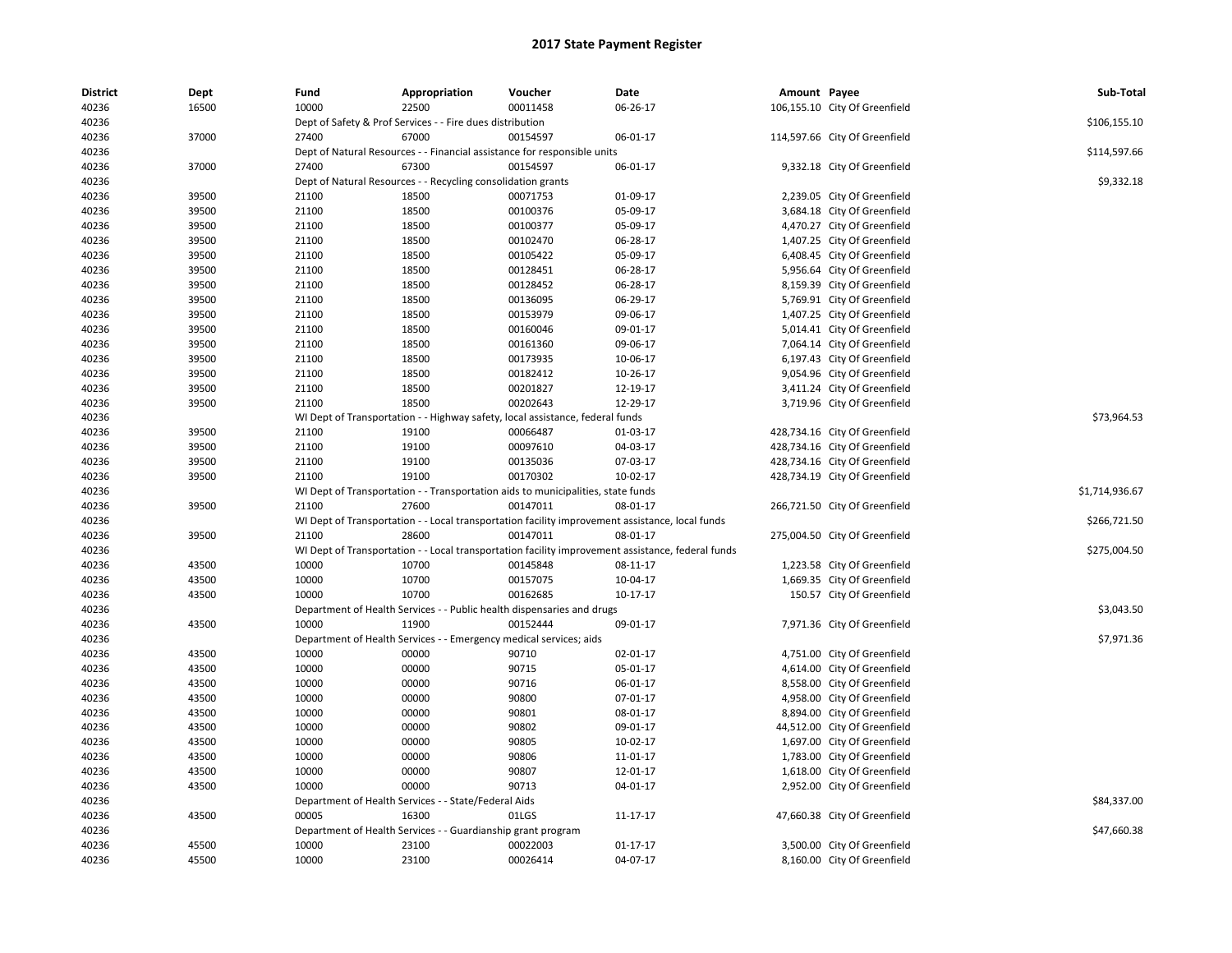| <b>District</b> | Dept  | Fund  | Appropriation                                                      | Voucher                                                                          | Date                                                                                              | Amount Payee |                               | Sub-Total      |
|-----------------|-------|-------|--------------------------------------------------------------------|----------------------------------------------------------------------------------|---------------------------------------------------------------------------------------------------|--------------|-------------------------------|----------------|
| 40236           | 16500 | 10000 | 22500                                                              | 00011458                                                                         | 06-26-17                                                                                          |              | 106,155.10 City Of Greenfield |                |
| 40236           |       |       | Dept of Safety & Prof Services - - Fire dues distribution          |                                                                                  |                                                                                                   |              |                               | \$106,155.10   |
| 40236           | 37000 | 27400 | 67000                                                              | 00154597                                                                         | 06-01-17                                                                                          |              | 114,597.66 City Of Greenfield |                |
| 40236           |       |       |                                                                    | Dept of Natural Resources - - Financial assistance for responsible units         |                                                                                                   |              |                               | \$114,597.66   |
| 40236           | 37000 | 27400 | 67300                                                              | 00154597                                                                         | 06-01-17                                                                                          |              | 9,332.18 City Of Greenfield   |                |
| 40236           |       |       | Dept of Natural Resources - - Recycling consolidation grants       |                                                                                  |                                                                                                   |              |                               | \$9,332.18     |
| 40236           | 39500 | 21100 | 18500                                                              | 00071753                                                                         | 01-09-17                                                                                          |              | 2,239.05 City Of Greenfield   |                |
| 40236           | 39500 | 21100 | 18500                                                              | 00100376                                                                         | 05-09-17                                                                                          |              | 3,684.18 City Of Greenfield   |                |
| 40236           | 39500 | 21100 | 18500                                                              | 00100377                                                                         | 05-09-17                                                                                          |              | 4,470.27 City Of Greenfield   |                |
| 40236           | 39500 | 21100 | 18500                                                              | 00102470                                                                         | 06-28-17                                                                                          |              | 1,407.25 City Of Greenfield   |                |
| 40236           | 39500 | 21100 | 18500                                                              | 00105422                                                                         | 05-09-17                                                                                          |              | 6,408.45 City Of Greenfield   |                |
| 40236           | 39500 | 21100 | 18500                                                              | 00128451                                                                         | 06-28-17                                                                                          |              | 5,956.64 City Of Greenfield   |                |
| 40236           | 39500 | 21100 | 18500                                                              | 00128452                                                                         | 06-28-17                                                                                          |              | 8,159.39 City Of Greenfield   |                |
| 40236           | 39500 | 21100 | 18500                                                              | 00136095                                                                         | 06-29-17                                                                                          |              | 5,769.91 City Of Greenfield   |                |
| 40236           | 39500 | 21100 | 18500                                                              | 00153979                                                                         | 09-06-17                                                                                          |              | 1,407.25 City Of Greenfield   |                |
| 40236           | 39500 | 21100 | 18500                                                              | 00160046                                                                         | 09-01-17                                                                                          |              | 5,014.41 City Of Greenfield   |                |
| 40236           | 39500 | 21100 | 18500                                                              | 00161360                                                                         | 09-06-17                                                                                          |              | 7,064.14 City Of Greenfield   |                |
| 40236           | 39500 | 21100 | 18500                                                              | 00173935                                                                         | 10-06-17                                                                                          |              | 6,197.43 City Of Greenfield   |                |
| 40236           | 39500 | 21100 | 18500                                                              | 00182412                                                                         | 10-26-17                                                                                          |              | 9,054.96 City Of Greenfield   |                |
| 40236           | 39500 | 21100 | 18500                                                              | 00201827                                                                         | 12-19-17                                                                                          |              | 3,411.24 City Of Greenfield   |                |
| 40236           | 39500 | 21100 | 18500                                                              | 00202643                                                                         | 12-29-17                                                                                          |              | 3,719.96 City Of Greenfield   |                |
| 40236           |       |       |                                                                    | WI Dept of Transportation - - Highway safety, local assistance, federal funds    |                                                                                                   |              |                               | \$73,964.53    |
| 40236           | 39500 | 21100 | 19100                                                              | 00066487                                                                         | 01-03-17                                                                                          |              | 428,734.16 City Of Greenfield |                |
| 40236           | 39500 | 21100 | 19100                                                              | 00097610                                                                         | 04-03-17                                                                                          |              | 428,734.16 City Of Greenfield |                |
| 40236           | 39500 | 21100 | 19100                                                              | 00135036                                                                         | 07-03-17                                                                                          |              | 428,734.16 City Of Greenfield |                |
| 40236           | 39500 | 21100 | 19100                                                              | 00170302                                                                         | 10-02-17                                                                                          |              | 428,734.19 City Of Greenfield |                |
| 40236           |       |       |                                                                    | WI Dept of Transportation - - Transportation aids to municipalities, state funds |                                                                                                   |              |                               | \$1,714,936.67 |
| 40236           | 39500 | 21100 | 27600                                                              | 00147011                                                                         | 08-01-17                                                                                          |              | 266,721.50 City Of Greenfield |                |
| 40236           |       |       |                                                                    |                                                                                  | WI Dept of Transportation - - Local transportation facility improvement assistance, local funds   |              |                               | \$266,721.50   |
| 40236           | 39500 | 21100 | 28600                                                              | 00147011                                                                         | 08-01-17                                                                                          |              | 275,004.50 City Of Greenfield |                |
| 40236           |       |       |                                                                    |                                                                                  | WI Dept of Transportation - - Local transportation facility improvement assistance, federal funds |              |                               | \$275,004.50   |
| 40236           | 43500 | 10000 | 10700                                                              | 00145848                                                                         | 08-11-17                                                                                          |              | 1,223.58 City Of Greenfield   |                |
| 40236           | 43500 | 10000 | 10700                                                              | 00157075                                                                         | 10-04-17                                                                                          |              | 1,669.35 City Of Greenfield   |                |
| 40236           | 43500 | 10000 | 10700                                                              | 00162685                                                                         | 10-17-17                                                                                          |              | 150.57 City Of Greenfield     |                |
| 40236           |       |       |                                                                    | Department of Health Services - - Public health dispensaries and drugs           |                                                                                                   |              |                               | \$3,043.50     |
| 40236           | 43500 | 10000 | 11900                                                              | 00152444                                                                         | 09-01-17                                                                                          |              | 7,971.36 City Of Greenfield   |                |
| 40236           |       |       | Department of Health Services - - Emergency medical services; aids |                                                                                  |                                                                                                   |              |                               | \$7,971.36     |
| 40236           | 43500 | 10000 | 00000                                                              | 90710                                                                            | 02-01-17                                                                                          |              | 4,751.00 City Of Greenfield   |                |
| 40236           | 43500 | 10000 | 00000                                                              | 90715                                                                            | 05-01-17                                                                                          |              | 4,614.00 City Of Greenfield   |                |
| 40236           | 43500 | 10000 | 00000                                                              | 90716                                                                            | 06-01-17                                                                                          |              | 8,558.00 City Of Greenfield   |                |
| 40236           | 43500 | 10000 | 00000                                                              | 90800                                                                            | 07-01-17                                                                                          |              | 4,958.00 City Of Greenfield   |                |
| 40236           | 43500 | 10000 | 00000                                                              | 90801                                                                            | 08-01-17                                                                                          |              | 8,894.00 City Of Greenfield   |                |
| 40236           | 43500 | 10000 | 00000                                                              | 90802                                                                            | 09-01-17                                                                                          |              | 44,512.00 City Of Greenfield  |                |
| 40236           | 43500 | 10000 | 00000                                                              | 90805                                                                            | 10-02-17                                                                                          |              | 1,697.00 City Of Greenfield   |                |
| 40236           | 43500 | 10000 | 00000                                                              | 90806                                                                            | 11-01-17                                                                                          |              | 1,783.00 City Of Greenfield   |                |
| 40236           | 43500 | 10000 | 00000                                                              | 90807                                                                            | 12-01-17                                                                                          |              | 1,618.00 City Of Greenfield   |                |
| 40236           | 43500 | 10000 | 00000                                                              | 90713                                                                            | 04-01-17                                                                                          |              | 2,952.00 City Of Greenfield   |                |
| 40236           |       |       | Department of Health Services - - State/Federal Aids               |                                                                                  |                                                                                                   |              |                               | \$84,337.00    |
| 40236           | 43500 | 00005 | 16300                                                              | 01LGS                                                                            | 11-17-17                                                                                          |              | 47,660.38 City Of Greenfield  |                |
| 40236           |       |       | Department of Health Services - - Guardianship grant program       |                                                                                  |                                                                                                   |              |                               | \$47,660.38    |
| 40236           | 45500 | 10000 | 23100                                                              | 00022003                                                                         | $01 - 17 - 17$                                                                                    |              | 3,500.00 City Of Greenfield   |                |
| 40236           | 45500 | 10000 | 23100                                                              | 00026414                                                                         | 04-07-17                                                                                          |              | 8,160.00 City Of Greenfield   |                |
|                 |       |       |                                                                    |                                                                                  |                                                                                                   |              |                               |                |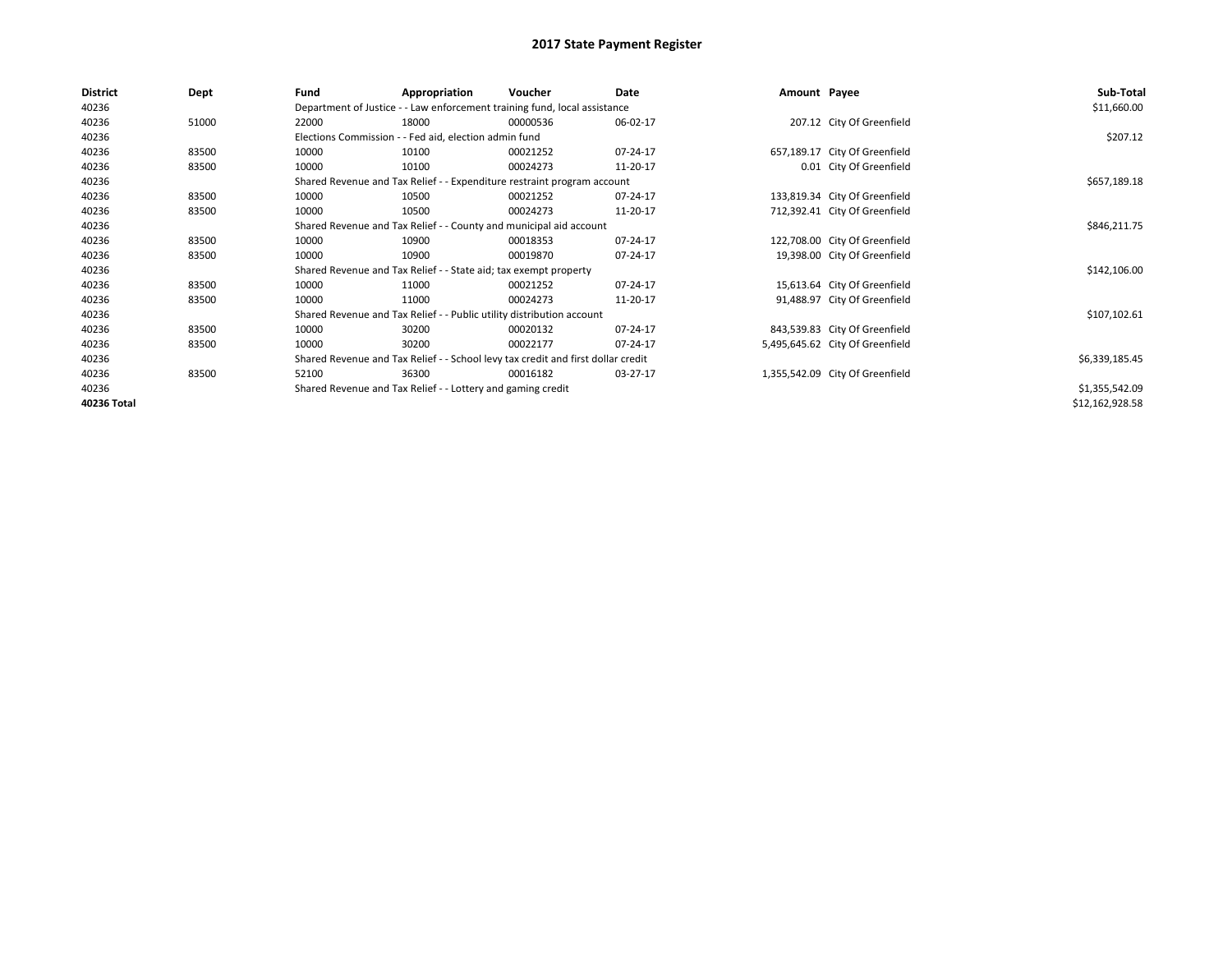| <b>District</b> | Dept  | Fund  | Appropriation                                                                    | Voucher  | Date     | Amount Payee |                                 | Sub-Total       |
|-----------------|-------|-------|----------------------------------------------------------------------------------|----------|----------|--------------|---------------------------------|-----------------|
| 40236           |       |       | Department of Justice - - Law enforcement training fund, local assistance        |          |          |              |                                 | \$11,660.00     |
| 40236           | 51000 | 22000 | 18000                                                                            | 00000536 | 06-02-17 |              | 207.12 City Of Greenfield       |                 |
| 40236           |       |       | Elections Commission - - Fed aid, election admin fund                            |          |          |              |                                 | \$207.12        |
| 40236           | 83500 | 10000 | 10100                                                                            | 00021252 | 07-24-17 |              | 657,189.17 City Of Greenfield   |                 |
| 40236           | 83500 | 10000 | 10100                                                                            | 00024273 | 11-20-17 |              | 0.01 City Of Greenfield         |                 |
| 40236           |       |       | Shared Revenue and Tax Relief - - Expenditure restraint program account          |          |          |              |                                 | \$657,189.18    |
| 40236           | 83500 | 10000 | 10500                                                                            | 00021252 | 07-24-17 |              | 133,819.34 City Of Greenfield   |                 |
| 40236           | 83500 | 10000 | 10500                                                                            | 00024273 | 11-20-17 |              | 712,392.41 City Of Greenfield   |                 |
| 40236           |       |       | Shared Revenue and Tax Relief - - County and municipal aid account               |          |          |              |                                 | \$846,211.75    |
| 40236           | 83500 | 10000 | 10900                                                                            | 00018353 | 07-24-17 |              | 122,708.00 City Of Greenfield   |                 |
| 40236           | 83500 | 10000 | 10900                                                                            | 00019870 | 07-24-17 |              | 19,398.00 City Of Greenfield    |                 |
| 40236           |       |       | Shared Revenue and Tax Relief - - State aid; tax exempt property                 |          |          |              |                                 | \$142,106.00    |
| 40236           | 83500 | 10000 | 11000                                                                            | 00021252 | 07-24-17 |              | 15,613.64 City Of Greenfield    |                 |
| 40236           | 83500 | 10000 | 11000                                                                            | 00024273 | 11-20-17 |              | 91,488.97 City Of Greenfield    |                 |
| 40236           |       |       | Shared Revenue and Tax Relief - - Public utility distribution account            |          |          |              |                                 | \$107,102.61    |
| 40236           | 83500 | 10000 | 30200                                                                            | 00020132 | 07-24-17 |              | 843,539.83 City Of Greenfield   |                 |
| 40236           | 83500 | 10000 | 30200                                                                            | 00022177 | 07-24-17 |              | 5,495,645.62 City Of Greenfield |                 |
| 40236           |       |       | Shared Revenue and Tax Relief - - School levy tax credit and first dollar credit |          |          |              |                                 | \$6,339,185.45  |
| 40236           | 83500 | 52100 | 36300                                                                            | 00016182 | 03-27-17 |              | 1,355,542.09 City Of Greenfield |                 |
| 40236           |       |       | Shared Revenue and Tax Relief - - Lottery and gaming credit                      |          |          |              |                                 | \$1,355,542.09  |
| 40236 Total     |       |       |                                                                                  |          |          |              |                                 | \$12,162,928.58 |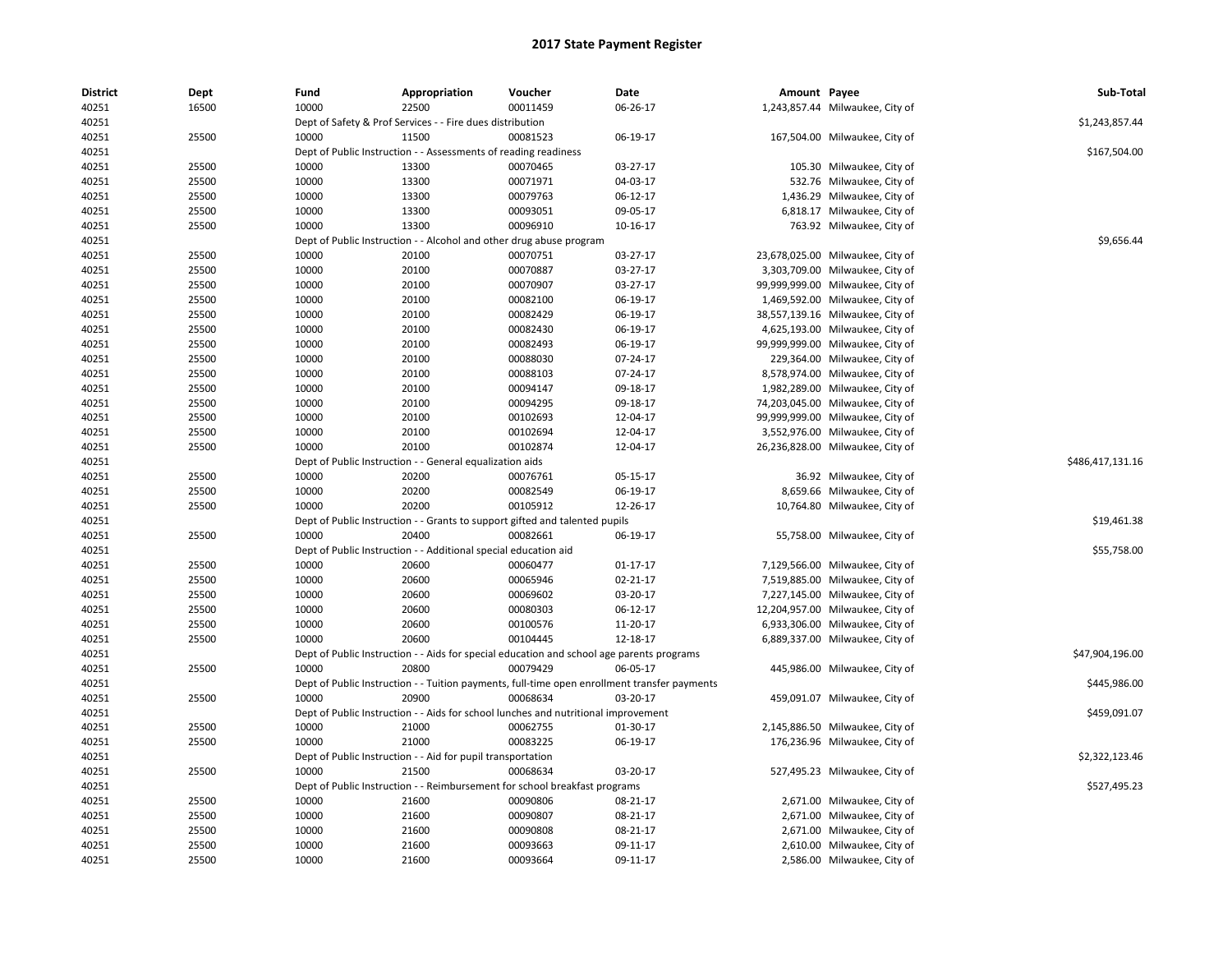| <b>District</b> | Dept  | Fund  | Appropriation                                                                             | Voucher  | Date                                                                                         | Amount Payee |                                  | Sub-Total        |
|-----------------|-------|-------|-------------------------------------------------------------------------------------------|----------|----------------------------------------------------------------------------------------------|--------------|----------------------------------|------------------|
| 40251           | 16500 | 10000 | 22500                                                                                     | 00011459 | 06-26-17                                                                                     |              | 1,243,857.44 Milwaukee, City of  |                  |
| 40251           |       |       | Dept of Safety & Prof Services - - Fire dues distribution                                 |          |                                                                                              |              |                                  | \$1,243,857.44   |
| 40251           | 25500 | 10000 | 11500                                                                                     | 00081523 | 06-19-17                                                                                     |              | 167,504.00 Milwaukee, City of    |                  |
| 40251           |       |       | Dept of Public Instruction - - Assessments of reading readiness                           |          |                                                                                              |              |                                  | \$167,504.00     |
| 40251           | 25500 | 10000 | 13300                                                                                     | 00070465 | 03-27-17                                                                                     |              | 105.30 Milwaukee, City of        |                  |
| 40251           | 25500 | 10000 | 13300                                                                                     | 00071971 | 04-03-17                                                                                     |              | 532.76 Milwaukee, City of        |                  |
| 40251           | 25500 | 10000 | 13300                                                                                     | 00079763 | 06-12-17                                                                                     |              | 1,436.29 Milwaukee, City of      |                  |
| 40251           | 25500 | 10000 | 13300                                                                                     | 00093051 | 09-05-17                                                                                     |              | 6,818.17 Milwaukee, City of      |                  |
| 40251           | 25500 | 10000 | 13300                                                                                     | 00096910 | 10-16-17                                                                                     |              | 763.92 Milwaukee, City of        |                  |
| 40251           |       |       | Dept of Public Instruction - - Alcohol and other drug abuse program                       |          |                                                                                              |              |                                  | \$9,656.44       |
| 40251           | 25500 | 10000 | 20100                                                                                     | 00070751 | 03-27-17                                                                                     |              | 23,678,025.00 Milwaukee, City of |                  |
| 40251           | 25500 | 10000 | 20100                                                                                     | 00070887 | 03-27-17                                                                                     |              | 3,303,709.00 Milwaukee, City of  |                  |
| 40251           | 25500 | 10000 | 20100                                                                                     | 00070907 | 03-27-17                                                                                     |              | 99,999,999.00 Milwaukee, City of |                  |
| 40251           | 25500 | 10000 | 20100                                                                                     | 00082100 | 06-19-17                                                                                     |              | 1,469,592.00 Milwaukee, City of  |                  |
| 40251           | 25500 | 10000 | 20100                                                                                     | 00082429 | 06-19-17                                                                                     |              | 38,557,139.16 Milwaukee, City of |                  |
| 40251           | 25500 | 10000 | 20100                                                                                     | 00082430 | 06-19-17                                                                                     |              | 4,625,193.00 Milwaukee, City of  |                  |
| 40251           | 25500 | 10000 | 20100                                                                                     | 00082493 | 06-19-17                                                                                     |              | 99,999,999.00 Milwaukee, City of |                  |
| 40251           | 25500 | 10000 | 20100                                                                                     | 00088030 | 07-24-17                                                                                     |              | 229,364.00 Milwaukee, City of    |                  |
| 40251           | 25500 | 10000 | 20100                                                                                     | 00088103 | 07-24-17                                                                                     |              | 8,578,974.00 Milwaukee, City of  |                  |
| 40251           | 25500 | 10000 | 20100                                                                                     | 00094147 | 09-18-17                                                                                     |              | 1,982,289.00 Milwaukee, City of  |                  |
| 40251           | 25500 | 10000 | 20100                                                                                     | 00094295 | 09-18-17                                                                                     |              | 74,203,045.00 Milwaukee, City of |                  |
| 40251           | 25500 | 10000 | 20100                                                                                     | 00102693 | 12-04-17                                                                                     |              | 99,999,999.00 Milwaukee, City of |                  |
| 40251           | 25500 | 10000 | 20100                                                                                     | 00102694 | 12-04-17                                                                                     |              | 3,552,976.00 Milwaukee, City of  |                  |
| 40251           | 25500 | 10000 | 20100                                                                                     | 00102874 | 12-04-17                                                                                     |              | 26,236,828.00 Milwaukee, City of |                  |
| 40251           |       |       | Dept of Public Instruction - - General equalization aids                                  |          |                                                                                              |              |                                  | \$486,417,131.16 |
| 40251           | 25500 | 10000 | 20200                                                                                     | 00076761 | 05-15-17                                                                                     |              | 36.92 Milwaukee, City of         |                  |
| 40251           | 25500 | 10000 | 20200                                                                                     | 00082549 | 06-19-17                                                                                     |              | 8,659.66 Milwaukee, City of      |                  |
| 40251           | 25500 | 10000 | 20200                                                                                     | 00105912 | 12-26-17                                                                                     |              | 10,764.80 Milwaukee, City of     |                  |
| 40251           |       |       | Dept of Public Instruction - - Grants to support gifted and talented pupils               |          |                                                                                              |              |                                  | \$19,461.38      |
| 40251           | 25500 | 10000 | 20400                                                                                     | 00082661 | 06-19-17                                                                                     |              | 55,758.00 Milwaukee, City of     |                  |
| 40251           |       |       | Dept of Public Instruction - - Additional special education aid                           |          |                                                                                              |              |                                  | \$55,758.00      |
| 40251           | 25500 | 10000 | 20600                                                                                     | 00060477 | 01-17-17                                                                                     |              | 7,129,566.00 Milwaukee, City of  |                  |
| 40251           | 25500 | 10000 | 20600                                                                                     | 00065946 | $02 - 21 - 17$                                                                               |              | 7,519,885.00 Milwaukee, City of  |                  |
| 40251           | 25500 | 10000 | 20600                                                                                     | 00069602 | 03-20-17                                                                                     |              | 7,227,145.00 Milwaukee, City of  |                  |
| 40251           | 25500 | 10000 | 20600                                                                                     | 00080303 | 06-12-17                                                                                     |              | 12,204,957.00 Milwaukee, City of |                  |
| 40251           | 25500 | 10000 | 20600                                                                                     | 00100576 | 11-20-17                                                                                     |              | 6,933,306.00 Milwaukee, City of  |                  |
| 40251           | 25500 | 10000 | 20600                                                                                     | 00104445 | 12-18-17                                                                                     |              | 6,889,337.00 Milwaukee, City of  |                  |
| 40251           |       |       | Dept of Public Instruction - - Aids for special education and school age parents programs |          |                                                                                              |              |                                  | \$47,904,196.00  |
| 40251           | 25500 | 10000 | 20800                                                                                     | 00079429 | 06-05-17                                                                                     |              | 445,986.00 Milwaukee, City of    |                  |
| 40251           |       |       |                                                                                           |          | Dept of Public Instruction - - Tuition payments, full-time open enrollment transfer payments |              |                                  | \$445,986.00     |
| 40251           | 25500 | 10000 | 20900                                                                                     | 00068634 | 03-20-17                                                                                     |              | 459,091.07 Milwaukee, City of    |                  |
| 40251           |       |       | Dept of Public Instruction - - Aids for school lunches and nutritional improvement        |          |                                                                                              |              |                                  | \$459,091.07     |
| 40251           | 25500 | 10000 | 21000                                                                                     | 00062755 | 01-30-17                                                                                     |              | 2,145,886.50 Milwaukee, City of  |                  |
| 40251           | 25500 | 10000 | 21000                                                                                     | 00083225 | 06-19-17                                                                                     |              | 176,236.96 Milwaukee, City of    |                  |
| 40251           |       |       | Dept of Public Instruction - - Aid for pupil transportation                               |          |                                                                                              |              |                                  | \$2,322,123.46   |
| 40251           | 25500 | 10000 | 21500                                                                                     | 00068634 | 03-20-17                                                                                     |              | 527,495.23 Milwaukee, City of    |                  |
| 40251           |       |       | Dept of Public Instruction - - Reimbursement for school breakfast programs                |          |                                                                                              |              |                                  | \$527,495.23     |
|                 | 25500 | 10000 | 21600                                                                                     | 00090806 | 08-21-17                                                                                     |              | 2,671.00 Milwaukee, City of      |                  |
| 40251<br>40251  | 25500 | 10000 | 21600                                                                                     | 00090807 | 08-21-17                                                                                     |              | 2,671.00 Milwaukee, City of      |                  |
| 40251           | 25500 | 10000 | 21600                                                                                     | 00090808 | 08-21-17                                                                                     |              | 2,671.00 Milwaukee, City of      |                  |
| 40251           | 25500 | 10000 | 21600                                                                                     | 00093663 | 09-11-17                                                                                     |              |                                  |                  |
|                 |       |       |                                                                                           |          |                                                                                              |              | 2,610.00 Milwaukee, City of      |                  |
| 40251           | 25500 | 10000 | 21600                                                                                     | 00093664 | 09-11-17                                                                                     |              | 2,586.00 Milwaukee, City of      |                  |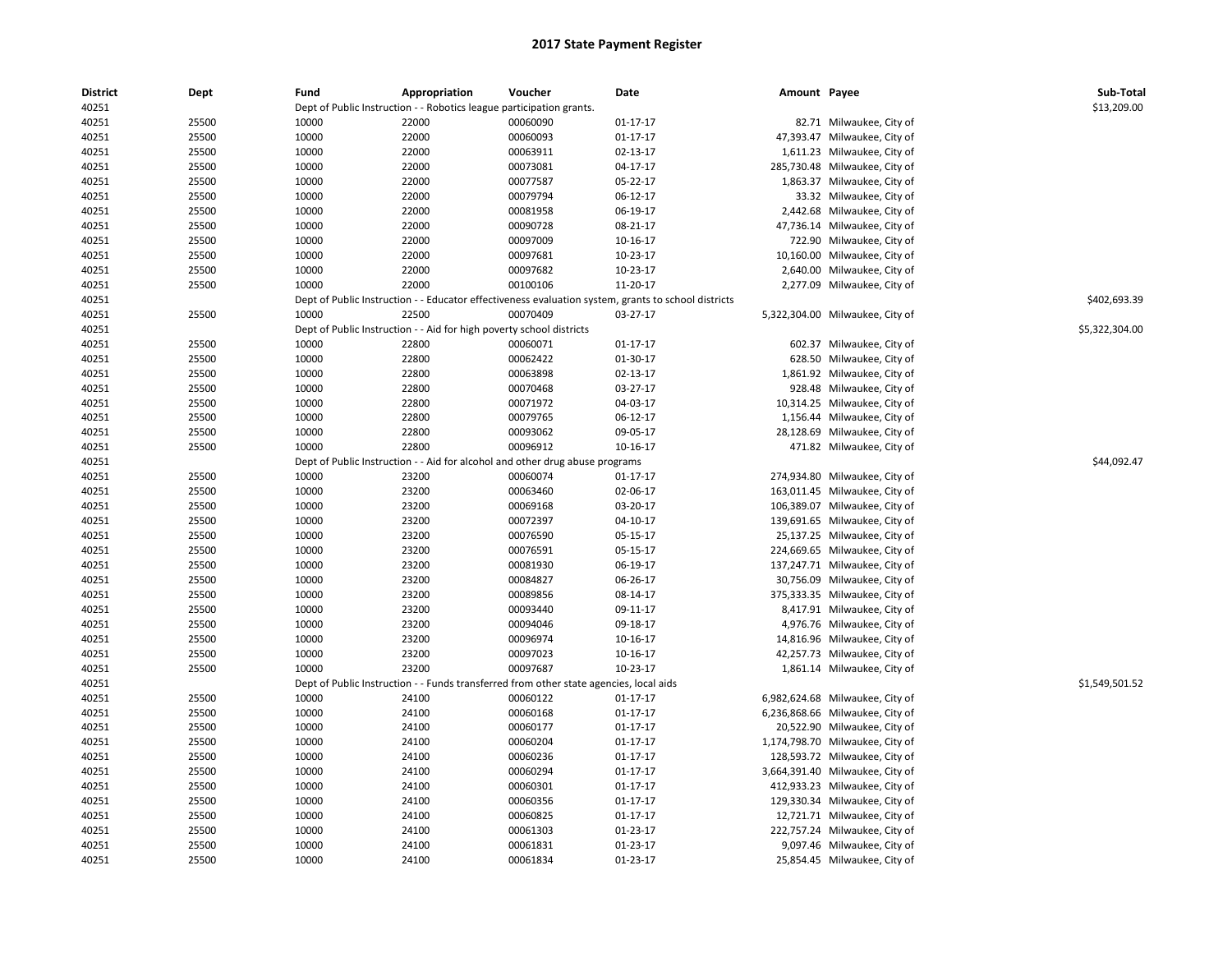| <b>District</b><br>40251 | Dept           | Fund  | Appropriation<br>Dept of Public Instruction - - Robotics league participation grants. | Voucher                                                                                | Date                                                                                                | Amount Payee |                                 | Sub-Total<br>\$13,209.00 |
|--------------------------|----------------|-------|---------------------------------------------------------------------------------------|----------------------------------------------------------------------------------------|-----------------------------------------------------------------------------------------------------|--------------|---------------------------------|--------------------------|
|                          |                |       | 22000                                                                                 | 00060090                                                                               |                                                                                                     |              |                                 |                          |
| 40251                    | 25500          | 10000 |                                                                                       |                                                                                        | $01 - 17 - 17$                                                                                      |              | 82.71 Milwaukee, City of        |                          |
| 40251                    | 25500          | 10000 | 22000                                                                                 | 00060093                                                                               | $01 - 17 - 17$                                                                                      |              | 47,393.47 Milwaukee, City of    |                          |
| 40251                    | 25500          | 10000 | 22000                                                                                 | 00063911                                                                               | 02-13-17                                                                                            |              | 1,611.23 Milwaukee, City of     |                          |
| 40251                    | 25500          | 10000 | 22000                                                                                 | 00073081                                                                               | 04-17-17                                                                                            |              | 285,730.48 Milwaukee, City of   |                          |
| 40251                    | 25500          | 10000 | 22000                                                                                 | 00077587                                                                               | 05-22-17                                                                                            |              | 1,863.37 Milwaukee, City of     |                          |
| 40251                    | 25500          | 10000 | 22000                                                                                 | 00079794                                                                               | 06-12-17                                                                                            |              | 33.32 Milwaukee, City of        |                          |
| 40251                    | 25500          | 10000 | 22000                                                                                 | 00081958                                                                               | 06-19-17                                                                                            |              | 2,442.68 Milwaukee, City of     |                          |
| 40251                    | 25500          | 10000 | 22000                                                                                 | 00090728                                                                               | 08-21-17                                                                                            |              | 47,736.14 Milwaukee, City of    |                          |
| 40251                    | 25500          | 10000 | 22000                                                                                 | 00097009                                                                               | 10-16-17                                                                                            |              | 722.90 Milwaukee, City of       |                          |
| 40251                    | 25500          | 10000 | 22000                                                                                 | 00097681                                                                               | 10-23-17                                                                                            |              | 10,160.00 Milwaukee, City of    |                          |
| 40251                    | 25500          | 10000 | 22000                                                                                 | 00097682                                                                               | 10-23-17                                                                                            |              | 2,640.00 Milwaukee, City of     |                          |
| 40251                    | 25500          | 10000 | 22000                                                                                 | 00100106                                                                               | 11-20-17                                                                                            |              | 2,277.09 Milwaukee, City of     |                          |
| 40251                    |                |       |                                                                                       |                                                                                        | Dept of Public Instruction - - Educator effectiveness evaluation system, grants to school districts |              |                                 | \$402,693.39             |
| 40251                    | 25500          | 10000 | 22500                                                                                 | 00070409                                                                               | 03-27-17                                                                                            |              | 5,322,304.00 Milwaukee, City of |                          |
| 40251                    |                |       | Dept of Public Instruction - - Aid for high poverty school districts                  |                                                                                        |                                                                                                     |              |                                 | \$5,322,304.00           |
| 40251                    | 25500          | 10000 | 22800                                                                                 | 00060071                                                                               | 01-17-17                                                                                            |              | 602.37 Milwaukee, City of       |                          |
| 40251                    | 25500          | 10000 | 22800                                                                                 | 00062422                                                                               | 01-30-17                                                                                            |              | 628.50 Milwaukee, City of       |                          |
| 40251                    | 25500          | 10000 | 22800                                                                                 | 00063898                                                                               | 02-13-17                                                                                            |              | 1,861.92 Milwaukee, City of     |                          |
| 40251                    | 25500          | 10000 | 22800                                                                                 | 00070468                                                                               | 03-27-17                                                                                            |              | 928.48 Milwaukee, City of       |                          |
| 40251                    | 25500          | 10000 | 22800                                                                                 | 00071972                                                                               | 04-03-17                                                                                            |              | 10,314.25 Milwaukee, City of    |                          |
| 40251                    | 25500          | 10000 | 22800                                                                                 | 00079765                                                                               | 06-12-17                                                                                            |              | 1,156.44 Milwaukee, City of     |                          |
| 40251                    | 25500          | 10000 | 22800                                                                                 | 00093062                                                                               | 09-05-17                                                                                            |              | 28,128.69 Milwaukee, City of    |                          |
| 40251                    | 25500          | 10000 | 22800                                                                                 | 00096912                                                                               | 10-16-17                                                                                            |              | 471.82 Milwaukee, City of       |                          |
| 40251                    |                |       |                                                                                       | Dept of Public Instruction - - Aid for alcohol and other drug abuse programs           |                                                                                                     |              |                                 | \$44,092.47              |
| 40251                    | 25500          | 10000 | 23200                                                                                 | 00060074                                                                               | $01 - 17 - 17$                                                                                      |              | 274,934.80 Milwaukee, City of   |                          |
| 40251                    | 25500          | 10000 | 23200                                                                                 | 00063460                                                                               | 02-06-17                                                                                            |              | 163,011.45 Milwaukee, City of   |                          |
| 40251                    | 25500          | 10000 | 23200                                                                                 | 00069168                                                                               | 03-20-17                                                                                            |              | 106,389.07 Milwaukee, City of   |                          |
| 40251                    | 25500          | 10000 | 23200                                                                                 | 00072397                                                                               | 04-10-17                                                                                            |              | 139,691.65 Milwaukee, City of   |                          |
| 40251                    | 25500          | 10000 | 23200                                                                                 | 00076590                                                                               | 05-15-17                                                                                            |              | 25,137.25 Milwaukee, City of    |                          |
| 40251                    | 25500          | 10000 | 23200                                                                                 | 00076591                                                                               | 05-15-17                                                                                            |              | 224,669.65 Milwaukee, City of   |                          |
| 40251                    | 25500          | 10000 | 23200                                                                                 | 00081930                                                                               | 06-19-17                                                                                            |              | 137,247.71 Milwaukee, City of   |                          |
| 40251                    | 25500          | 10000 | 23200                                                                                 | 00084827                                                                               | 06-26-17                                                                                            |              | 30,756.09 Milwaukee, City of    |                          |
| 40251                    | 25500          | 10000 | 23200                                                                                 | 00089856                                                                               | 08-14-17                                                                                            |              | 375,333.35 Milwaukee, City of   |                          |
| 40251                    | 25500          | 10000 | 23200                                                                                 | 00093440                                                                               | 09-11-17                                                                                            |              | 8,417.91 Milwaukee, City of     |                          |
| 40251                    | 25500          | 10000 | 23200                                                                                 | 00094046                                                                               | 09-18-17                                                                                            |              | 4,976.76 Milwaukee, City of     |                          |
| 40251                    | 25500          | 10000 | 23200                                                                                 | 00096974                                                                               | 10-16-17                                                                                            |              | 14,816.96 Milwaukee, City of    |                          |
| 40251                    | 25500          | 10000 | 23200                                                                                 | 00097023                                                                               | $10-16-17$                                                                                          |              | 42,257.73 Milwaukee, City of    |                          |
| 40251                    | 25500          | 10000 | 23200                                                                                 | 00097687                                                                               | $10-23-17$                                                                                          |              | 1,861.14 Milwaukee, City of     |                          |
| 40251                    |                |       |                                                                                       | Dept of Public Instruction - - Funds transferred from other state agencies, local aids |                                                                                                     |              |                                 | \$1,549,501.52           |
|                          |                | 10000 | 24100                                                                                 | 00060122                                                                               | $01 - 17 - 17$                                                                                      |              | 6,982,624.68 Milwaukee, City of |                          |
| 40251<br>40251           | 25500<br>25500 | 10000 | 24100                                                                                 | 00060168                                                                               | $01 - 17 - 17$                                                                                      |              | 6,236,868.66 Milwaukee, City of |                          |
|                          |                |       |                                                                                       |                                                                                        |                                                                                                     |              |                                 |                          |
| 40251                    | 25500          | 10000 | 24100                                                                                 | 00060177                                                                               | $01 - 17 - 17$                                                                                      |              | 20,522.90 Milwaukee, City of    |                          |
| 40251                    | 25500          | 10000 | 24100                                                                                 | 00060204                                                                               | $01 - 17 - 17$                                                                                      |              | 1,174,798.70 Milwaukee, City of |                          |
| 40251                    | 25500          | 10000 | 24100                                                                                 | 00060236                                                                               | $01 - 17 - 17$                                                                                      |              | 128,593.72 Milwaukee, City of   |                          |
| 40251                    | 25500          | 10000 | 24100                                                                                 | 00060294                                                                               | 01-17-17                                                                                            |              | 3,664,391.40 Milwaukee, City of |                          |
| 40251                    | 25500          | 10000 | 24100                                                                                 | 00060301                                                                               | $01 - 17 - 17$                                                                                      |              | 412,933.23 Milwaukee, City of   |                          |
| 40251                    | 25500          | 10000 | 24100                                                                                 | 00060356                                                                               | $01 - 17 - 17$                                                                                      |              | 129,330.34 Milwaukee, City of   |                          |
| 40251                    | 25500          | 10000 | 24100                                                                                 | 00060825                                                                               | $01 - 17 - 17$                                                                                      |              | 12,721.71 Milwaukee, City of    |                          |
| 40251                    | 25500          | 10000 | 24100                                                                                 | 00061303                                                                               | 01-23-17                                                                                            |              | 222,757.24 Milwaukee, City of   |                          |
| 40251                    | 25500          | 10000 | 24100                                                                                 | 00061831                                                                               | $01-23-17$                                                                                          |              | 9,097.46 Milwaukee, City of     |                          |
| 40251                    | 25500          | 10000 | 24100                                                                                 | 00061834                                                                               | $01-23-17$                                                                                          |              | 25,854.45 Milwaukee, City of    |                          |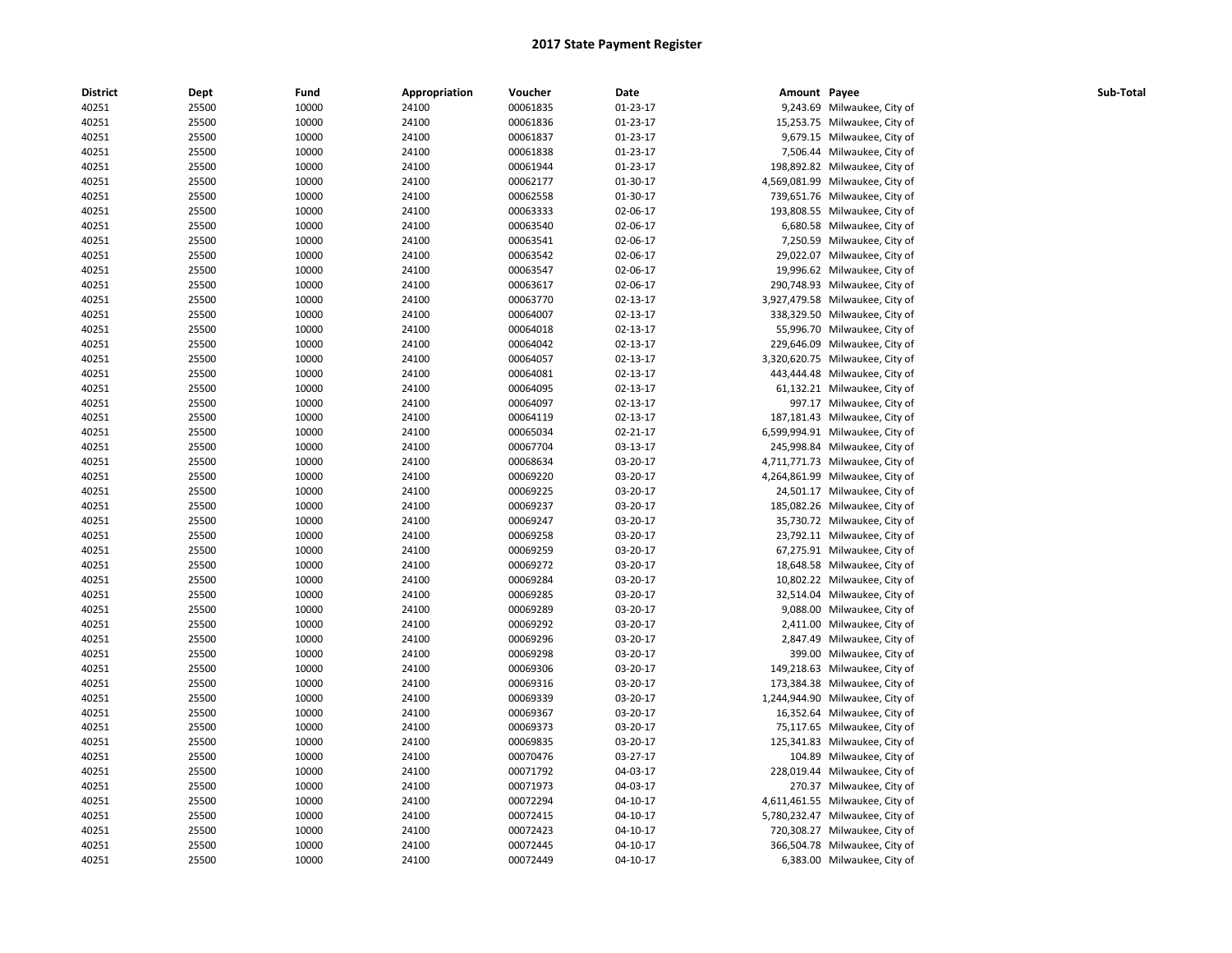| <b>District</b> | Dept  | Fund  | Appropriation | Voucher  | Date       | Amount Payee |                                 | Sub-Total |
|-----------------|-------|-------|---------------|----------|------------|--------------|---------------------------------|-----------|
| 40251           | 25500 | 10000 | 24100         | 00061835 | 01-23-17   |              | 9,243.69 Milwaukee, City of     |           |
| 40251           | 25500 | 10000 | 24100         | 00061836 | 01-23-17   |              | 15,253.75 Milwaukee, City of    |           |
| 40251           | 25500 | 10000 | 24100         | 00061837 | 01-23-17   |              | 9,679.15 Milwaukee, City of     |           |
| 40251           | 25500 | 10000 | 24100         | 00061838 | 01-23-17   |              | 7,506.44 Milwaukee, City of     |           |
| 40251           | 25500 | 10000 | 24100         | 00061944 | 01-23-17   |              | 198,892.82 Milwaukee, City of   |           |
| 40251           | 25500 | 10000 | 24100         | 00062177 | 01-30-17   |              | 4,569,081.99 Milwaukee, City of |           |
| 40251           | 25500 | 10000 | 24100         | 00062558 | 01-30-17   |              | 739,651.76 Milwaukee, City of   |           |
| 40251           | 25500 | 10000 | 24100         | 00063333 | 02-06-17   |              | 193,808.55 Milwaukee, City of   |           |
| 40251           | 25500 | 10000 | 24100         | 00063540 | 02-06-17   |              | 6,680.58 Milwaukee, City of     |           |
| 40251           | 25500 | 10000 | 24100         | 00063541 | 02-06-17   |              | 7,250.59 Milwaukee, City of     |           |
| 40251           | 25500 | 10000 | 24100         | 00063542 | 02-06-17   |              | 29,022.07 Milwaukee, City of    |           |
| 40251           | 25500 | 10000 | 24100         | 00063547 | 02-06-17   |              | 19,996.62 Milwaukee, City of    |           |
| 40251           | 25500 | 10000 | 24100         | 00063617 | 02-06-17   |              | 290,748.93 Milwaukee, City of   |           |
| 40251           | 25500 | 10000 | 24100         | 00063770 | 02-13-17   |              | 3,927,479.58 Milwaukee, City of |           |
| 40251           | 25500 | 10000 | 24100         | 00064007 | 02-13-17   |              | 338,329.50 Milwaukee, City of   |           |
| 40251           | 25500 | 10000 | 24100         | 00064018 | 02-13-17   |              | 55,996.70 Milwaukee, City of    |           |
| 40251           | 25500 | 10000 | 24100         | 00064042 | 02-13-17   |              | 229,646.09 Milwaukee, City of   |           |
| 40251           | 25500 | 10000 | 24100         | 00064057 | 02-13-17   |              | 3,320,620.75 Milwaukee, City of |           |
| 40251           | 25500 | 10000 | 24100         | 00064081 | 02-13-17   |              | 443,444.48 Milwaukee, City of   |           |
| 40251           | 25500 | 10000 | 24100         | 00064095 | 02-13-17   |              | 61,132.21 Milwaukee, City of    |           |
| 40251           | 25500 | 10000 | 24100         | 00064097 | 02-13-17   |              | 997.17 Milwaukee, City of       |           |
| 40251           | 25500 | 10000 | 24100         | 00064119 | 02-13-17   |              | 187,181.43 Milwaukee, City of   |           |
| 40251           | 25500 | 10000 | 24100         | 00065034 | 02-21-17   |              | 6,599,994.91 Milwaukee, City of |           |
| 40251           | 25500 | 10000 | 24100         | 00067704 | 03-13-17   |              | 245,998.84 Milwaukee, City of   |           |
| 40251           | 25500 | 10000 | 24100         | 00068634 | 03-20-17   |              | 4,711,771.73 Milwaukee, City of |           |
| 40251           | 25500 | 10000 | 24100         | 00069220 | 03-20-17   |              | 4,264,861.99 Milwaukee, City of |           |
| 40251           | 25500 | 10000 | 24100         | 00069225 | 03-20-17   |              | 24,501.17 Milwaukee, City of    |           |
| 40251           | 25500 | 10000 | 24100         | 00069237 | 03-20-17   |              | 185,082.26 Milwaukee, City of   |           |
| 40251           | 25500 | 10000 | 24100         | 00069247 | 03-20-17   |              | 35,730.72 Milwaukee, City of    |           |
| 40251           | 25500 | 10000 | 24100         | 00069258 | 03-20-17   |              | 23,792.11 Milwaukee, City of    |           |
|                 |       |       |               |          |            |              |                                 |           |
| 40251           | 25500 | 10000 | 24100         | 00069259 | 03-20-17   |              | 67,275.91 Milwaukee, City of    |           |
| 40251           | 25500 | 10000 | 24100         | 00069272 | 03-20-17   |              | 18,648.58 Milwaukee, City of    |           |
| 40251           | 25500 | 10000 | 24100         | 00069284 | 03-20-17   |              | 10,802.22 Milwaukee, City of    |           |
| 40251           | 25500 | 10000 | 24100         | 00069285 | 03-20-17   |              | 32,514.04 Milwaukee, City of    |           |
| 40251           | 25500 | 10000 | 24100         | 00069289 | 03-20-17   |              | 9,088.00 Milwaukee, City of     |           |
| 40251           | 25500 | 10000 | 24100         | 00069292 | 03-20-17   |              | 2,411.00 Milwaukee, City of     |           |
| 40251           | 25500 | 10000 | 24100         | 00069296 | 03-20-17   |              | 2,847.49 Milwaukee, City of     |           |
| 40251           | 25500 | 10000 | 24100         | 00069298 | 03-20-17   |              | 399.00 Milwaukee, City of       |           |
| 40251           | 25500 | 10000 | 24100         | 00069306 | 03-20-17   |              | 149,218.63 Milwaukee, City of   |           |
| 40251           | 25500 | 10000 | 24100         | 00069316 | 03-20-17   |              | 173,384.38 Milwaukee, City of   |           |
| 40251           | 25500 | 10000 | 24100         | 00069339 | 03-20-17   |              | 1,244,944.90 Milwaukee, City of |           |
| 40251           | 25500 | 10000 | 24100         | 00069367 | 03-20-17   |              | 16,352.64 Milwaukee, City of    |           |
| 40251           | 25500 | 10000 | 24100         | 00069373 | 03-20-17   |              | 75,117.65 Milwaukee, City of    |           |
| 40251           | 25500 | 10000 | 24100         | 00069835 | 03-20-17   | 125,341.83   | Milwaukee, City of              |           |
| 40251           | 25500 | 10000 | 24100         | 00070476 | 03-27-17   |              | 104.89 Milwaukee, City of       |           |
| 40251           | 25500 | 10000 | 24100         | 00071792 | 04-03-17   |              | 228,019.44 Milwaukee, City of   |           |
| 40251           | 25500 | 10000 | 24100         | 00071973 | 04-03-17   |              | 270.37 Milwaukee, City of       |           |
| 40251           | 25500 | 10000 | 24100         | 00072294 | 04-10-17   |              | 4,611,461.55 Milwaukee, City of |           |
| 40251           | 25500 | 10000 | 24100         | 00072415 | 04-10-17   | 5,780,232.47 | Milwaukee, City of              |           |
| 40251           | 25500 | 10000 | 24100         | 00072423 | 04-10-17   |              | 720,308.27 Milwaukee, City of   |           |
| 40251           | 25500 | 10000 | 24100         | 00072445 | 04-10-17   |              | 366,504.78 Milwaukee, City of   |           |
| 40251           | 25500 | 10000 | 24100         | 00072449 | $04-10-17$ |              | 6,383.00 Milwaukee, City of     |           |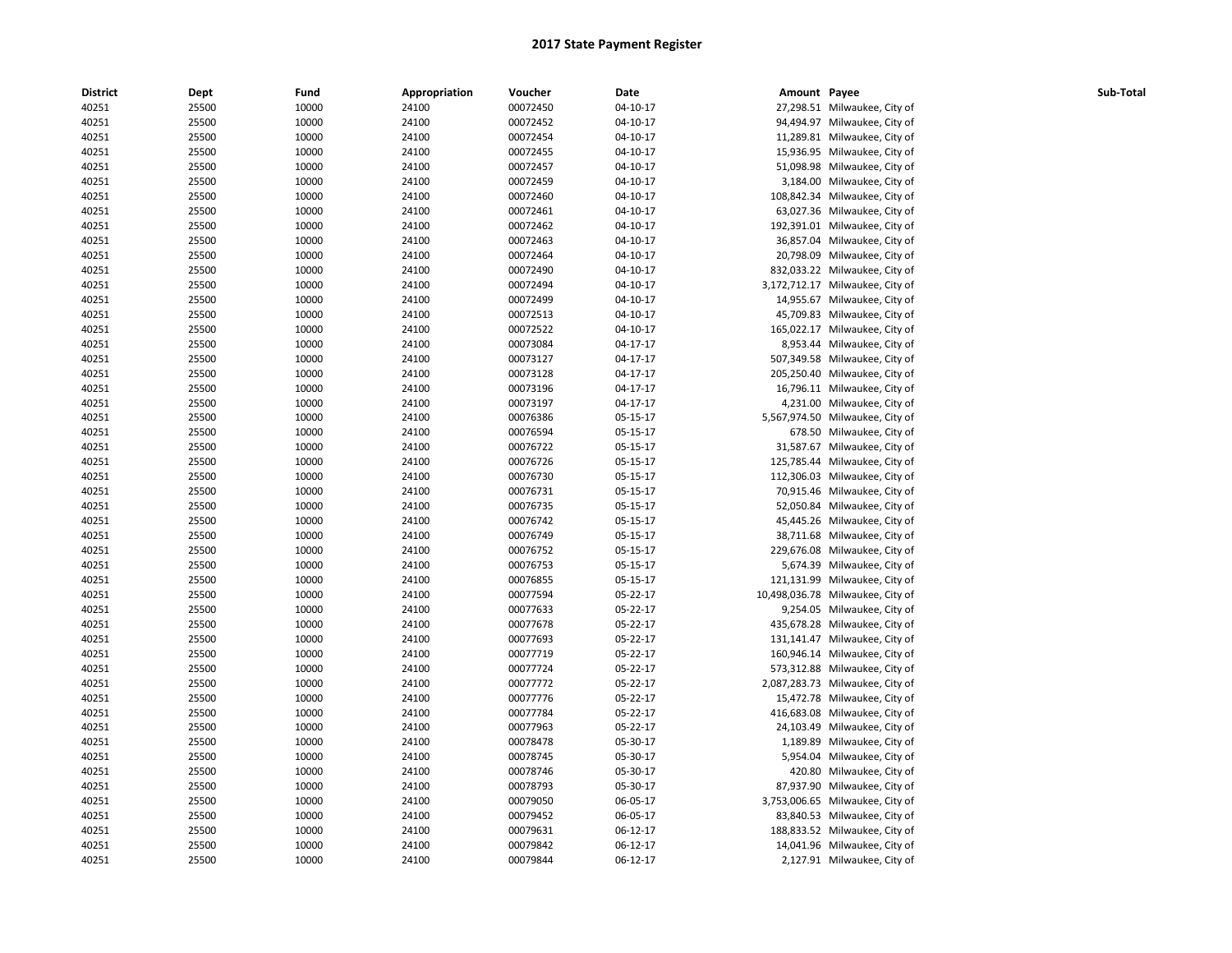| <b>District</b> | Dept  | Fund  | Appropriation | Voucher  | Date           | Amount Payee |                                  | Sub-Total |
|-----------------|-------|-------|---------------|----------|----------------|--------------|----------------------------------|-----------|
| 40251           | 25500 | 10000 | 24100         | 00072450 | 04-10-17       |              | 27,298.51 Milwaukee, City of     |           |
| 40251           | 25500 | 10000 | 24100         | 00072452 | 04-10-17       |              | 94,494.97 Milwaukee, City of     |           |
| 40251           | 25500 | 10000 | 24100         | 00072454 | $04 - 10 - 17$ |              | 11,289.81 Milwaukee, City of     |           |
| 40251           | 25500 | 10000 | 24100         | 00072455 | 04-10-17       |              | 15,936.95 Milwaukee, City of     |           |
| 40251           | 25500 | 10000 | 24100         | 00072457 | 04-10-17       |              | 51,098.98 Milwaukee, City of     |           |
| 40251           | 25500 | 10000 | 24100         | 00072459 | 04-10-17       |              | 3,184.00 Milwaukee, City of      |           |
| 40251           | 25500 | 10000 | 24100         | 00072460 | 04-10-17       |              | 108,842.34 Milwaukee, City of    |           |
| 40251           | 25500 | 10000 | 24100         | 00072461 | 04-10-17       |              | 63,027.36 Milwaukee, City of     |           |
| 40251           | 25500 | 10000 | 24100         | 00072462 | 04-10-17       |              | 192,391.01 Milwaukee, City of    |           |
| 40251           | 25500 | 10000 | 24100         | 00072463 | 04-10-17       |              | 36,857.04 Milwaukee, City of     |           |
| 40251           | 25500 | 10000 | 24100         | 00072464 | 04-10-17       |              | 20,798.09 Milwaukee, City of     |           |
| 40251           | 25500 | 10000 | 24100         | 00072490 | 04-10-17       |              | 832,033.22 Milwaukee, City of    |           |
| 40251           | 25500 | 10000 | 24100         | 00072494 | 04-10-17       |              | 3,172,712.17 Milwaukee, City of  |           |
| 40251           | 25500 | 10000 | 24100         | 00072499 | 04-10-17       |              | 14,955.67 Milwaukee, City of     |           |
| 40251           | 25500 | 10000 | 24100         | 00072513 | 04-10-17       |              | 45,709.83 Milwaukee, City of     |           |
| 40251           | 25500 | 10000 | 24100         | 00072522 | 04-10-17       |              | 165,022.17 Milwaukee, City of    |           |
| 40251           | 25500 | 10000 | 24100         | 00073084 | 04-17-17       |              | 8,953.44 Milwaukee, City of      |           |
| 40251           | 25500 | 10000 | 24100         | 00073127 | 04-17-17       |              | 507,349.58 Milwaukee, City of    |           |
| 40251           | 25500 | 10000 | 24100         | 00073128 | 04-17-17       |              | 205,250.40 Milwaukee, City of    |           |
| 40251           | 25500 | 10000 | 24100         | 00073196 | 04-17-17       |              | 16,796.11 Milwaukee, City of     |           |
| 40251           | 25500 | 10000 | 24100         | 00073197 | 04-17-17       |              | 4,231.00 Milwaukee, City of      |           |
| 40251           | 25500 | 10000 | 24100         | 00076386 | 05-15-17       |              | 5,567,974.50 Milwaukee, City of  |           |
| 40251           | 25500 | 10000 | 24100         | 00076594 | 05-15-17       |              | 678.50 Milwaukee, City of        |           |
| 40251           | 25500 | 10000 | 24100         | 00076722 | 05-15-17       |              | 31,587.67 Milwaukee, City of     |           |
| 40251           | 25500 | 10000 | 24100         | 00076726 | 05-15-17       | 125,785.44   | Milwaukee, City of               |           |
| 40251           | 25500 | 10000 | 24100         | 00076730 | 05-15-17       |              | 112,306.03 Milwaukee, City of    |           |
| 40251           | 25500 | 10000 | 24100         | 00076731 | 05-15-17       |              | 70,915.46 Milwaukee, City of     |           |
| 40251           | 25500 | 10000 | 24100         | 00076735 | 05-15-17       |              | 52,050.84 Milwaukee, City of     |           |
| 40251           | 25500 | 10000 | 24100         | 00076742 | 05-15-17       |              | 45,445.26 Milwaukee, City of     |           |
| 40251           | 25500 | 10000 | 24100         | 00076749 | 05-15-17       |              | 38,711.68 Milwaukee, City of     |           |
| 40251           | 25500 | 10000 | 24100         | 00076752 | 05-15-17       |              | 229,676.08 Milwaukee, City of    |           |
| 40251           | 25500 | 10000 | 24100         | 00076753 | 05-15-17       |              | 5,674.39 Milwaukee, City of      |           |
| 40251           | 25500 | 10000 | 24100         | 00076855 | 05-15-17       |              | 121,131.99 Milwaukee, City of    |           |
| 40251           | 25500 | 10000 | 24100         | 00077594 | 05-22-17       |              | 10,498,036.78 Milwaukee, City of |           |
| 40251           | 25500 | 10000 | 24100         | 00077633 | 05-22-17       |              | 9,254.05 Milwaukee, City of      |           |
| 40251           | 25500 | 10000 | 24100         | 00077678 | 05-22-17       |              | 435,678.28 Milwaukee, City of    |           |
| 40251           | 25500 | 10000 | 24100         | 00077693 | 05-22-17       |              | 131,141.47 Milwaukee, City of    |           |
| 40251           | 25500 | 10000 | 24100         | 00077719 | 05-22-17       |              | 160,946.14 Milwaukee, City of    |           |
| 40251           | 25500 | 10000 | 24100         | 00077724 | 05-22-17       | 573,312.88   | Milwaukee, City of               |           |
| 40251           | 25500 | 10000 | 24100         | 00077772 | 05-22-17       |              | 2,087,283.73 Milwaukee, City of  |           |
| 40251           | 25500 | 10000 | 24100         | 00077776 | 05-22-17       |              | 15,472.78 Milwaukee, City of     |           |
| 40251           | 25500 | 10000 | 24100         | 00077784 | 05-22-17       |              | 416,683.08 Milwaukee, City of    |           |
| 40251           | 25500 | 10000 | 24100         | 00077963 | 05-22-17       |              | 24,103.49 Milwaukee, City of     |           |
| 40251           | 25500 | 10000 | 24100         | 00078478 | 05-30-17       |              | 1,189.89 Milwaukee, City of      |           |
| 40251           | 25500 | 10000 | 24100         | 00078745 | 05-30-17       |              | 5,954.04 Milwaukee, City of      |           |
| 40251           | 25500 | 10000 | 24100         | 00078746 | 05-30-17       | 420.80       | Milwaukee, City of               |           |
| 40251           | 25500 | 10000 | 24100         | 00078793 | 05-30-17       |              | 87,937.90 Milwaukee, City of     |           |
| 40251           | 25500 | 10000 | 24100         | 00079050 | 06-05-17       |              | 3,753,006.65 Milwaukee, City of  |           |
| 40251           | 25500 | 10000 | 24100         | 00079452 | 06-05-17       |              | 83,840.53 Milwaukee, City of     |           |
| 40251           | 25500 | 10000 | 24100         | 00079631 | 06-12-17       |              | 188,833.52 Milwaukee, City of    |           |
| 40251           | 25500 | 10000 | 24100         | 00079842 | 06-12-17       |              | 14,041.96 Milwaukee, City of     |           |
|                 |       |       |               |          |                |              |                                  |           |
| 40251           | 25500 | 10000 | 24100         | 00079844 | 06-12-17       |              | 2,127.91 Milwaukee, City of      |           |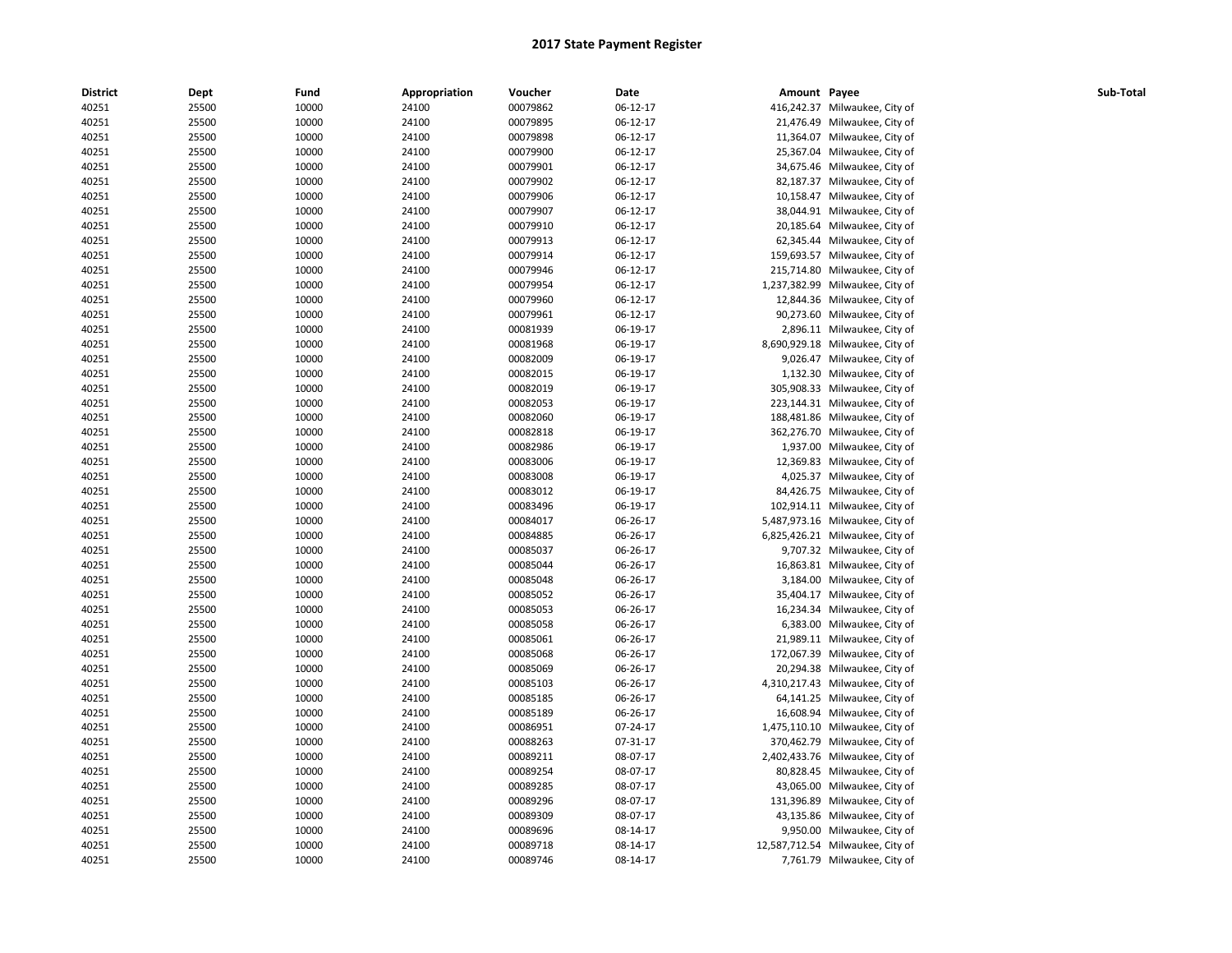| <b>District</b> | Dept  | Fund  | Appropriation | Voucher  | Date     | Amount Payee |                                  | Sub-Total |
|-----------------|-------|-------|---------------|----------|----------|--------------|----------------------------------|-----------|
| 40251           | 25500 | 10000 | 24100         | 00079862 | 06-12-17 |              | 416,242.37 Milwaukee, City of    |           |
| 40251           | 25500 | 10000 | 24100         | 00079895 | 06-12-17 |              | 21,476.49 Milwaukee, City of     |           |
| 40251           | 25500 | 10000 | 24100         | 00079898 | 06-12-17 |              | 11,364.07 Milwaukee, City of     |           |
| 40251           | 25500 | 10000 | 24100         | 00079900 | 06-12-17 |              | 25,367.04 Milwaukee, City of     |           |
| 40251           | 25500 | 10000 | 24100         | 00079901 | 06-12-17 |              | 34,675.46 Milwaukee, City of     |           |
| 40251           | 25500 | 10000 | 24100         | 00079902 | 06-12-17 |              | 82,187.37 Milwaukee, City of     |           |
| 40251           | 25500 | 10000 | 24100         | 00079906 | 06-12-17 |              | 10,158.47 Milwaukee, City of     |           |
| 40251           | 25500 | 10000 | 24100         | 00079907 | 06-12-17 |              | 38,044.91 Milwaukee, City of     |           |
| 40251           | 25500 | 10000 | 24100         | 00079910 | 06-12-17 |              | 20,185.64 Milwaukee, City of     |           |
| 40251           | 25500 | 10000 | 24100         | 00079913 | 06-12-17 |              | 62,345.44 Milwaukee, City of     |           |
| 40251           | 25500 | 10000 | 24100         | 00079914 | 06-12-17 |              | 159,693.57 Milwaukee, City of    |           |
| 40251           | 25500 | 10000 | 24100         | 00079946 | 06-12-17 |              | 215,714.80 Milwaukee, City of    |           |
| 40251           | 25500 | 10000 | 24100         | 00079954 | 06-12-17 |              | 1,237,382.99 Milwaukee, City of  |           |
| 40251           | 25500 | 10000 | 24100         | 00079960 | 06-12-17 |              | 12,844.36 Milwaukee, City of     |           |
| 40251           | 25500 | 10000 | 24100         | 00079961 | 06-12-17 |              | 90,273.60 Milwaukee, City of     |           |
| 40251           | 25500 | 10000 | 24100         | 00081939 | 06-19-17 |              | 2,896.11 Milwaukee, City of      |           |
| 40251           | 25500 | 10000 | 24100         | 00081968 | 06-19-17 |              | 8,690,929.18 Milwaukee, City of  |           |
| 40251           | 25500 | 10000 | 24100         | 00082009 | 06-19-17 |              | 9,026.47 Milwaukee, City of      |           |
| 40251           | 25500 | 10000 | 24100         | 00082015 | 06-19-17 |              | 1,132.30 Milwaukee, City of      |           |
| 40251           | 25500 | 10000 | 24100         | 00082019 | 06-19-17 |              | 305,908.33 Milwaukee, City of    |           |
| 40251           | 25500 | 10000 | 24100         | 00082053 | 06-19-17 |              | 223,144.31 Milwaukee, City of    |           |
| 40251           | 25500 | 10000 | 24100         | 00082060 | 06-19-17 |              | 188,481.86 Milwaukee, City of    |           |
| 40251           | 25500 | 10000 | 24100         | 00082818 | 06-19-17 |              | 362,276.70 Milwaukee, City of    |           |
| 40251           | 25500 | 10000 | 24100         | 00082986 | 06-19-17 |              | 1,937.00 Milwaukee, City of      |           |
| 40251           | 25500 | 10000 | 24100         | 00083006 | 06-19-17 |              | 12,369.83 Milwaukee, City of     |           |
| 40251           | 25500 | 10000 | 24100         | 00083008 | 06-19-17 |              | 4,025.37 Milwaukee, City of      |           |
| 40251           | 25500 | 10000 | 24100         | 00083012 | 06-19-17 |              | 84,426.75 Milwaukee, City of     |           |
| 40251           | 25500 | 10000 | 24100         | 00083496 | 06-19-17 |              | 102,914.11 Milwaukee, City of    |           |
| 40251           | 25500 | 10000 | 24100         | 00084017 | 06-26-17 |              | 5,487,973.16 Milwaukee, City of  |           |
| 40251           | 25500 | 10000 | 24100         | 00084885 | 06-26-17 |              | 6,825,426.21 Milwaukee, City of  |           |
| 40251           | 25500 | 10000 | 24100         | 00085037 | 06-26-17 |              | 9,707.32 Milwaukee, City of      |           |
| 40251           | 25500 | 10000 | 24100         | 00085044 | 06-26-17 |              | 16,863.81 Milwaukee, City of     |           |
| 40251           | 25500 | 10000 | 24100         | 00085048 | 06-26-17 |              | 3,184.00 Milwaukee, City of      |           |
| 40251           | 25500 | 10000 | 24100         | 00085052 | 06-26-17 |              | 35,404.17 Milwaukee, City of     |           |
| 40251           | 25500 | 10000 | 24100         | 00085053 | 06-26-17 |              | 16,234.34 Milwaukee, City of     |           |
| 40251           | 25500 | 10000 | 24100         | 00085058 | 06-26-17 |              | 6,383.00 Milwaukee, City of      |           |
| 40251           | 25500 | 10000 | 24100         | 00085061 | 06-26-17 |              | 21,989.11 Milwaukee, City of     |           |
| 40251           | 25500 | 10000 | 24100         | 00085068 | 06-26-17 |              | 172,067.39 Milwaukee, City of    |           |
| 40251           | 25500 | 10000 | 24100         | 00085069 | 06-26-17 |              | 20,294.38 Milwaukee, City of     |           |
| 40251           | 25500 | 10000 | 24100         | 00085103 | 06-26-17 |              | 4,310,217.43 Milwaukee, City of  |           |
| 40251           | 25500 | 10000 | 24100         | 00085185 | 06-26-17 |              | 64,141.25 Milwaukee, City of     |           |
| 40251           | 25500 | 10000 | 24100         | 00085189 | 06-26-17 |              | 16,608.94 Milwaukee, City of     |           |
| 40251           | 25500 | 10000 | 24100         | 00086951 | 07-24-17 |              | 1,475,110.10 Milwaukee, City of  |           |
| 40251           | 25500 | 10000 | 24100         | 00088263 | 07-31-17 |              | 370,462.79 Milwaukee, City of    |           |
| 40251           | 25500 | 10000 | 24100         | 00089211 | 08-07-17 |              | 2,402,433.76 Milwaukee, City of  |           |
| 40251           | 25500 | 10000 | 24100         | 00089254 | 08-07-17 |              | 80,828.45 Milwaukee, City of     |           |
| 40251           | 25500 | 10000 | 24100         | 00089285 | 08-07-17 |              | 43,065.00 Milwaukee, City of     |           |
| 40251           | 25500 | 10000 | 24100         | 00089296 | 08-07-17 |              | 131,396.89 Milwaukee, City of    |           |
| 40251           | 25500 | 10000 | 24100         | 00089309 | 08-07-17 |              | 43,135.86 Milwaukee, City of     |           |
| 40251           | 25500 | 10000 | 24100         | 00089696 | 08-14-17 |              | 9,950.00 Milwaukee, City of      |           |
| 40251           | 25500 | 10000 | 24100         | 00089718 | 08-14-17 |              | 12,587,712.54 Milwaukee, City of |           |
| 40251           | 25500 | 10000 | 24100         | 00089746 | 08-14-17 |              | 7,761.79 Milwaukee, City of      |           |
|                 |       |       |               |          |          |              |                                  |           |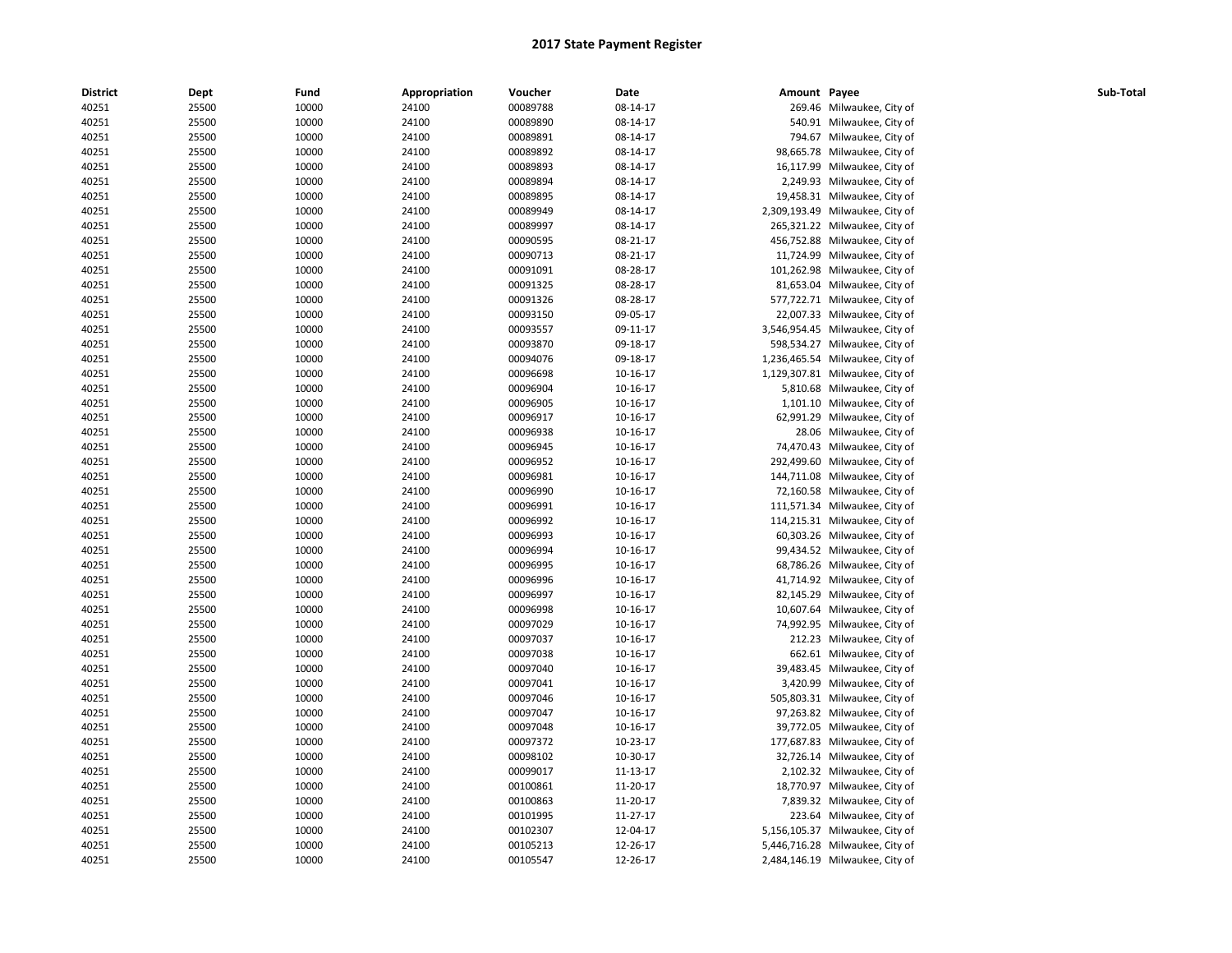| <b>District</b> | <b>Dept</b>    | Fund           | Appropriation  | Voucher              | Date                 | Amount Payee |                                 | Sub-Total |
|-----------------|----------------|----------------|----------------|----------------------|----------------------|--------------|---------------------------------|-----------|
| 40251           | 25500          | 10000          | 24100          | 00089788             | 08-14-17             |              | 269.46 Milwaukee, City of       |           |
| 40251           | 25500          | 10000          | 24100          | 00089890             | 08-14-17             |              | 540.91 Milwaukee, City of       |           |
| 40251           | 25500          | 10000          | 24100          | 00089891             | 08-14-17             |              | 794.67 Milwaukee, City of       |           |
| 40251           | 25500          | 10000          | 24100          | 00089892             | 08-14-17             |              | 98,665.78 Milwaukee, City of    |           |
| 40251           | 25500          | 10000          | 24100          | 00089893             | 08-14-17             |              | 16,117.99 Milwaukee, City of    |           |
| 40251           | 25500          | 10000          | 24100          | 00089894             | 08-14-17             |              | 2,249.93 Milwaukee, City of     |           |
| 40251           | 25500          | 10000          | 24100          | 00089895             | 08-14-17             |              | 19,458.31 Milwaukee, City of    |           |
| 40251           | 25500          | 10000          | 24100          | 00089949             | 08-14-17             |              | 2,309,193.49 Milwaukee, City of |           |
| 40251           | 25500          | 10000          | 24100          | 00089997             | 08-14-17             |              | 265,321.22 Milwaukee, City of   |           |
| 40251           | 25500          | 10000          | 24100          | 00090595             | 08-21-17             |              | 456,752.88 Milwaukee, City of   |           |
| 40251           | 25500          | 10000          | 24100          | 00090713             | 08-21-17             |              | 11,724.99 Milwaukee, City of    |           |
| 40251           | 25500          | 10000          | 24100          | 00091091             | 08-28-17             |              | 101,262.98 Milwaukee, City of   |           |
| 40251           | 25500          | 10000          | 24100          | 00091325             | 08-28-17             |              | 81,653.04 Milwaukee, City of    |           |
| 40251           | 25500          | 10000          | 24100          | 00091326             | 08-28-17             |              | 577,722.71 Milwaukee, City of   |           |
| 40251           | 25500          | 10000          | 24100          | 00093150             | 09-05-17             |              | 22,007.33 Milwaukee, City of    |           |
| 40251           | 25500          | 10000          | 24100          | 00093557             | 09-11-17             |              | 3,546,954.45 Milwaukee, City of |           |
| 40251           | 25500          | 10000          | 24100          | 00093870             | 09-18-17             | 598,534.27   | Milwaukee, City of              |           |
| 40251           | 25500          | 10000          | 24100          | 00094076             | 09-18-17             |              | 1,236,465.54 Milwaukee, City of |           |
| 40251           | 25500          | 10000          | 24100          | 00096698             | 10-16-17             |              | 1,129,307.81 Milwaukee, City of |           |
| 40251           | 25500          | 10000          | 24100          | 00096904             | 10-16-17             |              | 5,810.68 Milwaukee, City of     |           |
| 40251           | 25500          | 10000          | 24100          | 00096905             | 10-16-17             |              | 1,101.10 Milwaukee, City of     |           |
| 40251           | 25500          | 10000          | 24100          | 00096917             | 10-16-17             |              | 62,991.29 Milwaukee, City of    |           |
| 40251           | 25500          | 10000          | 24100          | 00096938             | 10-16-17             |              | 28.06 Milwaukee, City of        |           |
| 40251           | 25500          | 10000          | 24100          | 00096945             | 10-16-17             |              | 74,470.43 Milwaukee, City of    |           |
| 40251           | 25500          | 10000          | 24100          | 00096952             | 10-16-17             |              | 292,499.60 Milwaukee, City of   |           |
| 40251           | 25500          | 10000          | 24100          | 00096981             | 10-16-17             |              | 144,711.08 Milwaukee, City of   |           |
| 40251           | 25500          | 10000          | 24100          | 00096990             | 10-16-17             |              | 72,160.58 Milwaukee, City of    |           |
| 40251           | 25500          | 10000          | 24100          | 00096991             | 10-16-17             |              | 111,571.34 Milwaukee, City of   |           |
| 40251           | 25500          | 10000          | 24100          | 00096992             | 10-16-17             |              | 114,215.31 Milwaukee, City of   |           |
| 40251           | 25500          | 10000          | 24100          | 00096993             | 10-16-17             |              | 60,303.26 Milwaukee, City of    |           |
| 40251           | 25500          | 10000          | 24100          | 00096994             | 10-16-17             |              | 99,434.52 Milwaukee, City of    |           |
| 40251           | 25500          | 10000          | 24100          | 00096995             | 10-16-17             |              | 68,786.26 Milwaukee, City of    |           |
| 40251           | 25500          | 10000          | 24100          | 00096996             | 10-16-17             |              | 41,714.92 Milwaukee, City of    |           |
| 40251           | 25500          | 10000          | 24100          | 00096997             | 10-16-17             |              | 82,145.29 Milwaukee, City of    |           |
| 40251           | 25500          | 10000          | 24100          | 00096998             | 10-16-17             |              | 10,607.64 Milwaukee, City of    |           |
| 40251           | 25500          | 10000          | 24100          | 00097029             | 10-16-17             |              | 74,992.95 Milwaukee, City of    |           |
| 40251           | 25500          | 10000          | 24100          | 00097037             | 10-16-17             |              | 212.23 Milwaukee, City of       |           |
|                 |                |                |                |                      |                      |              | 662.61 Milwaukee, City of       |           |
| 40251<br>40251  | 25500          | 10000<br>10000 | 24100          | 00097038<br>00097040 | 10-16-17<br>10-16-17 |              | 39,483.45 Milwaukee, City of    |           |
| 40251           | 25500<br>25500 | 10000          | 24100<br>24100 | 00097041             | 10-16-17             |              | 3,420.99 Milwaukee, City of     |           |
|                 |                |                |                |                      |                      |              |                                 |           |
| 40251           | 25500          | 10000          | 24100          | 00097046             | 10-16-17             |              | 505,803.31 Milwaukee, City of   |           |
| 40251           | 25500          | 10000          | 24100          | 00097047             | 10-16-17             |              | 97,263.82 Milwaukee, City of    |           |
| 40251           | 25500          | 10000          | 24100          | 00097048             | 10-16-17             |              | 39,772.05 Milwaukee, City of    |           |
| 40251           | 25500          | 10000          | 24100          | 00097372             | 10-23-17             |              | 177,687.83 Milwaukee, City of   |           |
| 40251           | 25500          | 10000          | 24100          | 00098102             | 10-30-17             |              | 32,726.14 Milwaukee, City of    |           |
| 40251           | 25500          | 10000          | 24100          | 00099017             | 11-13-17             |              | 2,102.32 Milwaukee, City of     |           |
| 40251           | 25500          | 10000          | 24100          | 00100861             | 11-20-17             |              | 18,770.97 Milwaukee, City of    |           |
| 40251           | 25500          | 10000          | 24100          | 00100863             | 11-20-17             |              | 7,839.32 Milwaukee, City of     |           |
| 40251           | 25500          | 10000          | 24100          | 00101995             | 11-27-17             |              | 223.64 Milwaukee, City of       |           |
| 40251           | 25500          | 10000          | 24100          | 00102307             | 12-04-17             |              | 5,156,105.37 Milwaukee, City of |           |
| 40251           | 25500          | 10000          | 24100          | 00105213             | 12-26-17             |              | 5,446,716.28 Milwaukee, City of |           |
| 40251           | 25500          | 10000          | 24100          | 00105547             | 12-26-17             |              | 2,484,146.19 Milwaukee, City of |           |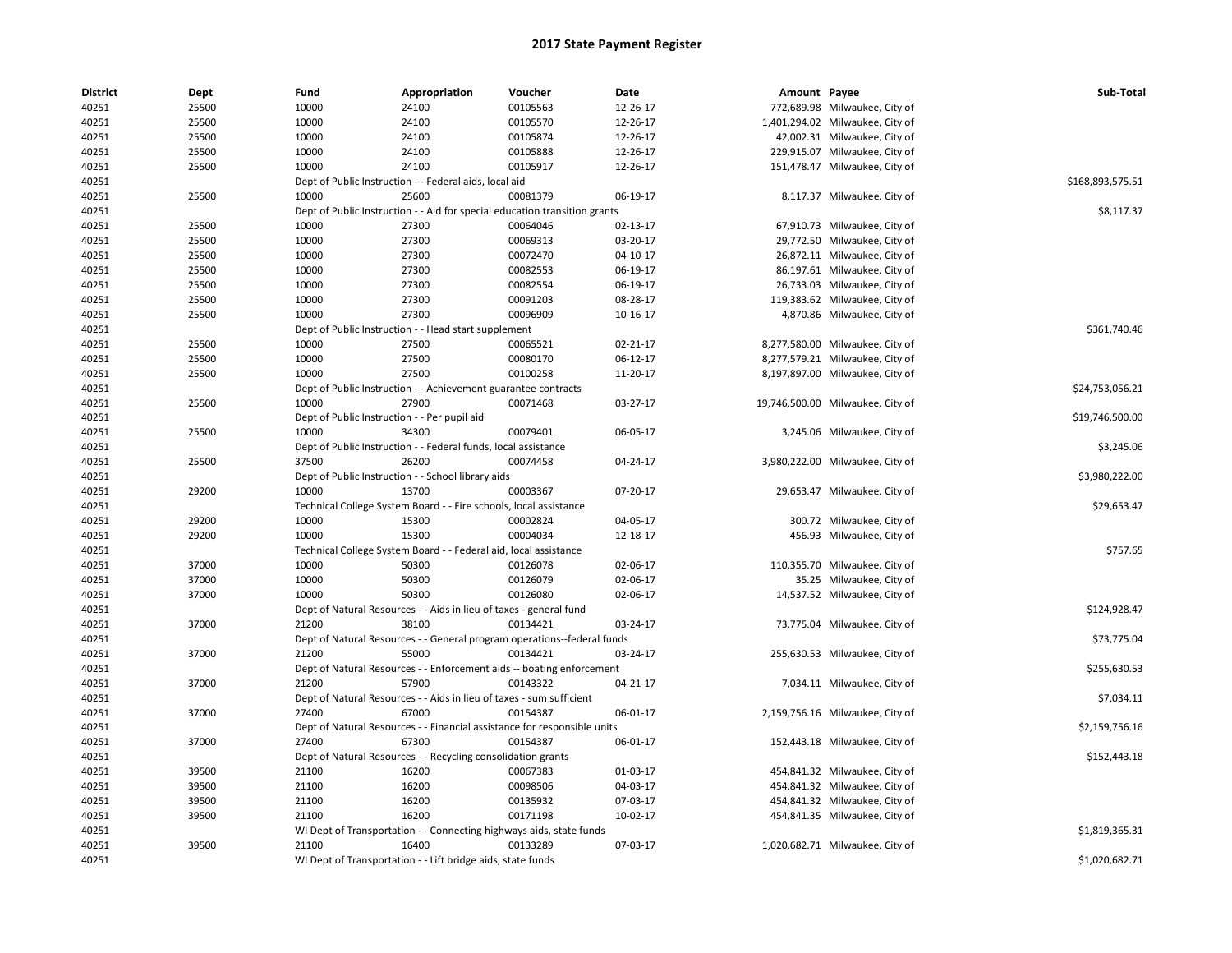| <b>District</b> | Dept  | Fund  | Appropriation                                                              | Voucher  | Date     | Amount Payee |                                  | Sub-Total        |
|-----------------|-------|-------|----------------------------------------------------------------------------|----------|----------|--------------|----------------------------------|------------------|
| 40251           | 25500 | 10000 | 24100                                                                      | 00105563 | 12-26-17 |              | 772,689.98 Milwaukee, City of    |                  |
| 40251           | 25500 | 10000 | 24100                                                                      | 00105570 | 12-26-17 |              | 1,401,294.02 Milwaukee, City of  |                  |
| 40251           | 25500 | 10000 | 24100                                                                      | 00105874 | 12-26-17 |              | 42,002.31 Milwaukee, City of     |                  |
| 40251           | 25500 | 10000 | 24100                                                                      | 00105888 | 12-26-17 |              | 229,915.07 Milwaukee, City of    |                  |
| 40251           | 25500 | 10000 | 24100                                                                      | 00105917 | 12-26-17 |              | 151,478.47 Milwaukee, City of    |                  |
| 40251           |       |       | Dept of Public Instruction - - Federal aids, local aid                     |          |          |              |                                  | \$168,893,575.51 |
| 40251           | 25500 | 10000 | 25600                                                                      | 00081379 | 06-19-17 |              | 8,117.37 Milwaukee, City of      |                  |
| 40251           |       |       | Dept of Public Instruction - - Aid for special education transition grants |          |          |              |                                  | \$8,117.37       |
| 40251           | 25500 | 10000 | 27300                                                                      | 00064046 | 02-13-17 |              | 67,910.73 Milwaukee, City of     |                  |
| 40251           | 25500 | 10000 | 27300                                                                      | 00069313 | 03-20-17 |              | 29,772.50 Milwaukee, City of     |                  |
| 40251           | 25500 | 10000 | 27300                                                                      | 00072470 | 04-10-17 |              | 26,872.11 Milwaukee, City of     |                  |
| 40251           | 25500 | 10000 | 27300                                                                      | 00082553 | 06-19-17 |              | 86,197.61 Milwaukee, City of     |                  |
| 40251           | 25500 | 10000 | 27300                                                                      | 00082554 | 06-19-17 |              | 26,733.03 Milwaukee, City of     |                  |
| 40251           | 25500 | 10000 | 27300                                                                      | 00091203 | 08-28-17 |              | 119,383.62 Milwaukee, City of    |                  |
| 40251           | 25500 | 10000 | 27300                                                                      | 00096909 | 10-16-17 |              | 4,870.86 Milwaukee, City of      |                  |
| 40251           |       |       | Dept of Public Instruction - - Head start supplement                       |          |          |              |                                  | \$361,740.46     |
| 40251           | 25500 | 10000 | 27500                                                                      | 00065521 | 02-21-17 |              | 8,277,580.00 Milwaukee, City of  |                  |
| 40251           | 25500 | 10000 | 27500                                                                      | 00080170 | 06-12-17 |              | 8,277,579.21 Milwaukee, City of  |                  |
| 40251           | 25500 | 10000 | 27500                                                                      | 00100258 | 11-20-17 |              | 8,197,897.00 Milwaukee, City of  |                  |
|                 |       |       |                                                                            |          |          |              |                                  |                  |
| 40251           |       |       | Dept of Public Instruction - - Achievement guarantee contracts             |          |          |              |                                  | \$24,753,056.21  |
| 40251           | 25500 | 10000 | 27900                                                                      | 00071468 | 03-27-17 |              | 19,746,500.00 Milwaukee, City of |                  |
| 40251           |       |       | Dept of Public Instruction - - Per pupil aid                               |          |          |              |                                  | \$19,746,500.00  |
| 40251           | 25500 | 10000 | 34300                                                                      | 00079401 | 06-05-17 |              | 3,245.06 Milwaukee, City of      |                  |
| 40251           |       |       | Dept of Public Instruction - - Federal funds, local assistance             |          |          |              |                                  | \$3,245.06       |
| 40251           | 25500 | 37500 | 26200                                                                      | 00074458 | 04-24-17 |              | 3,980,222.00 Milwaukee, City of  |                  |
| 40251           |       |       | Dept of Public Instruction - - School library aids                         |          |          |              |                                  | \$3,980,222.00   |
| 40251           | 29200 | 10000 | 13700                                                                      | 00003367 | 07-20-17 |              | 29,653.47 Milwaukee, City of     |                  |
| 40251           |       |       | Technical College System Board - - Fire schools, local assistance          |          |          |              |                                  | \$29,653.47      |
| 40251           | 29200 | 10000 | 15300                                                                      | 00002824 | 04-05-17 |              | 300.72 Milwaukee, City of        |                  |
| 40251           | 29200 | 10000 | 15300                                                                      | 00004034 | 12-18-17 |              | 456.93 Milwaukee, City of        |                  |
| 40251           |       |       | Technical College System Board - - Federal aid, local assistance           |          |          |              |                                  | \$757.65         |
| 40251           | 37000 | 10000 | 50300                                                                      | 00126078 | 02-06-17 |              | 110,355.70 Milwaukee, City of    |                  |
| 40251           | 37000 | 10000 | 50300                                                                      | 00126079 | 02-06-17 |              | 35.25 Milwaukee, City of         |                  |
| 40251           | 37000 | 10000 | 50300                                                                      | 00126080 | 02-06-17 |              | 14,537.52 Milwaukee, City of     |                  |
| 40251           |       |       | Dept of Natural Resources - - Aids in lieu of taxes - general fund         |          |          |              |                                  | \$124,928.47     |
| 40251           | 37000 | 21200 | 38100                                                                      | 00134421 | 03-24-17 |              | 73,775.04 Milwaukee, City of     |                  |
| 40251           |       |       | Dept of Natural Resources - - General program operations--federal funds    |          |          |              |                                  | \$73,775.04      |
| 40251           | 37000 | 21200 | 55000                                                                      | 00134421 | 03-24-17 |              | 255,630.53 Milwaukee, City of    |                  |
| 40251           |       |       | Dept of Natural Resources - - Enforcement aids -- boating enforcement      |          |          |              |                                  | \$255,630.53     |
| 40251           | 37000 | 21200 | 57900                                                                      | 00143322 | 04-21-17 |              | 7,034.11 Milwaukee, City of      |                  |
| 40251           |       |       | Dept of Natural Resources - - Aids in lieu of taxes - sum sufficient       |          |          |              |                                  | \$7,034.11       |
| 40251           | 37000 | 27400 | 67000                                                                      | 00154387 | 06-01-17 |              | 2,159,756.16 Milwaukee, City of  |                  |
| 40251           |       |       | Dept of Natural Resources - - Financial assistance for responsible units   |          |          |              |                                  | \$2,159,756.16   |
| 40251           | 37000 | 27400 | 67300                                                                      | 00154387 | 06-01-17 |              | 152,443.18 Milwaukee, City of    |                  |
| 40251           |       |       | Dept of Natural Resources - - Recycling consolidation grants               |          |          |              |                                  | \$152,443.18     |
| 40251           | 39500 | 21100 | 16200                                                                      | 00067383 | 01-03-17 |              | 454,841.32 Milwaukee, City of    |                  |
| 40251           | 39500 | 21100 | 16200                                                                      | 00098506 | 04-03-17 |              | 454,841.32 Milwaukee, City of    |                  |
| 40251           | 39500 | 21100 | 16200                                                                      | 00135932 | 07-03-17 |              | 454,841.32 Milwaukee, City of    |                  |
| 40251           | 39500 | 21100 | 16200                                                                      | 00171198 | 10-02-17 |              | 454,841.35 Milwaukee, City of    |                  |
| 40251           |       |       | WI Dept of Transportation - - Connecting highways aids, state funds        |          |          |              |                                  | \$1,819,365.31   |
| 40251           | 39500 | 21100 | 16400                                                                      | 00133289 | 07-03-17 |              | 1,020,682.71 Milwaukee, City of  |                  |
| 40251           |       |       | WI Dept of Transportation - - Lift bridge aids, state funds                |          |          |              |                                  | \$1,020,682.71   |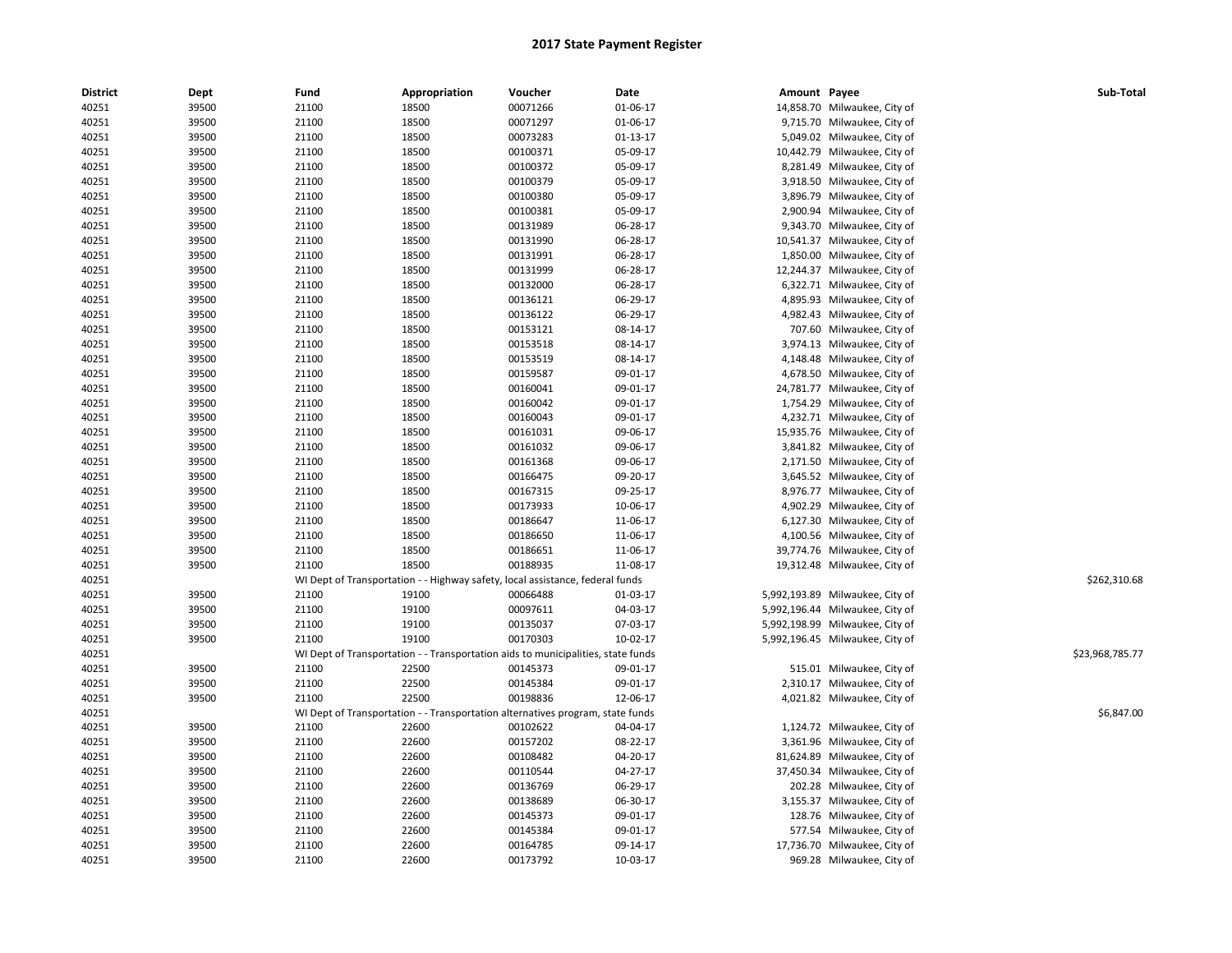| <b>District</b> | Dept  | Fund  | Appropriation | Voucher                                                                          | Date       | Amount Payee |                                 | Sub-Total       |
|-----------------|-------|-------|---------------|----------------------------------------------------------------------------------|------------|--------------|---------------------------------|-----------------|
| 40251           | 39500 | 21100 | 18500         | 00071266                                                                         | 01-06-17   |              | 14,858.70 Milwaukee, City of    |                 |
| 40251           | 39500 | 21100 | 18500         | 00071297                                                                         | 01-06-17   |              | 9,715.70 Milwaukee, City of     |                 |
| 40251           | 39500 | 21100 | 18500         | 00073283                                                                         | 01-13-17   |              | 5,049.02 Milwaukee, City of     |                 |
| 40251           | 39500 | 21100 | 18500         | 00100371                                                                         | 05-09-17   |              | 10,442.79 Milwaukee, City of    |                 |
| 40251           | 39500 | 21100 | 18500         | 00100372                                                                         | 05-09-17   | 8,281.49     | Milwaukee, City of              |                 |
| 40251           | 39500 | 21100 | 18500         | 00100379                                                                         | 05-09-17   |              | 3,918.50 Milwaukee, City of     |                 |
| 40251           | 39500 | 21100 | 18500         | 00100380                                                                         | 05-09-17   |              | 3,896.79 Milwaukee, City of     |                 |
| 40251           | 39500 | 21100 | 18500         | 00100381                                                                         | 05-09-17   |              | 2,900.94 Milwaukee, City of     |                 |
| 40251           | 39500 | 21100 | 18500         | 00131989                                                                         | 06-28-17   |              | 9,343.70 Milwaukee, City of     |                 |
| 40251           | 39500 | 21100 | 18500         | 00131990                                                                         | 06-28-17   |              | 10,541.37 Milwaukee, City of    |                 |
| 40251           | 39500 | 21100 | 18500         | 00131991                                                                         | 06-28-17   |              | 1,850.00 Milwaukee, City of     |                 |
| 40251           | 39500 | 21100 | 18500         | 00131999                                                                         | 06-28-17   |              | 12,244.37 Milwaukee, City of    |                 |
| 40251           | 39500 | 21100 | 18500         | 00132000                                                                         | 06-28-17   |              | 6,322.71 Milwaukee, City of     |                 |
| 40251           | 39500 | 21100 | 18500         | 00136121                                                                         | 06-29-17   |              | 4,895.93 Milwaukee, City of     |                 |
| 40251           | 39500 | 21100 | 18500         | 00136122                                                                         | 06-29-17   |              | 4,982.43 Milwaukee, City of     |                 |
| 40251           | 39500 | 21100 | 18500         | 00153121                                                                         | 08-14-17   |              | 707.60 Milwaukee, City of       |                 |
| 40251           | 39500 | 21100 | 18500         | 00153518                                                                         | 08-14-17   |              | 3,974.13 Milwaukee, City of     |                 |
| 40251           | 39500 | 21100 | 18500         | 00153519                                                                         | 08-14-17   |              | 4,148.48 Milwaukee, City of     |                 |
| 40251           | 39500 | 21100 | 18500         | 00159587                                                                         | 09-01-17   |              | 4,678.50 Milwaukee, City of     |                 |
| 40251           | 39500 | 21100 | 18500         | 00160041                                                                         | 09-01-17   |              | 24,781.77 Milwaukee, City of    |                 |
| 40251           | 39500 | 21100 | 18500         | 00160042                                                                         | 09-01-17   |              | 1,754.29 Milwaukee, City of     |                 |
| 40251           | 39500 | 21100 | 18500         | 00160043                                                                         | 09-01-17   |              | 4,232.71 Milwaukee, City of     |                 |
| 40251           | 39500 | 21100 | 18500         | 00161031                                                                         | 09-06-17   |              | 15,935.76 Milwaukee, City of    |                 |
| 40251           | 39500 | 21100 | 18500         | 00161032                                                                         | 09-06-17   |              | 3,841.82 Milwaukee, City of     |                 |
| 40251           | 39500 | 21100 | 18500         | 00161368                                                                         | 09-06-17   |              | 2,171.50 Milwaukee, City of     |                 |
| 40251           | 39500 | 21100 | 18500         | 00166475                                                                         | 09-20-17   |              | 3,645.52 Milwaukee, City of     |                 |
| 40251           | 39500 | 21100 | 18500         | 00167315                                                                         | 09-25-17   |              | 8,976.77 Milwaukee, City of     |                 |
| 40251           | 39500 | 21100 | 18500         | 00173933                                                                         | 10-06-17   |              | 4,902.29 Milwaukee, City of     |                 |
| 40251           | 39500 | 21100 | 18500         | 00186647                                                                         | 11-06-17   |              | 6,127.30 Milwaukee, City of     |                 |
| 40251           | 39500 | 21100 | 18500         | 00186650                                                                         | 11-06-17   |              | 4,100.56 Milwaukee, City of     |                 |
| 40251           | 39500 | 21100 | 18500         | 00186651                                                                         | 11-06-17   |              | 39,774.76 Milwaukee, City of    |                 |
| 40251           | 39500 | 21100 | 18500         | 00188935                                                                         | 11-08-17   |              | 19,312.48 Milwaukee, City of    |                 |
| 40251           |       |       |               | WI Dept of Transportation - - Highway safety, local assistance, federal funds    |            |              |                                 | \$262,310.68    |
| 40251           | 39500 | 21100 | 19100         | 00066488                                                                         | 01-03-17   |              | 5,992,193.89 Milwaukee, City of |                 |
| 40251           | 39500 | 21100 | 19100         | 00097611                                                                         | 04-03-17   |              | 5,992,196.44 Milwaukee, City of |                 |
| 40251           | 39500 | 21100 | 19100         | 00135037                                                                         | 07-03-17   |              | 5,992,198.99 Milwaukee, City of |                 |
| 40251           | 39500 | 21100 | 19100         | 00170303                                                                         | $10-02-17$ |              | 5,992,196.45 Milwaukee, City of |                 |
| 40251           |       |       |               | WI Dept of Transportation - - Transportation aids to municipalities, state funds |            |              |                                 | \$23,968,785.77 |
| 40251           | 39500 | 21100 | 22500         | 00145373                                                                         | 09-01-17   |              | 515.01 Milwaukee, City of       |                 |
| 40251           | 39500 | 21100 | 22500         | 00145384                                                                         | 09-01-17   |              | 2,310.17 Milwaukee, City of     |                 |
| 40251           | 39500 | 21100 | 22500         | 00198836                                                                         | 12-06-17   |              | 4,021.82 Milwaukee, City of     |                 |
| 40251           |       |       |               | WI Dept of Transportation - - Transportation alternatives program, state funds   |            |              |                                 | \$6,847.00      |
| 40251           | 39500 | 21100 | 22600         | 00102622                                                                         | 04-04-17   |              | 1,124.72 Milwaukee, City of     |                 |
| 40251           | 39500 | 21100 | 22600         | 00157202                                                                         | 08-22-17   |              | 3,361.96 Milwaukee, City of     |                 |
| 40251           | 39500 | 21100 | 22600         | 00108482                                                                         | 04-20-17   |              | 81,624.89 Milwaukee, City of    |                 |
| 40251           | 39500 | 21100 | 22600         | 00110544                                                                         | 04-27-17   |              | 37,450.34 Milwaukee, City of    |                 |
| 40251           | 39500 | 21100 | 22600         | 00136769                                                                         | 06-29-17   |              | 202.28 Milwaukee, City of       |                 |
| 40251           | 39500 | 21100 | 22600         | 00138689                                                                         | 06-30-17   |              | 3,155.37 Milwaukee, City of     |                 |
| 40251           | 39500 | 21100 | 22600         | 00145373                                                                         | 09-01-17   |              | 128.76 Milwaukee, City of       |                 |
| 40251           | 39500 | 21100 | 22600         | 00145384                                                                         | 09-01-17   |              | 577.54 Milwaukee, City of       |                 |
| 40251           | 39500 | 21100 | 22600         | 00164785                                                                         | 09-14-17   |              | 17,736.70 Milwaukee, City of    |                 |
| 40251           | 39500 | 21100 | 22600         | 00173792                                                                         | 10-03-17   |              | 969.28 Milwaukee, City of       |                 |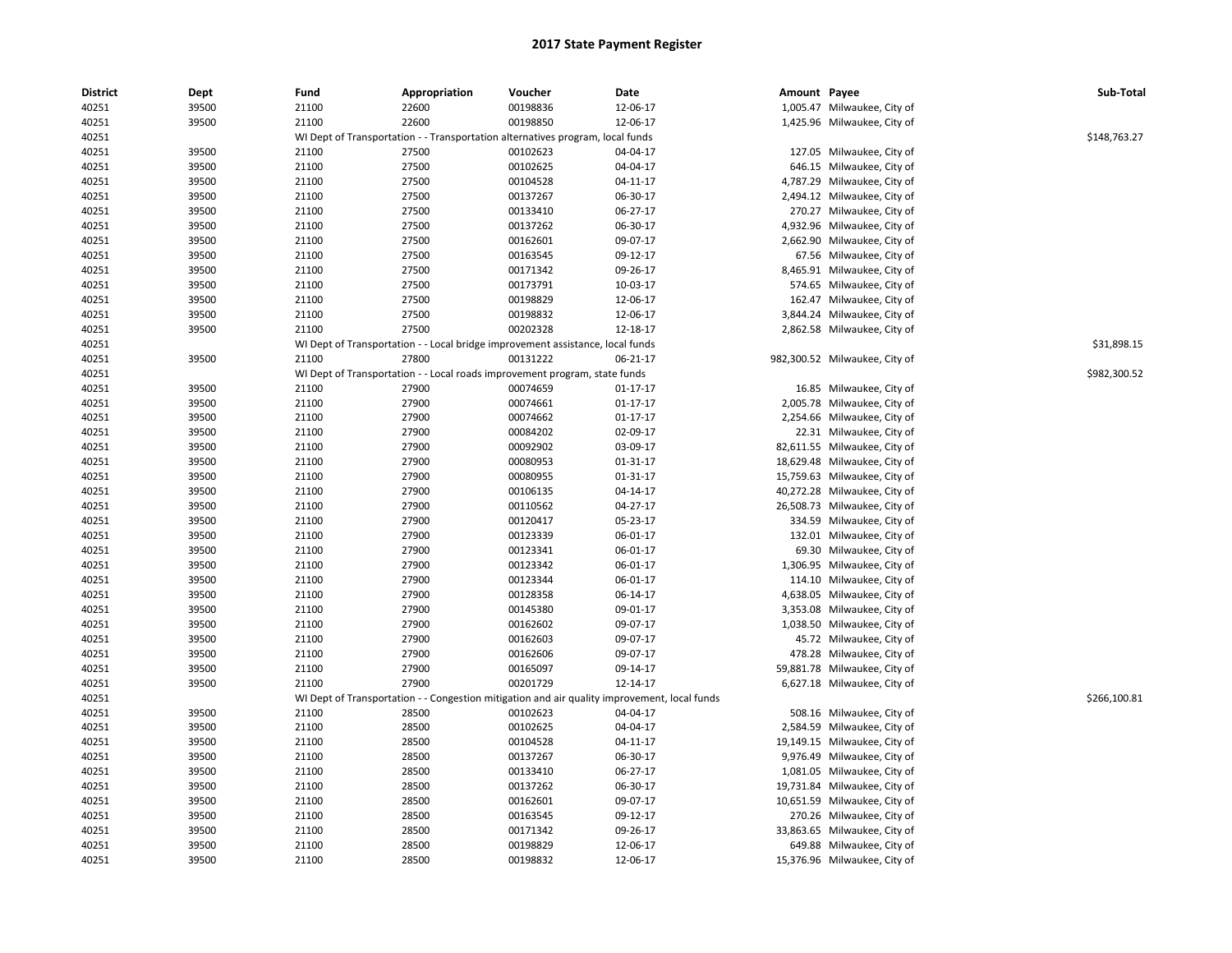| <b>District</b> | Dept  | Fund  | Appropriation                                                                  | Voucher  | Date                                                                                         | Amount Payee |                               | Sub-Total    |
|-----------------|-------|-------|--------------------------------------------------------------------------------|----------|----------------------------------------------------------------------------------------------|--------------|-------------------------------|--------------|
| 40251           | 39500 | 21100 | 22600                                                                          | 00198836 | 12-06-17                                                                                     |              | 1,005.47 Milwaukee, City of   |              |
| 40251           | 39500 | 21100 | 22600                                                                          | 00198850 | 12-06-17                                                                                     |              | 1,425.96 Milwaukee, City of   |              |
| 40251           |       |       | WI Dept of Transportation - - Transportation alternatives program, local funds |          |                                                                                              |              |                               | \$148,763.27 |
| 40251           | 39500 | 21100 | 27500                                                                          | 00102623 | 04-04-17                                                                                     |              | 127.05 Milwaukee, City of     |              |
| 40251           | 39500 | 21100 | 27500                                                                          | 00102625 | 04-04-17                                                                                     |              | 646.15 Milwaukee, City of     |              |
| 40251           | 39500 | 21100 | 27500                                                                          | 00104528 | 04-11-17                                                                                     |              | 4,787.29 Milwaukee, City of   |              |
| 40251           | 39500 | 21100 | 27500                                                                          | 00137267 | 06-30-17                                                                                     |              | 2,494.12 Milwaukee, City of   |              |
| 40251           | 39500 | 21100 | 27500                                                                          | 00133410 | 06-27-17                                                                                     |              | 270.27 Milwaukee, City of     |              |
| 40251           | 39500 | 21100 | 27500                                                                          | 00137262 | 06-30-17                                                                                     |              | 4,932.96 Milwaukee, City of   |              |
| 40251           | 39500 | 21100 | 27500                                                                          | 00162601 | 09-07-17                                                                                     |              | 2,662.90 Milwaukee, City of   |              |
| 40251           | 39500 | 21100 | 27500                                                                          | 00163545 | 09-12-17                                                                                     |              | 67.56 Milwaukee, City of      |              |
| 40251           | 39500 | 21100 | 27500                                                                          | 00171342 | 09-26-17                                                                                     |              | 8,465.91 Milwaukee, City of   |              |
| 40251           | 39500 | 21100 | 27500                                                                          | 00173791 | 10-03-17                                                                                     |              | 574.65 Milwaukee, City of     |              |
| 40251           | 39500 | 21100 | 27500                                                                          | 00198829 | 12-06-17                                                                                     |              | 162.47 Milwaukee, City of     |              |
| 40251           | 39500 | 21100 | 27500                                                                          | 00198832 | 12-06-17                                                                                     |              | 3,844.24 Milwaukee, City of   |              |
| 40251           | 39500 | 21100 | 27500                                                                          | 00202328 | 12-18-17                                                                                     |              | 2,862.58 Milwaukee, City of   |              |
| 40251           |       |       | WI Dept of Transportation - - Local bridge improvement assistance, local funds |          |                                                                                              |              |                               | \$31,898.15  |
| 40251           | 39500 | 21100 | 27800                                                                          | 00131222 | 06-21-17                                                                                     |              | 982,300.52 Milwaukee, City of |              |
| 40251           |       |       | WI Dept of Transportation - - Local roads improvement program, state funds     |          |                                                                                              |              |                               | \$982,300.52 |
| 40251           | 39500 | 21100 | 27900                                                                          | 00074659 | $01 - 17 - 17$                                                                               |              | 16.85 Milwaukee, City of      |              |
| 40251           | 39500 | 21100 | 27900                                                                          | 00074661 | 01-17-17                                                                                     |              | 2,005.78 Milwaukee, City of   |              |
| 40251           | 39500 | 21100 | 27900                                                                          | 00074662 | 01-17-17                                                                                     |              | 2,254.66 Milwaukee, City of   |              |
| 40251           | 39500 | 21100 | 27900                                                                          | 00084202 | 02-09-17                                                                                     |              | 22.31 Milwaukee, City of      |              |
| 40251           | 39500 | 21100 | 27900                                                                          | 00092902 | 03-09-17                                                                                     |              | 82,611.55 Milwaukee, City of  |              |
| 40251           | 39500 | 21100 | 27900                                                                          | 00080953 | 01-31-17                                                                                     |              | 18,629.48 Milwaukee, City of  |              |
| 40251           | 39500 | 21100 | 27900                                                                          | 00080955 | 01-31-17                                                                                     |              | 15,759.63 Milwaukee, City of  |              |
| 40251           | 39500 | 21100 | 27900                                                                          | 00106135 | 04-14-17                                                                                     |              | 40,272.28 Milwaukee, City of  |              |
| 40251           | 39500 | 21100 | 27900                                                                          | 00110562 | 04-27-17                                                                                     |              | 26,508.73 Milwaukee, City of  |              |
| 40251           | 39500 | 21100 | 27900                                                                          | 00120417 | 05-23-17                                                                                     |              | 334.59 Milwaukee, City of     |              |
| 40251           | 39500 | 21100 | 27900                                                                          | 00123339 | 06-01-17                                                                                     |              | 132.01 Milwaukee, City of     |              |
| 40251           | 39500 | 21100 | 27900                                                                          | 00123341 | 06-01-17                                                                                     |              | 69.30 Milwaukee, City of      |              |
| 40251           | 39500 | 21100 | 27900                                                                          | 00123342 | 06-01-17                                                                                     |              | 1,306.95 Milwaukee, City of   |              |
| 40251           | 39500 | 21100 | 27900                                                                          | 00123344 | 06-01-17                                                                                     |              | 114.10 Milwaukee, City of     |              |
| 40251           | 39500 | 21100 | 27900                                                                          | 00128358 | 06-14-17                                                                                     | 4,638.05     | Milwaukee, City of            |              |
| 40251           | 39500 | 21100 | 27900                                                                          | 00145380 | 09-01-17                                                                                     |              | 3,353.08 Milwaukee, City of   |              |
| 40251           | 39500 | 21100 | 27900                                                                          | 00162602 | 09-07-17                                                                                     |              | 1,038.50 Milwaukee, City of   |              |
| 40251           | 39500 | 21100 | 27900                                                                          | 00162603 | 09-07-17                                                                                     |              | 45.72 Milwaukee, City of      |              |
| 40251           | 39500 | 21100 | 27900                                                                          | 00162606 | 09-07-17                                                                                     |              | 478.28 Milwaukee, City of     |              |
| 40251           | 39500 | 21100 | 27900                                                                          | 00165097 | 09-14-17                                                                                     |              | 59,881.78 Milwaukee, City of  |              |
| 40251           | 39500 | 21100 | 27900                                                                          | 00201729 | 12-14-17                                                                                     |              | 6,627.18 Milwaukee, City of   |              |
| 40251           |       |       |                                                                                |          | WI Dept of Transportation - - Congestion mitigation and air quality improvement, local funds |              |                               | \$266,100.81 |
| 40251           | 39500 | 21100 | 28500                                                                          | 00102623 | 04-04-17                                                                                     |              | 508.16 Milwaukee, City of     |              |
| 40251           | 39500 | 21100 | 28500                                                                          | 00102625 | 04-04-17                                                                                     |              | 2,584.59 Milwaukee, City of   |              |
| 40251           | 39500 | 21100 | 28500                                                                          | 00104528 | 04-11-17                                                                                     |              | 19,149.15 Milwaukee, City of  |              |
| 40251           | 39500 | 21100 | 28500                                                                          | 00137267 | 06-30-17                                                                                     |              | 9,976.49 Milwaukee, City of   |              |
| 40251           | 39500 | 21100 | 28500                                                                          | 00133410 | 06-27-17                                                                                     | 1,081.05     | Milwaukee, City of            |              |
| 40251           | 39500 | 21100 | 28500                                                                          | 00137262 | 06-30-17                                                                                     |              | 19,731.84 Milwaukee, City of  |              |
| 40251           | 39500 | 21100 | 28500                                                                          | 00162601 | 09-07-17                                                                                     |              | 10,651.59 Milwaukee, City of  |              |
| 40251           | 39500 | 21100 | 28500                                                                          | 00163545 | 09-12-17                                                                                     |              | 270.26 Milwaukee, City of     |              |
| 40251           | 39500 | 21100 | 28500                                                                          | 00171342 | 09-26-17                                                                                     |              | 33,863.65 Milwaukee, City of  |              |
| 40251           | 39500 | 21100 | 28500                                                                          | 00198829 | 12-06-17                                                                                     |              | 649.88 Milwaukee, City of     |              |
| 40251           | 39500 | 21100 | 28500                                                                          | 00198832 | 12-06-17                                                                                     |              | 15,376.96 Milwaukee, City of  |              |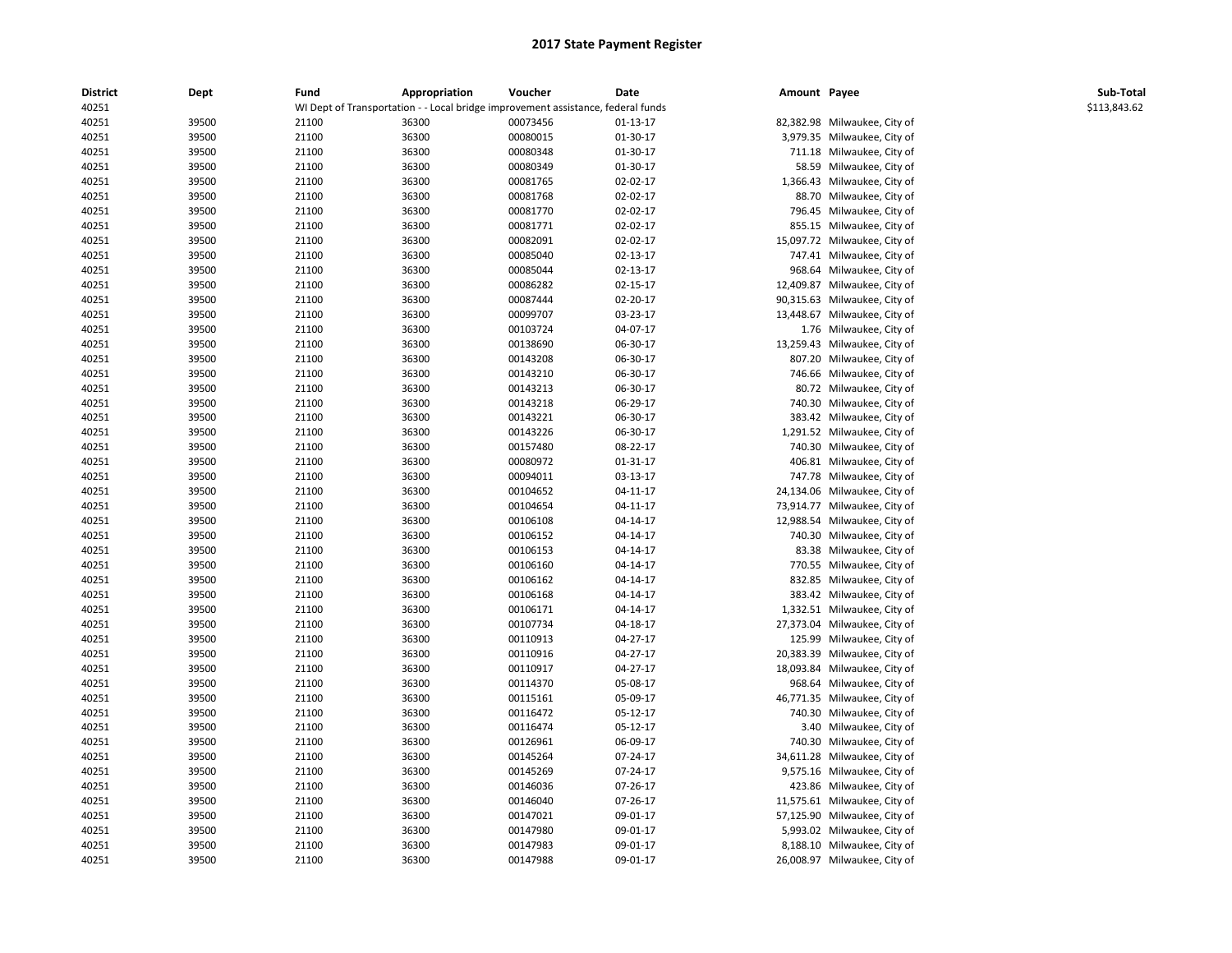| <b>District</b> | Dept  | Fund  | Appropriation                                                                    | Voucher  | Date           | Amount Payee |                              | Sub-Total    |
|-----------------|-------|-------|----------------------------------------------------------------------------------|----------|----------------|--------------|------------------------------|--------------|
| 40251           |       |       | WI Dept of Transportation - - Local bridge improvement assistance, federal funds |          |                |              |                              | \$113,843.62 |
| 40251           | 39500 | 21100 | 36300                                                                            | 00073456 | $01 - 13 - 17$ |              | 82,382.98 Milwaukee, City of |              |
| 40251           | 39500 | 21100 | 36300                                                                            | 00080015 | 01-30-17       |              | 3,979.35 Milwaukee, City of  |              |
| 40251           | 39500 | 21100 | 36300                                                                            | 00080348 | 01-30-17       |              | 711.18 Milwaukee, City of    |              |
| 40251           | 39500 | 21100 | 36300                                                                            | 00080349 | 01-30-17       |              | 58.59 Milwaukee, City of     |              |
| 40251           | 39500 | 21100 | 36300                                                                            | 00081765 | 02-02-17       |              | 1,366.43 Milwaukee, City of  |              |
| 40251           | 39500 | 21100 | 36300                                                                            | 00081768 | 02-02-17       |              | 88.70 Milwaukee, City of     |              |
| 40251           | 39500 | 21100 | 36300                                                                            | 00081770 | 02-02-17       |              | 796.45 Milwaukee, City of    |              |
| 40251           | 39500 | 21100 | 36300                                                                            | 00081771 | 02-02-17       |              | 855.15 Milwaukee, City of    |              |
| 40251           | 39500 | 21100 | 36300                                                                            | 00082091 | 02-02-17       |              | 15,097.72 Milwaukee, City of |              |
| 40251           | 39500 | 21100 | 36300                                                                            | 00085040 | 02-13-17       |              | 747.41 Milwaukee, City of    |              |
| 40251           | 39500 | 21100 | 36300                                                                            | 00085044 | 02-13-17       |              | 968.64 Milwaukee, City of    |              |
| 40251           | 39500 | 21100 | 36300                                                                            | 00086282 | $02 - 15 - 17$ |              | 12,409.87 Milwaukee, City of |              |
| 40251           | 39500 | 21100 | 36300                                                                            | 00087444 | 02-20-17       |              | 90,315.63 Milwaukee, City of |              |
| 40251           | 39500 | 21100 | 36300                                                                            | 00099707 | 03-23-17       |              | 13,448.67 Milwaukee, City of |              |
| 40251           | 39500 | 21100 | 36300                                                                            | 00103724 | 04-07-17       |              | 1.76 Milwaukee, City of      |              |
| 40251           | 39500 | 21100 | 36300                                                                            | 00138690 | 06-30-17       |              | 13,259.43 Milwaukee, City of |              |
| 40251           | 39500 | 21100 | 36300                                                                            | 00143208 | 06-30-17       |              | 807.20 Milwaukee, City of    |              |
| 40251           | 39500 | 21100 | 36300                                                                            | 00143210 | 06-30-17       |              | 746.66 Milwaukee, City of    |              |
| 40251           | 39500 | 21100 | 36300                                                                            | 00143213 | 06-30-17       |              | 80.72 Milwaukee, City of     |              |
| 40251           | 39500 | 21100 | 36300                                                                            | 00143218 | 06-29-17       |              | 740.30 Milwaukee, City of    |              |
| 40251           | 39500 | 21100 | 36300                                                                            | 00143221 | 06-30-17       |              | 383.42 Milwaukee, City of    |              |
| 40251           | 39500 | 21100 | 36300                                                                            | 00143226 | 06-30-17       |              | 1,291.52 Milwaukee, City of  |              |
| 40251           | 39500 | 21100 | 36300                                                                            | 00157480 | 08-22-17       |              | 740.30 Milwaukee, City of    |              |
| 40251           | 39500 | 21100 | 36300                                                                            | 00080972 | 01-31-17       |              | 406.81 Milwaukee, City of    |              |
| 40251           | 39500 | 21100 | 36300                                                                            | 00094011 | 03-13-17       |              | 747.78 Milwaukee, City of    |              |
| 40251           | 39500 | 21100 | 36300                                                                            | 00104652 | 04-11-17       |              | 24,134.06 Milwaukee, City of |              |
| 40251           | 39500 | 21100 | 36300                                                                            | 00104654 | 04-11-17       |              | 73,914.77 Milwaukee, City of |              |
| 40251           | 39500 | 21100 | 36300                                                                            | 00106108 | 04-14-17       |              | 12,988.54 Milwaukee, City of |              |
| 40251           | 39500 | 21100 | 36300                                                                            | 00106152 | 04-14-17       |              | 740.30 Milwaukee, City of    |              |
| 40251           | 39500 | 21100 | 36300                                                                            | 00106153 | 04-14-17       |              | 83.38 Milwaukee, City of     |              |
| 40251           | 39500 | 21100 | 36300                                                                            | 00106160 | 04-14-17       |              | 770.55 Milwaukee, City of    |              |
| 40251           | 39500 | 21100 | 36300                                                                            | 00106162 | 04-14-17       |              | 832.85 Milwaukee, City of    |              |
| 40251           | 39500 | 21100 | 36300                                                                            | 00106168 | 04-14-17       |              | 383.42 Milwaukee, City of    |              |
| 40251           | 39500 | 21100 | 36300                                                                            | 00106171 | 04-14-17       |              | 1,332.51 Milwaukee, City of  |              |
| 40251           | 39500 | 21100 | 36300                                                                            | 00107734 | 04-18-17       |              | 27,373.04 Milwaukee, City of |              |
| 40251           | 39500 | 21100 | 36300                                                                            | 00110913 | 04-27-17       |              | 125.99 Milwaukee, City of    |              |
| 40251           | 39500 | 21100 | 36300                                                                            | 00110916 | 04-27-17       |              | 20,383.39 Milwaukee, City of |              |
| 40251           | 39500 | 21100 | 36300                                                                            | 00110917 | 04-27-17       |              | 18,093.84 Milwaukee, City of |              |
| 40251           | 39500 | 21100 | 36300                                                                            | 00114370 | 05-08-17       |              | 968.64 Milwaukee, City of    |              |
| 40251           | 39500 | 21100 | 36300                                                                            | 00115161 | 05-09-17       |              | 46,771.35 Milwaukee, City of |              |
| 40251           | 39500 | 21100 | 36300                                                                            | 00116472 | 05-12-17       |              | 740.30 Milwaukee, City of    |              |
| 40251           | 39500 | 21100 | 36300                                                                            | 00116474 | 05-12-17       |              | 3.40 Milwaukee, City of      |              |
| 40251           | 39500 | 21100 | 36300                                                                            | 00126961 | 06-09-17       |              | 740.30 Milwaukee, City of    |              |
| 40251           | 39500 | 21100 | 36300                                                                            | 00145264 | 07-24-17       |              | 34,611.28 Milwaukee, City of |              |
| 40251           | 39500 | 21100 | 36300                                                                            | 00145269 | 07-24-17       |              | 9,575.16 Milwaukee, City of  |              |
| 40251           | 39500 | 21100 | 36300                                                                            | 00146036 | 07-26-17       |              | 423.86 Milwaukee, City of    |              |
| 40251           | 39500 | 21100 | 36300                                                                            | 00146040 | 07-26-17       |              | 11,575.61 Milwaukee, City of |              |
| 40251           | 39500 | 21100 | 36300                                                                            | 00147021 | 09-01-17       |              | 57,125.90 Milwaukee, City of |              |
| 40251           | 39500 | 21100 | 36300                                                                            | 00147980 | 09-01-17       |              | 5,993.02 Milwaukee, City of  |              |
| 40251           | 39500 | 21100 | 36300                                                                            | 00147983 | 09-01-17       |              | 8,188.10 Milwaukee, City of  |              |
| 40251           | 39500 | 21100 | 36300                                                                            | 00147988 | 09-01-17       |              | 26,008.97 Milwaukee, City of |              |
|                 |       |       |                                                                                  |          |                |              |                              |              |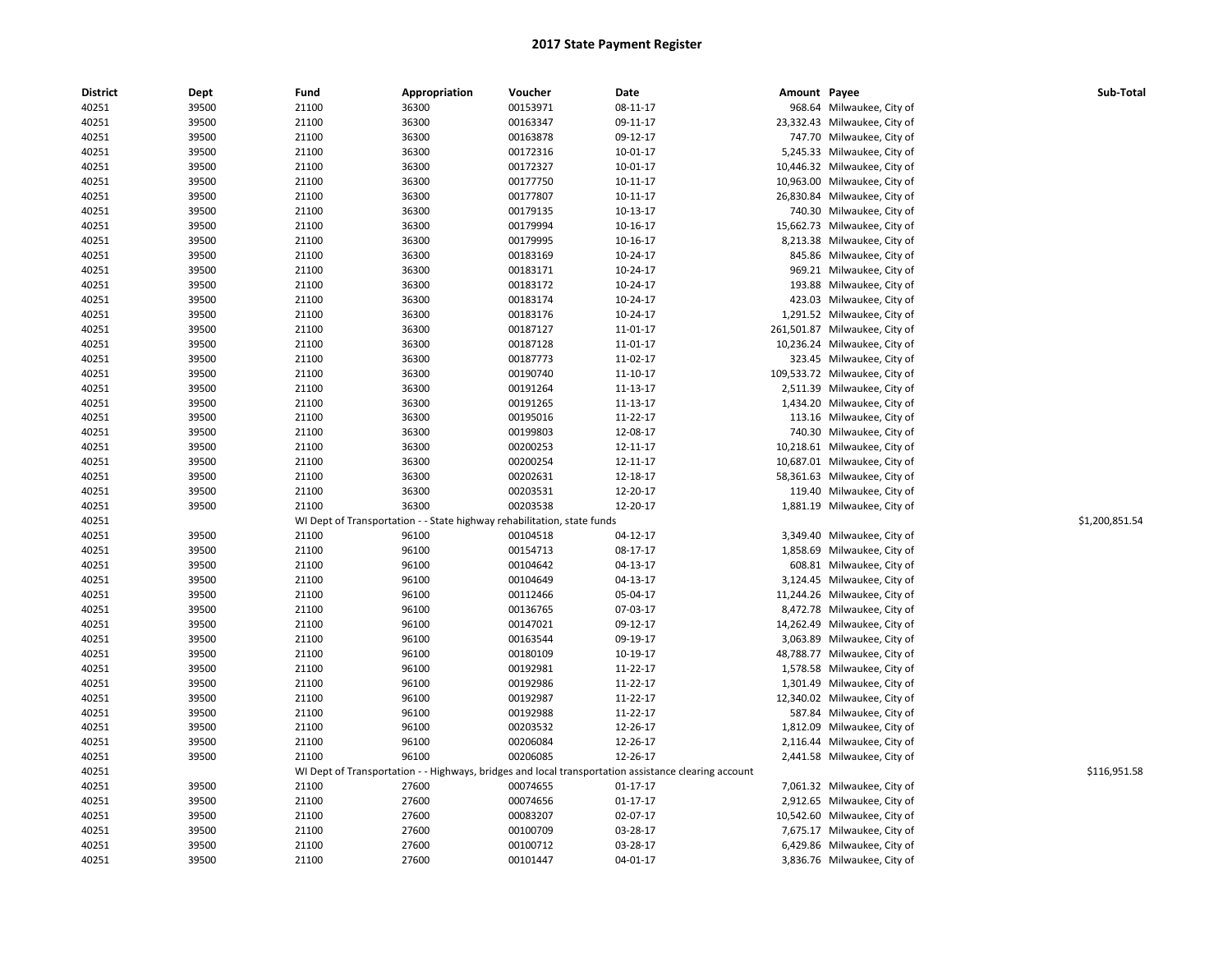| <b>District</b> | Dept  | Fund  | Appropriation                                                                                        | Voucher  | Date           | Amount Payee |                               | Sub-Total      |
|-----------------|-------|-------|------------------------------------------------------------------------------------------------------|----------|----------------|--------------|-------------------------------|----------------|
| 40251           | 39500 | 21100 | 36300                                                                                                | 00153971 | 08-11-17       |              | 968.64 Milwaukee, City of     |                |
| 40251           | 39500 | 21100 | 36300                                                                                                | 00163347 | 09-11-17       |              | 23,332.43 Milwaukee, City of  |                |
| 40251           | 39500 | 21100 | 36300                                                                                                | 00163878 | 09-12-17       |              | 747.70 Milwaukee, City of     |                |
| 40251           | 39500 | 21100 | 36300                                                                                                | 00172316 | 10-01-17       |              | 5,245.33 Milwaukee, City of   |                |
| 40251           | 39500 | 21100 | 36300                                                                                                | 00172327 | 10-01-17       |              | 10,446.32 Milwaukee, City of  |                |
| 40251           | 39500 | 21100 | 36300                                                                                                | 00177750 | 10-11-17       |              | 10,963.00 Milwaukee, City of  |                |
| 40251           | 39500 | 21100 | 36300                                                                                                | 00177807 | $10 - 11 - 17$ |              | 26,830.84 Milwaukee, City of  |                |
| 40251           | 39500 | 21100 | 36300                                                                                                | 00179135 | 10-13-17       |              | 740.30 Milwaukee, City of     |                |
| 40251           | 39500 | 21100 | 36300                                                                                                | 00179994 | 10-16-17       |              | 15,662.73 Milwaukee, City of  |                |
| 40251           | 39500 | 21100 | 36300                                                                                                | 00179995 | 10-16-17       |              | 8,213.38 Milwaukee, City of   |                |
| 40251           | 39500 | 21100 | 36300                                                                                                | 00183169 | 10-24-17       |              | 845.86 Milwaukee, City of     |                |
| 40251           | 39500 | 21100 | 36300                                                                                                | 00183171 | 10-24-17       |              | 969.21 Milwaukee, City of     |                |
| 40251           | 39500 | 21100 | 36300                                                                                                | 00183172 | 10-24-17       |              | 193.88 Milwaukee, City of     |                |
| 40251           | 39500 | 21100 | 36300                                                                                                | 00183174 | 10-24-17       |              | 423.03 Milwaukee, City of     |                |
| 40251           | 39500 | 21100 | 36300                                                                                                | 00183176 | 10-24-17       |              | 1,291.52 Milwaukee, City of   |                |
| 40251           | 39500 | 21100 | 36300                                                                                                | 00187127 | 11-01-17       |              | 261,501.87 Milwaukee, City of |                |
| 40251           | 39500 | 21100 | 36300                                                                                                | 00187128 | 11-01-17       |              | 10,236.24 Milwaukee, City of  |                |
| 40251           | 39500 | 21100 | 36300                                                                                                | 00187773 | 11-02-17       |              | 323.45 Milwaukee, City of     |                |
| 40251           | 39500 | 21100 | 36300                                                                                                | 00190740 | 11-10-17       |              | 109,533.72 Milwaukee, City of |                |
| 40251           | 39500 | 21100 | 36300                                                                                                | 00191264 | 11-13-17       |              | 2,511.39 Milwaukee, City of   |                |
| 40251           | 39500 | 21100 | 36300                                                                                                | 00191265 | 11-13-17       |              | 1,434.20 Milwaukee, City of   |                |
| 40251           | 39500 | 21100 | 36300                                                                                                | 00195016 | 11-22-17       |              | 113.16 Milwaukee, City of     |                |
| 40251           | 39500 | 21100 | 36300                                                                                                | 00199803 | 12-08-17       |              | 740.30 Milwaukee, City of     |                |
| 40251           | 39500 | 21100 | 36300                                                                                                | 00200253 | 12-11-17       |              | 10,218.61 Milwaukee, City of  |                |
| 40251           | 39500 | 21100 | 36300                                                                                                | 00200254 | 12-11-17       |              | 10,687.01 Milwaukee, City of  |                |
| 40251           | 39500 | 21100 | 36300                                                                                                | 00202631 | 12-18-17       |              | 58,361.63 Milwaukee, City of  |                |
| 40251           | 39500 | 21100 | 36300                                                                                                | 00203531 | 12-20-17       |              | 119.40 Milwaukee, City of     |                |
| 40251           | 39500 | 21100 | 36300                                                                                                | 00203538 | 12-20-17       |              | 1,881.19 Milwaukee, City of   |                |
| 40251           |       |       | WI Dept of Transportation - - State highway rehabilitation, state funds                              |          |                |              |                               | \$1,200,851.54 |
| 40251           | 39500 | 21100 | 96100                                                                                                | 00104518 | 04-12-17       |              | 3,349.40 Milwaukee, City of   |                |
| 40251           | 39500 | 21100 | 96100                                                                                                | 00154713 | 08-17-17       |              | 1,858.69 Milwaukee, City of   |                |
| 40251           | 39500 | 21100 | 96100                                                                                                | 00104642 | 04-13-17       |              | 608.81 Milwaukee, City of     |                |
| 40251           | 39500 | 21100 | 96100                                                                                                | 00104649 | 04-13-17       |              | 3,124.45 Milwaukee, City of   |                |
| 40251           | 39500 | 21100 | 96100                                                                                                | 00112466 | 05-04-17       |              | 11,244.26 Milwaukee, City of  |                |
| 40251           | 39500 | 21100 | 96100                                                                                                | 00136765 | 07-03-17       |              | 8,472.78 Milwaukee, City of   |                |
| 40251           | 39500 | 21100 | 96100                                                                                                | 00147021 | 09-12-17       |              | 14,262.49 Milwaukee, City of  |                |
| 40251           | 39500 | 21100 | 96100                                                                                                | 00163544 | 09-19-17       |              | 3,063.89 Milwaukee, City of   |                |
| 40251           | 39500 | 21100 | 96100                                                                                                | 00180109 | 10-19-17       |              | 48,788.77 Milwaukee, City of  |                |
| 40251           | 39500 | 21100 | 96100                                                                                                | 00192981 | 11-22-17       |              | 1,578.58 Milwaukee, City of   |                |
| 40251           | 39500 | 21100 | 96100                                                                                                | 00192986 | 11-22-17       |              | 1,301.49 Milwaukee, City of   |                |
| 40251           | 39500 | 21100 | 96100                                                                                                | 00192987 | 11-22-17       |              | 12,340.02 Milwaukee, City of  |                |
| 40251           | 39500 | 21100 | 96100                                                                                                | 00192988 | 11-22-17       |              | 587.84 Milwaukee, City of     |                |
| 40251           | 39500 | 21100 | 96100                                                                                                | 00203532 | 12-26-17       |              | 1,812.09 Milwaukee, City of   |                |
| 40251           | 39500 | 21100 | 96100                                                                                                | 00206084 | 12-26-17       |              | 2,116.44 Milwaukee, City of   |                |
| 40251           | 39500 | 21100 | 96100                                                                                                | 00206085 | 12-26-17       |              | 2,441.58 Milwaukee, City of   |                |
| 40251           |       |       | WI Dept of Transportation - - Highways, bridges and local transportation assistance clearing account |          |                |              |                               | \$116,951.58   |
| 40251           | 39500 | 21100 | 27600                                                                                                | 00074655 | $01 - 17 - 17$ |              | 7,061.32 Milwaukee, City of   |                |
| 40251           | 39500 | 21100 | 27600                                                                                                | 00074656 | $01 - 17 - 17$ |              | 2,912.65 Milwaukee, City of   |                |
| 40251           | 39500 | 21100 | 27600                                                                                                | 00083207 | 02-07-17       |              | 10,542.60 Milwaukee, City of  |                |
| 40251           | 39500 | 21100 | 27600                                                                                                | 00100709 | 03-28-17       |              | 7,675.17 Milwaukee, City of   |                |
| 40251           | 39500 | 21100 | 27600                                                                                                | 00100712 | 03-28-17       |              | 6,429.86 Milwaukee, City of   |                |
| 40251           | 39500 | 21100 | 27600                                                                                                | 00101447 | 04-01-17       |              | 3,836.76 Milwaukee, City of   |                |
|                 |       |       |                                                                                                      |          |                |              |                               |                |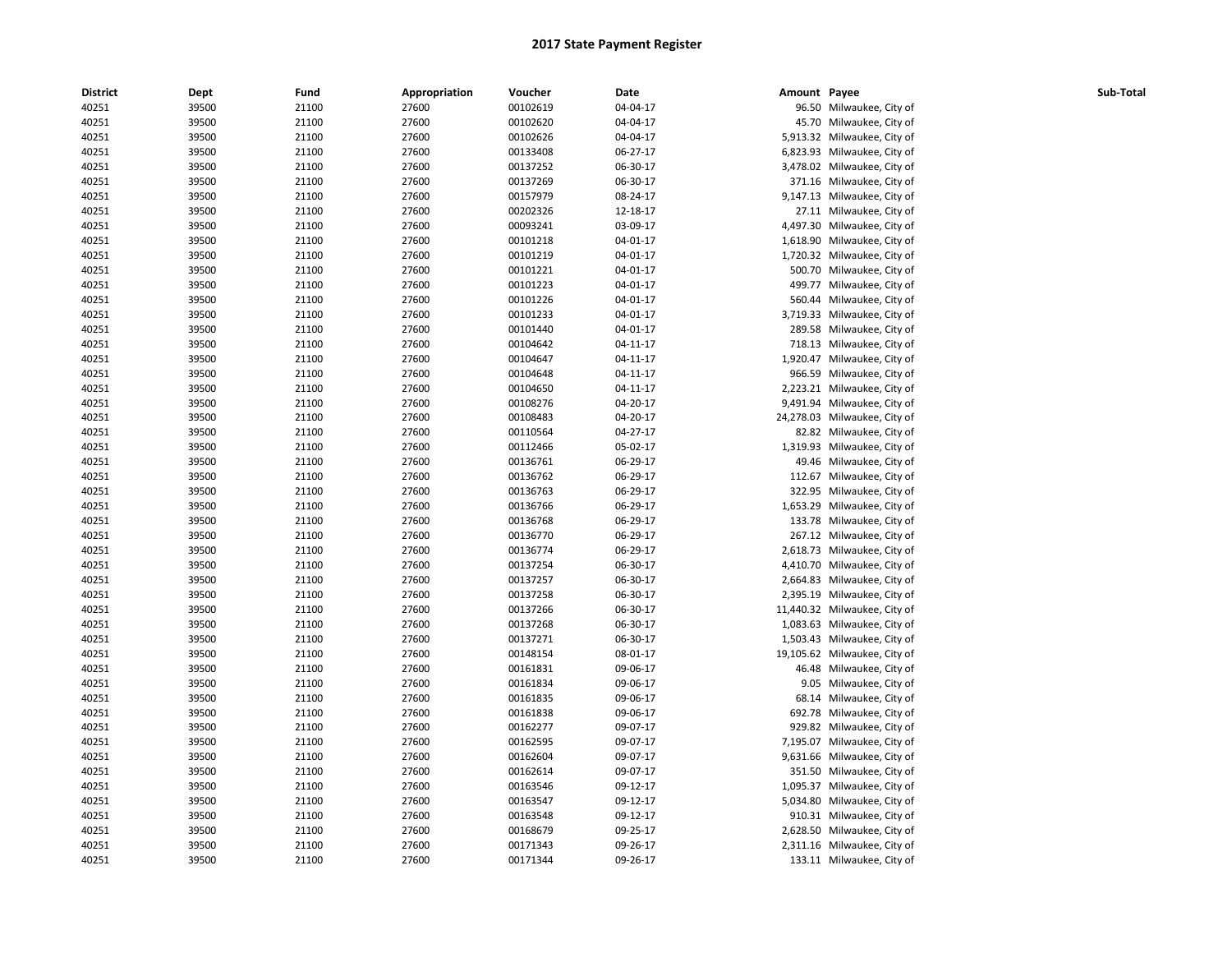| <b>District</b> | Dept  | Fund  | Appropriation | Voucher  | Date           | Amount Payee |                              | Sub-Total |
|-----------------|-------|-------|---------------|----------|----------------|--------------|------------------------------|-----------|
| 40251           | 39500 | 21100 | 27600         | 00102619 | 04-04-17       |              | 96.50 Milwaukee, City of     |           |
| 40251           | 39500 | 21100 | 27600         | 00102620 | 04-04-17       |              | 45.70 Milwaukee, City of     |           |
| 40251           | 39500 | 21100 | 27600         | 00102626 | 04-04-17       |              | 5,913.32 Milwaukee, City of  |           |
| 40251           | 39500 | 21100 | 27600         | 00133408 | 06-27-17       |              | 6,823.93 Milwaukee, City of  |           |
| 40251           | 39500 | 21100 | 27600         | 00137252 | 06-30-17       |              | 3,478.02 Milwaukee, City of  |           |
| 40251           | 39500 | 21100 | 27600         | 00137269 | 06-30-17       |              | 371.16 Milwaukee, City of    |           |
| 40251           | 39500 | 21100 | 27600         | 00157979 | 08-24-17       |              | 9,147.13 Milwaukee, City of  |           |
| 40251           | 39500 | 21100 | 27600         | 00202326 | 12-18-17       |              | 27.11 Milwaukee, City of     |           |
| 40251           | 39500 | 21100 | 27600         | 00093241 | 03-09-17       |              | 4,497.30 Milwaukee, City of  |           |
| 40251           | 39500 | 21100 | 27600         | 00101218 | 04-01-17       |              | 1,618.90 Milwaukee, City of  |           |
| 40251           | 39500 | 21100 | 27600         | 00101219 | 04-01-17       |              | 1,720.32 Milwaukee, City of  |           |
| 40251           | 39500 | 21100 | 27600         | 00101221 | 04-01-17       |              | 500.70 Milwaukee, City of    |           |
| 40251           | 39500 | 21100 | 27600         | 00101223 | 04-01-17       |              | 499.77 Milwaukee, City of    |           |
| 40251           | 39500 | 21100 | 27600         | 00101226 | 04-01-17       |              | 560.44 Milwaukee, City of    |           |
| 40251           | 39500 | 21100 | 27600         | 00101233 | 04-01-17       |              | 3,719.33 Milwaukee, City of  |           |
| 40251           | 39500 | 21100 | 27600         | 00101440 | 04-01-17       |              | 289.58 Milwaukee, City of    |           |
| 40251           | 39500 | 21100 | 27600         | 00104642 | $04 - 11 - 17$ |              | 718.13 Milwaukee, City of    |           |
| 40251           | 39500 | 21100 | 27600         | 00104647 | 04-11-17       |              | 1,920.47 Milwaukee, City of  |           |
| 40251           | 39500 | 21100 | 27600         | 00104648 | 04-11-17       |              | 966.59 Milwaukee, City of    |           |
| 40251           | 39500 | 21100 | 27600         | 00104650 | 04-11-17       |              | 2,223.21 Milwaukee, City of  |           |
| 40251           | 39500 | 21100 | 27600         | 00108276 | 04-20-17       |              | 9,491.94 Milwaukee, City of  |           |
| 40251           | 39500 | 21100 | 27600         | 00108483 | 04-20-17       |              | 24,278.03 Milwaukee, City of |           |
| 40251           | 39500 | 21100 | 27600         | 00110564 | 04-27-17       |              | 82.82 Milwaukee, City of     |           |
| 40251           | 39500 | 21100 | 27600         | 00112466 | 05-02-17       |              | 1,319.93 Milwaukee, City of  |           |
| 40251           | 39500 | 21100 | 27600         | 00136761 | 06-29-17       |              | 49.46 Milwaukee, City of     |           |
| 40251           | 39500 | 21100 | 27600         | 00136762 | 06-29-17       |              | 112.67 Milwaukee, City of    |           |
| 40251           | 39500 | 21100 | 27600         | 00136763 | 06-29-17       | 322.95       | Milwaukee, City of           |           |
| 40251           | 39500 | 21100 | 27600         | 00136766 | 06-29-17       |              | 1,653.29 Milwaukee, City of  |           |
| 40251           | 39500 | 21100 | 27600         | 00136768 | 06-29-17       |              | 133.78 Milwaukee, City of    |           |
| 40251           | 39500 | 21100 | 27600         | 00136770 | 06-29-17       |              | 267.12 Milwaukee, City of    |           |
| 40251           | 39500 | 21100 | 27600         | 00136774 | 06-29-17       |              | 2,618.73 Milwaukee, City of  |           |
| 40251           | 39500 | 21100 | 27600         | 00137254 | 06-30-17       |              | 4,410.70 Milwaukee, City of  |           |
| 40251           | 39500 | 21100 | 27600         | 00137257 | 06-30-17       |              | 2,664.83 Milwaukee, City of  |           |
| 40251           | 39500 | 21100 | 27600         | 00137258 | 06-30-17       |              | 2,395.19 Milwaukee, City of  |           |
| 40251           | 39500 | 21100 | 27600         | 00137266 | 06-30-17       |              | 11,440.32 Milwaukee, City of |           |
| 40251           | 39500 | 21100 | 27600         | 00137268 | 06-30-17       |              | 1,083.63 Milwaukee, City of  |           |
| 40251           | 39500 | 21100 | 27600         | 00137271 | 06-30-17       |              | 1,503.43 Milwaukee, City of  |           |
| 40251           | 39500 | 21100 | 27600         | 00148154 | 08-01-17       |              | 19,105.62 Milwaukee, City of |           |
| 40251           | 39500 | 21100 | 27600         | 00161831 | 09-06-17       |              | 46.48 Milwaukee, City of     |           |
| 40251           | 39500 | 21100 | 27600         | 00161834 | 09-06-17       |              | 9.05 Milwaukee, City of      |           |
| 40251           | 39500 | 21100 | 27600         | 00161835 | 09-06-17       |              | 68.14 Milwaukee, City of     |           |
| 40251           | 39500 | 21100 | 27600         | 00161838 | 09-06-17       |              | 692.78 Milwaukee, City of    |           |
| 40251           | 39500 | 21100 | 27600         | 00162277 | 09-07-17       |              | 929.82 Milwaukee, City of    |           |
| 40251           | 39500 | 21100 | 27600         | 00162595 | 09-07-17       | 7,195.07     | Milwaukee, City of           |           |
| 40251           | 39500 | 21100 | 27600         | 00162604 | 09-07-17       |              | 9,631.66 Milwaukee, City of  |           |
| 40251           | 39500 | 21100 | 27600         | 00162614 | 09-07-17       |              | 351.50 Milwaukee, City of    |           |
| 40251           | 39500 | 21100 | 27600         | 00163546 | 09-12-17       |              | 1,095.37 Milwaukee, City of  |           |
| 40251           | 39500 | 21100 | 27600         | 00163547 | 09-12-17       |              | 5,034.80 Milwaukee, City of  |           |
| 40251           | 39500 | 21100 | 27600         | 00163548 | 09-12-17       |              | 910.31 Milwaukee, City of    |           |
| 40251           | 39500 | 21100 | 27600         | 00168679 | 09-25-17       |              | 2,628.50 Milwaukee, City of  |           |
| 40251           | 39500 | 21100 | 27600         | 00171343 | 09-26-17       |              | 2,311.16 Milwaukee, City of  |           |
| 40251           | 39500 | 21100 | 27600         | 00171344 | 09-26-17       |              | 133.11 Milwaukee, City of    |           |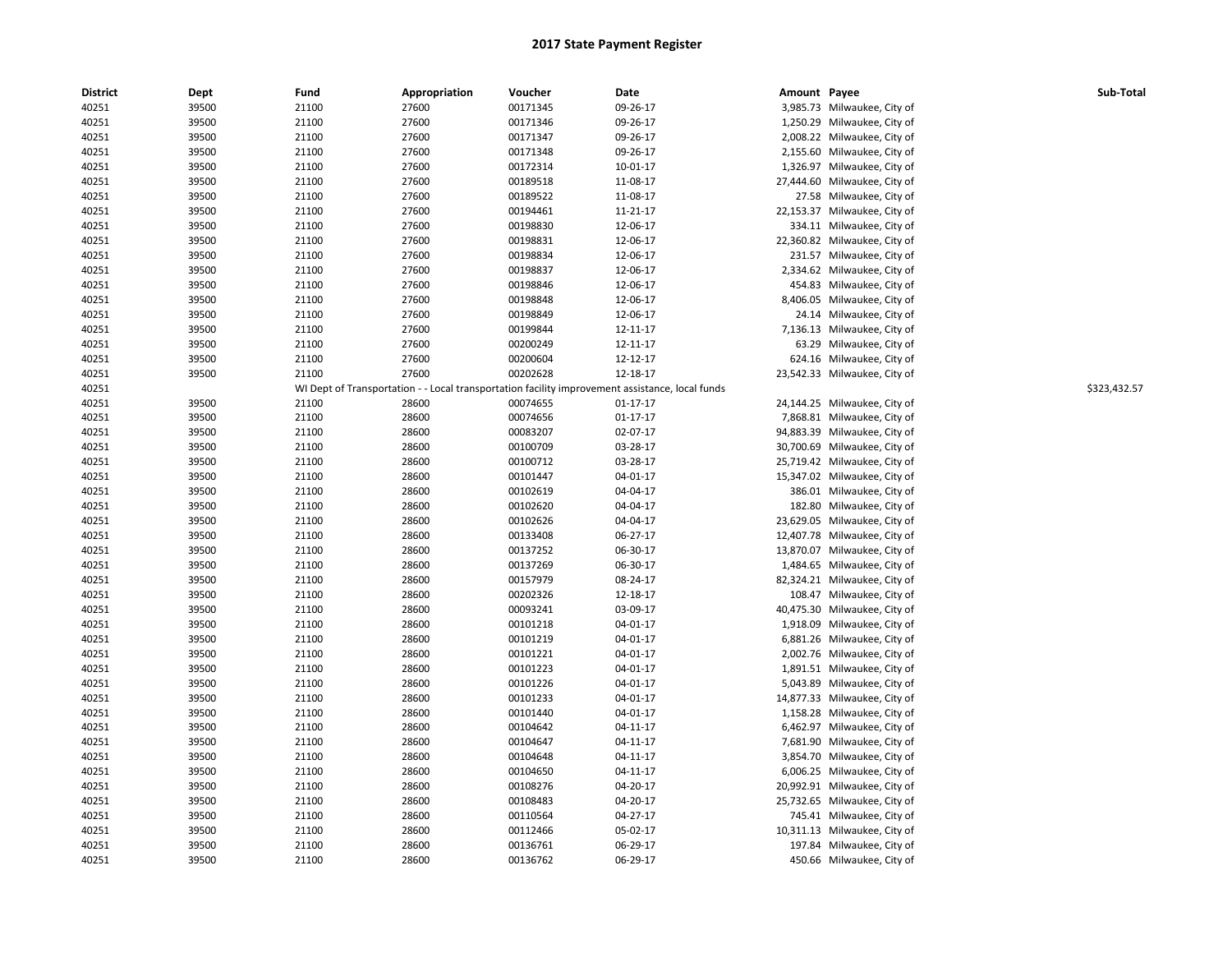| <b>District</b> | Dept  | Fund  | Appropriation | Voucher  | Date                                                                                            | Amount Payee |                              | Sub-Total    |
|-----------------|-------|-------|---------------|----------|-------------------------------------------------------------------------------------------------|--------------|------------------------------|--------------|
| 40251           | 39500 | 21100 | 27600         | 00171345 | 09-26-17                                                                                        |              | 3,985.73 Milwaukee, City of  |              |
| 40251           | 39500 | 21100 | 27600         | 00171346 | 09-26-17                                                                                        |              | 1,250.29 Milwaukee, City of  |              |
| 40251           | 39500 | 21100 | 27600         | 00171347 | 09-26-17                                                                                        |              | 2,008.22 Milwaukee, City of  |              |
| 40251           | 39500 | 21100 | 27600         | 00171348 | 09-26-17                                                                                        |              | 2,155.60 Milwaukee, City of  |              |
| 40251           | 39500 | 21100 | 27600         | 00172314 | $10-01-17$                                                                                      | 1,326.97     | Milwaukee, City of           |              |
| 40251           | 39500 | 21100 | 27600         | 00189518 | 11-08-17                                                                                        |              | 27,444.60 Milwaukee, City of |              |
| 40251           | 39500 | 21100 | 27600         | 00189522 | 11-08-17                                                                                        |              | 27.58 Milwaukee, City of     |              |
| 40251           | 39500 | 21100 | 27600         | 00194461 | 11-21-17                                                                                        |              | 22,153.37 Milwaukee, City of |              |
| 40251           | 39500 | 21100 | 27600         | 00198830 | 12-06-17                                                                                        |              | 334.11 Milwaukee, City of    |              |
| 40251           | 39500 | 21100 | 27600         | 00198831 | 12-06-17                                                                                        |              | 22,360.82 Milwaukee, City of |              |
| 40251           | 39500 | 21100 | 27600         | 00198834 | 12-06-17                                                                                        |              | 231.57 Milwaukee, City of    |              |
| 40251           | 39500 | 21100 | 27600         | 00198837 | 12-06-17                                                                                        |              | 2,334.62 Milwaukee, City of  |              |
| 40251           | 39500 | 21100 | 27600         | 00198846 | 12-06-17                                                                                        |              | 454.83 Milwaukee, City of    |              |
| 40251           | 39500 | 21100 | 27600         | 00198848 | 12-06-17                                                                                        |              | 8,406.05 Milwaukee, City of  |              |
| 40251           | 39500 | 21100 | 27600         | 00198849 | 12-06-17                                                                                        |              | 24.14 Milwaukee, City of     |              |
| 40251           | 39500 | 21100 | 27600         | 00199844 | 12-11-17                                                                                        |              | 7,136.13 Milwaukee, City of  |              |
| 40251           | 39500 | 21100 | 27600         | 00200249 | 12-11-17                                                                                        |              | 63.29 Milwaukee, City of     |              |
| 40251           | 39500 | 21100 | 27600         | 00200604 | 12-12-17                                                                                        |              | 624.16 Milwaukee, City of    |              |
| 40251           | 39500 | 21100 | 27600         | 00202628 | 12-18-17                                                                                        |              | 23,542.33 Milwaukee, City of |              |
| 40251           |       |       |               |          | WI Dept of Transportation - - Local transportation facility improvement assistance, local funds |              |                              | \$323,432.57 |
| 40251           | 39500 | 21100 | 28600         | 00074655 | $01 - 17 - 17$                                                                                  |              | 24,144.25 Milwaukee, City of |              |
| 40251           | 39500 | 21100 | 28600         | 00074656 | $01 - 17 - 17$                                                                                  |              | 7,868.81 Milwaukee, City of  |              |
| 40251           | 39500 | 21100 | 28600         | 00083207 | 02-07-17                                                                                        |              | 94,883.39 Milwaukee, City of |              |
| 40251           | 39500 | 21100 | 28600         | 00100709 | 03-28-17                                                                                        |              | 30,700.69 Milwaukee, City of |              |
| 40251           | 39500 | 21100 | 28600         | 00100712 | 03-28-17                                                                                        |              | 25,719.42 Milwaukee, City of |              |
| 40251           | 39500 | 21100 | 28600         | 00101447 | 04-01-17                                                                                        |              | 15,347.02 Milwaukee, City of |              |
| 40251           | 39500 | 21100 | 28600         | 00102619 | 04-04-17                                                                                        |              | 386.01 Milwaukee, City of    |              |
| 40251           | 39500 | 21100 | 28600         | 00102620 | 04-04-17                                                                                        |              | 182.80 Milwaukee, City of    |              |
| 40251           | 39500 | 21100 | 28600         | 00102626 | 04-04-17                                                                                        |              | 23,629.05 Milwaukee, City of |              |
| 40251           | 39500 | 21100 | 28600         | 00133408 | 06-27-17                                                                                        |              | 12,407.78 Milwaukee, City of |              |
| 40251           | 39500 | 21100 | 28600         | 00137252 | 06-30-17                                                                                        |              | 13,870.07 Milwaukee, City of |              |
| 40251           | 39500 | 21100 | 28600         | 00137269 | 06-30-17                                                                                        |              | 1,484.65 Milwaukee, City of  |              |
|                 |       |       |               |          |                                                                                                 |              |                              |              |
| 40251           | 39500 | 21100 | 28600         | 00157979 | 08-24-17                                                                                        |              | 82,324.21 Milwaukee, City of |              |
| 40251           | 39500 | 21100 | 28600         | 00202326 | 12-18-17                                                                                        |              | 108.47 Milwaukee, City of    |              |
| 40251           | 39500 | 21100 | 28600         | 00093241 | 03-09-17                                                                                        |              | 40,475.30 Milwaukee, City of |              |
| 40251           | 39500 | 21100 | 28600         | 00101218 | 04-01-17                                                                                        |              | 1,918.09 Milwaukee, City of  |              |
| 40251           | 39500 | 21100 | 28600         | 00101219 | 04-01-17                                                                                        |              | 6,881.26 Milwaukee, City of  |              |
| 40251           | 39500 | 21100 | 28600         | 00101221 | 04-01-17                                                                                        |              | 2,002.76 Milwaukee, City of  |              |
| 40251           | 39500 | 21100 | 28600         | 00101223 | 04-01-17                                                                                        |              | 1,891.51 Milwaukee, City of  |              |
| 40251           | 39500 | 21100 | 28600         | 00101226 | 04-01-17                                                                                        |              | 5,043.89 Milwaukee, City of  |              |
| 40251           | 39500 | 21100 | 28600         | 00101233 | 04-01-17                                                                                        |              | 14,877.33 Milwaukee, City of |              |
| 40251           | 39500 | 21100 | 28600         | 00101440 | 04-01-17                                                                                        |              | 1,158.28 Milwaukee, City of  |              |
| 40251           | 39500 | 21100 | 28600         | 00104642 | 04-11-17                                                                                        |              | 6,462.97 Milwaukee, City of  |              |
| 40251           | 39500 | 21100 | 28600         | 00104647 | 04-11-17                                                                                        |              | 7,681.90 Milwaukee, City of  |              |
| 40251           | 39500 | 21100 | 28600         | 00104648 | 04-11-17                                                                                        |              | 3,854.70 Milwaukee, City of  |              |
| 40251           | 39500 | 21100 | 28600         | 00104650 | 04-11-17                                                                                        |              | 6,006.25 Milwaukee, City of  |              |
| 40251           | 39500 | 21100 | 28600         | 00108276 | 04-20-17                                                                                        |              | 20,992.91 Milwaukee, City of |              |
| 40251           | 39500 | 21100 | 28600         | 00108483 | 04-20-17                                                                                        |              | 25,732.65 Milwaukee, City of |              |
| 40251           | 39500 | 21100 | 28600         | 00110564 | 04-27-17                                                                                        |              | 745.41 Milwaukee, City of    |              |
| 40251           | 39500 | 21100 | 28600         | 00112466 | 05-02-17                                                                                        |              | 10,311.13 Milwaukee, City of |              |
| 40251           | 39500 | 21100 | 28600         | 00136761 | 06-29-17                                                                                        |              | 197.84 Milwaukee, City of    |              |
| 40251           | 39500 | 21100 | 28600         | 00136762 | 06-29-17                                                                                        |              | 450.66 Milwaukee, City of    |              |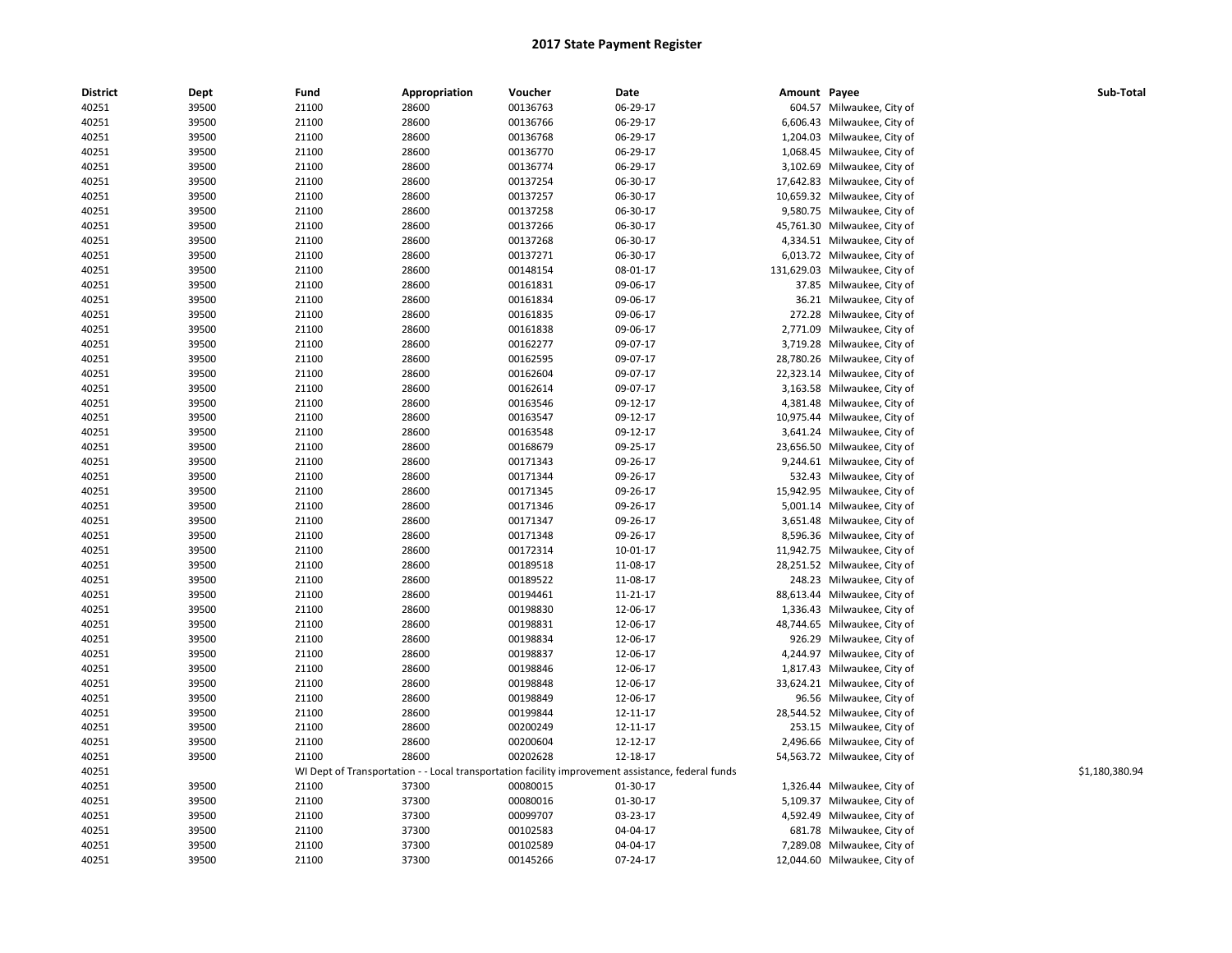| District | Dept  | Fund  | Appropriation | Voucher  | Date                                                                                              | Amount Payee |                               | Sub-Total      |
|----------|-------|-------|---------------|----------|---------------------------------------------------------------------------------------------------|--------------|-------------------------------|----------------|
| 40251    | 39500 | 21100 | 28600         | 00136763 | 06-29-17                                                                                          |              | 604.57 Milwaukee, City of     |                |
| 40251    | 39500 | 21100 | 28600         | 00136766 | 06-29-17                                                                                          |              | 6,606.43 Milwaukee, City of   |                |
| 40251    | 39500 | 21100 | 28600         | 00136768 | 06-29-17                                                                                          |              | 1,204.03 Milwaukee, City of   |                |
| 40251    | 39500 | 21100 | 28600         | 00136770 | 06-29-17                                                                                          |              | 1,068.45 Milwaukee, City of   |                |
| 40251    | 39500 | 21100 | 28600         | 00136774 | 06-29-17                                                                                          |              | 3,102.69 Milwaukee, City of   |                |
| 40251    | 39500 | 21100 | 28600         | 00137254 | 06-30-17                                                                                          |              | 17,642.83 Milwaukee, City of  |                |
| 40251    | 39500 | 21100 | 28600         | 00137257 | 06-30-17                                                                                          |              | 10,659.32 Milwaukee, City of  |                |
| 40251    | 39500 | 21100 | 28600         | 00137258 | 06-30-17                                                                                          |              | 9,580.75 Milwaukee, City of   |                |
| 40251    | 39500 | 21100 | 28600         | 00137266 | 06-30-17                                                                                          |              | 45,761.30 Milwaukee, City of  |                |
| 40251    | 39500 | 21100 | 28600         | 00137268 | 06-30-17                                                                                          |              | 4,334.51 Milwaukee, City of   |                |
| 40251    | 39500 | 21100 | 28600         | 00137271 | 06-30-17                                                                                          |              | 6,013.72 Milwaukee, City of   |                |
| 40251    | 39500 | 21100 | 28600         | 00148154 | 08-01-17                                                                                          |              | 131,629.03 Milwaukee, City of |                |
| 40251    | 39500 | 21100 | 28600         | 00161831 | 09-06-17                                                                                          |              | 37.85 Milwaukee, City of      |                |
| 40251    | 39500 | 21100 | 28600         | 00161834 | 09-06-17                                                                                          |              | 36.21 Milwaukee, City of      |                |
| 40251    | 39500 | 21100 | 28600         | 00161835 | 09-06-17                                                                                          |              | 272.28 Milwaukee, City of     |                |
| 40251    | 39500 | 21100 | 28600         | 00161838 | 09-06-17                                                                                          |              | 2,771.09 Milwaukee, City of   |                |
| 40251    | 39500 | 21100 | 28600         | 00162277 | 09-07-17                                                                                          |              | 3,719.28 Milwaukee, City of   |                |
| 40251    | 39500 | 21100 | 28600         | 00162595 | 09-07-17                                                                                          |              | 28,780.26 Milwaukee, City of  |                |
| 40251    | 39500 | 21100 | 28600         | 00162604 | 09-07-17                                                                                          |              | 22,323.14 Milwaukee, City of  |                |
| 40251    | 39500 | 21100 | 28600         | 00162614 | 09-07-17                                                                                          |              | 3,163.58 Milwaukee, City of   |                |
| 40251    | 39500 | 21100 | 28600         | 00163546 | 09-12-17                                                                                          |              | 4,381.48 Milwaukee, City of   |                |
| 40251    | 39500 | 21100 | 28600         | 00163547 | 09-12-17                                                                                          |              | 10,975.44 Milwaukee, City of  |                |
| 40251    | 39500 | 21100 | 28600         | 00163548 | 09-12-17                                                                                          |              | 3,641.24 Milwaukee, City of   |                |
| 40251    | 39500 | 21100 | 28600         | 00168679 | 09-25-17                                                                                          |              | 23,656.50 Milwaukee, City of  |                |
| 40251    | 39500 | 21100 | 28600         | 00171343 | 09-26-17                                                                                          |              | 9,244.61 Milwaukee, City of   |                |
| 40251    | 39500 | 21100 | 28600         | 00171344 | 09-26-17                                                                                          |              | 532.43 Milwaukee, City of     |                |
| 40251    | 39500 | 21100 | 28600         | 00171345 | 09-26-17                                                                                          |              | 15,942.95 Milwaukee, City of  |                |
| 40251    | 39500 | 21100 | 28600         | 00171346 | 09-26-17                                                                                          |              | 5,001.14 Milwaukee, City of   |                |
| 40251    | 39500 | 21100 | 28600         | 00171347 | 09-26-17                                                                                          |              | 3,651.48 Milwaukee, City of   |                |
| 40251    | 39500 | 21100 | 28600         | 00171348 | 09-26-17                                                                                          |              | 8,596.36 Milwaukee, City of   |                |
| 40251    | 39500 | 21100 | 28600         | 00172314 | 10-01-17                                                                                          |              | 11,942.75 Milwaukee, City of  |                |
| 40251    | 39500 | 21100 | 28600         | 00189518 | 11-08-17                                                                                          |              | 28,251.52 Milwaukee, City of  |                |
| 40251    | 39500 | 21100 | 28600         | 00189522 | 11-08-17                                                                                          |              | 248.23 Milwaukee, City of     |                |
| 40251    | 39500 | 21100 | 28600         | 00194461 | 11-21-17                                                                                          |              | 88,613.44 Milwaukee, City of  |                |
| 40251    | 39500 | 21100 | 28600         | 00198830 | 12-06-17                                                                                          |              | 1,336.43 Milwaukee, City of   |                |
| 40251    | 39500 | 21100 | 28600         | 00198831 | 12-06-17                                                                                          |              | 48,744.65 Milwaukee, City of  |                |
| 40251    | 39500 | 21100 | 28600         | 00198834 | 12-06-17                                                                                          |              | 926.29 Milwaukee, City of     |                |
| 40251    | 39500 | 21100 | 28600         | 00198837 | 12-06-17                                                                                          |              | 4,244.97 Milwaukee, City of   |                |
| 40251    | 39500 | 21100 | 28600         | 00198846 | 12-06-17                                                                                          |              | 1,817.43 Milwaukee, City of   |                |
| 40251    | 39500 | 21100 | 28600         | 00198848 | 12-06-17                                                                                          |              | 33,624.21 Milwaukee, City of  |                |
| 40251    | 39500 | 21100 | 28600         | 00198849 | 12-06-17                                                                                          |              | 96.56 Milwaukee, City of      |                |
| 40251    | 39500 | 21100 | 28600         | 00199844 | 12-11-17                                                                                          |              | 28,544.52 Milwaukee, City of  |                |
| 40251    | 39500 | 21100 | 28600         | 00200249 | 12-11-17                                                                                          |              | 253.15 Milwaukee, City of     |                |
| 40251    | 39500 | 21100 | 28600         | 00200604 | 12-12-17                                                                                          |              | 2,496.66 Milwaukee, City of   |                |
| 40251    | 39500 | 21100 | 28600         | 00202628 | 12-18-17                                                                                          |              | 54,563.72 Milwaukee, City of  |                |
| 40251    |       |       |               |          | WI Dept of Transportation - - Local transportation facility improvement assistance, federal funds |              |                               | \$1,180,380.94 |
| 40251    | 39500 | 21100 | 37300         | 00080015 | 01-30-17                                                                                          |              | 1,326.44 Milwaukee, City of   |                |
| 40251    |       | 21100 | 37300         | 00080016 | 01-30-17                                                                                          |              | 5,109.37 Milwaukee, City of   |                |
|          | 39500 |       |               | 00099707 |                                                                                                   |              |                               |                |
| 40251    | 39500 | 21100 | 37300         |          | 03-23-17                                                                                          |              | 4,592.49 Milwaukee, City of   |                |
| 40251    | 39500 | 21100 | 37300         | 00102583 | 04-04-17                                                                                          |              | 681.78 Milwaukee, City of     |                |
| 40251    | 39500 | 21100 | 37300         | 00102589 | 04-04-17                                                                                          |              | 7,289.08 Milwaukee, City of   |                |
| 40251    | 39500 | 21100 | 37300         | 00145266 | 07-24-17                                                                                          |              | 12,044.60 Milwaukee, City of  |                |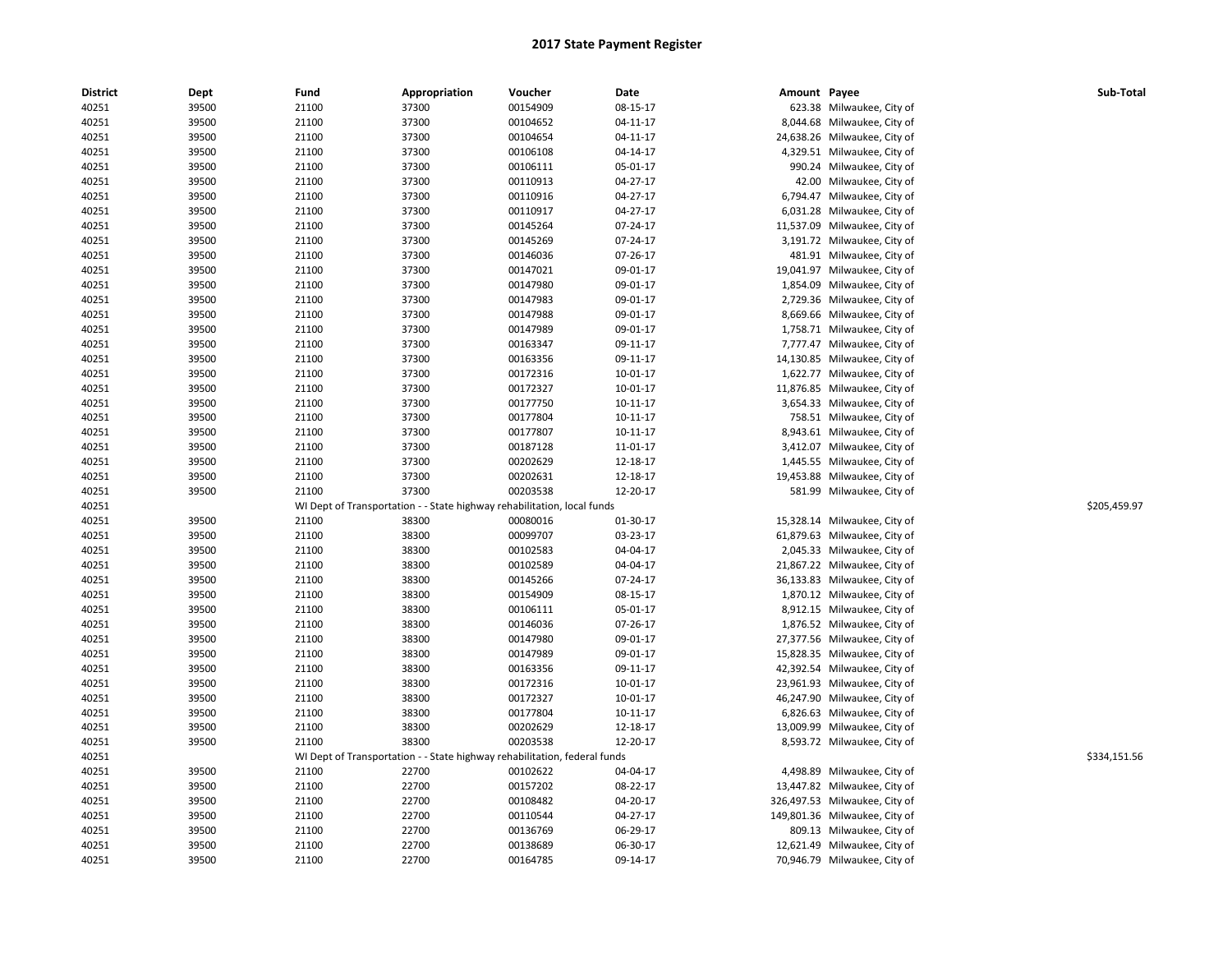| <b>District</b> | Dept           | Fund           | Appropriation                                                                    | Voucher              | Date     | Amount Payee |                                                              | Sub-Total    |
|-----------------|----------------|----------------|----------------------------------------------------------------------------------|----------------------|----------|--------------|--------------------------------------------------------------|--------------|
| 40251           | 39500          | 21100          | 37300                                                                            | 00154909             | 08-15-17 |              | 623.38 Milwaukee, City of                                    |              |
| 40251           | 39500          | 21100          | 37300                                                                            | 00104652             | 04-11-17 |              | 8,044.68 Milwaukee, City of                                  |              |
| 40251           | 39500          | 21100          | 37300                                                                            | 00104654             | 04-11-17 |              | 24,638.26 Milwaukee, City of                                 |              |
| 40251           | 39500          | 21100          | 37300                                                                            | 00106108             | 04-14-17 |              | 4,329.51 Milwaukee, City of                                  |              |
| 40251           | 39500          | 21100          | 37300                                                                            | 00106111             | 05-01-17 |              | 990.24 Milwaukee, City of                                    |              |
| 40251           | 39500          | 21100          | 37300                                                                            | 00110913             | 04-27-17 |              | 42.00 Milwaukee, City of                                     |              |
| 40251           | 39500          | 21100          | 37300                                                                            | 00110916             | 04-27-17 |              | 6,794.47 Milwaukee, City of                                  |              |
| 40251           | 39500          | 21100          | 37300                                                                            | 00110917             | 04-27-17 |              | 6,031.28 Milwaukee, City of                                  |              |
| 40251           | 39500          | 21100          | 37300                                                                            | 00145264             | 07-24-17 |              | 11,537.09 Milwaukee, City of                                 |              |
| 40251           | 39500          | 21100          | 37300                                                                            | 00145269             | 07-24-17 |              | 3,191.72 Milwaukee, City of                                  |              |
| 40251           | 39500          | 21100          | 37300                                                                            | 00146036             | 07-26-17 |              | 481.91 Milwaukee, City of                                    |              |
| 40251           | 39500          | 21100          | 37300                                                                            | 00147021             | 09-01-17 |              | 19,041.97 Milwaukee, City of                                 |              |
| 40251           | 39500          | 21100          | 37300                                                                            | 00147980             | 09-01-17 | 1,854.09     | Milwaukee, City of                                           |              |
| 40251           | 39500          | 21100          | 37300                                                                            | 00147983             | 09-01-17 |              | 2,729.36 Milwaukee, City of                                  |              |
| 40251           | 39500          | 21100          | 37300                                                                            | 00147988             | 09-01-17 |              | 8,669.66 Milwaukee, City of                                  |              |
| 40251           | 39500          | 21100          | 37300                                                                            | 00147989             | 09-01-17 |              | 1,758.71 Milwaukee, City of                                  |              |
| 40251           | 39500          | 21100          | 37300                                                                            | 00163347             | 09-11-17 |              | 7,777.47 Milwaukee, City of                                  |              |
| 40251           | 39500          | 21100          | 37300                                                                            | 00163356             | 09-11-17 |              | 14,130.85 Milwaukee, City of                                 |              |
| 40251           | 39500          | 21100          | 37300                                                                            | 00172316             | 10-01-17 |              | 1,622.77 Milwaukee, City of                                  |              |
| 40251           | 39500          | 21100          | 37300                                                                            | 00172327             | 10-01-17 |              | 11,876.85 Milwaukee, City of                                 |              |
| 40251           | 39500          | 21100          | 37300                                                                            | 00177750             | 10-11-17 |              | 3,654.33 Milwaukee, City of                                  |              |
| 40251           | 39500          | 21100          | 37300                                                                            | 00177804             | 10-11-17 |              | 758.51 Milwaukee, City of                                    |              |
| 40251           | 39500          | 21100          | 37300                                                                            | 00177807             | 10-11-17 |              | 8,943.61 Milwaukee, City of                                  |              |
| 40251           | 39500          | 21100          | 37300                                                                            | 00187128             | 11-01-17 |              | 3,412.07 Milwaukee, City of                                  |              |
| 40251           | 39500          | 21100          | 37300                                                                            | 00202629             | 12-18-17 |              | 1,445.55 Milwaukee, City of                                  |              |
| 40251           | 39500          | 21100          | 37300                                                                            | 00202631             | 12-18-17 |              | 19,453.88 Milwaukee, City of                                 |              |
| 40251           |                | 21100          | 37300                                                                            | 00203538             | 12-20-17 |              | 581.99 Milwaukee, City of                                    |              |
|                 | 39500          |                |                                                                                  |                      |          |              |                                                              | \$205,459.97 |
| 40251           |                |                | WI Dept of Transportation - - State highway rehabilitation, local funds<br>38300 |                      | 01-30-17 |              |                                                              |              |
| 40251           | 39500<br>39500 | 21100<br>21100 | 38300                                                                            | 00080016<br>00099707 | 03-23-17 |              | 15,328.14 Milwaukee, City of<br>61,879.63 Milwaukee, City of |              |
| 40251           |                |                |                                                                                  |                      |          |              |                                                              |              |
| 40251           | 39500          | 21100          | 38300                                                                            | 00102583             | 04-04-17 |              | 2,045.33 Milwaukee, City of                                  |              |
| 40251           | 39500          | 21100          | 38300                                                                            | 00102589             | 04-04-17 |              | 21,867.22 Milwaukee, City of                                 |              |
| 40251           | 39500          | 21100          | 38300                                                                            | 00145266             | 07-24-17 |              | 36,133.83 Milwaukee, City of                                 |              |
| 40251           | 39500          | 21100          | 38300                                                                            | 00154909             | 08-15-17 |              | 1,870.12 Milwaukee, City of                                  |              |
| 40251           | 39500          | 21100          | 38300                                                                            | 00106111             | 05-01-17 |              | 8,912.15 Milwaukee, City of                                  |              |
| 40251           | 39500          | 21100          | 38300                                                                            | 00146036             | 07-26-17 |              | 1,876.52 Milwaukee, City of                                  |              |
| 40251           | 39500          | 21100          | 38300                                                                            | 00147980             | 09-01-17 |              | 27,377.56 Milwaukee, City of                                 |              |
| 40251           | 39500          | 21100          | 38300                                                                            | 00147989             | 09-01-17 |              | 15,828.35 Milwaukee, City of                                 |              |
| 40251           | 39500          | 21100          | 38300                                                                            | 00163356             | 09-11-17 |              | 42,392.54 Milwaukee, City of                                 |              |
| 40251           | 39500          | 21100          | 38300                                                                            | 00172316             | 10-01-17 |              | 23,961.93 Milwaukee, City of                                 |              |
| 40251           | 39500          | 21100          | 38300                                                                            | 00172327             | 10-01-17 |              | 46,247.90 Milwaukee, City of                                 |              |
| 40251           | 39500          | 21100          | 38300                                                                            | 00177804             | 10-11-17 |              | 6,826.63 Milwaukee, City of                                  |              |
| 40251           | 39500          | 21100          | 38300                                                                            | 00202629             | 12-18-17 |              | 13,009.99 Milwaukee, City of                                 |              |
| 40251           | 39500          | 21100          | 38300                                                                            | 00203538             | 12-20-17 |              | 8,593.72 Milwaukee, City of                                  |              |
| 40251           |                |                | WI Dept of Transportation - - State highway rehabilitation, federal funds        |                      |          |              |                                                              | \$334,151.56 |
| 40251           | 39500          | 21100          | 22700                                                                            | 00102622             | 04-04-17 |              | 4,498.89 Milwaukee, City of                                  |              |
| 40251           | 39500          | 21100          | 22700                                                                            | 00157202             | 08-22-17 |              | 13,447.82 Milwaukee, City of                                 |              |
| 40251           | 39500          | 21100          | 22700                                                                            | 00108482             | 04-20-17 |              | 326,497.53 Milwaukee, City of                                |              |
| 40251           | 39500          | 21100          | 22700                                                                            | 00110544             | 04-27-17 |              | 149,801.36 Milwaukee, City of                                |              |
| 40251           | 39500          | 21100          | 22700                                                                            | 00136769             | 06-29-17 |              | 809.13 Milwaukee, City of                                    |              |
| 40251           | 39500          | 21100          | 22700                                                                            | 00138689             | 06-30-17 |              | 12,621.49 Milwaukee, City of                                 |              |
| 40251           | 39500          | 21100          | 22700                                                                            | 00164785             | 09-14-17 |              | 70,946.79 Milwaukee, City of                                 |              |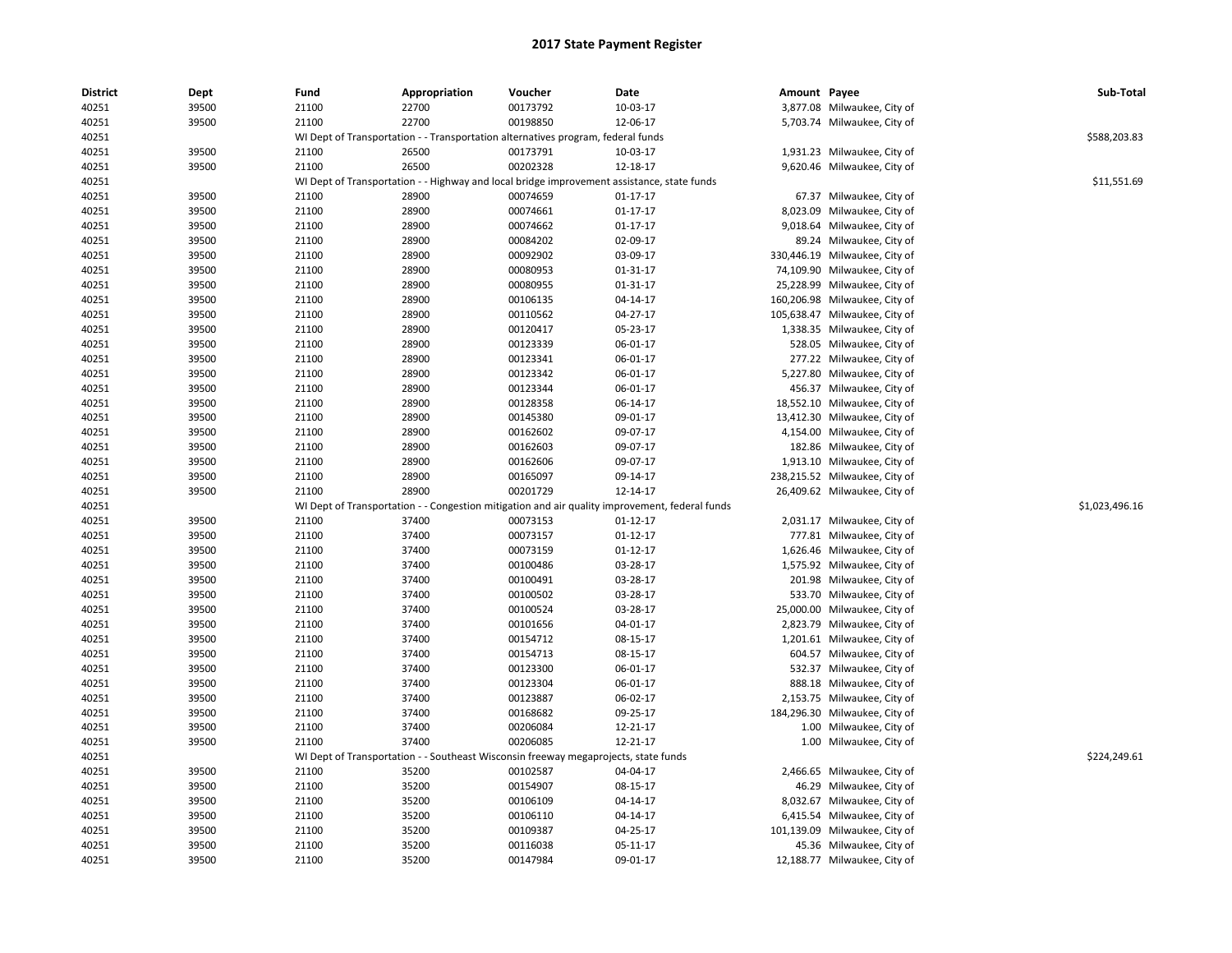| <b>District</b> | Dept  | Fund  | Appropriation                                                                       | Voucher  | Date                                                                                           | Amount Payee |                               | Sub-Total      |
|-----------------|-------|-------|-------------------------------------------------------------------------------------|----------|------------------------------------------------------------------------------------------------|--------------|-------------------------------|----------------|
| 40251           | 39500 | 21100 | 22700                                                                               | 00173792 | 10-03-17                                                                                       |              | 3,877.08 Milwaukee, City of   |                |
| 40251           | 39500 | 21100 | 22700                                                                               | 00198850 | 12-06-17                                                                                       |              | 5,703.74 Milwaukee, City of   |                |
| 40251           |       |       | WI Dept of Transportation - - Transportation alternatives program, federal funds    |          |                                                                                                |              |                               | \$588,203.83   |
| 40251           | 39500 | 21100 | 26500                                                                               | 00173791 | 10-03-17                                                                                       |              | 1,931.23 Milwaukee, City of   |                |
| 40251           | 39500 | 21100 | 26500                                                                               | 00202328 | 12-18-17                                                                                       |              | 9,620.46 Milwaukee, City of   |                |
| 40251           |       |       |                                                                                     |          | WI Dept of Transportation - - Highway and local bridge improvement assistance, state funds     |              |                               | \$11,551.69    |
| 40251           | 39500 | 21100 | 28900                                                                               | 00074659 | $01 - 17 - 17$                                                                                 |              | 67.37 Milwaukee, City of      |                |
| 40251           | 39500 | 21100 | 28900                                                                               | 00074661 | 01-17-17                                                                                       | 8,023.09     | Milwaukee, City of            |                |
| 40251           | 39500 | 21100 | 28900                                                                               | 00074662 | $01 - 17 - 17$                                                                                 | 9,018.64     | Milwaukee, City of            |                |
| 40251           | 39500 | 21100 | 28900                                                                               | 00084202 | 02-09-17                                                                                       |              | 89.24 Milwaukee, City of      |                |
| 40251           | 39500 | 21100 | 28900                                                                               | 00092902 | 03-09-17                                                                                       | 330,446.19   | Milwaukee, City of            |                |
| 40251           | 39500 | 21100 | 28900                                                                               | 00080953 | 01-31-17                                                                                       |              | 74,109.90 Milwaukee, City of  |                |
| 40251           | 39500 | 21100 | 28900                                                                               | 00080955 | 01-31-17                                                                                       | 25,228.99    | Milwaukee, City of            |                |
| 40251           | 39500 | 21100 | 28900                                                                               | 00106135 | 04-14-17                                                                                       |              | 160,206.98 Milwaukee, City of |                |
| 40251           | 39500 | 21100 | 28900                                                                               | 00110562 | 04-27-17                                                                                       |              | 105,638.47 Milwaukee, City of |                |
| 40251           | 39500 | 21100 | 28900                                                                               | 00120417 | 05-23-17                                                                                       |              | 1,338.35 Milwaukee, City of   |                |
| 40251           | 39500 | 21100 | 28900                                                                               | 00123339 | 06-01-17                                                                                       |              | 528.05 Milwaukee, City of     |                |
| 40251           | 39500 | 21100 | 28900                                                                               | 00123341 | 06-01-17                                                                                       |              | 277.22 Milwaukee, City of     |                |
| 40251           | 39500 | 21100 | 28900                                                                               | 00123342 | 06-01-17                                                                                       |              | 5,227.80 Milwaukee, City of   |                |
| 40251           | 39500 | 21100 | 28900                                                                               | 00123344 | 06-01-17                                                                                       |              | 456.37 Milwaukee, City of     |                |
| 40251           | 39500 | 21100 | 28900                                                                               | 00128358 | 06-14-17                                                                                       |              | 18,552.10 Milwaukee, City of  |                |
| 40251           | 39500 | 21100 | 28900                                                                               | 00145380 | 09-01-17                                                                                       | 13,412.30    | Milwaukee, City of            |                |
| 40251           | 39500 | 21100 | 28900                                                                               | 00162602 | 09-07-17                                                                                       |              | 4,154.00 Milwaukee, City of   |                |
| 40251           | 39500 | 21100 | 28900                                                                               | 00162603 | 09-07-17                                                                                       |              | 182.86 Milwaukee, City of     |                |
| 40251           | 39500 | 21100 | 28900                                                                               | 00162606 | 09-07-17                                                                                       |              | 1,913.10 Milwaukee, City of   |                |
| 40251           | 39500 | 21100 | 28900                                                                               | 00165097 | 09-14-17                                                                                       |              | 238,215.52 Milwaukee, City of |                |
| 40251           | 39500 | 21100 | 28900                                                                               | 00201729 | 12-14-17                                                                                       |              | 26,409.62 Milwaukee, City of  |                |
| 40251           |       |       |                                                                                     |          | WI Dept of Transportation - - Congestion mitigation and air quality improvement, federal funds |              |                               | \$1,023,496.16 |
| 40251           | 39500 | 21100 | 37400                                                                               | 00073153 | $01 - 12 - 17$                                                                                 |              | 2,031.17 Milwaukee, City of   |                |
| 40251           | 39500 | 21100 | 37400                                                                               | 00073157 | $01 - 12 - 17$                                                                                 |              | 777.81 Milwaukee, City of     |                |
| 40251           | 39500 | 21100 | 37400                                                                               | 00073159 | $01 - 12 - 17$                                                                                 |              | 1,626.46 Milwaukee, City of   |                |
| 40251           | 39500 | 21100 | 37400                                                                               | 00100486 | 03-28-17                                                                                       |              | 1,575.92 Milwaukee, City of   |                |
| 40251           | 39500 | 21100 | 37400                                                                               | 00100491 | 03-28-17                                                                                       |              | 201.98 Milwaukee, City of     |                |
| 40251           | 39500 | 21100 | 37400                                                                               | 00100502 | 03-28-17                                                                                       |              | 533.70 Milwaukee, City of     |                |
| 40251           | 39500 | 21100 | 37400                                                                               | 00100524 | 03-28-17                                                                                       | 25,000.00    | Milwaukee, City of            |                |
| 40251           | 39500 | 21100 | 37400                                                                               | 00101656 | 04-01-17                                                                                       |              | 2,823.79 Milwaukee, City of   |                |
| 40251           | 39500 | 21100 | 37400                                                                               | 00154712 | 08-15-17                                                                                       |              | 1,201.61 Milwaukee, City of   |                |
| 40251           | 39500 | 21100 | 37400                                                                               | 00154713 | 08-15-17                                                                                       |              | 604.57 Milwaukee, City of     |                |
| 40251           | 39500 | 21100 | 37400                                                                               | 00123300 | 06-01-17                                                                                       |              | 532.37 Milwaukee, City of     |                |
| 40251           | 39500 | 21100 | 37400                                                                               | 00123304 | 06-01-17                                                                                       |              | 888.18 Milwaukee, City of     |                |
| 40251           | 39500 | 21100 | 37400                                                                               | 00123887 | 06-02-17                                                                                       |              | 2,153.75 Milwaukee, City of   |                |
| 40251           | 39500 | 21100 | 37400                                                                               | 00168682 | 09-25-17                                                                                       | 184,296.30   | Milwaukee, City of            |                |
| 40251           | 39500 | 21100 | 37400                                                                               | 00206084 | 12-21-17                                                                                       |              | 1.00 Milwaukee, City of       |                |
| 40251           | 39500 | 21100 | 37400                                                                               | 00206085 | 12-21-17                                                                                       | 1.00         | Milwaukee, City of            |                |
| 40251           |       |       | WI Dept of Transportation - - Southeast Wisconsin freeway megaprojects, state funds |          |                                                                                                |              |                               | \$224,249.61   |
| 40251           | 39500 | 21100 | 35200                                                                               | 00102587 | 04-04-17                                                                                       |              | 2,466.65 Milwaukee, City of   |                |
| 40251           | 39500 | 21100 | 35200                                                                               | 00154907 | 08-15-17                                                                                       |              | 46.29 Milwaukee, City of      |                |
| 40251           | 39500 | 21100 | 35200                                                                               | 00106109 | 04-14-17                                                                                       |              | 8,032.67 Milwaukee, City of   |                |
| 40251           | 39500 | 21100 | 35200                                                                               | 00106110 | 04-14-17                                                                                       | 6,415.54     | Milwaukee, City of            |                |
| 40251           | 39500 | 21100 | 35200                                                                               | 00109387 | 04-25-17                                                                                       | 101,139.09   | Milwaukee, City of            |                |
| 40251           | 39500 | 21100 | 35200                                                                               | 00116038 | 05-11-17                                                                                       |              | 45.36 Milwaukee, City of      |                |
| 40251           | 39500 | 21100 | 35200                                                                               | 00147984 | 09-01-17                                                                                       |              | 12,188.77 Milwaukee, City of  |                |
|                 |       |       |                                                                                     |          |                                                                                                |              |                               |                |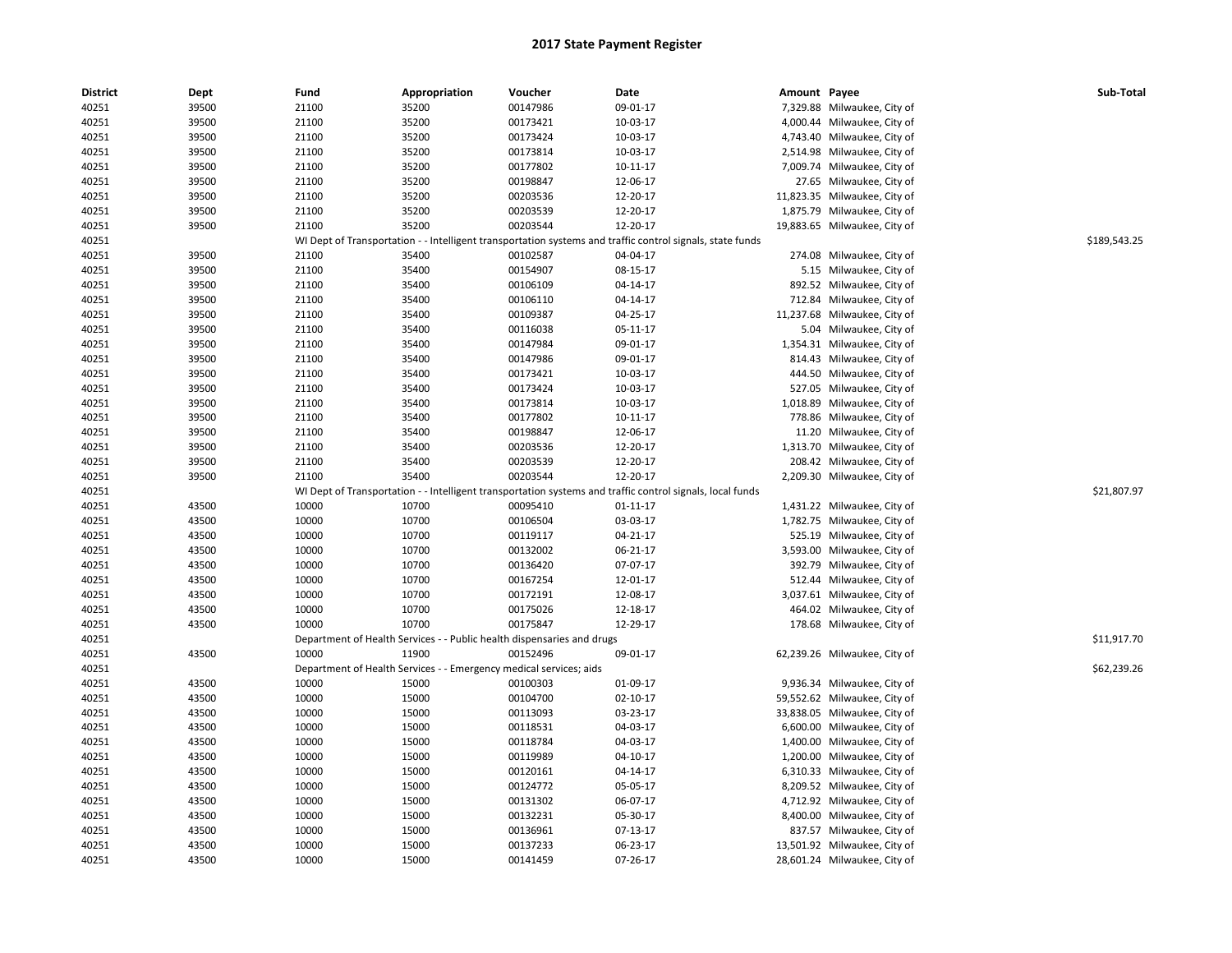| <b>District</b> | Dept  | Fund  | Appropriation                                                      | Voucher                                                                | Date                                                                                                      | Amount Payee |                              | Sub-Total    |
|-----------------|-------|-------|--------------------------------------------------------------------|------------------------------------------------------------------------|-----------------------------------------------------------------------------------------------------------|--------------|------------------------------|--------------|
| 40251           | 39500 | 21100 | 35200                                                              | 00147986                                                               | 09-01-17                                                                                                  |              | 7,329.88 Milwaukee, City of  |              |
| 40251           | 39500 | 21100 | 35200                                                              | 00173421                                                               | 10-03-17                                                                                                  |              | 4,000.44 Milwaukee, City of  |              |
| 40251           | 39500 | 21100 | 35200                                                              | 00173424                                                               | 10-03-17                                                                                                  |              | 4,743.40 Milwaukee, City of  |              |
| 40251           | 39500 | 21100 | 35200                                                              | 00173814                                                               | 10-03-17                                                                                                  |              | 2,514.98 Milwaukee, City of  |              |
| 40251           | 39500 | 21100 | 35200                                                              | 00177802                                                               | 10-11-17                                                                                                  |              | 7,009.74 Milwaukee, City of  |              |
| 40251           | 39500 | 21100 | 35200                                                              | 00198847                                                               | 12-06-17                                                                                                  |              | 27.65 Milwaukee, City of     |              |
| 40251           | 39500 | 21100 | 35200                                                              | 00203536                                                               | 12-20-17                                                                                                  |              | 11,823.35 Milwaukee, City of |              |
| 40251           | 39500 | 21100 | 35200                                                              | 00203539                                                               | 12-20-17                                                                                                  |              | 1,875.79 Milwaukee, City of  |              |
| 40251           | 39500 | 21100 | 35200                                                              | 00203544                                                               | 12-20-17                                                                                                  |              | 19,883.65 Milwaukee, City of |              |
| 40251           |       |       |                                                                    |                                                                        | WI Dept of Transportation - - Intelligent transportation systems and traffic control signals, state funds |              |                              | \$189,543.25 |
| 40251           | 39500 | 21100 | 35400                                                              | 00102587                                                               | 04-04-17                                                                                                  |              | 274.08 Milwaukee, City of    |              |
| 40251           | 39500 | 21100 | 35400                                                              | 00154907                                                               | 08-15-17                                                                                                  |              | 5.15 Milwaukee, City of      |              |
| 40251           | 39500 | 21100 | 35400                                                              | 00106109                                                               | 04-14-17                                                                                                  |              | 892.52 Milwaukee, City of    |              |
| 40251           | 39500 | 21100 | 35400                                                              | 00106110                                                               | 04-14-17                                                                                                  |              | 712.84 Milwaukee, City of    |              |
| 40251           | 39500 | 21100 | 35400                                                              | 00109387                                                               | 04-25-17                                                                                                  | 11,237.68    | Milwaukee, City of           |              |
| 40251           | 39500 | 21100 | 35400                                                              | 00116038                                                               | 05-11-17                                                                                                  |              | 5.04 Milwaukee, City of      |              |
| 40251           | 39500 | 21100 | 35400                                                              | 00147984                                                               | 09-01-17                                                                                                  |              | 1,354.31 Milwaukee, City of  |              |
| 40251           | 39500 | 21100 | 35400                                                              | 00147986                                                               | 09-01-17                                                                                                  |              | 814.43 Milwaukee, City of    |              |
| 40251           | 39500 | 21100 | 35400                                                              | 00173421                                                               | 10-03-17                                                                                                  |              | 444.50 Milwaukee, City of    |              |
| 40251           | 39500 | 21100 | 35400                                                              | 00173424                                                               | 10-03-17                                                                                                  |              | 527.05 Milwaukee, City of    |              |
| 40251           | 39500 | 21100 | 35400                                                              | 00173814                                                               | 10-03-17                                                                                                  |              | 1,018.89 Milwaukee, City of  |              |
| 40251           | 39500 | 21100 | 35400                                                              | 00177802                                                               | 10-11-17                                                                                                  |              | 778.86 Milwaukee, City of    |              |
| 40251           | 39500 | 21100 | 35400                                                              | 00198847                                                               | 12-06-17                                                                                                  |              | 11.20 Milwaukee, City of     |              |
| 40251           | 39500 | 21100 | 35400                                                              | 00203536                                                               | 12-20-17                                                                                                  |              | 1,313.70 Milwaukee, City of  |              |
| 40251           | 39500 | 21100 | 35400                                                              | 00203539                                                               | 12-20-17                                                                                                  |              | 208.42 Milwaukee, City of    |              |
| 40251           | 39500 | 21100 | 35400                                                              | 00203544                                                               | 12-20-17                                                                                                  |              | 2,209.30 Milwaukee, City of  |              |
| 40251           |       |       |                                                                    |                                                                        | WI Dept of Transportation - - Intelligent transportation systems and traffic control signals, local funds |              |                              | \$21,807.97  |
| 40251           | 43500 | 10000 | 10700                                                              | 00095410                                                               | 01-11-17                                                                                                  |              | 1,431.22 Milwaukee, City of  |              |
| 40251           | 43500 | 10000 | 10700                                                              | 00106504                                                               | 03-03-17                                                                                                  |              | 1,782.75 Milwaukee, City of  |              |
| 40251           | 43500 | 10000 | 10700                                                              | 00119117                                                               | 04-21-17                                                                                                  |              | 525.19 Milwaukee, City of    |              |
| 40251           | 43500 | 10000 | 10700                                                              | 00132002                                                               | 06-21-17                                                                                                  |              | 3,593.00 Milwaukee, City of  |              |
| 40251           | 43500 | 10000 | 10700                                                              | 00136420                                                               | 07-07-17                                                                                                  |              | 392.79 Milwaukee, City of    |              |
| 40251           | 43500 | 10000 | 10700                                                              | 00167254                                                               | 12-01-17                                                                                                  |              | 512.44 Milwaukee, City of    |              |
| 40251           | 43500 | 10000 | 10700                                                              | 00172191                                                               | 12-08-17                                                                                                  |              | 3,037.61 Milwaukee, City of  |              |
| 40251           | 43500 | 10000 | 10700                                                              | 00175026                                                               |                                                                                                           |              | 464.02 Milwaukee, City of    |              |
| 40251           | 43500 | 10000 | 10700                                                              | 00175847                                                               | 12-18-17<br>12-29-17                                                                                      |              | 178.68 Milwaukee, City of    |              |
|                 |       |       |                                                                    |                                                                        |                                                                                                           |              |                              | \$11,917.70  |
| 40251           |       | 10000 |                                                                    | Department of Health Services - - Public health dispensaries and drugs |                                                                                                           |              |                              |              |
| 40251           | 43500 |       | 11900                                                              | 00152496                                                               | 09-01-17                                                                                                  |              | 62,239.26 Milwaukee, City of |              |
| 40251           |       |       | Department of Health Services - - Emergency medical services; aids |                                                                        |                                                                                                           |              |                              | \$62,239.26  |
| 40251           | 43500 | 10000 | 15000                                                              | 00100303                                                               | 01-09-17                                                                                                  |              | 9,936.34 Milwaukee, City of  |              |
| 40251           | 43500 | 10000 | 15000                                                              | 00104700                                                               | 02-10-17                                                                                                  |              | 59,552.62 Milwaukee, City of |              |
| 40251           | 43500 | 10000 | 15000                                                              | 00113093                                                               | 03-23-17                                                                                                  |              | 33,838.05 Milwaukee, City of |              |
| 40251           | 43500 | 10000 | 15000                                                              | 00118531                                                               | 04-03-17                                                                                                  |              | 6,600.00 Milwaukee, City of  |              |
| 40251           | 43500 | 10000 | 15000                                                              | 00118784                                                               | 04-03-17                                                                                                  |              | 1,400.00 Milwaukee, City of  |              |
| 40251           | 43500 | 10000 | 15000                                                              | 00119989                                                               | 04-10-17                                                                                                  |              | 1,200.00 Milwaukee, City of  |              |
| 40251           | 43500 | 10000 | 15000                                                              | 00120161                                                               | 04-14-17                                                                                                  |              | 6,310.33 Milwaukee, City of  |              |
| 40251           | 43500 | 10000 | 15000                                                              | 00124772                                                               | 05-05-17                                                                                                  |              | 8,209.52 Milwaukee, City of  |              |
| 40251           | 43500 | 10000 | 15000                                                              | 00131302                                                               | 06-07-17                                                                                                  |              | 4,712.92 Milwaukee, City of  |              |
| 40251           | 43500 | 10000 | 15000                                                              | 00132231                                                               | 05-30-17                                                                                                  |              | 8,400.00 Milwaukee, City of  |              |
| 40251           | 43500 | 10000 | 15000                                                              | 00136961                                                               | 07-13-17                                                                                                  |              | 837.57 Milwaukee, City of    |              |
| 40251           | 43500 | 10000 | 15000                                                              | 00137233                                                               | 06-23-17                                                                                                  |              | 13,501.92 Milwaukee, City of |              |
| 40251           | 43500 | 10000 | 15000                                                              | 00141459                                                               | 07-26-17                                                                                                  |              | 28,601.24 Milwaukee, City of |              |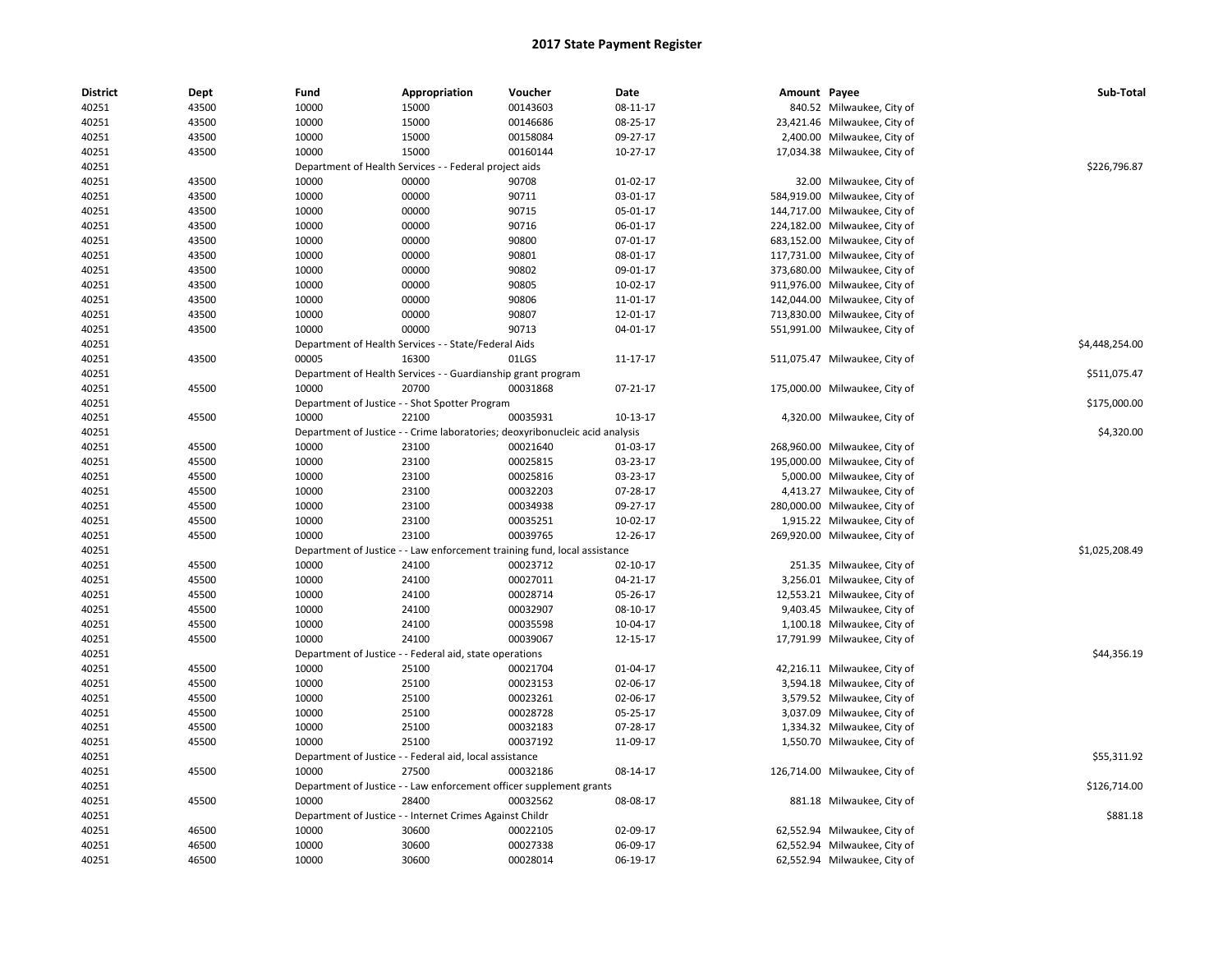| <b>District</b><br>Dept<br>Fund<br>Appropriation<br>Voucher<br>Date<br>Amount Payee           | Sub-Total      |
|-----------------------------------------------------------------------------------------------|----------------|
| 40251<br>43500<br>10000<br>15000<br>00143603<br>08-11-17<br>840.52 Milwaukee, City of         |                |
| 10000<br>00146686<br>40251<br>43500<br>15000<br>08-25-17<br>23,421.46 Milwaukee, City of      |                |
| 40251<br>43500<br>10000<br>15000<br>00158084<br>09-27-17<br>2,400.00 Milwaukee, City of       |                |
| 40251<br>43500<br>10000<br>15000<br>00160144<br>10-27-17<br>17,034.38 Milwaukee, City of      |                |
| 40251<br>Department of Health Services - - Federal project aids                               | \$226,796.87   |
| 40251<br>43500<br>00000<br>90708<br>$01-02-17$<br>10000<br>32.00 Milwaukee, City of           |                |
| 90711<br>40251<br>43500<br>10000<br>00000<br>03-01-17<br>584,919.00 Milwaukee, City of        |                |
| 90715<br>144,717.00 Milwaukee, City of<br>40251<br>43500<br>10000<br>00000<br>05-01-17        |                |
| 40251<br>43500<br>10000<br>00000<br>90716<br>224,182.00 Milwaukee, City of<br>06-01-17        |                |
| 40251<br>10000<br>00000<br>90800<br>07-01-17<br>683,152.00 Milwaukee, City of<br>43500        |                |
| 90801<br>40251<br>43500<br>10000<br>00000<br>08-01-17<br>117,731.00 Milwaukee, City of        |                |
| 90802<br>40251<br>43500<br>10000<br>00000<br>09-01-17<br>373,680.00 Milwaukee, City of        |                |
| 40251<br>43500<br>10000<br>00000<br>90805<br>10-02-17<br>911,976.00 Milwaukee, City of        |                |
| 40251<br>10000<br>90806<br>43500<br>00000<br>11-01-17<br>142,044.00 Milwaukee, City of        |                |
| 40251<br>10000<br>00000<br>90807<br>12-01-17<br>713,830.00 Milwaukee, City of<br>43500        |                |
| 90713<br>40251<br>43500<br>10000<br>00000<br>04-01-17<br>551,991.00 Milwaukee, City of        |                |
| 40251<br>Department of Health Services - - State/Federal Aids                                 | \$4,448,254.00 |
| 40251<br>43500<br>00005<br>16300<br>01LGS<br>11-17-17<br>511,075.47 Milwaukee, City of        |                |
| 40251<br>Department of Health Services - - Guardianship grant program                         | \$511,075.47   |
| 40251<br>45500<br>10000<br>20700<br>00031868<br>07-21-17<br>175,000.00 Milwaukee, City of     |                |
| 40251<br>Department of Justice - - Shot Spotter Program                                       | \$175,000.00   |
| 00035931<br>40251<br>45500<br>10000<br>22100<br>10-13-17<br>4,320.00 Milwaukee, City of       |                |
| 40251<br>Department of Justice - - Crime laboratories; deoxyribonucleic acid analysis         | \$4,320.00     |
| 00021640<br>40251<br>45500<br>10000<br>23100<br>01-03-17<br>268,960.00 Milwaukee, City of     |                |
| 10000<br>40251<br>45500<br>23100<br>00025815<br>03-23-17<br>195,000.00 Milwaukee, City of     |                |
| 40251<br>45500<br>10000<br>23100<br>00025816<br>03-23-17<br>5,000.00 Milwaukee, City of       |                |
| 40251<br>45500<br>10000<br>23100<br>00032203<br>07-28-17<br>4,413.27 Milwaukee, City of       |                |
| 40251<br>45500<br>10000<br>23100<br>00034938<br>09-27-17<br>280,000.00 Milwaukee, City of     |                |
| 40251<br>45500<br>10000<br>23100<br>00035251<br>10-02-17<br>1,915.22 Milwaukee, City of       |                |
| 23100<br>00039765<br>40251<br>45500<br>10000<br>12-26-17<br>269,920.00 Milwaukee, City of     |                |
| 40251<br>Department of Justice - - Law enforcement training fund, local assistance            | \$1,025,208.49 |
| 00023712<br>40251<br>45500<br>10000<br>24100<br>02-10-17<br>251.35 Milwaukee, City of         |                |
| 40251<br>45500<br>10000<br>00027011<br>$04 - 21 - 17$<br>3,256.01 Milwaukee, City of<br>24100 |                |
| 00028714<br>40251<br>45500<br>10000<br>24100<br>05-26-17<br>12,553.21 Milwaukee, City of      |                |
| 40251<br>10000<br>00032907<br>08-10-17<br>9,403.45 Milwaukee, City of<br>45500<br>24100       |                |
| 40251<br>45500<br>10000<br>24100<br>00035598<br>10-04-17<br>1,100.18 Milwaukee, City of       |                |
| 10000<br>24100<br>00039067<br>40251<br>45500<br>12-15-17<br>17,791.99 Milwaukee, City of      |                |
| 40251<br>Department of Justice - - Federal aid, state operations                              | \$44,356.19    |
| 40251<br>45500<br>10000<br>25100<br>00021704<br>01-04-17<br>42,216.11 Milwaukee, City of      |                |
| 40251<br>45500<br>10000<br>25100<br>00023153<br>02-06-17<br>3,594.18 Milwaukee, City of       |                |
| 40251<br>10000<br>00023261<br>3,579.52 Milwaukee, City of<br>45500<br>25100<br>02-06-17       |                |
| 10000<br>00028728<br>40251<br>45500<br>25100<br>05-25-17<br>3,037.09 Milwaukee, City of       |                |
| 40251<br>45500<br>10000<br>25100<br>00032183<br>07-28-17<br>1,334.32 Milwaukee, City of       |                |
| 00037192<br>40251<br>45500<br>10000<br>25100<br>11-09-17<br>1,550.70 Milwaukee, City of       |                |
| 40251<br>Department of Justice - - Federal aid, local assistance                              | \$55,311.92    |
| 45500<br>27500<br>08-14-17<br>126,714.00 Milwaukee, City of<br>40251<br>10000<br>00032186     |                |
| 40251<br>Department of Justice - - Law enforcement officer supplement grants                  | \$126,714.00   |
| 40251<br>45500<br>10000<br>28400<br>00032562<br>08-08-17<br>881.18 Milwaukee, City of         |                |
| 40251<br>Department of Justice - - Internet Crimes Against Childr                             | \$881.18       |
| 40251<br>10000<br>02-09-17<br>46500<br>30600<br>00022105<br>62,552.94 Milwaukee, City of      |                |
| 00027338<br>40251<br>46500<br>10000<br>30600<br>06-09-17<br>62,552.94 Milwaukee, City of      |                |
|                                                                                               |                |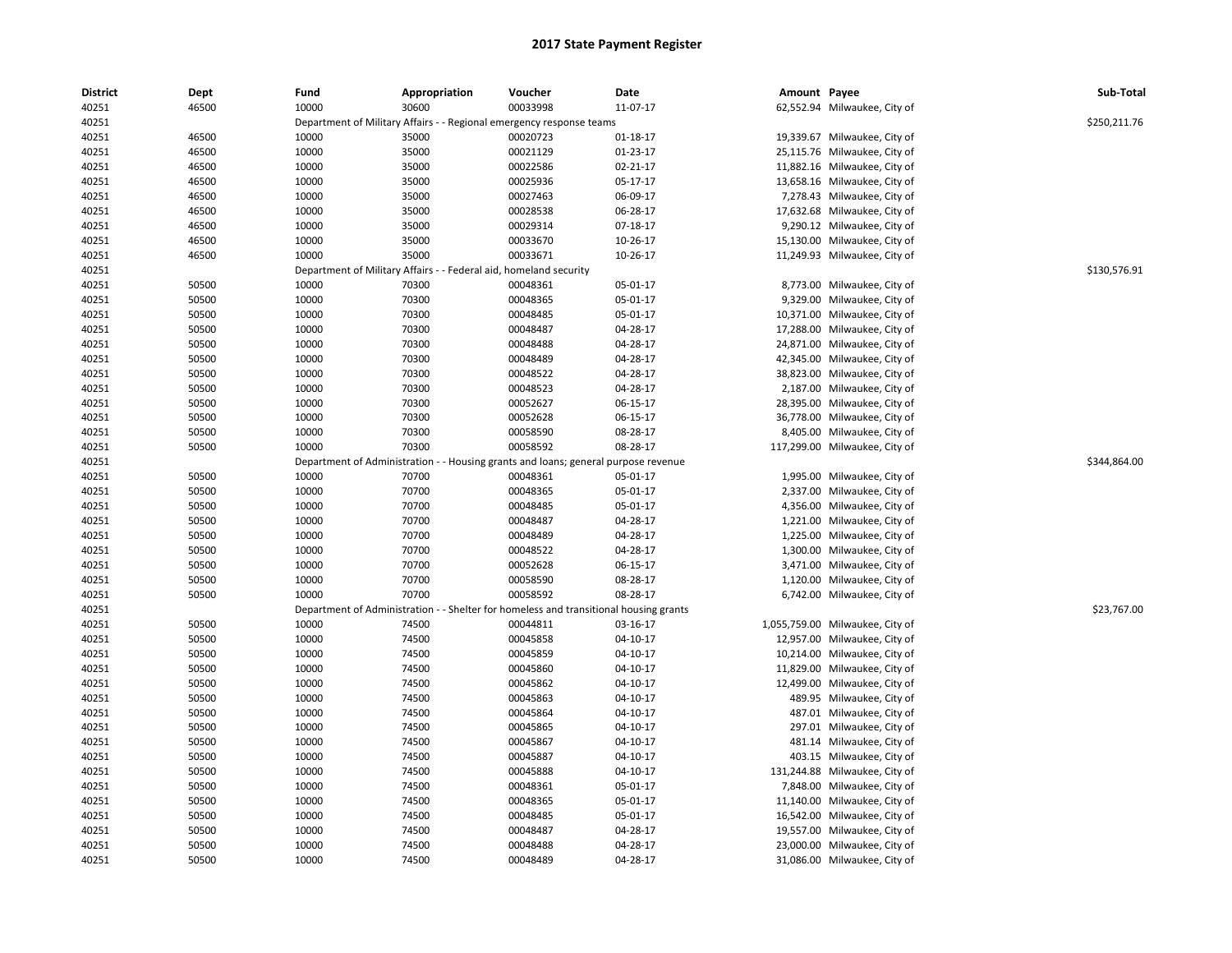| <b>District</b> | Dept  | Fund  | Appropriation                                                                         | Voucher  | Date                                                | Amount Payee |                                 | Sub-Total    |
|-----------------|-------|-------|---------------------------------------------------------------------------------------|----------|-----------------------------------------------------|--------------|---------------------------------|--------------|
| 40251           | 46500 | 10000 | 30600                                                                                 | 00033998 | 11-07-17                                            |              | 62,552.94 Milwaukee, City of    |              |
| 40251           |       |       | Department of Military Affairs - - Regional emergency response teams                  |          |                                                     |              |                                 | \$250,211.76 |
| 40251           | 46500 | 10000 | 35000                                                                                 | 00020723 | 01-18-17                                            |              | 19,339.67 Milwaukee, City of    |              |
| 40251           | 46500 | 10000 | 35000                                                                                 | 00021129 | $01 - 23 - 17$                                      |              | 25,115.76 Milwaukee, City of    |              |
| 40251           | 46500 | 10000 | 35000                                                                                 | 00022586 | 02-21-17                                            |              | 11,882.16 Milwaukee, City of    |              |
| 40251           | 46500 | 10000 | 35000                                                                                 | 00025936 | 05-17-17                                            |              | 13,658.16 Milwaukee, City of    |              |
| 40251           | 46500 | 10000 | 35000                                                                                 | 00027463 | 06-09-17                                            |              | 7,278.43 Milwaukee, City of     |              |
| 40251           | 46500 | 10000 | 35000                                                                                 | 00028538 | 06-28-17                                            |              | 17,632.68 Milwaukee, City of    |              |
| 40251           | 46500 | 10000 | 35000                                                                                 | 00029314 | 07-18-17                                            |              | 9,290.12 Milwaukee, City of     |              |
| 40251           | 46500 | 10000 | 35000                                                                                 | 00033670 | 10-26-17                                            |              | 15,130.00 Milwaukee, City of    |              |
| 40251           | 46500 | 10000 | 35000                                                                                 | 00033671 | 10-26-17                                            |              | 11,249.93 Milwaukee, City of    |              |
| 40251           |       |       | Department of Military Affairs - - Federal aid, homeland security                     |          |                                                     |              |                                 | \$130,576.91 |
| 40251           | 50500 | 10000 | 70300                                                                                 | 00048361 | 05-01-17                                            |              | 8,773.00 Milwaukee, City of     |              |
| 40251           | 50500 | 10000 | 70300                                                                                 | 00048365 | 05-01-17                                            |              | 9,329.00 Milwaukee, City of     |              |
| 40251           | 50500 | 10000 | 70300                                                                                 | 00048485 | 05-01-17                                            | 10,371.00    | Milwaukee, City of              |              |
| 40251           | 50500 | 10000 | 70300                                                                                 | 00048487 | 04-28-17                                            | 17,288.00    | Milwaukee, City of              |              |
| 40251           | 50500 | 10000 | 70300                                                                                 | 00048488 | 04-28-17                                            | 24,871.00    | Milwaukee, City of              |              |
| 40251           | 50500 | 10000 | 70300                                                                                 | 00048489 | 04-28-17                                            | 42,345.00    | Milwaukee, City of              |              |
| 40251           | 50500 | 10000 | 70300                                                                                 | 00048522 | 04-28-17                                            |              | 38,823.00 Milwaukee, City of    |              |
| 40251           | 50500 | 10000 | 70300                                                                                 | 00048523 | 04-28-17                                            | 2,187.00     | Milwaukee, City of              |              |
| 40251           | 50500 | 10000 | 70300                                                                                 | 00052627 | 06-15-17                                            |              | 28,395.00 Milwaukee, City of    |              |
| 40251           | 50500 | 10000 | 70300                                                                                 | 00052628 | 06-15-17                                            | 36,778.00    | Milwaukee, City of              |              |
| 40251           | 50500 | 10000 | 70300                                                                                 | 00058590 | 08-28-17                                            | 8,405.00     | Milwaukee, City of              |              |
| 40251           | 50500 | 10000 | 70300                                                                                 | 00058592 | 08-28-17                                            | 117,299.00   | Milwaukee, City of              |              |
| 40251           |       |       | Department of Administration                                                          |          | - Housing grants and loans; general purpose revenue |              |                                 | \$344,864.00 |
| 40251           | 50500 | 10000 | 70700                                                                                 | 00048361 | 05-01-17                                            |              | 1,995.00 Milwaukee, City of     |              |
| 40251           | 50500 | 10000 | 70700                                                                                 | 00048365 | 05-01-17                                            | 2,337.00     | Milwaukee, City of              |              |
| 40251           | 50500 | 10000 | 70700                                                                                 | 00048485 | 05-01-17                                            | 4,356.00     | Milwaukee, City of              |              |
| 40251           | 50500 | 10000 | 70700                                                                                 | 00048487 | 04-28-17                                            | 1,221.00     | Milwaukee, City of              |              |
| 40251           | 50500 | 10000 | 70700                                                                                 | 00048489 | 04-28-17                                            |              | 1,225.00 Milwaukee, City of     |              |
| 40251           | 50500 | 10000 | 70700                                                                                 | 00048522 | 04-28-17                                            |              | 1,300.00 Milwaukee, City of     |              |
| 40251           | 50500 | 10000 | 70700                                                                                 | 00052628 | 06-15-17                                            | 3,471.00     | Milwaukee, City of              |              |
| 40251           | 50500 | 10000 | 70700                                                                                 | 00058590 | 08-28-17                                            |              | 1,120.00 Milwaukee, City of     |              |
| 40251           | 50500 | 10000 | 70700                                                                                 | 00058592 | 08-28-17                                            | 6,742.00     | Milwaukee, City of              |              |
| 40251           |       |       | Department of Administration - - Shelter for homeless and transitional housing grants |          |                                                     |              |                                 | \$23,767.00  |
| 40251           | 50500 | 10000 | 74500                                                                                 | 00044811 | 03-16-17                                            |              | 1,055,759.00 Milwaukee, City of |              |
| 40251           | 50500 | 10000 | 74500                                                                                 | 00045858 | 04-10-17                                            |              | 12,957.00 Milwaukee, City of    |              |
| 40251           | 50500 | 10000 | 74500                                                                                 | 00045859 | 04-10-17                                            |              | 10,214.00 Milwaukee, City of    |              |
| 40251           | 50500 | 10000 | 74500                                                                                 | 00045860 | 04-10-17                                            | 11,829.00    | Milwaukee, City of              |              |
| 40251           | 50500 | 10000 | 74500                                                                                 | 00045862 | 04-10-17                                            | 12,499.00    | Milwaukee, City of              |              |
| 40251           | 50500 | 10000 | 74500                                                                                 | 00045863 | $04-10-17$                                          | 489.95       | Milwaukee, City of              |              |
| 40251           | 50500 | 10000 | 74500                                                                                 | 00045864 | 04-10-17                                            |              | 487.01 Milwaukee, City of       |              |
| 40251           | 50500 | 10000 | 74500                                                                                 | 00045865 | 04-10-17                                            |              | 297.01 Milwaukee, City of       |              |
| 40251           | 50500 | 10000 | 74500                                                                                 | 00045867 | 04-10-17                                            |              | 481.14 Milwaukee, City of       |              |
| 40251           | 50500 | 10000 | 74500                                                                                 | 00045887 | 04-10-17                                            |              | 403.15 Milwaukee, City of       |              |
| 40251           | 50500 | 10000 | 74500                                                                                 | 00045888 | 04-10-17                                            | 131,244.88   | Milwaukee, City of              |              |
| 40251           | 50500 | 10000 | 74500                                                                                 | 00048361 | 05-01-17                                            | 7,848.00     | Milwaukee, City of              |              |
|                 |       |       |                                                                                       |          |                                                     |              |                                 |              |
| 40251           | 50500 | 10000 | 74500                                                                                 | 00048365 | 05-01-17                                            |              | 11,140.00 Milwaukee, City of    |              |
| 40251           | 50500 | 10000 | 74500                                                                                 | 00048485 | 05-01-17                                            |              | 16,542.00 Milwaukee, City of    |              |
| 40251           | 50500 | 10000 | 74500                                                                                 | 00048487 | 04-28-17                                            |              | 19,557.00 Milwaukee, City of    |              |
| 40251           | 50500 | 10000 | 74500                                                                                 | 00048488 | 04-28-17                                            |              | 23,000.00 Milwaukee, City of    |              |
| 40251           | 50500 | 10000 | 74500                                                                                 | 00048489 | 04-28-17                                            |              | 31,086.00 Milwaukee, City of    |              |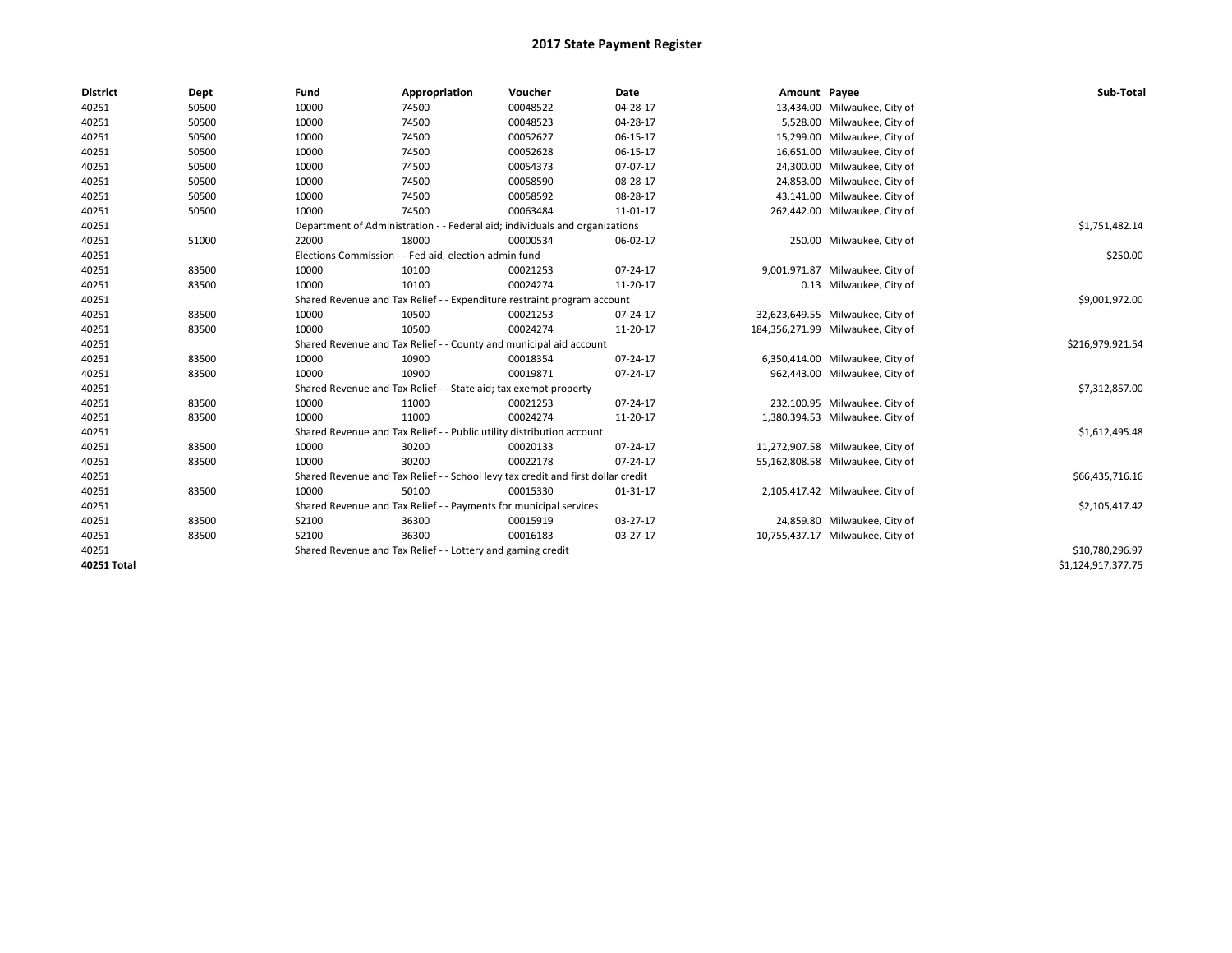| <b>District</b> | Dept  | Fund  | Appropriation                                                                    | Voucher  | Date     | Amount Payee |                                   | Sub-Total          |
|-----------------|-------|-------|----------------------------------------------------------------------------------|----------|----------|--------------|-----------------------------------|--------------------|
| 40251           | 50500 | 10000 | 74500                                                                            | 00048522 | 04-28-17 |              | 13,434.00 Milwaukee, City of      |                    |
| 40251           | 50500 | 10000 | 74500                                                                            | 00048523 | 04-28-17 |              | 5,528.00 Milwaukee, City of       |                    |
| 40251           | 50500 | 10000 | 74500                                                                            | 00052627 | 06-15-17 |              | 15,299.00 Milwaukee, City of      |                    |
| 40251           | 50500 | 10000 | 74500                                                                            | 00052628 | 06-15-17 |              | 16,651.00 Milwaukee, City of      |                    |
| 40251           | 50500 | 10000 | 74500                                                                            | 00054373 | 07-07-17 |              | 24,300.00 Milwaukee, City of      |                    |
| 40251           | 50500 | 10000 | 74500                                                                            | 00058590 | 08-28-17 |              | 24,853.00 Milwaukee, City of      |                    |
| 40251           | 50500 | 10000 | 74500                                                                            | 00058592 | 08-28-17 |              | 43,141.00 Milwaukee, City of      |                    |
| 40251           | 50500 | 10000 | 74500                                                                            | 00063484 | 11-01-17 |              | 262,442.00 Milwaukee, City of     |                    |
| 40251           |       |       | Department of Administration - - Federal aid; individuals and organizations      |          |          |              |                                   | \$1,751,482.14     |
| 40251           | 51000 | 22000 | 18000                                                                            | 00000534 | 06-02-17 |              | 250.00 Milwaukee, City of         |                    |
| 40251           |       |       | Elections Commission - - Fed aid, election admin fund                            |          |          |              |                                   | \$250.00           |
| 40251           | 83500 | 10000 | 10100                                                                            | 00021253 | 07-24-17 |              | 9,001,971.87 Milwaukee, City of   |                    |
| 40251           | 83500 | 10000 | 10100                                                                            | 00024274 | 11-20-17 |              | 0.13 Milwaukee, City of           |                    |
| 40251           |       |       | Shared Revenue and Tax Relief - - Expenditure restraint program account          |          |          |              |                                   | \$9,001,972.00     |
| 40251           | 83500 | 10000 | 10500                                                                            | 00021253 | 07-24-17 |              | 32,623,649.55 Milwaukee, City of  |                    |
| 40251           | 83500 | 10000 | 10500                                                                            | 00024274 | 11-20-17 |              | 184,356,271.99 Milwaukee, City of |                    |
| 40251           |       |       | Shared Revenue and Tax Relief - - County and municipal aid account               |          |          |              |                                   | \$216,979,921.54   |
| 40251           | 83500 | 10000 | 10900                                                                            | 00018354 | 07-24-17 |              | 6,350,414.00 Milwaukee, City of   |                    |
| 40251           | 83500 | 10000 | 10900                                                                            | 00019871 | 07-24-17 |              | 962,443.00 Milwaukee, City of     |                    |
| 40251           |       |       | Shared Revenue and Tax Relief - - State aid; tax exempt property                 |          |          |              |                                   | \$7,312,857.00     |
| 40251           | 83500 | 10000 | 11000                                                                            | 00021253 | 07-24-17 |              | 232,100.95 Milwaukee, City of     |                    |
| 40251           | 83500 | 10000 | 11000                                                                            | 00024274 | 11-20-17 |              | 1,380,394.53 Milwaukee, City of   |                    |
| 40251           |       |       | Shared Revenue and Tax Relief - - Public utility distribution account            |          |          |              |                                   | \$1,612,495.48     |
| 40251           | 83500 | 10000 | 30200                                                                            | 00020133 | 07-24-17 |              | 11,272,907.58 Milwaukee, City of  |                    |
| 40251           | 83500 | 10000 | 30200                                                                            | 00022178 | 07-24-17 |              | 55,162,808.58 Milwaukee, City of  |                    |
| 40251           |       |       | Shared Revenue and Tax Relief - - School levy tax credit and first dollar credit |          |          |              |                                   | \$66,435,716.16    |
| 40251           | 83500 | 10000 | 50100                                                                            | 00015330 | 01-31-17 |              | 2,105,417.42 Milwaukee, City of   |                    |
| 40251           |       |       | Shared Revenue and Tax Relief - - Payments for municipal services                |          |          |              |                                   | \$2,105,417.42     |
| 40251           | 83500 | 52100 | 36300                                                                            | 00015919 | 03-27-17 |              | 24,859.80 Milwaukee, City of      |                    |
| 40251           | 83500 | 52100 | 36300                                                                            | 00016183 | 03-27-17 |              | 10,755,437.17 Milwaukee, City of  |                    |
| 40251           |       |       | Shared Revenue and Tax Relief - - Lottery and gaming credit                      |          |          |              |                                   | \$10,780,296.97    |
| 40251 Total     |       |       |                                                                                  |          |          |              |                                   | \$1,124,917,377.75 |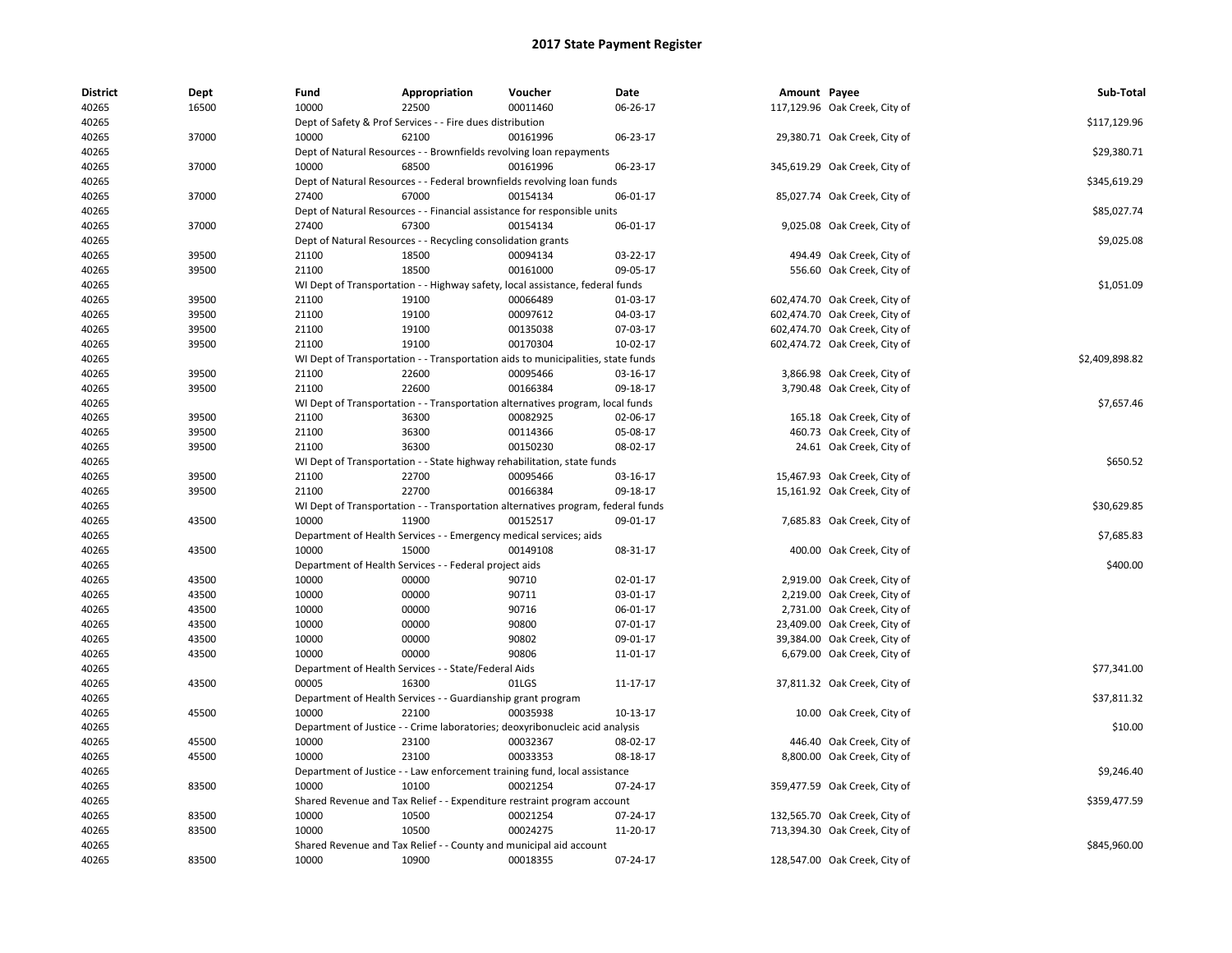| <b>District</b> | Dept  | Fund           | Appropriation                                                                      | Voucher  | Date     | Amount Payee |                               | Sub-Total      |
|-----------------|-------|----------------|------------------------------------------------------------------------------------|----------|----------|--------------|-------------------------------|----------------|
| 40265           | 16500 | 10000          | 22500                                                                              | 00011460 | 06-26-17 |              | 117,129.96 Oak Creek, City of |                |
| 40265           |       |                | Dept of Safety & Prof Services - - Fire dues distribution                          |          |          |              |                               | \$117,129.96   |
| 40265           | 37000 | 10000          | 62100                                                                              | 00161996 | 06-23-17 |              | 29,380.71 Oak Creek, City of  |                |
| 40265           |       |                | Dept of Natural Resources - - Brownfields revolving loan repayments                |          |          |              |                               | \$29,380.71    |
| 40265           | 37000 | 10000          | 68500                                                                              | 00161996 | 06-23-17 |              | 345,619.29 Oak Creek, City of |                |
| 40265           |       |                | Dept of Natural Resources - - Federal brownfields revolving loan funds             |          |          |              |                               | \$345,619.29   |
| 40265           | 37000 | 27400          | 67000                                                                              | 00154134 | 06-01-17 |              | 85,027.74 Oak Creek, City of  |                |
| 40265           |       |                | Dept of Natural Resources - - Financial assistance for responsible units           |          |          |              |                               | \$85,027.74    |
| 40265           | 37000 | 27400          | 67300                                                                              | 00154134 | 06-01-17 |              | 9,025.08 Oak Creek, City of   |                |
| 40265           |       |                | Dept of Natural Resources - - Recycling consolidation grants                       |          |          |              |                               | \$9,025.08     |
| 40265           | 39500 | 21100          | 18500                                                                              | 00094134 | 03-22-17 |              | 494.49 Oak Creek, City of     |                |
| 40265           | 39500 | 21100          | 18500                                                                              | 00161000 | 09-05-17 |              | 556.60 Oak Creek, City of     |                |
| 40265           |       |                | WI Dept of Transportation - - Highway safety, local assistance, federal funds      |          |          |              |                               | \$1,051.09     |
| 40265           | 39500 | 21100          | 19100                                                                              | 00066489 | 01-03-17 |              | 602,474.70 Oak Creek, City of |                |
| 40265           | 39500 | 21100          | 19100                                                                              | 00097612 | 04-03-17 |              | 602,474.70 Oak Creek, City of |                |
| 40265           | 39500 | 21100          | 19100                                                                              | 00135038 | 07-03-17 |              | 602,474.70 Oak Creek, City of |                |
| 40265           | 39500 | 21100          | 19100                                                                              | 00170304 | 10-02-17 |              | 602,474.72 Oak Creek, City of |                |
| 40265           |       |                | WI Dept of Transportation - - Transportation aids to municipalities, state funds   |          |          |              |                               | \$2,409,898.82 |
| 40265           | 39500 | 21100          | 22600                                                                              | 00095466 | 03-16-17 |              | 3,866.98 Oak Creek, City of   |                |
| 40265           | 39500 | 21100          | 22600                                                                              | 00166384 | 09-18-17 |              | 3,790.48 Oak Creek, City of   |                |
| 40265           |       |                | WI Dept of Transportation - - Transportation alternatives program, local funds     |          |          |              |                               | \$7,657.46     |
| 40265           | 39500 | 21100          | 36300                                                                              | 00082925 | 02-06-17 |              | 165.18 Oak Creek, City of     |                |
| 40265           | 39500 | 21100          | 36300                                                                              | 00114366 | 05-08-17 |              | 460.73 Oak Creek, City of     |                |
| 40265           | 39500 | 21100          | 36300                                                                              | 00150230 | 08-02-17 |              | 24.61 Oak Creek, City of      |                |
| 40265           |       |                | WI Dept of Transportation - - State highway rehabilitation, state funds            |          |          |              |                               | \$650.52       |
| 40265           | 39500 | 21100          | 22700                                                                              | 00095466 | 03-16-17 |              | 15,467.93 Oak Creek, City of  |                |
| 40265           | 39500 | 21100          | 22700                                                                              | 00166384 | 09-18-17 |              | 15,161.92 Oak Creek, City of  |                |
| 40265           |       |                | WI Dept of Transportation - - Transportation alternatives program, federal funds   |          |          |              |                               | \$30,629.85    |
| 40265           | 43500 | 10000          | 11900                                                                              | 00152517 | 09-01-17 |              | 7,685.83 Oak Creek, City of   |                |
| 40265           |       |                | Department of Health Services - - Emergency medical services; aids                 |          |          |              |                               | \$7,685.83     |
| 40265           | 43500 | 10000          | 15000                                                                              | 00149108 | 08-31-17 |              | 400.00 Oak Creek, City of     |                |
| 40265           |       |                | Department of Health Services - - Federal project aids                             |          |          |              |                               | \$400.00       |
| 40265           | 43500 | 10000          | 00000                                                                              | 90710    | 02-01-17 |              | 2,919.00 Oak Creek, City of   |                |
| 40265           | 43500 | 10000          | 00000                                                                              | 90711    | 03-01-17 |              | 2,219.00 Oak Creek, City of   |                |
| 40265           | 43500 | 10000          | 00000                                                                              | 90716    | 06-01-17 |              | 2,731.00 Oak Creek, City of   |                |
| 40265           | 43500 | 10000          | 00000                                                                              | 90800    | 07-01-17 |              | 23,409.00 Oak Creek, City of  |                |
| 40265           | 43500 | 10000          | 00000                                                                              | 90802    | 09-01-17 |              | 39,384.00 Oak Creek, City of  |                |
| 40265           | 43500 | 10000          | 00000                                                                              | 90806    | 11-01-17 |              | 6,679.00 Oak Creek, City of   |                |
| 40265           |       |                | Department of Health Services - - State/Federal Aids                               |          |          |              |                               | \$77,341.00    |
| 40265           | 43500 | 00005          | 16300                                                                              | 01LGS    | 11-17-17 |              | 37,811.32 Oak Creek, City of  |                |
| 40265           |       |                | Department of Health Services - - Guardianship grant program                       |          |          |              |                               | \$37,811.32    |
| 40265           | 45500 | 10000          | 22100                                                                              | 00035938 | 10-13-17 |              | 10.00 Oak Creek, City of      |                |
| 40265           |       |                | Department of Justice - - Crime laboratories; deoxyribonucleic acid analysis       |          |          |              |                               | \$10.00        |
| 40265           | 45500 | 10000          | 23100                                                                              | 00032367 | 08-02-17 |              | 446.40 Oak Creek, City of     |                |
| 40265           | 45500 | 10000          | 23100                                                                              | 00033353 | 08-18-17 |              | 8,800.00 Oak Creek, City of   |                |
|                 |       |                |                                                                                    |          |          |              |                               |                |
| 40265<br>40265  | 83500 | 10000          | Department of Justice - - Law enforcement training fund, local assistance<br>10100 | 00021254 | 07-24-17 |              | 359,477.59 Oak Creek, City of | \$9,246.40     |
|                 |       |                |                                                                                    |          |          |              |                               |                |
| 40265           |       |                | Shared Revenue and Tax Relief - - Expenditure restraint program account            |          |          |              |                               | \$359,477.59   |
| 40265           | 83500 | 10000<br>10000 | 10500                                                                              | 00021254 | 07-24-17 |              | 132,565.70 Oak Creek, City of |                |
| 40265           | 83500 |                | 10500                                                                              | 00024275 | 11-20-17 |              | 713,394.30 Oak Creek, City of | \$845,960.00   |
| 40265           |       |                | Shared Revenue and Tax Relief - - County and municipal aid account                 |          |          |              |                               |                |
| 40265           | 83500 | 10000          | 10900                                                                              | 00018355 | 07-24-17 |              | 128,547.00 Oak Creek, City of |                |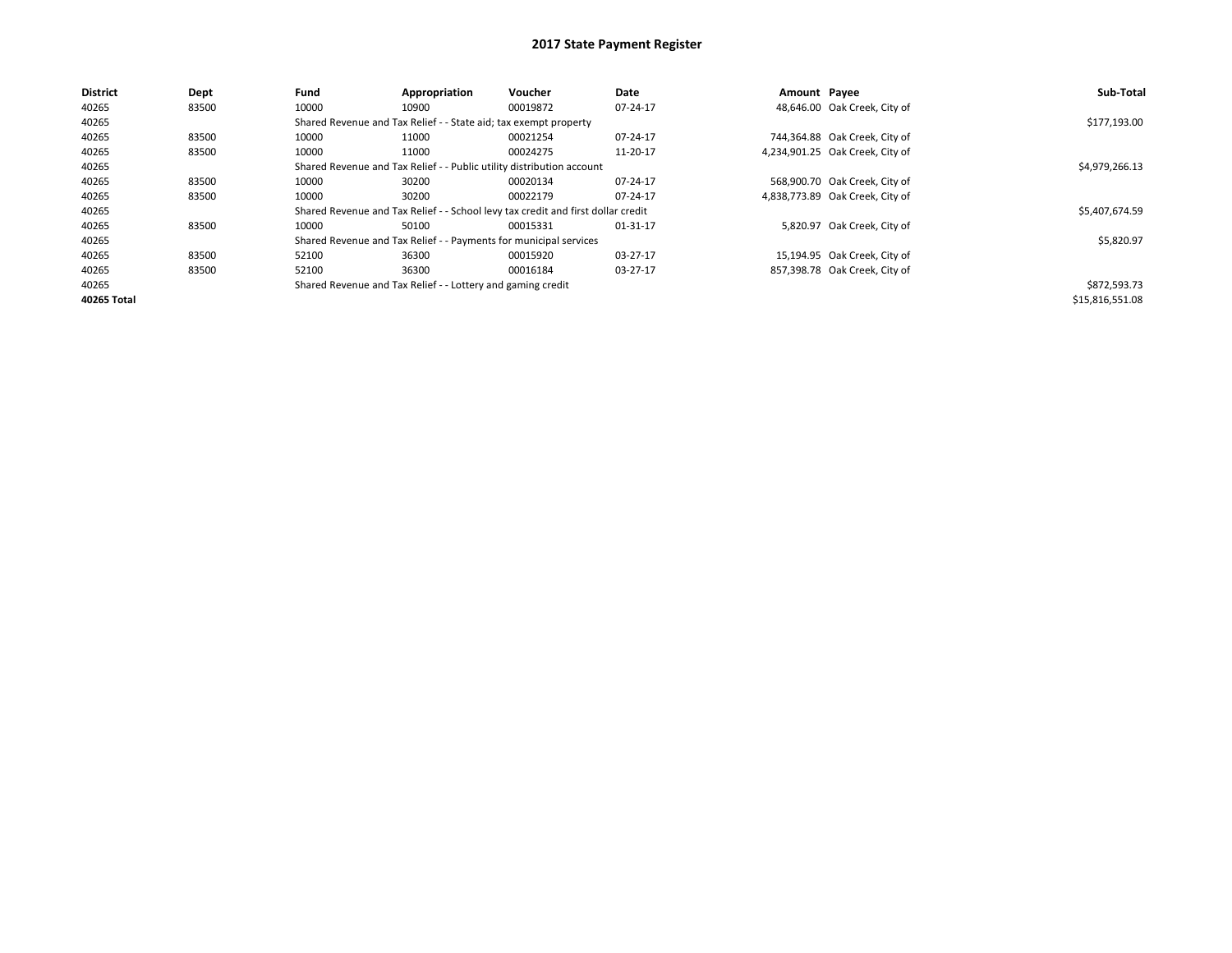| <b>District</b> | <b>Dept</b> | Fund  | Appropriation                                                         | Voucher                                                                          | Date     | Amount Payee |                                 | Sub-Total       |
|-----------------|-------------|-------|-----------------------------------------------------------------------|----------------------------------------------------------------------------------|----------|--------------|---------------------------------|-----------------|
| 40265           | 83500       | 10000 | 10900                                                                 | 00019872                                                                         | 07-24-17 |              | 48,646.00 Oak Creek, City of    |                 |
| 40265           |             |       | Shared Revenue and Tax Relief - - State aid; tax exempt property      |                                                                                  |          |              |                                 | \$177,193.00    |
| 40265           | 83500       | 10000 | 11000                                                                 | 00021254                                                                         | 07-24-17 |              | 744,364.88 Oak Creek, City of   |                 |
| 40265           | 83500       | 10000 | 11000                                                                 | 00024275                                                                         | 11-20-17 |              | 4,234,901.25 Oak Creek, City of |                 |
| 40265           |             |       | Shared Revenue and Tax Relief - - Public utility distribution account |                                                                                  |          |              |                                 | \$4,979,266.13  |
| 40265           | 83500       | 10000 | 30200                                                                 | 00020134                                                                         | 07-24-17 |              | 568,900.70 Oak Creek, City of   |                 |
| 40265           | 83500       | 10000 | 30200                                                                 | 00022179                                                                         | 07-24-17 |              | 4,838,773.89 Oak Creek, City of |                 |
| 40265           |             |       |                                                                       | Shared Revenue and Tax Relief - - School levy tax credit and first dollar credit |          |              |                                 | \$5,407,674.59  |
| 40265           | 83500       | 10000 | 50100                                                                 | 00015331                                                                         | 01-31-17 |              | 5,820.97 Oak Creek, City of     |                 |
| 40265           |             |       | Shared Revenue and Tax Relief - - Payments for municipal services     |                                                                                  |          |              |                                 | \$5,820.97      |
| 40265           | 83500       | 52100 | 36300                                                                 | 00015920                                                                         | 03-27-17 |              | 15,194.95 Oak Creek, City of    |                 |
| 40265           | 83500       | 52100 | 36300                                                                 | 00016184                                                                         | 03-27-17 |              | 857,398.78 Oak Creek, City of   |                 |
| 40265           |             |       | Shared Revenue and Tax Relief - - Lottery and gaming credit           |                                                                                  |          |              |                                 | \$872,593.73    |
| 40265 Total     |             |       |                                                                       |                                                                                  |          |              |                                 | \$15,816,551.08 |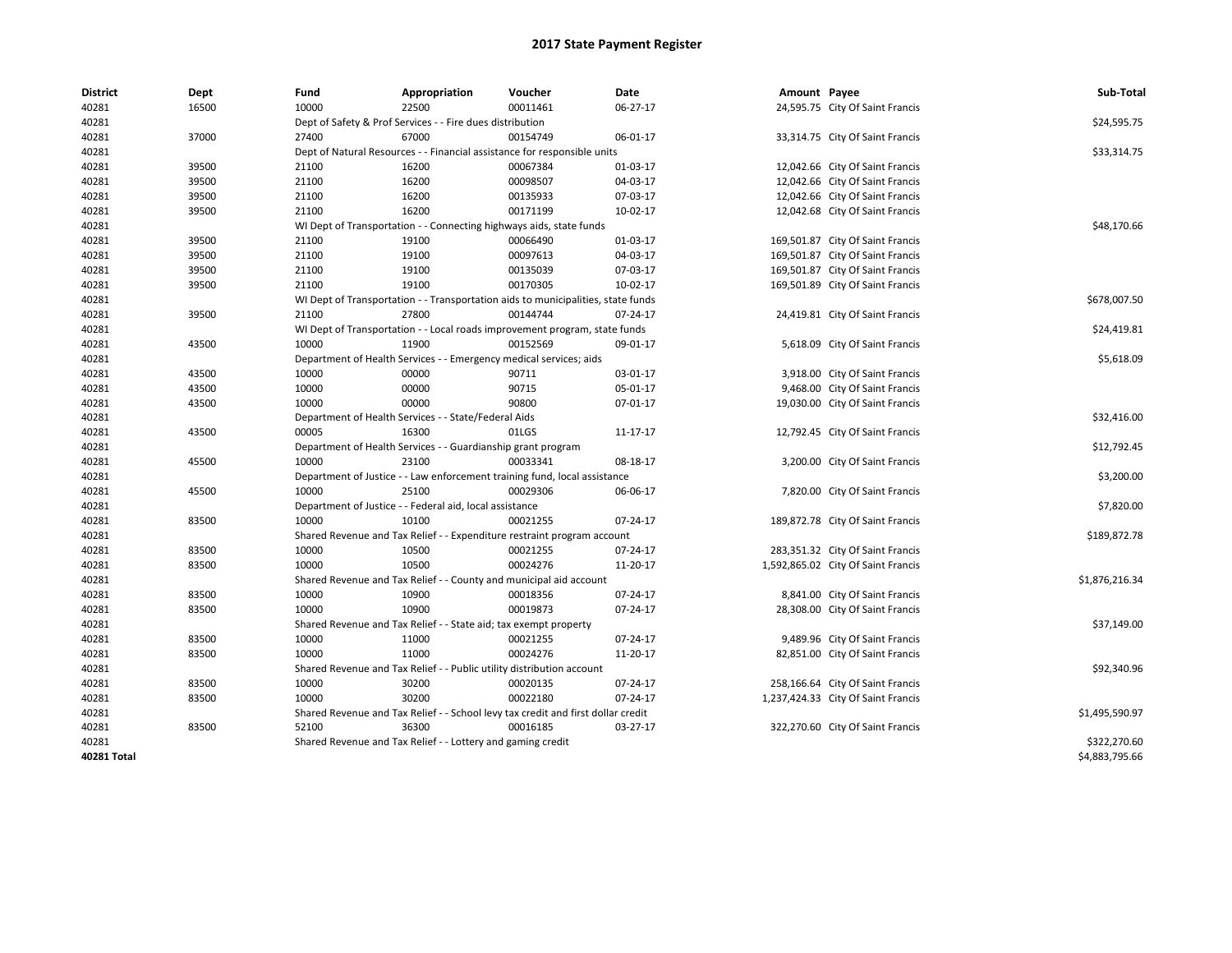| <b>District</b> | Dept  | Fund                                                                     | Appropriation                                                                    | Voucher  | Date     | Amount Payee |                                    | Sub-Total      |
|-----------------|-------|--------------------------------------------------------------------------|----------------------------------------------------------------------------------|----------|----------|--------------|------------------------------------|----------------|
| 40281           | 16500 | 10000                                                                    | 22500                                                                            | 00011461 | 06-27-17 |              | 24,595.75 City Of Saint Francis    |                |
| 40281           |       |                                                                          | Dept of Safety & Prof Services - - Fire dues distribution                        |          |          |              |                                    | \$24,595.75    |
| 40281           | 37000 | 27400                                                                    | 67000                                                                            | 00154749 | 06-01-17 |              | 33,314.75 City Of Saint Francis    |                |
| 40281           |       | Dept of Natural Resources - - Financial assistance for responsible units | \$33,314.75                                                                      |          |          |              |                                    |                |
| 40281           | 39500 | 21100                                                                    | 16200                                                                            | 00067384 | 01-03-17 |              | 12,042.66 City Of Saint Francis    |                |
| 40281           | 39500 | 21100                                                                    | 16200                                                                            | 00098507 | 04-03-17 |              | 12,042.66 City Of Saint Francis    |                |
| 40281           | 39500 | 21100                                                                    | 16200                                                                            | 00135933 | 07-03-17 |              | 12,042.66 City Of Saint Francis    |                |
| 40281           | 39500 | 21100                                                                    | 16200                                                                            | 00171199 | 10-02-17 |              | 12,042.68 City Of Saint Francis    |                |
| 40281           |       |                                                                          | WI Dept of Transportation - - Connecting highways aids, state funds              |          |          |              |                                    | \$48,170.66    |
| 40281           | 39500 | 21100                                                                    | 19100                                                                            | 00066490 | 01-03-17 |              | 169,501.87 City Of Saint Francis   |                |
| 40281           | 39500 | 21100                                                                    | 19100                                                                            | 00097613 | 04-03-17 |              | 169,501.87 City Of Saint Francis   |                |
| 40281           | 39500 | 21100                                                                    | 19100                                                                            | 00135039 | 07-03-17 |              | 169,501.87 City Of Saint Francis   |                |
| 40281           | 39500 | 21100                                                                    | 19100                                                                            | 00170305 | 10-02-17 |              | 169,501.89 City Of Saint Francis   |                |
| 40281           |       |                                                                          | WI Dept of Transportation - - Transportation aids to municipalities, state funds |          |          |              |                                    | \$678,007.50   |
| 40281           | 39500 | 21100                                                                    | 27800                                                                            | 00144744 | 07-24-17 |              | 24,419.81 City Of Saint Francis    |                |
| 40281           |       |                                                                          | WI Dept of Transportation - - Local roads improvement program, state funds       |          |          |              |                                    | \$24,419.81    |
| 40281           | 43500 | 10000                                                                    | 11900                                                                            | 00152569 | 09-01-17 |              | 5,618.09 City Of Saint Francis     |                |
| 40281           |       |                                                                          | Department of Health Services - - Emergency medical services; aids               |          |          |              |                                    | \$5,618.09     |
| 40281           | 43500 | 10000                                                                    | 00000                                                                            | 90711    | 03-01-17 |              | 3,918.00 City Of Saint Francis     |                |
| 40281           | 43500 | 10000                                                                    | 00000                                                                            | 90715    | 05-01-17 |              | 9,468.00 City Of Saint Francis     |                |
| 40281           | 43500 | 10000                                                                    | 00000                                                                            | 90800    | 07-01-17 |              | 19,030.00 City Of Saint Francis    |                |
| 40281           |       |                                                                          | Department of Health Services - - State/Federal Aids                             |          |          |              |                                    | \$32,416.00    |
| 40281           | 43500 | 00005                                                                    | 16300                                                                            | 01LGS    | 11-17-17 |              | 12,792.45 City Of Saint Francis    |                |
| 40281           |       |                                                                          | Department of Health Services - - Guardianship grant program                     |          |          |              |                                    | \$12,792.45    |
| 40281           | 45500 | 10000                                                                    | 23100                                                                            | 00033341 | 08-18-17 |              | 3,200.00 City Of Saint Francis     |                |
| 40281           |       |                                                                          | Department of Justice - - Law enforcement training fund, local assistance        |          |          |              |                                    | \$3,200.00     |
| 40281           | 45500 | 10000                                                                    | 25100                                                                            | 00029306 | 06-06-17 |              | 7,820.00 City Of Saint Francis     |                |
| 40281           |       |                                                                          | Department of Justice - - Federal aid, local assistance                          |          |          |              |                                    | \$7,820.00     |
| 40281           | 83500 | 10000                                                                    | 10100                                                                            | 00021255 | 07-24-17 |              | 189,872.78 City Of Saint Francis   |                |
| 40281           |       |                                                                          | Shared Revenue and Tax Relief - - Expenditure restraint program account          |          |          |              |                                    | \$189,872.78   |
| 40281           | 83500 | 10000                                                                    | 10500                                                                            | 00021255 | 07-24-17 |              | 283,351.32 City Of Saint Francis   |                |
| 40281           | 83500 | 10000                                                                    | 10500                                                                            | 00024276 | 11-20-17 |              | 1,592,865.02 City Of Saint Francis |                |
| 40281           |       |                                                                          | Shared Revenue and Tax Relief - - County and municipal aid account               |          |          |              |                                    | \$1,876,216.34 |
| 40281           | 83500 | 10000                                                                    | 10900                                                                            | 00018356 | 07-24-17 |              | 8,841.00 City Of Saint Francis     |                |
| 40281           | 83500 | 10000                                                                    | 10900                                                                            | 00019873 | 07-24-17 |              | 28,308.00 City Of Saint Francis    |                |
| 40281           |       |                                                                          | Shared Revenue and Tax Relief - - State aid; tax exempt property                 |          |          |              |                                    | \$37,149.00    |
| 40281           | 83500 | 10000                                                                    | 11000                                                                            | 00021255 | 07-24-17 |              | 9,489.96 City Of Saint Francis     |                |
| 40281           | 83500 | 10000                                                                    | 11000                                                                            | 00024276 | 11-20-17 |              | 82,851.00 City Of Saint Francis    |                |
| 40281           |       |                                                                          | Shared Revenue and Tax Relief - - Public utility distribution account            |          |          |              |                                    | \$92,340.96    |
| 40281           | 83500 | 10000                                                                    | 30200                                                                            | 00020135 | 07-24-17 |              | 258,166.64 City Of Saint Francis   |                |
| 40281           | 83500 | 10000                                                                    | 30200                                                                            | 00022180 | 07-24-17 |              | 1,237,424.33 City Of Saint Francis |                |
| 40281           |       |                                                                          | Shared Revenue and Tax Relief - - School levy tax credit and first dollar credit |          |          |              |                                    | \$1,495,590.97 |
| 40281           | 83500 | 52100                                                                    | 36300                                                                            | 00016185 | 03-27-17 |              | 322,270.60 City Of Saint Francis   |                |
| 40281           |       |                                                                          | Shared Revenue and Tax Relief - - Lottery and gaming credit                      |          |          |              |                                    | \$322,270.60   |
| 40281 Total     |       |                                                                          |                                                                                  |          |          |              |                                    | \$4,883,795.66 |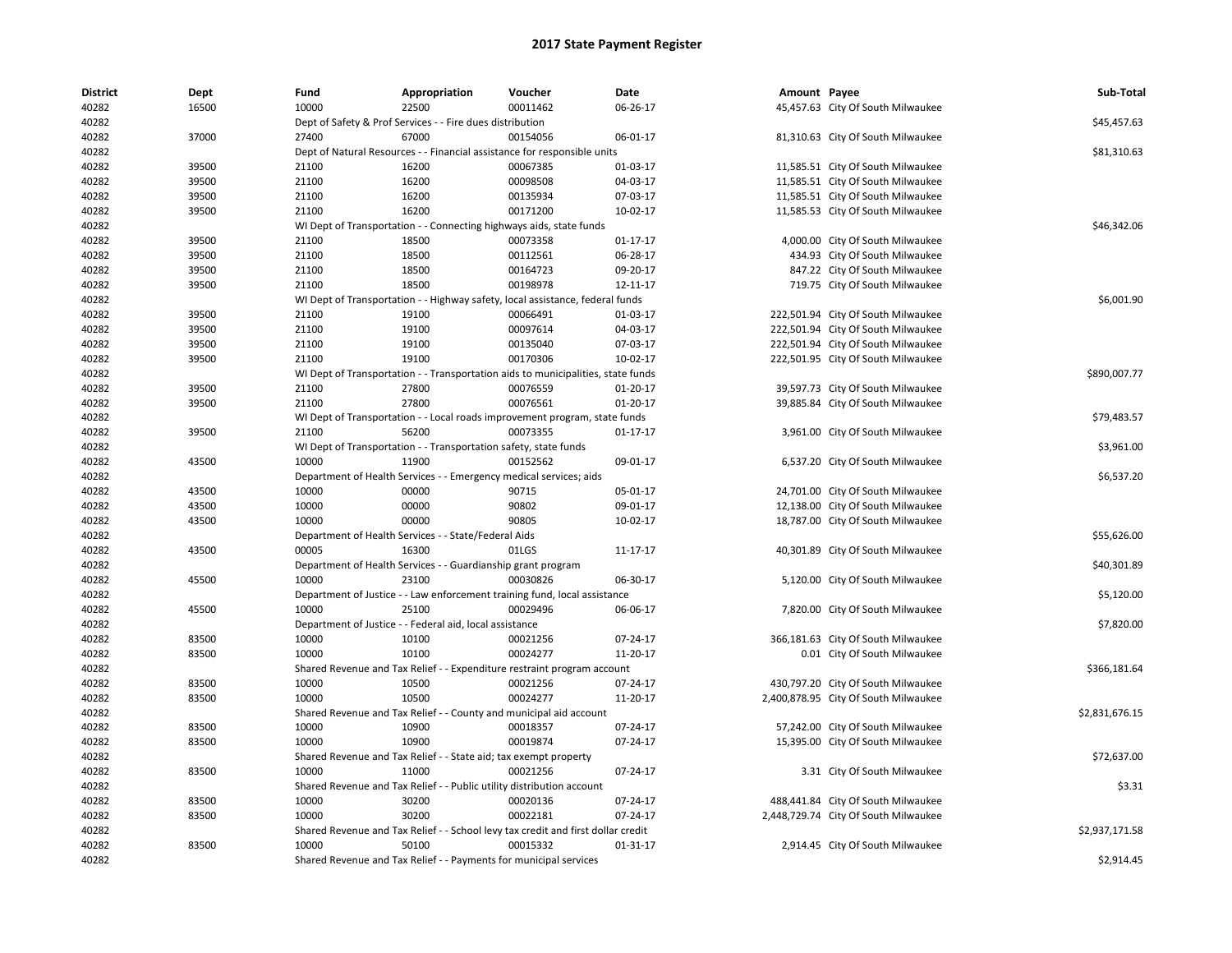| District | Dept  | Fund  | Appropriation                                                                    | Voucher  | Date           | Amount Payee |                                      | Sub-Total      |  |
|----------|-------|-------|----------------------------------------------------------------------------------|----------|----------------|--------------|--------------------------------------|----------------|--|
| 40282    | 16500 | 10000 | 22500                                                                            | 00011462 | 06-26-17       |              | 45,457.63 City Of South Milwaukee    |                |  |
| 40282    |       |       | Dept of Safety & Prof Services - - Fire dues distribution                        |          |                |              |                                      |                |  |
| 40282    | 37000 | 27400 | 67000                                                                            | 00154056 | 06-01-17       |              | 81,310.63 City Of South Milwaukee    |                |  |
| 40282    |       |       | Dept of Natural Resources - - Financial assistance for responsible units         |          |                |              |                                      | \$81,310.63    |  |
| 40282    | 39500 | 21100 | 16200                                                                            | 00067385 | 01-03-17       |              | 11,585.51 City Of South Milwaukee    |                |  |
| 40282    | 39500 | 21100 | 16200                                                                            | 00098508 | 04-03-17       |              | 11,585.51 City Of South Milwaukee    |                |  |
| 40282    | 39500 | 21100 | 16200                                                                            | 00135934 | 07-03-17       |              | 11,585.51 City Of South Milwaukee    |                |  |
| 40282    | 39500 | 21100 | 16200                                                                            | 00171200 | 10-02-17       |              | 11,585.53 City Of South Milwaukee    |                |  |
| 40282    |       |       | WI Dept of Transportation - - Connecting highways aids, state funds              |          |                |              |                                      | \$46,342.06    |  |
| 40282    | 39500 | 21100 | 18500                                                                            | 00073358 | $01 - 17 - 17$ |              | 4,000.00 City Of South Milwaukee     |                |  |
| 40282    | 39500 | 21100 | 18500                                                                            | 00112561 | 06-28-17       |              | 434.93 City Of South Milwaukee       |                |  |
| 40282    | 39500 | 21100 | 18500                                                                            | 00164723 | 09-20-17       |              | 847.22 City Of South Milwaukee       |                |  |
| 40282    | 39500 | 21100 | 18500                                                                            | 00198978 | 12-11-17       |              | 719.75 City Of South Milwaukee       |                |  |
| 40282    |       |       | WI Dept of Transportation - - Highway safety, local assistance, federal funds    |          |                |              |                                      | \$6,001.90     |  |
| 40282    | 39500 | 21100 | 19100                                                                            | 00066491 | 01-03-17       |              | 222,501.94 City Of South Milwaukee   |                |  |
| 40282    | 39500 | 21100 | 19100                                                                            | 00097614 | 04-03-17       |              | 222,501.94 City Of South Milwaukee   |                |  |
| 40282    | 39500 | 21100 | 19100                                                                            | 00135040 | 07-03-17       |              | 222,501.94 City Of South Milwaukee   |                |  |
| 40282    | 39500 | 21100 | 19100                                                                            | 00170306 | 10-02-17       |              | 222,501.95 City Of South Milwaukee   |                |  |
| 40282    |       |       | WI Dept of Transportation - - Transportation aids to municipalities, state funds |          |                |              |                                      | \$890,007.77   |  |
| 40282    | 39500 | 21100 | 27800                                                                            | 00076559 | $01-20-17$     |              | 39,597.73 City Of South Milwaukee    |                |  |
| 40282    | 39500 | 21100 | 27800                                                                            | 00076561 | 01-20-17       |              | 39,885.84 City Of South Milwaukee    |                |  |
| 40282    |       |       | WI Dept of Transportation - - Local roads improvement program, state funds       |          |                |              |                                      | \$79,483.57    |  |
| 40282    | 39500 | 21100 | 56200                                                                            | 00073355 | 01-17-17       |              | 3,961.00 City Of South Milwaukee     |                |  |
| 40282    |       |       | WI Dept of Transportation - - Transportation safety, state funds                 |          |                |              |                                      | \$3,961.00     |  |
| 40282    | 43500 | 10000 | 11900                                                                            | 00152562 | 09-01-17       |              | 6,537.20 City Of South Milwaukee     |                |  |
| 40282    |       |       | Department of Health Services - - Emergency medical services; aids               |          |                |              |                                      | \$6,537.20     |  |
| 40282    | 43500 | 10000 | 00000                                                                            | 90715    | 05-01-17       |              | 24,701.00 City Of South Milwaukee    |                |  |
| 40282    | 43500 | 10000 | 00000                                                                            | 90802    | 09-01-17       |              | 12,138.00 City Of South Milwaukee    |                |  |
| 40282    | 43500 | 10000 | 00000                                                                            | 90805    | 10-02-17       |              | 18,787.00 City Of South Milwaukee    |                |  |
| 40282    |       |       | Department of Health Services - - State/Federal Aids                             |          |                |              |                                      | \$55,626.00    |  |
| 40282    | 43500 | 00005 | 16300                                                                            | 01LGS    | 11-17-17       |              | 40,301.89 City Of South Milwaukee    |                |  |
| 40282    |       |       | Department of Health Services - - Guardianship grant program                     |          |                |              |                                      | \$40,301.89    |  |
| 40282    | 45500 | 10000 | 23100                                                                            | 00030826 | 06-30-17       |              | 5,120.00 City Of South Milwaukee     |                |  |
| 40282    |       |       | Department of Justice - - Law enforcement training fund, local assistance        |          |                |              |                                      | \$5,120.00     |  |
| 40282    | 45500 | 10000 | 25100                                                                            | 00029496 | 06-06-17       |              | 7,820.00 City Of South Milwaukee     |                |  |
| 40282    |       |       | Department of Justice - - Federal aid, local assistance                          |          |                |              |                                      | \$7,820.00     |  |
| 40282    | 83500 | 10000 | 10100                                                                            | 00021256 | 07-24-17       |              | 366,181.63 City Of South Milwaukee   |                |  |
| 40282    | 83500 | 10000 | 10100                                                                            | 00024277 | 11-20-17       |              | 0.01 City Of South Milwaukee         |                |  |
| 40282    |       |       | Shared Revenue and Tax Relief - - Expenditure restraint program account          |          |                |              |                                      | \$366,181.64   |  |
| 40282    | 83500 | 10000 | 10500                                                                            | 00021256 | 07-24-17       |              | 430,797.20 City Of South Milwaukee   |                |  |
| 40282    | 83500 | 10000 | 10500                                                                            | 00024277 | 11-20-17       |              | 2,400,878.95 City Of South Milwaukee |                |  |
| 40282    |       |       | Shared Revenue and Tax Relief - - County and municipal aid account               |          |                |              |                                      | \$2,831,676.15 |  |
| 40282    | 83500 | 10000 | 10900                                                                            | 00018357 | 07-24-17       |              | 57,242.00 City Of South Milwaukee    |                |  |
| 40282    | 83500 | 10000 | 10900                                                                            | 00019874 | 07-24-17       |              | 15,395.00 City Of South Milwaukee    |                |  |
| 40282    |       |       | Shared Revenue and Tax Relief - - State aid; tax exempt property                 |          |                |              |                                      | \$72,637.00    |  |
| 40282    | 83500 | 10000 | 11000                                                                            | 00021256 | 07-24-17       |              | 3.31 City Of South Milwaukee         |                |  |
| 40282    |       |       | Shared Revenue and Tax Relief - - Public utility distribution account            |          |                |              |                                      | \$3.31         |  |
| 40282    | 83500 | 10000 | 30200                                                                            | 00020136 | 07-24-17       |              | 488,441.84 City Of South Milwaukee   |                |  |
| 40282    | 83500 | 10000 | 30200                                                                            | 00022181 | 07-24-17       |              | 2,448,729.74 City Of South Milwaukee |                |  |
| 40282    |       |       | Shared Revenue and Tax Relief - - School levy tax credit and first dollar credit |          |                |              |                                      | \$2,937,171.58 |  |
| 40282    | 83500 | 10000 | 50100                                                                            | 00015332 | 01-31-17       |              | 2,914.45 City Of South Milwaukee     |                |  |
| 40282    |       |       | Shared Revenue and Tax Relief - - Payments for municipal services                |          |                |              |                                      | \$2,914.45     |  |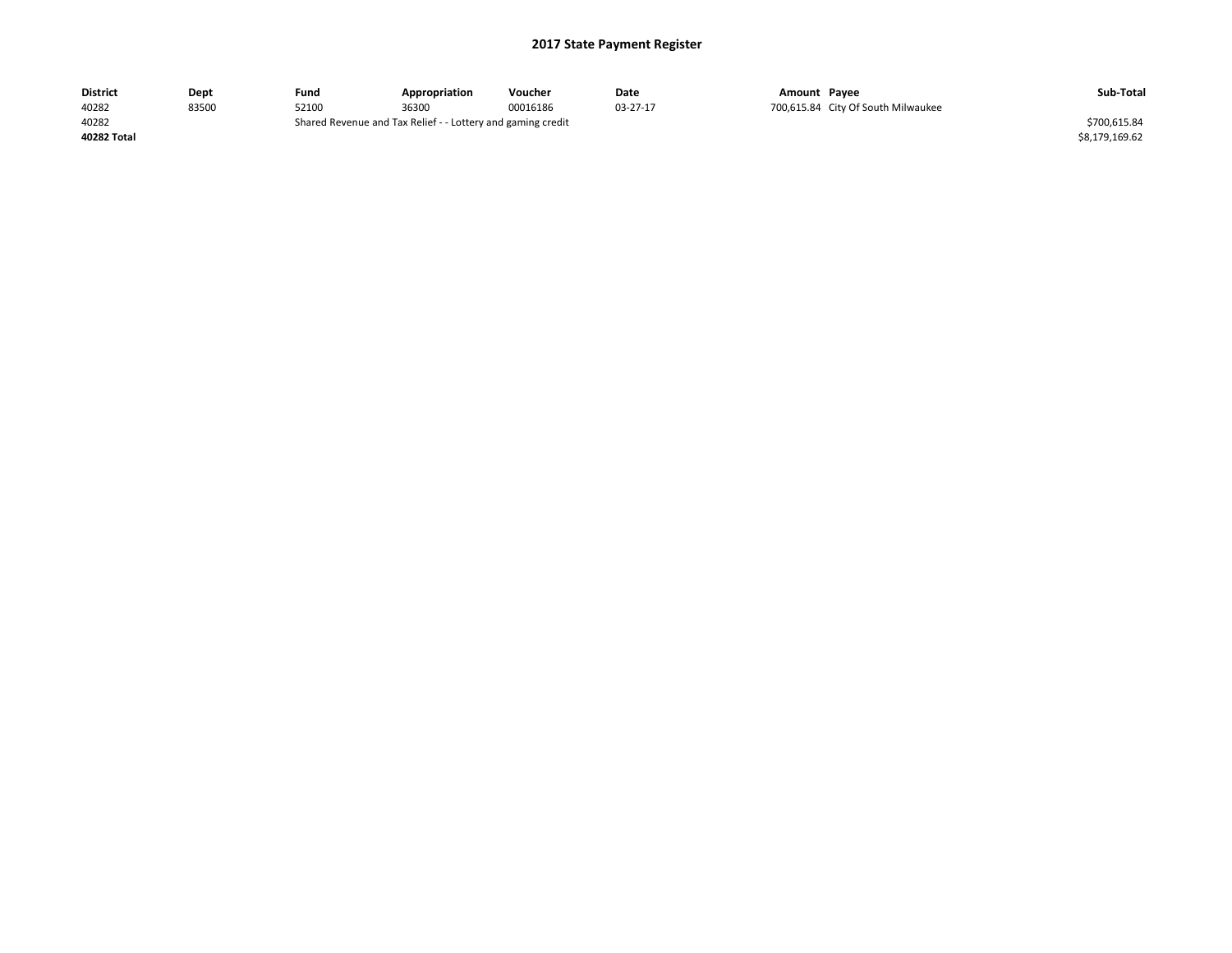| <b>District</b> | Dept  | Fund                                                        | Appropriation | Voucher      | Date     | Amount Pavee |                                    | Sub-Total      |
|-----------------|-------|-------------------------------------------------------------|---------------|--------------|----------|--------------|------------------------------------|----------------|
| 40282           | 83500 | 52100                                                       | 36300         | 00016186     | 03-27-17 |              | 700,615.84 City Of South Milwaukee |                |
| 40282           |       | Shared Revenue and Tax Relief - - Lottery and gaming credit |               | \$700,615.84 |          |              |                                    |                |
| 40282 Total     |       |                                                             |               |              |          |              |                                    | \$8,179,169.62 |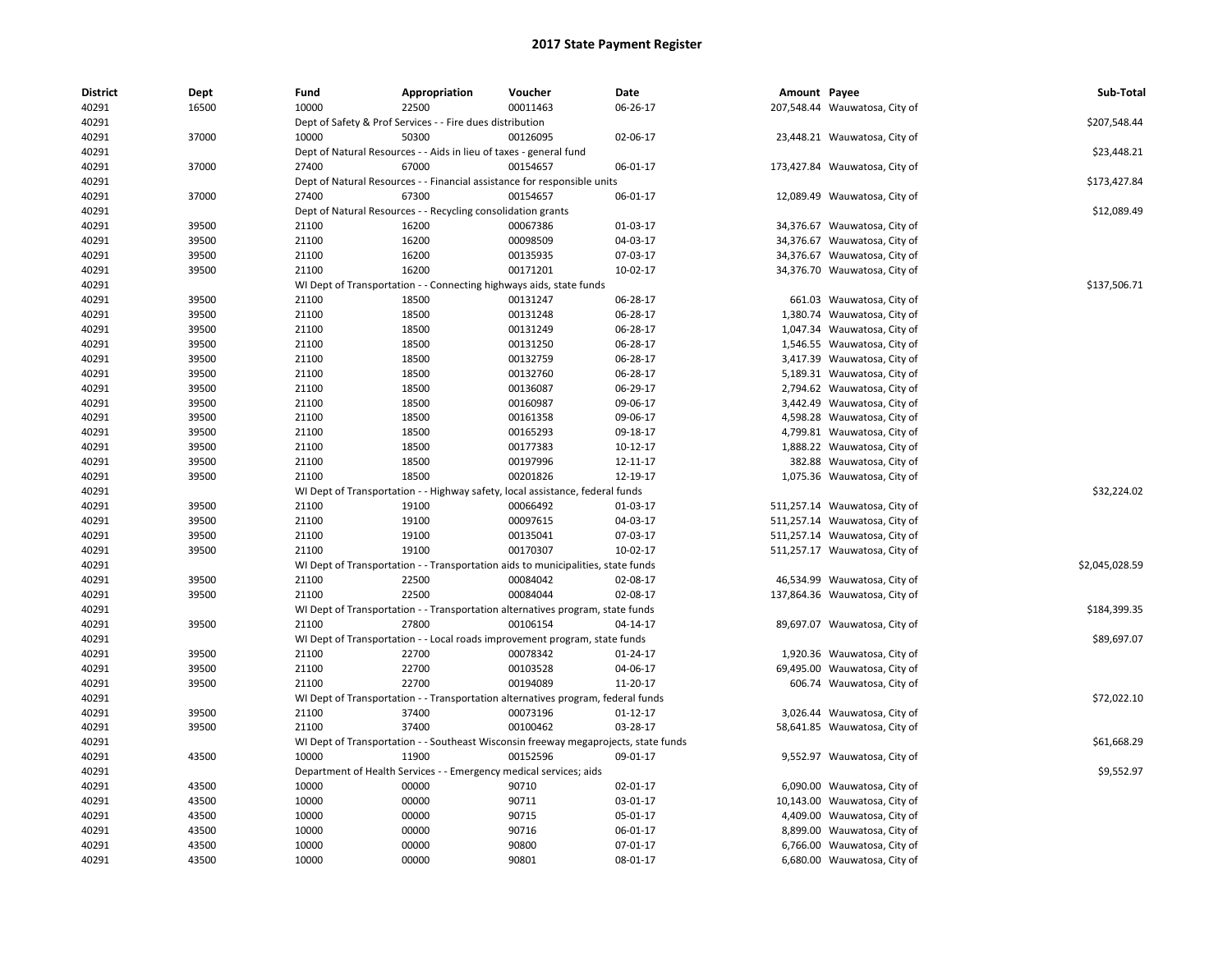| <b>District</b> | Dept  | Fund  | Appropriation                                                                             | Voucher  | Date     | Amount Payee |                               | Sub-Total      |
|-----------------|-------|-------|-------------------------------------------------------------------------------------------|----------|----------|--------------|-------------------------------|----------------|
| 40291           | 16500 | 10000 | 22500                                                                                     | 00011463 | 06-26-17 |              | 207,548.44 Wauwatosa, City of |                |
| 40291           |       |       | Dept of Safety & Prof Services - - Fire dues distribution                                 |          |          |              |                               | \$207,548.44   |
| 40291           | 37000 | 10000 | 50300                                                                                     | 00126095 | 02-06-17 |              | 23,448.21 Wauwatosa, City of  |                |
| 40291           |       |       | Dept of Natural Resources - - Aids in lieu of taxes - general fund                        |          |          |              |                               | \$23,448.21    |
| 40291           | 37000 | 27400 | 67000                                                                                     | 00154657 | 06-01-17 |              | 173,427.84 Wauwatosa, City of |                |
| 40291           |       |       | Dept of Natural Resources - - Financial assistance for responsible units                  |          |          |              |                               | \$173,427.84   |
| 40291           | 37000 | 27400 | 67300                                                                                     | 00154657 | 06-01-17 |              | 12,089.49 Wauwatosa, City of  |                |
| 40291           |       |       | Dept of Natural Resources - - Recycling consolidation grants                              |          |          |              |                               | \$12,089.49    |
| 40291           | 39500 | 21100 | 16200                                                                                     | 00067386 | 01-03-17 |              | 34,376.67 Wauwatosa, City of  |                |
| 40291           | 39500 | 21100 | 16200                                                                                     | 00098509 | 04-03-17 |              | 34,376.67 Wauwatosa, City of  |                |
| 40291           | 39500 | 21100 | 16200                                                                                     | 00135935 | 07-03-17 |              | 34,376.67 Wauwatosa, City of  |                |
| 40291           | 39500 | 21100 | 16200                                                                                     | 00171201 | 10-02-17 |              | 34,376.70 Wauwatosa, City of  |                |
| 40291           |       |       | WI Dept of Transportation - - Connecting highways aids, state funds                       |          |          |              |                               | \$137,506.71   |
| 40291           | 39500 | 21100 | 18500                                                                                     | 00131247 | 06-28-17 |              | 661.03 Wauwatosa, City of     |                |
| 40291           | 39500 | 21100 | 18500                                                                                     | 00131248 | 06-28-17 |              | 1,380.74 Wauwatosa, City of   |                |
| 40291           | 39500 | 21100 | 18500                                                                                     | 00131249 | 06-28-17 |              | 1,047.34 Wauwatosa, City of   |                |
| 40291           | 39500 | 21100 | 18500                                                                                     | 00131250 | 06-28-17 |              | 1,546.55 Wauwatosa, City of   |                |
| 40291           | 39500 | 21100 | 18500                                                                                     | 00132759 | 06-28-17 |              | 3,417.39 Wauwatosa, City of   |                |
| 40291           | 39500 | 21100 | 18500                                                                                     | 00132760 | 06-28-17 |              | 5,189.31 Wauwatosa, City of   |                |
| 40291           | 39500 | 21100 | 18500                                                                                     | 00136087 | 06-29-17 |              | 2,794.62 Wauwatosa, City of   |                |
| 40291           | 39500 | 21100 | 18500                                                                                     | 00160987 | 09-06-17 |              | 3,442.49 Wauwatosa, City of   |                |
| 40291           | 39500 | 21100 | 18500                                                                                     | 00161358 | 09-06-17 |              | 4,598.28 Wauwatosa, City of   |                |
| 40291           | 39500 | 21100 | 18500                                                                                     | 00165293 | 09-18-17 |              | 4,799.81 Wauwatosa, City of   |                |
| 40291           | 39500 | 21100 | 18500                                                                                     | 00177383 | 10-12-17 |              | 1,888.22 Wauwatosa, City of   |                |
| 40291           | 39500 | 21100 | 18500                                                                                     | 00197996 | 12-11-17 |              | 382.88 Wauwatosa, City of     |                |
| 40291           | 39500 | 21100 | 18500                                                                                     | 00201826 | 12-19-17 |              | 1,075.36 Wauwatosa, City of   |                |
| 40291           |       |       | WI Dept of Transportation - - Highway safety, local assistance, federal funds             |          |          |              |                               | \$32,224.02    |
| 40291           | 39500 | 21100 | 19100                                                                                     | 00066492 | 01-03-17 |              | 511,257.14 Wauwatosa, City of |                |
| 40291           | 39500 | 21100 | 19100                                                                                     | 00097615 | 04-03-17 |              | 511,257.14 Wauwatosa, City of |                |
| 40291           | 39500 | 21100 | 19100                                                                                     | 00135041 | 07-03-17 |              | 511,257.14 Wauwatosa, City of |                |
| 40291           | 39500 | 21100 | 19100                                                                                     | 00170307 | 10-02-17 |              | 511,257.17 Wauwatosa, City of |                |
| 40291           |       |       |                                                                                           |          |          |              |                               | \$2,045,028.59 |
|                 | 39500 | 21100 | WI Dept of Transportation - - Transportation aids to municipalities, state funds<br>22500 | 00084042 |          |              | 46,534.99 Wauwatosa, City of  |                |
| 40291           |       |       |                                                                                           |          | 02-08-17 |              |                               |                |
| 40291           | 39500 | 21100 | 22500                                                                                     | 00084044 | 02-08-17 |              | 137,864.36 Wauwatosa, City of |                |
| 40291           |       |       | WI Dept of Transportation - - Transportation alternatives program, state funds            |          |          |              |                               | \$184,399.35   |
| 40291           | 39500 | 21100 | 27800                                                                                     | 00106154 | 04-14-17 |              | 89,697.07 Wauwatosa, City of  |                |
| 40291           |       |       | WI Dept of Transportation - - Local roads improvement program, state funds                |          |          |              |                               | \$89,697.07    |
| 40291           | 39500 | 21100 | 22700                                                                                     | 00078342 | 01-24-17 |              | 1,920.36 Wauwatosa, City of   |                |
| 40291           | 39500 | 21100 | 22700                                                                                     | 00103528 | 04-06-17 |              | 69,495.00 Wauwatosa, City of  |                |
| 40291           | 39500 | 21100 | 22700                                                                                     | 00194089 | 11-20-17 |              | 606.74 Wauwatosa, City of     |                |
| 40291           |       |       | WI Dept of Transportation - - Transportation alternatives program, federal funds          |          |          |              |                               | \$72,022.10    |
| 40291           | 39500 | 21100 | 37400                                                                                     | 00073196 | 01-12-17 |              | 3,026.44 Wauwatosa, City of   |                |
| 40291           | 39500 | 21100 | 37400                                                                                     | 00100462 | 03-28-17 |              | 58,641.85 Wauwatosa, City of  |                |
| 40291           |       |       | WI Dept of Transportation - - Southeast Wisconsin freeway megaprojects, state funds       |          |          |              |                               | \$61,668.29    |
| 40291           | 43500 | 10000 | 11900                                                                                     | 00152596 | 09-01-17 |              | 9,552.97 Wauwatosa, City of   |                |
| 40291           |       |       | Department of Health Services - - Emergency medical services; aids                        |          |          |              |                               | \$9,552.97     |
| 40291           | 43500 | 10000 | 00000                                                                                     | 90710    | 02-01-17 |              | 6,090.00 Wauwatosa, City of   |                |
| 40291           | 43500 | 10000 | 00000                                                                                     | 90711    | 03-01-17 |              | 10,143.00 Wauwatosa, City of  |                |
| 40291           | 43500 | 10000 | 00000                                                                                     | 90715    | 05-01-17 |              | 4,409.00 Wauwatosa, City of   |                |
| 40291           | 43500 | 10000 | 00000                                                                                     | 90716    | 06-01-17 |              | 8,899.00 Wauwatosa, City of   |                |
| 40291           | 43500 | 10000 | 00000                                                                                     | 90800    | 07-01-17 |              | 6,766.00 Wauwatosa, City of   |                |
| 40291           | 43500 | 10000 | 00000                                                                                     | 90801    | 08-01-17 |              | 6,680.00 Wauwatosa, City of   |                |
|                 |       |       |                                                                                           |          |          |              |                               |                |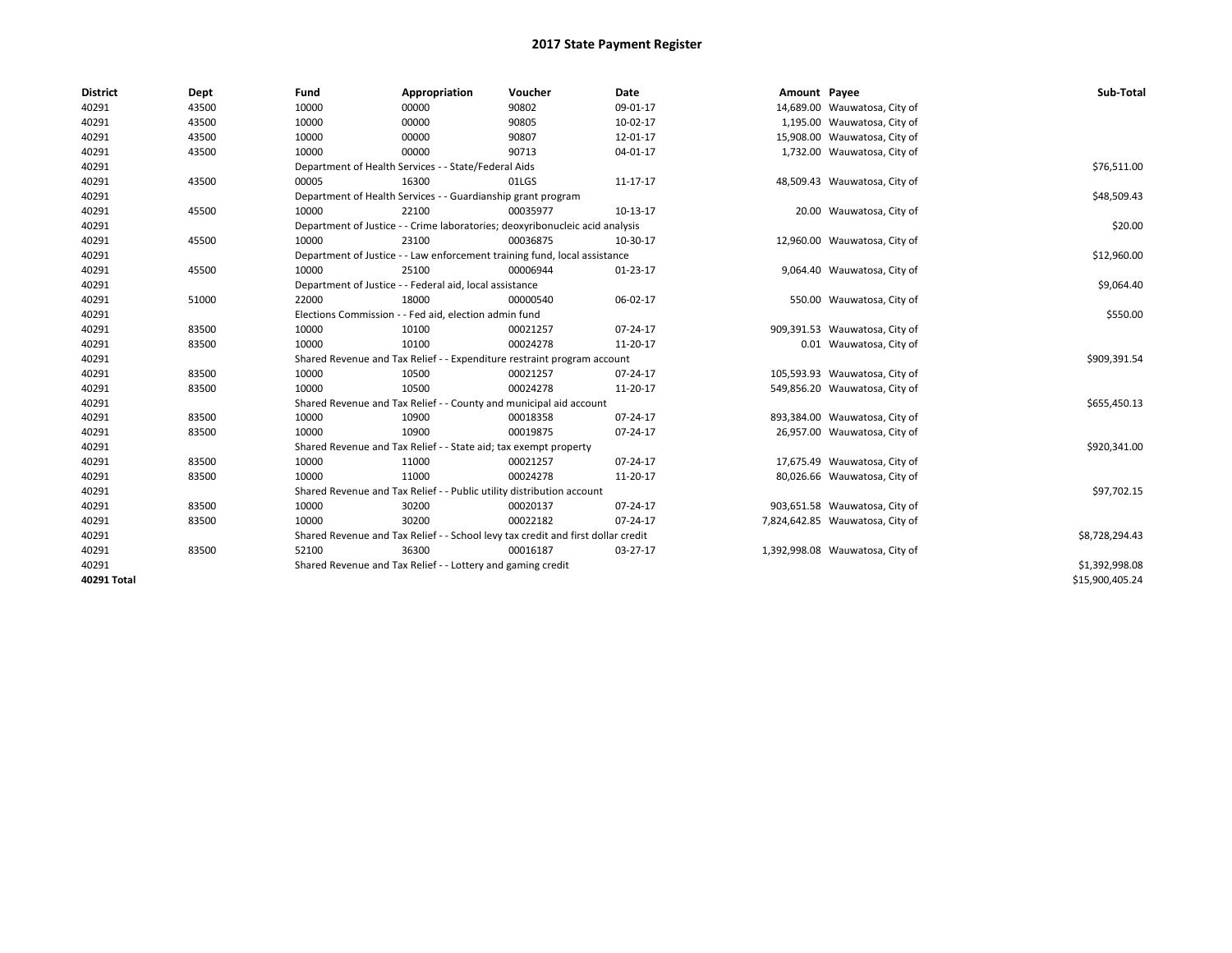| <b>District</b> | Dept  | Fund  | Appropriation                                                                    | Voucher  | Date           | Amount Payee |                                 | Sub-Total       |
|-----------------|-------|-------|----------------------------------------------------------------------------------|----------|----------------|--------------|---------------------------------|-----------------|
| 40291           | 43500 | 10000 | 00000                                                                            | 90802    | 09-01-17       |              | 14,689.00 Wauwatosa, City of    |                 |
| 40291           | 43500 | 10000 | 00000                                                                            | 90805    | 10-02-17       |              | 1,195.00 Wauwatosa, City of     |                 |
| 40291           | 43500 | 10000 | 00000                                                                            | 90807    | 12-01-17       |              | 15,908.00 Wauwatosa, City of    |                 |
| 40291           | 43500 | 10000 | 00000                                                                            | 90713    | 04-01-17       |              | 1,732.00 Wauwatosa, City of     |                 |
| 40291           |       |       | Department of Health Services - - State/Federal Aids                             |          |                |              |                                 | \$76,511.00     |
| 40291           | 43500 | 00005 | 16300                                                                            | 01LGS    | 11-17-17       |              | 48,509.43 Wauwatosa, City of    |                 |
| 40291           |       |       | Department of Health Services - - Guardianship grant program                     |          |                |              |                                 | \$48,509.43     |
| 40291           | 45500 | 10000 | 22100                                                                            | 00035977 | 10-13-17       |              | 20.00 Wauwatosa, City of        |                 |
| 40291           |       |       | Department of Justice - - Crime laboratories; deoxyribonucleic acid analysis     |          |                |              |                                 | \$20.00         |
| 40291           | 45500 | 10000 | 23100                                                                            | 00036875 | 10-30-17       |              | 12,960.00 Wauwatosa, City of    |                 |
| 40291           |       |       | Department of Justice - - Law enforcement training fund, local assistance        |          |                |              |                                 | \$12,960.00     |
| 40291           | 45500 | 10000 | 25100                                                                            | 00006944 | $01 - 23 - 17$ |              | 9,064.40 Wauwatosa, City of     |                 |
| 40291           |       |       | Department of Justice - - Federal aid, local assistance                          |          |                |              |                                 | \$9,064.40      |
| 40291           | 51000 | 22000 | 18000                                                                            | 00000540 | 06-02-17       |              | 550.00 Wauwatosa, City of       |                 |
| 40291           |       |       | Elections Commission - - Fed aid, election admin fund                            |          |                |              |                                 | \$550.00        |
| 40291           | 83500 | 10000 | 10100                                                                            | 00021257 | 07-24-17       |              | 909,391.53 Wauwatosa, City of   |                 |
| 40291           | 83500 | 10000 | 10100                                                                            | 00024278 | 11-20-17       |              | 0.01 Wauwatosa, City of         |                 |
| 40291           |       |       | Shared Revenue and Tax Relief - - Expenditure restraint program account          |          |                |              |                                 | \$909,391.54    |
| 40291           | 83500 | 10000 | 10500                                                                            | 00021257 | 07-24-17       |              | 105,593.93 Wauwatosa, City of   |                 |
| 40291           | 83500 | 10000 | 10500                                                                            | 00024278 | 11-20-17       |              | 549,856.20 Wauwatosa, City of   |                 |
| 40291           |       |       | Shared Revenue and Tax Relief - - County and municipal aid account               |          |                |              |                                 | \$655,450.13    |
| 40291           | 83500 | 10000 | 10900                                                                            | 00018358 | 07-24-17       |              | 893,384.00 Wauwatosa, City of   |                 |
| 40291           | 83500 | 10000 | 10900                                                                            | 00019875 | 07-24-17       |              | 26,957.00 Wauwatosa, City of    |                 |
| 40291           |       |       | Shared Revenue and Tax Relief - - State aid; tax exempt property                 |          |                |              |                                 | \$920,341.00    |
| 40291           | 83500 | 10000 | 11000                                                                            | 00021257 | 07-24-17       |              | 17,675.49 Wauwatosa, City of    |                 |
| 40291           | 83500 | 10000 | 11000                                                                            | 00024278 | 11-20-17       |              | 80,026.66 Wauwatosa, City of    |                 |
| 40291           |       |       | Shared Revenue and Tax Relief - - Public utility distribution account            |          |                |              |                                 | \$97,702.15     |
| 40291           | 83500 | 10000 | 30200                                                                            | 00020137 | 07-24-17       |              | 903,651.58 Wauwatosa, City of   |                 |
| 40291           | 83500 | 10000 | 30200                                                                            | 00022182 | 07-24-17       |              | 7,824,642.85 Wauwatosa, City of |                 |
| 40291           |       |       | Shared Revenue and Tax Relief - - School levy tax credit and first dollar credit |          |                |              |                                 | \$8,728,294.43  |
| 40291           | 83500 | 52100 | 36300                                                                            | 00016187 | 03-27-17       |              | 1,392,998.08 Wauwatosa, City of |                 |
| 40291           |       |       | Shared Revenue and Tax Relief - - Lottery and gaming credit                      |          |                |              |                                 | \$1,392,998.08  |
| 40291 Total     |       |       |                                                                                  |          |                |              |                                 | \$15,900,405.24 |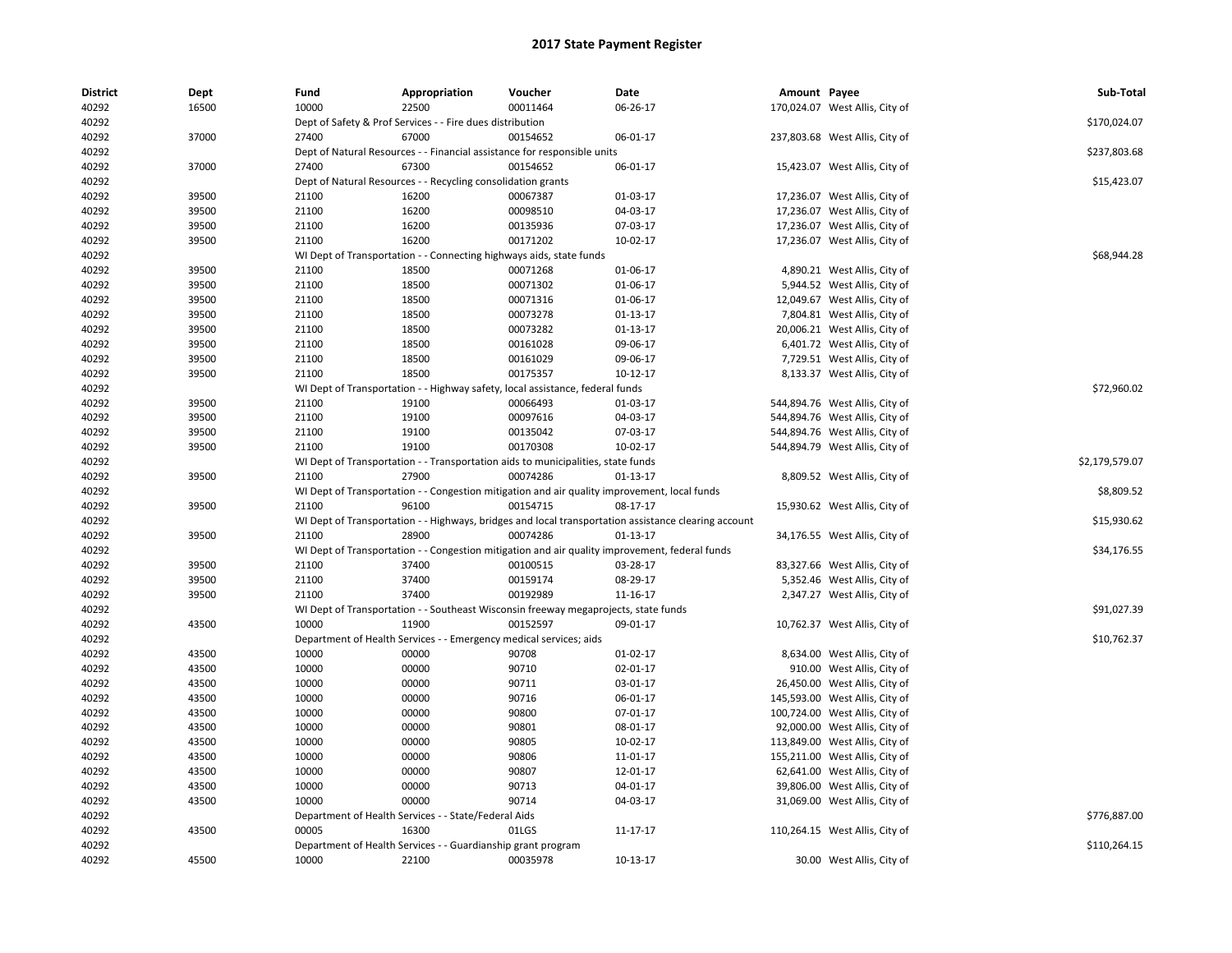| <b>District</b> | Dept  | Fund  | Appropriation                                                                       | Voucher  | Date                                                                                                 | Amount Payee |                                | Sub-Total      |
|-----------------|-------|-------|-------------------------------------------------------------------------------------|----------|------------------------------------------------------------------------------------------------------|--------------|--------------------------------|----------------|
| 40292           | 16500 | 10000 | 22500                                                                               | 00011464 | 06-26-17                                                                                             |              | 170,024.07 West Allis, City of |                |
| 40292           |       |       | Dept of Safety & Prof Services - - Fire dues distribution                           |          |                                                                                                      |              |                                | \$170,024.07   |
| 40292           | 37000 | 27400 | 67000                                                                               | 00154652 | 06-01-17                                                                                             |              | 237,803.68 West Allis, City of |                |
| 40292           |       |       | Dept of Natural Resources - - Financial assistance for responsible units            |          |                                                                                                      |              |                                | \$237,803.68   |
| 40292           | 37000 | 27400 | 67300                                                                               | 00154652 | 06-01-17                                                                                             |              | 15,423.07 West Allis, City of  |                |
| 40292           |       |       | Dept of Natural Resources - - Recycling consolidation grants                        |          |                                                                                                      |              |                                | \$15,423.07    |
| 40292           | 39500 | 21100 | 16200                                                                               | 00067387 | 01-03-17                                                                                             |              | 17,236.07 West Allis, City of  |                |
| 40292           | 39500 | 21100 | 16200                                                                               | 00098510 | 04-03-17                                                                                             |              | 17,236.07 West Allis, City of  |                |
| 40292           | 39500 | 21100 | 16200                                                                               | 00135936 | 07-03-17                                                                                             |              | 17,236.07 West Allis, City of  |                |
| 40292           | 39500 | 21100 | 16200                                                                               | 00171202 | 10-02-17                                                                                             |              | 17,236.07 West Allis, City of  |                |
| 40292           |       |       | WI Dept of Transportation - - Connecting highways aids, state funds                 |          |                                                                                                      |              |                                | \$68,944.28    |
| 40292           | 39500 | 21100 | 18500                                                                               | 00071268 | 01-06-17                                                                                             |              | 4,890.21 West Allis, City of   |                |
| 40292           | 39500 | 21100 | 18500                                                                               | 00071302 | 01-06-17                                                                                             |              | 5,944.52 West Allis, City of   |                |
| 40292           | 39500 | 21100 | 18500                                                                               | 00071316 | 01-06-17                                                                                             |              | 12,049.67 West Allis, City of  |                |
| 40292           | 39500 | 21100 | 18500                                                                               | 00073278 | 01-13-17                                                                                             |              | 7,804.81 West Allis, City of   |                |
| 40292           | 39500 | 21100 | 18500                                                                               | 00073282 | $01-13-17$                                                                                           |              | 20,006.21 West Allis, City of  |                |
| 40292           | 39500 | 21100 | 18500                                                                               | 00161028 | 09-06-17                                                                                             |              | 6,401.72 West Allis, City of   |                |
| 40292           | 39500 | 21100 | 18500                                                                               | 00161029 | 09-06-17                                                                                             |              | 7,729.51 West Allis, City of   |                |
| 40292           | 39500 | 21100 | 18500                                                                               | 00175357 | $10-12-17$                                                                                           |              | 8,133.37 West Allis, City of   |                |
| 40292           |       |       | WI Dept of Transportation - - Highway safety, local assistance, federal funds       |          |                                                                                                      |              |                                | \$72,960.02    |
| 40292           | 39500 | 21100 | 19100                                                                               | 00066493 | 01-03-17                                                                                             |              | 544,894.76 West Allis, City of |                |
| 40292           | 39500 | 21100 | 19100                                                                               | 00097616 | 04-03-17                                                                                             |              | 544,894.76 West Allis, City of |                |
| 40292           | 39500 | 21100 | 19100                                                                               | 00135042 | 07-03-17                                                                                             |              | 544,894.76 West Allis, City of |                |
| 40292           | 39500 | 21100 | 19100                                                                               | 00170308 | 10-02-17                                                                                             |              | 544,894.79 West Allis, City of |                |
| 40292           |       |       | WI Dept of Transportation - - Transportation aids to municipalities, state funds    |          |                                                                                                      |              |                                | \$2,179,579.07 |
| 40292           | 39500 | 21100 | 27900                                                                               | 00074286 | $01-13-17$                                                                                           |              | 8,809.52 West Allis, City of   |                |
| 40292           |       |       |                                                                                     |          | WI Dept of Transportation - - Congestion mitigation and air quality improvement, local funds         |              |                                | \$8,809.52     |
| 40292           | 39500 | 21100 | 96100                                                                               | 00154715 | 08-17-17                                                                                             |              | 15,930.62 West Allis, City of  |                |
| 40292           |       |       |                                                                                     |          | WI Dept of Transportation - - Highways, bridges and local transportation assistance clearing account |              |                                | \$15,930.62    |
| 40292           | 39500 | 21100 | 28900                                                                               | 00074286 | $01 - 13 - 17$                                                                                       |              | 34,176.55 West Allis, City of  |                |
| 40292           |       |       |                                                                                     |          | WI Dept of Transportation - - Congestion mitigation and air quality improvement, federal funds       |              |                                | \$34,176.55    |
| 40292           | 39500 | 21100 | 37400                                                                               | 00100515 | 03-28-17                                                                                             |              | 83,327.66 West Allis, City of  |                |
| 40292           | 39500 | 21100 | 37400                                                                               | 00159174 | 08-29-17                                                                                             |              | 5,352.46 West Allis, City of   |                |
| 40292           | 39500 | 21100 | 37400                                                                               | 00192989 | 11-16-17                                                                                             |              | 2,347.27 West Allis, City of   |                |
| 40292           |       |       | WI Dept of Transportation - - Southeast Wisconsin freeway megaprojects, state funds |          |                                                                                                      |              |                                | \$91,027.39    |
| 40292           | 43500 | 10000 | 11900                                                                               | 00152597 | 09-01-17                                                                                             |              | 10,762.37 West Allis, City of  |                |
| 40292           |       |       | Department of Health Services - - Emergency medical services; aids                  |          |                                                                                                      |              |                                | \$10,762.37    |
| 40292           | 43500 | 10000 | 00000                                                                               | 90708    | 01-02-17                                                                                             |              | 8,634.00 West Allis, City of   |                |
| 40292           | 43500 | 10000 | 00000                                                                               | 90710    | 02-01-17                                                                                             |              | 910.00 West Allis, City of     |                |
| 40292           | 43500 | 10000 | 00000                                                                               | 90711    | 03-01-17                                                                                             |              | 26,450.00 West Allis, City of  |                |
| 40292           | 43500 | 10000 | 00000                                                                               | 90716    | 06-01-17                                                                                             |              | 145,593.00 West Allis, City of |                |
| 40292           | 43500 | 10000 | 00000                                                                               | 90800    | 07-01-17                                                                                             |              | 100,724.00 West Allis, City of |                |
| 40292           | 43500 | 10000 | 00000                                                                               | 90801    | 08-01-17                                                                                             |              | 92,000.00 West Allis, City of  |                |
| 40292           | 43500 | 10000 | 00000                                                                               | 90805    | 10-02-17                                                                                             |              | 113,849.00 West Allis, City of |                |
| 40292           | 43500 | 10000 | 00000                                                                               | 90806    | 11-01-17                                                                                             |              | 155,211.00 West Allis, City of |                |
| 40292           | 43500 | 10000 | 00000                                                                               | 90807    | 12-01-17                                                                                             |              | 62,641.00 West Allis, City of  |                |
| 40292           | 43500 | 10000 | 00000                                                                               | 90713    | 04-01-17                                                                                             |              | 39,806.00 West Allis, City of  |                |
| 40292           | 43500 | 10000 | 00000                                                                               | 90714    | 04-03-17                                                                                             |              |                                |                |
|                 |       |       |                                                                                     |          |                                                                                                      |              | 31,069.00 West Allis, City of  | \$776,887.00   |
| 40292           |       | 00005 | Department of Health Services - - State/Federal Aids<br>16300                       |          |                                                                                                      |              |                                |                |
| 40292           | 43500 |       |                                                                                     | 01LGS    | 11-17-17                                                                                             |              | 110,264.15 West Allis, City of | \$110,264.15   |
| 40292           | 45500 | 10000 | Department of Health Services - - Guardianship grant program                        |          |                                                                                                      |              |                                |                |
| 40292           |       |       | 22100                                                                               | 00035978 | 10-13-17                                                                                             |              | 30.00 West Allis, City of      |                |